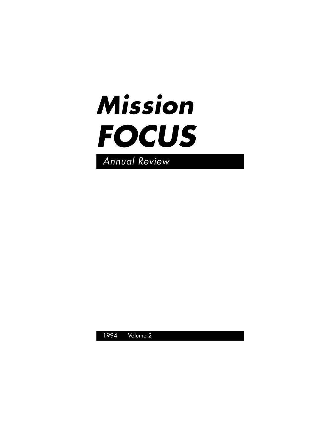

1994 Volume 2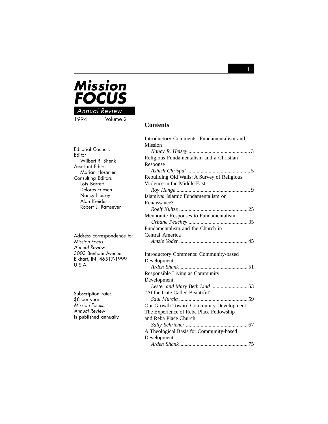# **Mission FOCUS** Annual Review

1994 Volume 2

# **Contents**

|                                                                                       | Introductory Comments: Fundamentalism and   |
|---------------------------------------------------------------------------------------|---------------------------------------------|
|                                                                                       | Mission                                     |
| <b>Editorial Council:</b>                                                             |                                             |
| Editor                                                                                | Religious Fundamentalism and a Christian    |
| Wilbert R. Shenk                                                                      | Response                                    |
| Assistant Editor<br>Marian Hostetler                                                  |                                             |
| <b>Consulting Editors</b>                                                             | Rebuilding Old Walls: A Survey of Religious |
| Lois Barrett<br>Delores Friesen<br>Nancy Heisey<br>Alan Kreider<br>Robert L. Ramseyer | Violence in the Middle East                 |
|                                                                                       |                                             |
|                                                                                       | Islamiya: Islamic Fundamentalism or         |
|                                                                                       | Renaissance?                                |
|                                                                                       |                                             |
|                                                                                       | Mennonite Responses to Fundamentalism       |
|                                                                                       |                                             |
|                                                                                       | Fundamentalism and the Church in            |
| Address correspondence to:                                                            | Central America                             |
| <b>Mission Focus:</b>                                                                 |                                             |
| <b>Annual Review</b>                                                                  |                                             |
| 3003 Benham Avenue                                                                    | Introductory Comments: Community-based      |
| Elkhart, IN 46517-1999<br>U.S.A.                                                      | Development                                 |
|                                                                                       |                                             |
|                                                                                       | Responsible Living as Community             |
|                                                                                       | Development                                 |
|                                                                                       |                                             |
| Subscription rate:                                                                    | "At the Gate Called Beautiful"              |
| \$8 per year.                                                                         |                                             |
| <b>Mission Focus:</b>                                                                 | Our Growth Toward Community Development:    |
| Annual Review                                                                         | The Experience of Reba Place Fellowship     |
| is published annually.                                                                | and Reba Place Church                       |
|                                                                                       |                                             |
|                                                                                       | A Theological Basis for Community-based     |
|                                                                                       | Development                                 |
|                                                                                       |                                             |

# 1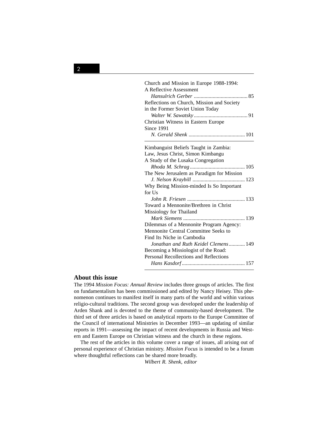| Church and Mission in Europe 1988-1994:<br>A Reflective Assessment |  |  |
|--------------------------------------------------------------------|--|--|
|                                                                    |  |  |
|                                                                    |  |  |
| Reflections on Church, Mission and Society                         |  |  |
| in the Former Soviet Union Today                                   |  |  |
|                                                                    |  |  |
| Christian Witness in Eastern Europe                                |  |  |
| Since 1991                                                         |  |  |
|                                                                    |  |  |
| Kimbanguist Beliefs Taught in Zambia:                              |  |  |
| Law, Jesus Christ, Simon Kimbangu                                  |  |  |
| A Study of the Lusaka Congregation                                 |  |  |
|                                                                    |  |  |
| The New Jerusalem as Paradigm for Mission                          |  |  |
|                                                                    |  |  |
| Why Being Mission-minded Is So Important                           |  |  |
| for Us                                                             |  |  |
|                                                                    |  |  |
| Toward a Mennonite/Brethren in Christ                              |  |  |
| Missiology for Thailand                                            |  |  |
|                                                                    |  |  |
| Dilemmas of a Mennonite Program Agency:                            |  |  |
| Mennonite Central Committee Seeks to                               |  |  |
| Find Its Niche in Cambodia                                         |  |  |
| Jonathan and Ruth Keidel Clemens 149                               |  |  |
| Becoming a Missiologist of the Road:                               |  |  |
| Personal Recollections and Reflections                             |  |  |
|                                                                    |  |  |

# **About this issue**

The 1994 *Mission Focus: Annual Review* includes three groups of articles. The first on fundamentalism has been commissioned and edited by Nancy Heisey. This phenomenon continues to manifest itself in many parts of the world and within various religio-cultural traditions. The second group was developed under the leadership of Arden Shank and is devoted to the theme of community-based development. The third set of three articles is based on analytical reports to the Europe Committee of the Council of international Ministries in December 1993—an updating of similar reports in 1991—assessing the impact of recent developments in Russia and Western and Eastern Europe on Christian witness and the church in these regions.

The rest of the articles in this volume cover a range of issues, all arising out of personal experience of Christian ministry. *Mission Focus* is intended to be a forum where thoughtful reflections can be shared more broadly.

*Wilbert R. Shenk, editor*

2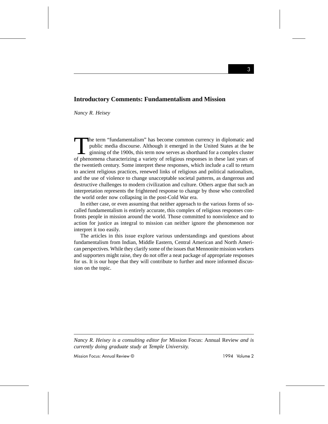# **Introductory Comments: Fundamentalism and Mission**

*Nancy R. Heisey*

The term "fundamentalism" has become common currency in diplomatic and public media discourse. Although it emerged in the United States at the beginning of the 1900s, this term now serves as shorthand for a complex cluster public media discourse. Although it emerged in the United States at the be ginning of the 1900s, this term now serves as shorthand for a complex cluster of phenomena characterizing a variety of religious responses in these last years of the twentieth century. Some interpret these responses, which include a call to return to ancient religious practices, renewed links of religious and political nationalism, and the use of violence to change unacceptable societal patterns, as dangerous and destructive challenges to modern civilization and culture. Others argue that such an interpretation represents the frightened response to change by those who controlled the world order now collapsing in the post-Cold War era.

In either case, or even assuming that neither approach to the various forms of socalled fundamentalism is entirely accurate, this complex of religious responses confronts people in mission around the world. Those committed to nonviolence and to action for justice as integral to mission can neither ignore the phenomenon nor interpret it too easily.

The articles in this issue explore various understandings and questions about fundamentalism from Indian, Middle Eastern, Central American and North American perspectives. While they clarify some of the issues that Mennonite mission workers and supporters might raise, they do not offer a neat package of appropriate responses for us. It is our hope that they will contribute to further and more informed discussion on the topic.

*Nancy R. Heisey is a consulting editor for* Mission Focus: Annual Review *and is currently doing graduate study at Temple University.*

Mission Focus: Annual Review © 1994 Volume 2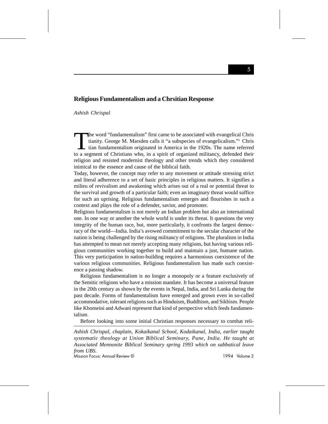# **Religious Fundamentalism and a Chrsitian Response**

*Ashish Chrispal*

The word "fundamentalism" first came to be associated with evangelical Christianity. George M. Marsden calls it "a subspecies of evangelicalism."<sup>1</sup> Christian fundamentalism originated in America in the 1920s. The name ref tianity. George M. Marsden calls it "a subspecies of evangelicalism."1 Chris tian fundamentalism originated in America in the 1920s. The name referred to a segment of Christians who, in a spirit of organized militancy, defended their religion and resisted modernist theology and other trends which they considered inimical to the essence and cause of the biblical faith.

Today, however, the concept may refer to any movement or attitude stressing strict and literal adherence to a set of basic principles in religious matters. It signifies a milieu of revivalism and awakening which arises out of a real or potential threat to the survival and growth of a particular faith; even an imaginary threat would suffice for such an uprising. Religious fundamentalism emerges and flourishes in such a context and plays the role of a defender, savior, and promoter.

Religious fundamentalism is not merely an Indian problem but also an international one. In one way or another the whole world is under its threat. It questions the very integrity of the human race, but, more particularly, it confronts the largest democracy of the world—India. India's avowed commitment to the secular character of the nation is being challenged by the rising militancy of religions. The pluralism in India has attempted to mean not merely accepting many religions, but having various religious communities working together to build and maintain a just, humane nation. This very participation in nation-building requires a harmonious coexistence of the various religious communities. Religious fundamentalism has made such coexistence a passing shadow.

Religious fundamentalism is no longer a monopoly or a feature exclusively of the Semitic religions who have a mission mandate. It has become a universal feature in the 20th century as shown by the events in Nepal, India, and Sri Lanka during the past decade. Forms of fundamentalism have emerged and grown even in so-called accommodative, tolerant religions such as Hinduism, Buddhism, and Sikhism. People like Khomeini and Adwani represent that kind of perspective which feeds fundamentalism.

Before looking into some initial Christian responses necessary to combat reli-

*Ashish Chrispal, chaplain, Kokaikanal School, Kodaikanal, India, earlier taught systematic theology at Union Biblical Seminary, Pune, India. He taught at Associated Mennonite Biblical Seminary spring 1993 which on sabbatical leave from UBS.*

Mission Focus: Annual Review © 1994 Volume 2

 $\sim$  Ashish Chrispal 5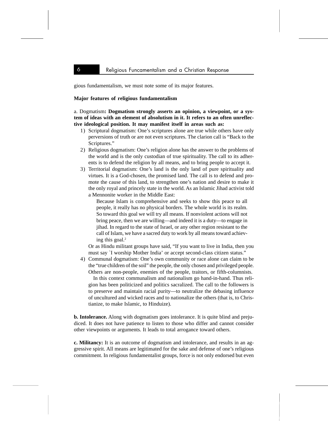gious fundamentalism, we must note some of its major features.

# **Major features of religious fundamentalism**

a. Dogmatism**: Dogmatism strongly asserts an opinion, a viewpoint, or a system of ideas with an element of absolutism in it. It refers to an often unreflective ideological position. It may manifest itself in areas such as:**

- 1) Scriptural dogmatism: One's scriptures alone are true while others have only perversions of truth or are not even scriptures. The clarion call is "Back to the Scriptures."
- 2) Religious dogmatism: One's religion alone has the answer to the problems of the world and is the only custodian of true spirituality. The call to its adherents is to defend the religion by all means, and to bring people to accept it.
- 3) Territorial dogmatism: One's land is the only land of pure spirituality and virtues. It is a God-chosen, the promised land. The call is to defend and promote the cause of this land, to strengthen one's nation and desire to make it the only royal and princely state in the world. As an Islamic Jihad activist told a Mennonite worker in the Middle East:

Because Islam is comprehensive and seeks to show this peace to all people, it really has no physical borders. The whole world is its realm. So toward this goal we will try all means. If nonviolent actions will not bring peace, then we are willing—and indeed it is a duty—to engage in jihad. In regard to the state of Israel, or any other region resistant to the call of Islam, we have a sacred duty to work by all means toward achieving this goal. $2$ 

Or as Hindu militant groups have said, "If you want to live in India, then you must say `I worship Mother India' or accept second-class citizen status."

4) Communal dogmatism: One's own community or race alone can claim to be the "true children of the soil" the people, the only chosen and privileged people. Others are non-people, enemies of the people, traitors, or fifth-columnists. In this context communalism and nationalism go hand-in-hand. Thus religion has been politicized and politics sacralized. The call to the followers is to preserve and maintain racial purity—to neutralize the debasing influence of uncultured and wicked races and to nationalize the others (that is, to Christianize, to make Islamic, to Hinduize).

**b. Intolerance.** Along with dogmatism goes intolerance. It is quite blind and prejudiced. It does not have patience to listen to those who differ and cannot consider other viewpoints or arguments. It leads to total arrogance toward others.

**c. Militancy:** It is an outcome of dogmatism and intolerance, and results in an aggressive spirit. All means are legitimated for the sake and defense of one's religious commitment. In religious fundamentalist groups, force is not only endorsed but even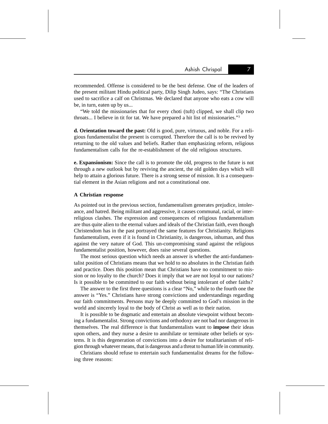recommended. Offense is considered to be the best defense. One of the leaders of the present militant Hindu political party, Dilip Singh Judeo, says: "The Christians used to sacrifice a calf on Christmas. We declared that anyone who eats a cow will be, in turn, eaten up by us...

"We told the missionaries that for every choti (tuft) clipped, we shall clip two throats... I believe in tit for tat. We have prepared a hit list of missionaries."3

**d. Orientation toward the past:** Old is good, pure, virtuous, and noble. For a religious fundamentalist the present is corrupted. Therefore the call is to be revived by returning to the old values and beliefs. Rather than emphasizing reform, religious fundamentalism calls for the re-establishment of the old religious structures.

**e. Expansionism:** Since the call is to promote the old, progress to the future is not through a new outlook but by reviving the ancient, the old golden days which will help to attain a glorious future. There is a strong sense of mission. It is a consequential element in the Asian religions and not a constitutional one.

# **A Christian response**

As pointed out in the previous section, fundamentalism generates prejudice, intolerance, and hatred. Being militant and aggressive, it causes communal, racial, or interreligious clashes. The expression and consequences of religious fundamentalism are thus quite alien to the eternal values and ideals of the Christian faith, even though Christendom has in the past portrayed the same features for Christianity. Religions fundamentalism, even if it is found in Christianity, is dangerous, inhuman, and thus against the very nature of God. This un-compromising stand against the religious fundamentalist position, however, does raise several questions.

The most serious question which needs an answer is whether the anti-fundamentalist position of Christians means that we hold to no absolutes in the Christian faith and practice. Does this position mean that Christians have no commitment to mission or no loyalty to the church? Does it imply that we are not loyal to our nations? Is it possible to be committed to our faith without being intolerant of other faiths?

The answer to the first three questions is a clear "No," while to the fourth one the answer is "Yes." Christians have strong convictions and understandings regarding our faith commitments. Persons may be deeply committed to God's mission in the world and sincerely loyal to the body of Christ as well as to their nation.

It is possible to be dogmatic and entertain an absolute viewpoint without becoming a fundamentalist. Strong convictions and orthodoxy are not bad nor dangerous in themselves. The real difference is that fundamentalists want to **impose** their ideas upon others, and they nurse a desire to annihilate or terminate other beliefs or systems. It is this degeneration of convictions into a desire for totalitarianism of religion through whatever means, that is dangerous and a threat to human life in community.

Christians should refuse to entertain such fundamentalist dreams for the following three reasons: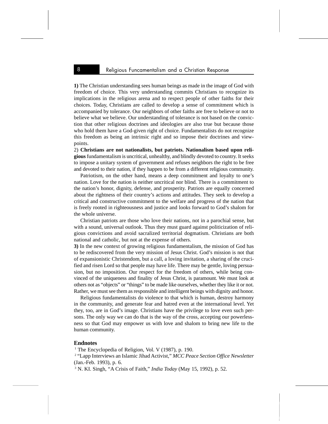**1)** The Christian understanding sees human beings as made in the image of God with freedom of choice. This very understanding commits Christians to recognize its implications in the religious arena and to respect people of other faiths for their choices. Today, Christians are called to develop a sense of commitment which is accompanied by tolerance. Our neighbors of other faiths are free to believe or not to believe what we believe. Our understanding of tolerance is not based on the conviction that other religious doctrines and ideologies are also true but because those who hold them have a God-given right of choice. Fundamentalists do not recognize this freedom as being an intrinsic right and so impose their doctrines and viewpoints.

2) **Christians are not nationalists, but patriots. Nationalism based upon religious** fundamentalism is uncritical, unhealthy, and blindly devoted to country. It seeks to impose a unitary system of government and refuses neighbors the right to be free and devoted to their nation, if they happen to be from a different religious community.

Patriotism, on the other hand, means a deep commitment and loyalty to one's nation. Love for the nation is neither uncritical nor blind. There is a commitment to the nation's honor, dignity, defense, and prosperity. Patriots are equally concerned about the rightness of their country's actions and attitudes. They seek to develop a critical and constructive commitment to the welfare and progress of the nation that is freely rooted in righteousness and justice and looks forward to God's shalom for the whole universe.

Christian patriots are those who love their nations, not in a parochial sense, but with a sound, universal outlook. Thus they must guard against politicization of religious convictions and avoid sacralized territorial dogmatism. Christians are both national and catholic, but not at the expense of others.

**3)** In the new context of growing religious fundamentalism, the mission of God has to be rediscovered from the very mission of Jesus Christ. God's mission is not that of expansionistic Christendom, but a call, a loving invitation, a sharing of the crucified and risen Lord so that people may have life. There may be gentle, loving persuasion, but no imposition. Our respect for the freedom of others, while being convinced of the uniqueness and finality of Jesus Christ, is paramount. We must look at others not as "objects" or "things" to be made like ourselves, whether they like it or not. Rather, we must see them as responsible and intelligent beings with dignity and honor.

Religious fundamentalists do violence to that which is human, destroy harmony in the community, and generate fear and hatred even at the international level. Yet they, too, are in God's image. Christians have the privilege to love even such persons. The only way we can do that is the way of the cross, accepting our powerlessness so that God may empower us with love and shalom to bring new life to the human community.

## **Endnotes**

<sup>1</sup> The Encyclopedia of Religion, Vol. V (1987), p. 190.

2 "Lapp Interviews an Islamic Jihad Activist," *MCC Peace Section Office Newsletter* (Jan.-Feb. 1993), p. 6.

3 N. KI. Singh, "A Crisis of Faith," *India Today* (May 15, 1992), p. 52.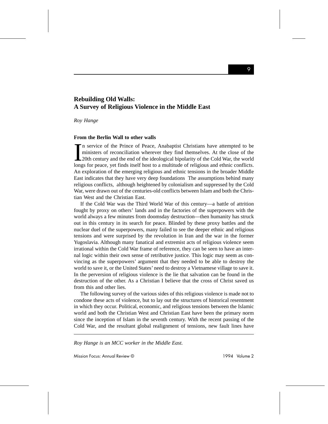# **Rebuilding Old Walls: A Survey of Religious Violence in the Middle East**

*Roy Hange*

# **From the Berlin Wall to other walls**

In service of the Prince of Peace, Anabaptist Christians have attempted to be ministers of reconciliation wherever they find themselves. At the close of the 20th century and the end of the ideological bipolarity of the Col n service of the Prince of Peace, Anabaptist Christians have attempted to be ministers of reconciliation wherever they find themselves. At the close of the 20th century and the end of the ideological bipolarity of the Cold War, the world An exploration of the emerging religious and ethnic tensions in the broader Middle East indicates that they have very deep foundations The assumptions behind many religious conflicts, although heightened by colonialism and suppressed by the Cold War, were drawn out of the centuries-old conflicts between Islam and both the Christian West and the Christian East.

If the Cold War was the Third World War of this century—a battle of attrition fought by proxy on others' lands and in the factories of the superpowers with the world always a few minutes from doomsday destruction—then humanity has struck out in this century in its search for peace. Blinded by these proxy battles and the nuclear duel of the superpowers, many failed to see the deeper ethnic and religious tensions and were surprised by the revolution in Iran and the war in the former Yugoslavia. Although many fanatical and extremist acts of religious violence seem irrational within the Cold War frame of reference, they can be seen to have an internal logic within their own sense of retributive justice. This logic may seem as convincing as the superpowers' argument that they needed to be able to destroy the world to save it, or the United States' need to destroy a Vietnamese village to save it. In the perversion of religious violence is the lie that salvation can be found in the destruction of the other. As a Christian I believe that the cross of Christ saved us from this and other lies.

The following survey of the various sides of this religious violence is made not to condone these acts of violence, but to lay out the structures of historical resentment in which they occur. Political, economic, and religious tensions between the Islamic world and both the Christian West and Christian East have been the primary norm since the inception of Islam in the seventh century. With the recent passing of the Cold War, and the resultant global realignment of tensions, new fault lines have

*Roy Hange is an MCC worker in the Middle East.*

Mission Focus: Annual Review © 1994 Volume 2

Roy Hange 9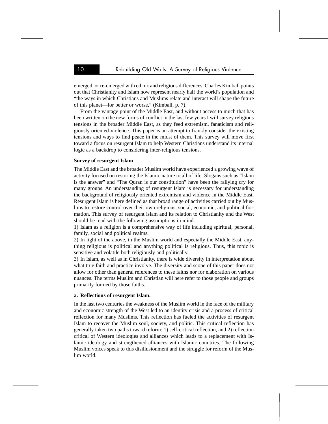emerged, or re-emerged with ethnic and religious differences. Charles Kimball points out that Christianity and Islam now represent nearly half the world's population and "the ways in which Christians and Muslims relate and interact will shape the future of this planet—for better or worse," (Kimball, p. 7).

From the vantage point of the Middle East, and without access to much that has been written on the new forms of conflict in the last few years I will survey religious tensions in the broader Middle East, as they feed extremism, fanaticism and religiously oriented-violence. This paper is an attempt to frankly consider the existing tensions and ways to find peace in the midst of them. This survey will move first toward a focus on resurgent Islam to help Western Christians understand its internal logic as a backdrop to considering inter-religious tensions.

## **Survey of resurgent Islam**

The Middle East and the broader Muslim world have experienced a growing wave of activity focused on restoring the Islamic nature to all of life. Slogans such as "Islam is the answer" and "The Quran is our constitution" have been the rallying cry for many groups. An understanding of resurgent Islam is necessary for understanding the background of religiously oriented extremism and violence in the Middle East. Resurgent Islam is here defined as that broad range of activities carried out by Muslims to restore control over their own religious, social, economic, and political formation. This survey of resurgent islam and its relation to Christianity and the West should be read with the following assumptions in mind:

1) Islam as a religion is a comprehensive way of life including spiritual, personal, family, social and political realms.

2) In light of the above, in the Muslim world and especially the Middle East, anything religious is political and anything political is religious. Thus, this topic is sensitive and volatile both religiously and politically.

3) In Islam, as well as in Christianity, there is wide diversity in interpretation about what true faith and practice involve. The diversity and scope of this paper does not allow for other than general references to these faiths nor for elaboration on various nuances. The terms Muslim and Christian will here refer to those people and groups primarily formed by those faiths.

### **a. Reflections of resurgent Islam.**

In the last two centuries the weakness of the Muslim world in the face of the military and economic strength of the West led to an identity crisis and a process of critical reflection for many Muslims. This reflection has fueled the activities of resurgent Islam to recover the Muslim soul, society, and politic. This critical reflection has generally taken two paths toward reform: 1) self-critical reflection, and 2) reflection critical of Western ideologies and alliances which leads to a replacement with Islamic ideology and strengthened alliances with Islamic countries. The following Muslim voices speak to this disillusionment and the struggle for reform of the Muslim world.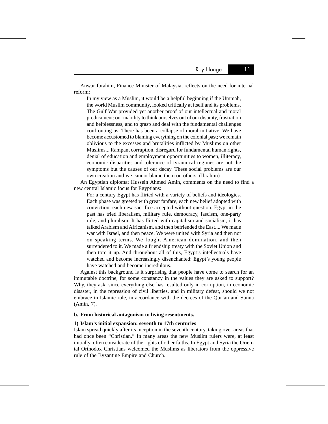Anwar Ibrahim, Finance Minister of Malaysia, reflects on the need for internal reform:

In my view as a Muslim, it would be a helpful beginning if the Ummah, the world Muslim community, looked critically at itself and its problems. The Gulf War provided yet another proof of our intellectual and moral predicament: our inability to think ourselves out of our disunity, frustration and helplessness, and to grasp and deal with the fundamental challenges confronting us. There has been a collapse of moral initiative. We have become accustomed to blaming everything on the colonial past; we remain oblivious to the excesses and brutalities inflicted by Muslims on other Muslims... Rampant corruption, disregard for fundamental human rights, denial of education and employment opportunities to women, illiteracy, economic disparities and tolerance of tyrannical regimes are not the symptoms but the causes of our decay. These social problems are our own creation and we cannot blame them on others. (Ibrahim)

An Egyptian diplomat Hussein Ahmed Amin, comments on the need to find a new central Islamic focus for Egyptians:

For a century Egypt has flirted with a variety of beliefs and ideologies. Each phase was greeted with great fanfare, each new belief adopted with conviction, each new sacrifice accepted without question. Egypt in the past has tried liberalism, military rule, democracy, fascism, one-party rule, and pluralism. It has flirted with capitalism and socialism, it has talked Arabism and Africanism, and then befriended the East.... We made war with Israel, and then peace. We were united with Syria and then not on speaking terms. We fought American domination, and then surrendered to it. We made a friendship treaty with the Soviet Union and then tore it up. And throughout all of this, Egypt's intellectuals have watched and become increasingly disenchanted: Egypt's young people have watched and become incredulous.

Against this background is it surprising that people have come to search for an immutable doctrine, for some constancy in the values they are asked to support? Why, they ask, since everything else has resulted only in corruption, in economic disaster, in the repression of civil liberties, and in military defeat, should we not embrace in Islamic rule, in accordance with the decrees of the Qur'an and Sunna (Amin, 7).

# **b. From historical antagonism to living resentments.**

# **1) Islam's initial expansion: seventh to 17th centuries**

Islam spread quickly after its inception in the seventh century, taking over areas that had once been "Christian." In many areas the new Muslim rulers were, at least initially, often considerate of the rights of other faiths. In Egypt and Syria the Oriental Orthodox Christians welcomed the Muslims as liberators from the oppressive rule of the Byzantine Empire and Church.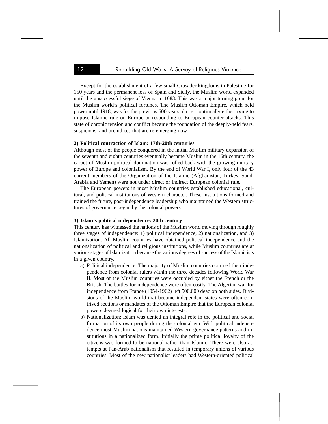Except for the establishment of a few small Crusader kingdoms in Palestine for 150 years and the permanent loss of Spain and Sicily, the Muslim world expanded until the unsuccessful siege of Vienna in 1683. This was a major turning point for the Muslim world's political fortunes. The Muslim Ottoman Empire, which held power until 1918, was for the previous 600 years almost continually either trying to impose Islamic rule on Europe or responding to European counter-attacks. This state of chronic tension and conflict became the foundation of the deeply-held fears, suspicions, and prejudices that are re-emerging now.

# **2) Political contraction of Islam: 17th-20th centuries**

Although most of the people conquered in the initial Muslim military expansion of the seventh and eighth centuries eventually became Muslim in the 16th century, the carpet of Muslim political domination was rolled back with the growing military power of Europe and colonialism. By the end of World War I, only four of the 43 current members of the Organization of the Islamic (Afghanistan, Turkey, Saudi Arabia and Yemen) were not under direct or indirect European colonial rule.

The European powers in most Muslim countries established educational, cultural, and political institutions of Western character. These institutions formed and trained the future, post-independence leadership who maintained the Western structures of governance began by the colonial powers.

# **3) Islam's political independence: 20th century**

This century has witnessed the nations of the Muslim world moving through roughly three stages of independence: 1) political independence, 2) nationalization, and 3) Islamization. All Muslim countries have obtained political independence and the nationalization of political and religious institutions, while Muslim countries are at various stages of Islamization because the various degrees of success of the Islamicists in a given country.

- a) Political independence: The majority of Muslim countries obtained their independence from colonial rulers within the three decades following World War II. Most of the Muslim countries were occupied by either the French or the British. The battles for independence were often costly. The Algerian war for independence from France (1954-1962) left 500,000 dead on both sides. Divisions of the Muslim world that became independent states were often contrived sections or mandates of the Ottoman Empire that the European colonial powers deemed logical for their own interests.
- b) Nationalization: Islam was denied an integral role in the political and social formation of its own people during the colonial era. With political independence most Muslim nations maintained Western governance patterns and institutions in a nationalized form. Initially the prime political loyalty of the citizens was formed to be national rather than Islamic. There were also attempts at Pan-Arab nationalism that resulted in temporary unions of various countries. Most of the new nationalist leaders had Western-oriented political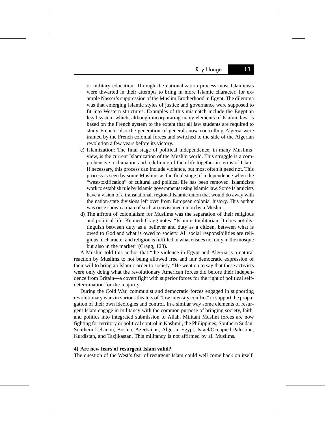or military education. Through the nationalization process most Islamicists were thwarted in their attempts to bring in more Islamic character, for example Nasser's suppression of the Muslim Brotherhood in Egypt. The dilemma was that emerging Islamic styles of justice and governance were supposed to fit into Western structures. Examples of this mismatch include the Egyptian legal system which, although incorporating many elements of Islamic law, is based on the French system to the extent that all law students are required to study French; also the generation of generals now controlling Algeria were trained by the French colonial forces and switched to the side of the Algerian revolution a few years before its victory.

- c) Islamization: The final stage of political independence, in many Muslims' view, is the current Islamization of the Muslim world. This struggle is a comprehensive reclamation and redefining of their life together in terms of Islam. If necessary, this process can include violence, but most often it need not. This process is seen by some Muslims as the final stage of independence when the "west-toxification" of cultural and political life has been removed. Islamicists work to establish rule by Islamic governments using Islamic law. Some Islamicists have a vision of a transnational, regional Islamic union that would do away with the nation-state divisions left over from European colonial history. This author was once shown a map of such an envisioned union by a Muslim.
- d) The affront of colonialism for Muslims was the separation of their religious and political life. Kenneth Cragg notes: "Islam is totalitarian. It does not distinguish between duty as a believer and duty as a citizen, between what is owed to God and what is owed to society. All social responsibilities are religious in character and religion is fulfilled in what ensues not only in the mosque but also in the market" (Cragg, 128).

A Muslim told this author that "the violence in Egypt and Algeria is a natural reaction by Muslims to not being allowed free and fair democratic expression of their will to bring an Islamic order to society. "He went on to say that these activists were only doing what the revolutionary American forces did before their independence from Britain—a covert fight with superior forces for the right of political selfdetermination for the majority.

During the Cold War, communist and democratic forces engaged in supporting revolutionary wars in various theaters of "low intensity conflict" to support the propagation of their own ideologies and control. In a similar way some elements of resurgent Islam engage in militancy with the common purpose of bringing society, faith, and politics into integrated submission to Allah. Militant Muslim forces are now fighting for territory or political control in Kashmir, the Philippines, Southern Sudan, Southern Lebanon, Bosnia, Azerbaijan, Algeria, Egypt, Israel/Occupied Palestine, Kurdistan, and Tazjikastan. This militancy is not affirmed by all Muslims.

#### **4) Are new fears of resurgent Islam valid?**

The question of the West's fear of resurgent Islam could well come back on itself.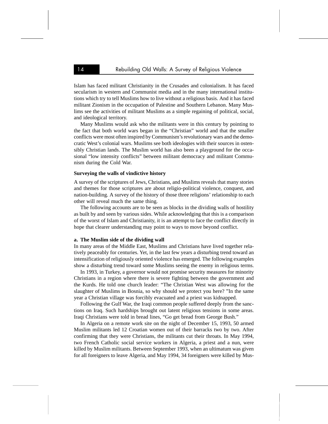Islam has faced militant Christianity in the Crusades and colonialism. It has faced secularism in western and Communist media and in the many international institutions which try to tell Muslims how to live without a religious basis. And it has faced militant Zionism in the occupation of Palestine and Southern Lebanon. Many Muslims see the activities of militant Muslims as a simple regaining of political, social, and ideological territory.

Many Muslims would ask who the militants were in this century by pointing to the fact that both world wars began in the "Christian" world and that the smaller conflicts were most often inspired by Communism's revolutionary wars and the democratic West's colonial wars. Muslims see both ideologies with their sources in ostensibly Christian lands. The Muslim world has also been a playground for the occasional "low intensity conflicts" between militant democracy and militant Communism during the Cold War.

# **Surveying the walls of vindictive history**

A survey of the scriptures of Jews, Christians, and Muslims reveals that many stories and themes for those scriptures are about religio-political violence, conquest, and nation-building. A survey of the history of those three religions' relationship to each other will reveal much the same thing.

The following accounts are to be seen as blocks in the dividing walls of hostility as built by and seen by various sides. While acknowledging that this is a comparison of the worst of Islam and Christianity, it is an attempt to face the conflict directly in hope that clearer understanding may point to ways to move beyond conflict.

#### **a. The Muslim side of the dividing wall**

In many areas of the Middle East, Muslims and Christians have lived together relatively peaceably for centuries. Yet, in the last few years a disturbing trend toward an intensification of religiously oriented violence has emerged. The following examples show a disturbing trend toward some Muslims seeing the enemy in religious terms.

In 1993, in Turkey, a governor would not promise security measures for minority Christians in a region where there is severe fighting between the government and the Kurds. He told one church leader: "The Christian West was allowing for the slaughter of Muslims in Bosnia, so why should we protect you here? "In the same year a Christian village was forcibly evacuated and a priest was kidnapped.

Following the Gulf War, the Iraqi common people suffered deeply from the sanctions on Iraq. Such hardships brought out latent religious tensions in some areas. Iraqi Christians were told in bread lines, "Go get bread from George Bush."

In Algeria on a remote work site on the night of December 15, 1993, 50 armed Muslim militants led 12 Croatian women out of their barracks two by two. After confirming that they were Christians, the militants cut their throats. In May 1994, two French Catholic social service workers in Algeria, a priest and a nun, were killed by Muslim militants. Between September 1993, when an ultimatum was given for all foreigners to leave Algeria, and May 1994, 34 foreigners were killed by Mus-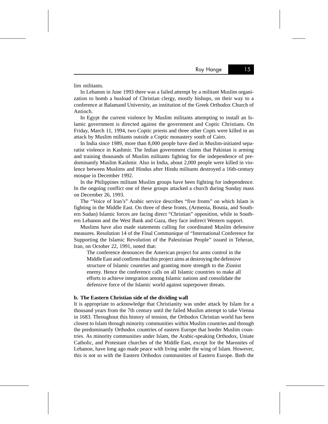lim militants.

In Lebanon in June 1993 there was a failed attempt by a militant Muslim organization to bomb a busload of Christian clergy, mostly bishops, on their way to a conference at Balamand University, an institution of the Greek Orthodox Church of Antioch.

In Egypt the current violence by Muslim militants attempting to install an Islamic government is directed against the government and Coptic Christians. On Friday, March 11, 1994, two Coptic priests and three other Copts were killed in an attack by Muslim militants outside a Coptic monastery south of Cairo.

In India since 1989, more than 8,000 people have died in Muslim-initiated separatist violence in Kashmir. The Indian government claims that Pakistan is arming and training thousands of Muslim militants fighting for the independence of predominantly Muslim Kashmir. Also in India, about 2,000 people were killed in violence between Muslims and Hindus after Hindu militants destroyed a 16th-century mosque in December 1992.

In the Philippines militant Muslim groups have been fighting for independence. In the ongoing conflict one of these groups attacked a church during Sunday mass on December 26, 1993.

The "Voice of Iran's" Arabic service describes "five fronts" on which Islam is fighting in the Middle East. On three of these fronts, (Armenia, Bosnia, and Southern Sudan) Islamic forces are facing direct "Christian" opposition, while in Southern Lebanon and the West Bank and Gaza, they face indirect Western support.

Muslims have also made statements calling for coordinated Muslim defensive measures. Resolution 14 of the Final Communique of "International Conference for Supporting the Islamic Revolution of the Palestinian People" issued in Teheran, Iran, on October 22, 1991, noted that:

The conference denounces the American project for arms control in the Middle East and confirms that this project aims at destroying the defensive structure of Islamic countries and granting more strength to the Zionist enemy. Hence the conference calls on all Islamic countries to make all efforts to achieve integration among Islamic nations and consolidate the defensive force of the Islamic world against superpower threats.

#### **b. The Eastern Christian side of the dividing wall**

It is appropriate to acknowledge that Christianity was under attack by Islam for a thousand years from the 7th century until the failed Muslim attempt to take Vienna in 1683. Throughout this history of tension, the Orthodox Christian world has been closest to Islam through minority communities within Muslim countries and through the predominantly Orthodox countries of eastern Europe that border Muslim countries. As minority communities under Islam, the Arabic-speaking Orthodox, Uniate Catholic, and Protestant churches of the Middle East, except for the Maronites of Lebanon, have long ago made peace with living under the wing of Islam. However, this is not so with the Eastern Orthodox communities of Eastern Europe. Both the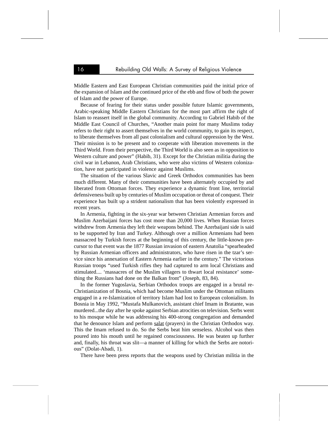Middle Eastern and East European Christian communities paid the initial price of the expansion of Islam and the continued price of the ebb and flow of both the power of Islam and the power of Europe.

Because of fearing for their status under possible future Islamic governments, Arabic-speaking Middle Eastern Christians for the most part affirm the right of Islam to reassert itself in the global community. According to Gabriel Habib of the Middle East Council of Churches, "Another main point for many Muslims today refers to their right to assert themselves in the world community, to gain its respect, to liberate themselves from all past colonialism and cultural oppression by the West. Their mission is to be present and to cooperate with liberation movements in the Third World. From their perspective, the Third World is also seen as in opposition to Western culture and power" (Habib, 31). Except for the Christian militia during the civil war in Lebanon, Arab Christians, who were also victims of Western colonization, have not participated in violence against Muslims.

The situation of the various Slavic and Greek Orthodox communities has been much different. Many of their communities have been alternately occupied by and liberated from Ottoman forces. They experience a dynamic front line, territorial defensiveness built up by centuries of Muslim occupation or threat of conquest. Their experience has built up a strident nationalism that has been violently expressed in recent years.

In Armenia, fighting in the six-year war between Christian Armenian forces and Muslim Azerbaijani forces has cost more than 20,000 lives. When Russian forces withdrew from Armenia they left their weapons behind. The Azerbaijani side is said to be supported by Iran and Turkey. Although over a million Armenians had been massacred by Turkish forces at the beginning of this century, the little-known precursor to that event was the 1877 Russian invasion of eastern Anatolia "spearheaded by Russian Armenian officers and administrators, who have risen in the tzar's service since his annexation of Eastern Armenia earlier in the century." The victorious Russian troops "used Turkish rifles they had captured to arm local Christians and stimulated.... 'massacres of the Muslim villagers to thwart local resistance' something the Russians had done on the Balkan front" (Joseph, 83, 84).

In the former Yugoslavia, Serbian Orthodox troops are engaged in a brutal re-Christianization of Bosnia, which had become Muslim under the Ottoman militants engaged in a re-Islamization of territory Islam had lost to European colonialism. In Bosnia in May 1992, "Mustafa Mulkanovich, assistant chief Imam in Bratante, was murdered...the day after he spoke against Serbian atrocities on television. Serbs went to his mosque while he was addressing his 400-strong congregation and demanded that he denounce Islam and perform salat (prayers) in the Christian Orthodox way. This the Imam refused to do. So the Serbs beat him senseless. Alcohol was then poured into his mouth until he regained consciousness. He was beaten up further and, finally, his throat was slit—a manner of killing for which the Serbs are notorious" (Dolat-Abadi, 1).

There have been press reports that the weapons used by Christian militia in the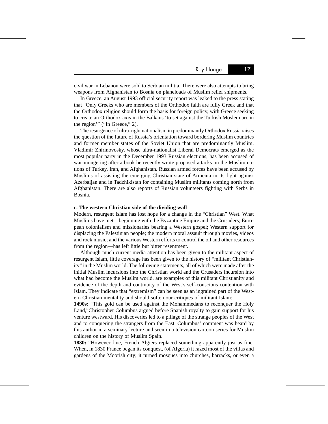Roy Hange 17

civil war in Lebanon were sold to Serbian militia. There were also attempts to bring weapons from Afghanistan to Bosnia on planeloads of Muslim relief shipments.

In Greece, an August 1993 official security report was leaked to the press stating that "Only Greeks who are members of the Orthodox faith are fully Greek and that the Orthodox religion should form the basis for foreign policy, with Greece seeking to create an Orthodox axis in the Balkans 'to set against the Turkish Moslem arc in the region'" ("In Greece," 2).

The resurgence of ultra-right nationalism in predominantly Orthodox Russia raises the question of the future of Russia's orientation toward bordering Muslim countries and former member states of the Soviet Union that are predominantly Muslim. Vladimir Zhirinovosky, whose ultra-nationalist Liberal Democrats emerged as the most popular party in the December 1993 Russian elections, has been accused of war-mongering after a book he recently wrote proposed attacks on the Muslim nations of Turkey, Iran, and Afghanistan. Russian armed forces have been accused by Muslims of assisting the emerging Christian state of Armenia in its fight against Azerbaijan and in Tadzhikistan for containing Muslim militants coming north from Afghanistan. There are also reports of Russian volunteers fighting with Serbs in Bosnia.

#### **c. The western Christian side of the dividing wall**

Modern, resurgent Islam has lost hope for a change in the "Christian" West. What Muslims have met—beginning with the Byzantine Empire and the Crusaders; European colonialism and missionaries bearing a Western gospel; Western support for displacing the Palestinian people; the modern moral assault through movies, videos and rock music; and the various Western efforts to control the oil and other resources from the region—has left little but bitter resentment.

Although much current media attention has been given to the militant aspect of resurgent Islam, little coverage has been given to the history of "militant Christianity" in the Muslim world. The following statements, all of which were made after the initial Muslim incursions into the Christian world and the Crusaders incursion into what had become the Muslim world, are examples of this militant Christianity and evidence of the depth and continuity of the West's self-conscious contention with Islam. They indicate that "extremism" can be seen as an ingrained part of the Western Christian mentality and should soften our critiques of militant Islam:

**1490s:** "This gold can be used against the Mohammedans to reconquer the Holy Land,"Christopher Columbus argued before Spanish royalty to gain support for his venture westward. His discoveries led to a pillage of the strange peoples of the West and to conquering the strangers from the East. Columbus' comment was heard by this author in a seminary lecture and seen in a television cartoon series for Muslim children on the history of Muslim Spain.

**1830:** "However fine, French Algiers replaced something apparently just as fine. When, in 1830 France began its conquest, (of Algeria) it razed most of the villas and gardens of the Moorish city; it turned mosques into churches, barracks, or even a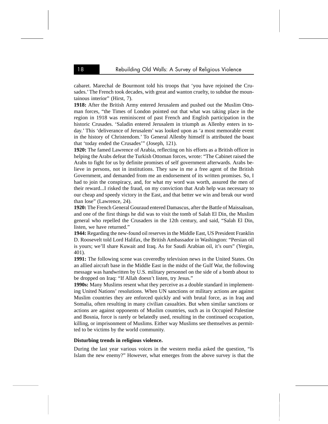cabaret. Marechal de Bourmont told his troops that 'you have rejoined the Crusades.' The French took decades, with great and wanton cruelty, to subdue the mountainous interior" (Hirst, 7).

**1918:** After the British Army entered Jerusalem and pushed out the Muslim Ottoman forces, "the Times of London pointed out that what was taking place in the region in 1918 was reminiscent of past French and English participation in the historic Crusades. 'Saladin entered Jerusalem in triumph as Allenby enters in today.' This 'deliverance of Jerusalem' was looked upon as 'a most memorable event in the history of Christendom.' To General Allenby himself is attributed the boast that 'today ended the Crusades'" (Joseph, 121).

**1920:** The famed Lawrence of Arabia, reflecting on his efforts as a British officer in helping the Arabs defeat the Turkish Ottoman forces, wrote: "The Cabinet raised the Arabs to fight for us by definite promises of self government afterwards. Arabs believe in persons, not in institutions. They saw in me a free agent of the British Government, and demanded from me an endorsement of its written promises. So, I had to join the conspiracy, and, for what my word was worth, assured the men of their reward...I risked the fraud, on my conviction that Arab help was necessary to our cheap and speedy victory in the East, and that better we win and break our word than lose" (Lawrence, 24).

**1920:** The French General Gouraud entered Damascus, after the Battle of Maissaloan, and one of the first things he did was to visit the tomb of Salah El Din, the Muslim general who repelled the Crusaders in the 12th century, and said, "Salah El Din, listen, we have returned."

**1944:** Regarding the new-found oil reserves in the Middle East, US President Franklin D. Roosevelt told Lord Halifax, the British Ambassador in Washington: "Persian oil is yours; we'll share Kuwait and Iraq. As for Saudi Arabian oil, it's ours" (Yergin, 401).

**1991:** The following scene was coveredby television news in the United States. On an allied aircraft base in the Middle East in the midst of the Gulf War, the following message was handwritten by U.S. military personnel on the side of a bomb about to be dropped on Iraq: "If Allah doesn't listen, try Jesus."

**1990s:** Many Muslims resent what they perceive as a double standard in implementing United Nations' resolutions. When UN sanctions or military actions are against Muslim countries they are enforced quickly and with brutal force, as in Iraq and Somalia, often resulting in many civilian casualties. But when similar sanctions or actions are against opponents of Muslim countries, such as in Occupied Palestine and Bosnia, force is rarely or belatedly used, resulting in the continued occupation, killing, or imprisonment of Muslims. Either way Muslims see themselves as permitted to be victims by the world community.

# **Disturbing trends in religious violence.**

During the last year various voices in the western media asked the question, "Is Islam the new enemy?" However, what emerges from the above survey is that the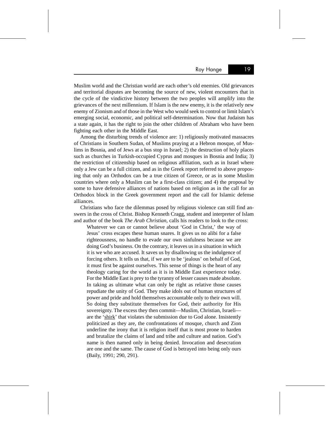Roy Hange 19

Muslim world and the Christian world are each other's old enemies. Old grievances and territorial disputes are becoming the source of new, violent encounters that in the cycle of the vindictive history between the two peoples will amplify into the grievances of the next millennium. If Islam is the new enemy, it is the relatively new enemy of Zionism and of those in the West who would seek to control or limit Islam's emerging social, economic, and political self-determination. Now that Judaism has a state again, it has the right to join the other children of Abraham who have been fighting each other in the Middle East.

Among the disturbing trends of violence are: 1) religiously motivated massacres of Christians in Southern Sudan, of Muslims praying at a Hebron mosque, of Muslims in Bosnia, and of Jews at a bus stop in Israel; 2) the destruction of holy places such as churches in Turkish-occupied Cyprus and mosques in Bosnia and India; 3) the restriction of citizenship based on religious affiliation, such as in Israel where only a Jew can be a full citizen, and as in the Greek report referred to above proposing that only an Orthodox can be a true citizen of Greece, or as in some Muslim countries where only a Muslim can be a first-class citizen; and 4) the proposal by some to have defensive alliances of nations based on religion as in the call for an Orthodox block in the Greek government report and the call for Islamic defense alliances.

Christians who face the dilemmas posed by religious violence can still find answers in the cross of Christ. Bishop Kenneth Cragg, student and interpreter of Islam and author of the book *The Arab Christian*, calls his readers to look to the cross:

Whatever we can or cannot believe about 'God in Christ,' the way of Jesus' cross escapes these human snares. It gives us no alibi for a false righteousness, no handle to evade our own sinfulness because we are doing God's business. On the contrary, it leaves us in a situation in which it is we who are accused. It saves us by disallowing us the indulgence of forcing others. It tells us that, if we are to be 'jealous' on behalf of God, it must first be against ourselves. This sense of things is the heart of any theology caring for the world as it is in Middle East experience today. For the Middle East is prey to the tyranny of lesser causes made absolute. In taking as ultimate what can only be right as relative those causes repudiate the unity of God. They make idols out of human structures of power and pride and hold themselves accountable only to their own will. So doing they substitute themselves for God, their authority for His sovereignty. The excess they then commit—Muslim, Christian, Israeli are the 'shirk' that violates the submission due to God alone. Insistently politicized as they are, the confrontations of mosque, church and Zion underline the irony that it is religion itself that is most prone to harden and brutalize the claims of land and tribe and culture and nation. God's name is then named only in being denied. Invocation and desecration are one and the same. The cause of God is betrayed into being only ours (Baily, 1991; 290, 291).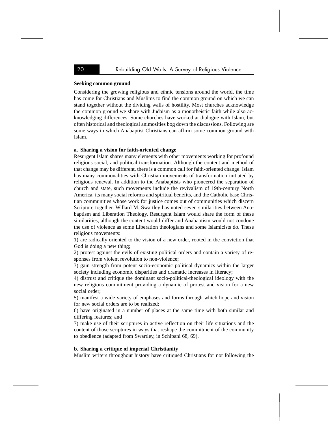# **Seeking common ground**

Considering the growing religious and ethnic tensions around the world, the time has come for Christians and Muslims to find the common ground on which we can stand together without the dividing walls of hostility. Most churches acknowledge the common ground we share with Judaism as a monotheistic faith while also acknowledging differences. Some churches have worked at dialogue with Islam, but often historical and theological animosities bog down the discussions. Following are some ways in which Anabaptist Christians can affirm some common ground with Islam.

# **a. Sharing a vision for faith-oriented change**

Resurgent Islam shares many elements with other movements working for profound religious social, and political transformation. Although the content and method of that change may be different, there is a common call for faith-oriented change. Islam has many commonalities with Christian movements of transformation initiated by religious renewal. In addition to the Anabaptists who pioneered the separation of church and state, such movements include the revivalism of 19th-century North America, its many social reforms and spiritual benefits, and the Catholic base Christian communities whose work for justice comes out of communities which discern Scripture together. Willard M. Swartley has noted seven similarities between Anabaptism and Liberation Theology. Resurgent Islam would share the form of these similarities, although the content would differ and Anabaptism would not condone the use of violence as some Liberation theologians and some Islamicists do. These religious movements:

1) are radically oriented to the vision of a new order, rooted in the conviction that God is doing a new thing;

2) protest against the evils of existing political orders and contain a variety of responses from violent revolution to non-violence;

3) gain strength from potent socio-economic political dynamics within the larger society including economic disparities and dramatic increases in literacy;

4) distrust and critique the dominant socio-political-theological ideology with the new religious commitment providing a dynamic of protest and vision for a new social order;

5) manifest a wide variety of emphases and forms through which hope and vision for new social orders are to be realized;

6) have originated in a number of places at the same time with both similar and differing features; and

7) make use of their scriptures in active reflection on their life situations and the content of those scriptures in ways that reshape the commitment of the community to obedience (adapted from Swartley, in Schipani 68, 69).

# **b. Sharing a critique of imperial Christianity**

Muslim writers throughout history have critiqued Christians for not following the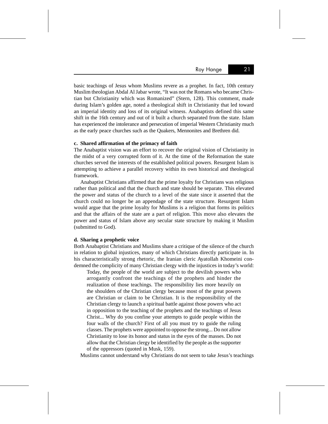Roy Hange 21

basic teachings of Jesus whom Muslims revere as a prophet. In fact, 10th century Muslim theologian Abdal Al Jabar wrote, "It was not the Romans who became Christian but Christianity which was Romanized" (Stern, 128). This comment, made during Islam's golden age, noted a theological shift in Christianity that led toward an imperial identity and loss of its original witness. Anabaptists defined this same shift in the 16th century and out of it built a church separated from the state. Islam has experienced the intolerance and persecution of imperial Western Christianity much as the early peace churches such as the Quakers, Mennonites and Brethren did.

# **c. Shared affirmation of the primacy of faith**

The Anabaptist vision was an effort to recover the original vision of Christianity in the midst of a very corrupted form of it. At the time of the Reformation the state churches served the interests of the established political powers. Resurgent Islam is attempting to achieve a parallel recovery within its own historical and theological framework.

Anabaptist Christians affirmed that the prime loyalty for Christians was religious rather than political and that the church and state should be separate. This elevated the power and status of the church to a level of the state since it asserted that the church could no longer be an appendage of the state structure. Resurgent Islam would argue that the prime loyalty for Muslims is a religion that forms its politics and that the affairs of the state are a part of religion. This move also elevates the power and status of Islam above any secular state structure by making it Muslim (submitted to God).

#### **d. Sharing a prophetic voice**

Both Anabaptist Christians and Muslims share a critique of the silence of the church in relation to global injustices, many of which Christians directly participate in. In his characteristically strong rhetoric, the Iranian cleric Ayatollah Khomeini condemned the complicity of many Christian clergy with the injustices in today's world:

Today, the people of the world are subject to the devilish powers who arrogantly confront the teachings of the prophets and hinder the realization of those teachings. The responsibility lies more heavily on the shoulders of the Christian clergy because most of the great powers are Christian or claim to be Christian. It is the responsibility of the Christian clergy to launch a spiritual battle against those powers who act in opposition to the teaching of the prophets and the teachings of Jesus Christ... Why do you confine your attempts to guide people within the four walls of the church? First of all you must try to guide the ruling classes. The prophets were appointed to oppose the strong... Do not allow Christianity to lose its honor and status in the eyes of the masses. Do not allow that the Christian clergy be identified by the people as the supporter of the oppressors (quoted in Musk, 159).

Muslims cannot understand why Christians do not seem to take Jesus's teachings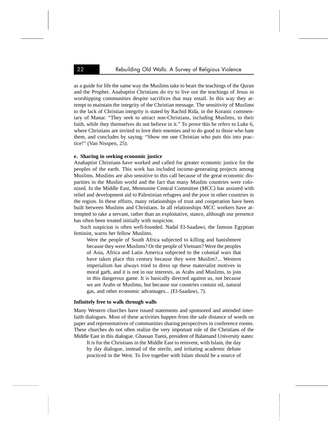as a guide for life the same way the Muslims take to heart the teachings of the Quran and the Prophet. Anabaptist Christians do try to live out the teachings of Jesus in worshipping communities despite sacrifices that may entail. In this way they attempt to maintain the integrity of the Christian message. The sensitivity of Muslims to the lack of Christian integrity is stated by Rachid Rida, in the Koranic commentary of Manar. "They seek to attract non-Christians, including Muslims, to their faith, while they themselves do not believe in it." To prove this he refers to Luke 6, where Christians are invited to love their enemies and to do good to those who hate them, and concludes by saying: "Show me one Christian who puts this into practice!" (Van Nisspen, 25).

### **e. Sharing in seeking economic justice**

Anabaptist Christians have worked and called for greater economic justice for the peoples of the earth. This work has included income-generating projects among Muslims. Muslims are also sensitive to this call because of the great economic disparities in the Muslim world and the fact that many Muslim countries were colonized. In the Middle East, Mennonite Central Committee (MCC) has assisted with relief and development aid to Palestinian refugees and the poor in other countries in the region. In these efforts, many relationships of trust and cooperation have been built between Muslims and Christians. In all relationships MCC workers have attempted to take a servant, rather than an exploitative, stance, although our presence has often been treated initially with suspicion.

Such suspicion is often well-founded. Nadal El-Saadawi, the famous Egyptian feminist, warns her fellow Muslims.

Were the people of South Africa subjected to killing and banishment because they were Muslims? Or the people of Vietnam? Were the peoples of Asia, Africa and Latin America subjected to the colonial wars that have taken place this century because they were Muslim?... Western imperialism has always tried to dress up these materialist motives in moral garb, and it is not in our interests, as Arabs and Muslims, to join in this dangerous game. It is basically directed against us, not because we are Arabs or Muslims, but because our countries contain oil, natural gas, and other economic advantages... (El-Saadawi, 7).

#### **Infinitely free to walk through walls**

Many Western churches have issued statements and sponsored and attended interfaith dialogues. Most of these activities happen from the safe distance of words on paper and representatives of communities sharing perspectives in conference rooms. These churches do not often realize the very important role of the Christians of the Middle East in this dialogue. Ghassan Tueni, president of Balamand University states:

It is for the Christians in the Middle East to reinvent, with Islam, the day by day dialogue, instead of the sterile, and irritating academic debate practiced in the West. To live together with Islam should be a source of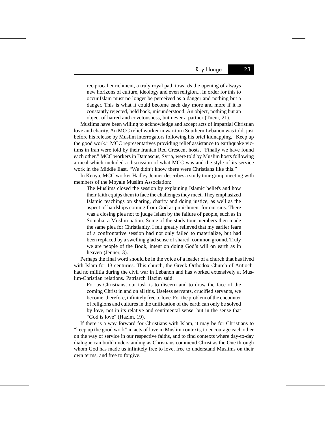reciprocal enrichment, a truly royal path towards the opening of always new horizons of culture, ideology and even religion... In order for this to occur,Islam must no longer be perceived as a danger and nothing but a danger. This is what it could become each day more and more if it is constantly rejected, held back, misunderstood. An object, nothing but an object of hatred and covetousness, but never a partner (Tueni, 21).

Muslims have been willing to acknowledge and accept acts of impartial Christian love and charity. An MCC relief worker in war-torn Southern Lebanon was told, just before his release by Muslim interrogators following his brief kidnapping, "Keep up the good work." MCC representatives providing relief assistance to earthquake victims in Iran were told by their Iranian Red Crescent hosts, "Finally we have found each other." MCC workers in Damascus, Syria, were told by Muslim hosts following a meal which included a discussion of what MCC was and the style of its service work in the Middle East, "We didn't know there were Christians like this."

In Kenya, MCC worker Hadley Jenner describes a study tour group meeting with members of the Moyale Muslim Association:

The Muslims closed the session by explaining Islamic beliefs and how their faith equips them to face the challenges they meet. They emphasized Islamic teachings on sharing, charity and doing justice, as well as the aspect of hardships coming from God as punishment for our sins. There was a closing plea not to judge Islam by the failure of people, such as in Somalia, a Muslim nation. Some of the study tour members then made the same plea for Christianity. I felt greatly relieved that my earlier fears of a confrontative session had not only failed to materialize, but had been replaced by a swelling glad sense of shared, common ground. Truly we are people of the Book, intent on doing God's will on earth as in heaven (Jenner, 3).

Perhaps the final word should be in the voice of a leader of a church that has lived with Islam for 13 centuries. This church, the Greek Orthodox Church of Antioch, had no militia during the civil war in Lebanon and has worked extensively at Muslim-Christian relations. Patriarch Hazim said:

For us Christians, our task is to discern and to draw the face of the coming Christ in and on all this. Useless servants, crucified servants, we become, therefore, infinitely free to love. For the problem of the encounter of religions and cultures in the unification of the earth can only be solved by love, not in its relative and sentimental sense, but in the sense that "God is love" (Hazim, 19).

If there is a way forward for Christians with Islam, it may be for Christians to "keep up the good work" in acts of love in Muslim contexts, to encourage each other on the way of service in our respective faiths, and to find contexts where day-to-day dialogue can build understanding as Christians commend Christ as the One through whom God has made us infinitely free to love, free to understand Muslims on their own terms, and free to forgive.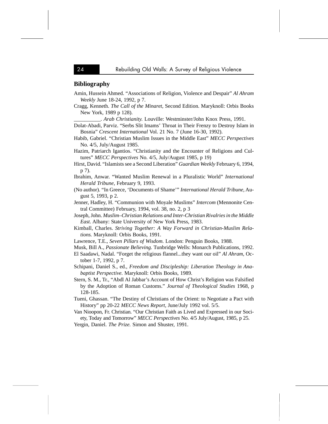# **Bibliography**

- Amin, Hussein Ahmed. "Associations of Religion, Violence and Despair" *Al Ahram Weekly* June 18-24, 1992, p 7.
- Cragg, Kenneth. *The Call of the Minaret,* Second Edition. Maryknoll: Orbis Books New York, 1989 p 128).

\_\_\_\_\_\_\_\_\_\_. *Arab Christianity.* Louville: Westminster/John Knox Press, 1991.

Dolat-Abadi, Parviz. "Serbs Slit Imams' Throat in Their Frenzy to Destroy Islam in Bosnia" *Crescent International* Vol. 21 No. 7 (June 16-30, 1992).

Habib, Gabriel. "Christian Muslim Issues in the Middle East" *MECC Perspectives* No. 4/5, July/August 1985.

Hazim, Patriarch Igantios. "Christianity and the Encounter of Religions and Cultures" *MECC Perspectives* No. 4/5, July/August 1985, p 19)

- Hirst, David. "Islamists see a Second Liberation" *Guardian Weekly* February 6, 1994, p 7).
- Ibrahim, Anwar. "Wanted Muslim Renewal in a Pluralistic World" *International Herald Tribune,* February 9, 1993.
- (No author). "In Greece, 'Documents of Shame'" *International Herald Tribune,* August 5, 1993, p 2.
- Jenner, Hadley, H. "Communion with Moyale Muslims" *Intercom* (Mennonite Central Committee) February, 1994, vol. 38, no. 2, p 3
- Joseph, John. *Muslim–Christian Relations and Inter-Christian Rivalries in the Middle East.* Albany: State University of New York Press, 1983.
- Kimball, Charles. *Striving Together: A Way Forward in Christian-Muslim Relations.* Maryknoll: Orbis Books, 1991.
- Lawrence, T.E., *Seven Pillars of Wisdom.* London: Penguin Books, 1988.
- Musk, Bill A., *Passionate Believing.* Tunbridge Wells: Monarch Publications, 1992.
- El Saadawi, Nadal. "Forget the religious flannel...they want our oil" *Al Ahram,* October 1-7, 1992, p 7.
- Schipani, Daniel S., ed., *Freedom and Discipleship: Liberation Theology in Anabaptist Perspective.* Maryknoll: Orbis Books, 1989.
- Stern, S. M., Tr., "Abdl Al Jabbar's Account of How Christ's Religion was Falsified by the Adoption of Roman Customs." *Journal of Theological Studies* 1968, p 128-185.
- Tueni, Ghassan. "The Destiny of Christians of the Orient: to Negotiate a Pact with History" pp 20-22 *MECC News Report,* June/July 1992 vol. 5/5.
- Van Nioopon, Fr. Christian. "Our Christian Faith as Lived and Expressed in our Society, Today and Tomorrow" *MECC Perspectives* No. 4/5 July/August, 1985, p 25.

Yergin, Daniel. *The Prize.* Simon and Shuster, 1991.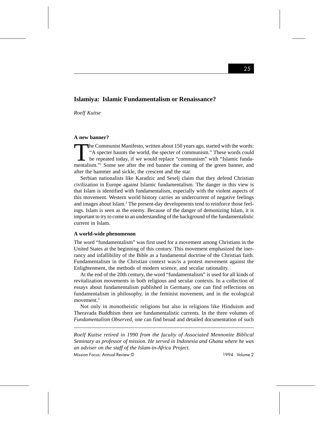# **Islamiya: Islamic Fundamentalism or Renaissance?**

*Roelf Kuitse*

# **A new banner?**

The Communist Manifesto, written about 150 years ago, started with the words:<br>
"A specter haunts the world, the specter of communism." These words could<br>
be repeated today, if we would replace "communism" with "Islamic fun "A specter haunts the world, the specter of communism." These words could be repeated today, if we would replace "communism" with "Islamic fundamentalism."1 Some see after the red banner the coming of the green banner, and after the hammer and sickle, the crescent and the star.

Serbian nationalists like Karadzic and Seselj claim that they defend Christian civilization in Europe against Islamic fundamentalism. The danger in this view is that Islam is identified with fundamentalism, especially with the violent aspects of this movement. Western world history carries an undercurrent of negative feelings and images about Islam.<sup>2</sup> The present-day developments tend to reinforce those feelings. Islam is seen as the enemy. Because of the danger of demonizing Islam, it is important to try to come to an understanding of the background of the fundamentalistic current in Islam.

#### **A world-wide phenomenon**

The word "fundamentalism" was first used for a movement among Christians in the United States at the beginning of this century. This movement emphasized the inerrancy and infallibility of the Bible as a fundamental doctrine of the Christian faith. Fundamentalism in the Christian context was/is a protest movement against the Enlightenment, the methods of modern science, and secular rationality.

At the end of the 20th century, the word "fundamentalism" is used for all kinds of revitalization movements in both religious and secular contexts. In a collection of essays about fundamentalism published in Germany, one can find reflections on fundamentalism in philosophy, in the feminist movement, and in the ecological movement.<sup>3</sup>

Not only in monotheistic religions but also in religions like Hinduism and Theravada Buddhism there are fundamentalistic currents. In the three volumes of *Fundamentalism Observed,* one can find broad and detailed documentation of such

Mission Focus: Annual Review © 1994 Volume 2 *Roelf Kuitse retired in 1990 from the faculty of Associated Mennonite Biblical Seminary as professor of mission. He served in Indonesia and Ghana where he was an adviser on the staff of the Islam-in-Africa Project.*

 $\sim$  25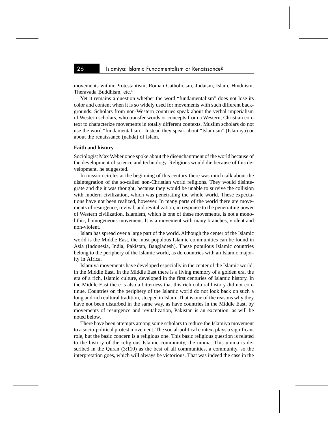movements within Protestantism, Roman Catholicism, Judaism, Islam, Hinduism, Theravada Buddhism, etc.4

Yet it remains a question whether the word "fundamentalism" does not lose its color and content when it is so widely used for movements with such different backgrounds. Scholars from non-Western countries speak about the verbal imperialism of Western scholars, who transfer words or concepts from a Western, Christian context to characterize movements in totally different contexts. Muslim scholars do not use the word "fundamentalism." Instead they speak about "Islamism" (Islamiya) or about the renaissance (nahda) of Islam.

## **Faith and history**

Sociologist Max Weber once spoke about the disenchantment of the world because of the development of science and technology. Religions would die because of this development, he suggested.

In mission circles at the beginning of this century there was much talk about the disintegration of the so-called non-Christian world religions. They would disintegrate and die it was thought, because they would be unable to survive the collision with modern civilization, which was penetrating the whole world. These expectations have not been realized, however. In many parts of the world there are movements of resurgence, revival, and revitalization, in response to the penetrating power of Western civilization. Islamism, which is one of these movements, is not a monolithic, homogeneous movement. It is a movement with many branches, violent and non-violent.

Islam has spread over a large part of the world. Although the center of the Islamic world is the Middle East, the most populous Islamic communities can be found in Asia (Indonesia, India, Pakistan, Bangladesh). These populous Islamic countries belong to the periphery of the Islamic world, as do countries with an Islamic majority in Africa.

Islamiya movements have developed especially in the center of the Islamic world, in the Middle East. In the Middle East there is a living memory of a golden era, the era of a rich, Islamic culture, developed in the first centuries of Islamic history. In the Middle East there is also a bitterness that this rich cultural history did not continue. Countries on the periphery of the Islamic world do not look back on such a long and rich cultural tradition, steeped in Islam. That is one of the reasons why they have not been disturbed in the same way, as have countries in the Middle East, by movements of resurgence and revitalization, Pakistan is an exception, as will be noted below.

There have been attempts among some scholars to reduce the Islamiya movement to a socio-political protest movement. The social-political context plays a significant role, but the basic concern is a religious one. This basic religious question is related to the history of the religious Islamic community, the umma. This umma is described in the Quran (3:110) as the best of all communities, a community, so the interpretation goes, which will always be victorious. That was indeed the case in the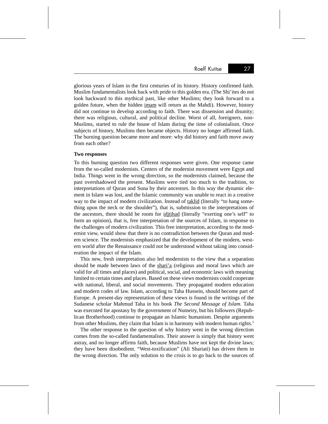Roelf Kuitse 27

glorious years of Islam in the first centuries of its history. History confirmed faith. Muslim fundamentalists look back with pride to this golden era. (The Shi'ites do not look backward to this mythical past, like other Muslims; they look forward to a golden future, when the hidden imam will return as the Mahdi). However, history did not continue to develop according to faith. There was dissension and disunity; there was religious, cultural, and political decline. Worst of all, foreigners, non-Muslims, started to rule the house of Islam during the time of colonialism. Once subjects of history, Muslims then became objects. History no longer affirmed faith. The burning question became more and more: why did history and faith move away from each other?

# **Two responses**

To this burning question two different responses were given. One response came from the so-called modernists. Centers of the modernist movement were Egypt and India. Things went in the wrong direction, so the modernists claimed, because the past overshadowed the present. Muslims were tied too much to the tradition, to interpretations of Quran and Suna by their ancestors. In this way the dynamic element in Islam was lost, and the Islamic community was unable to react in a creative way to the impact of modern civilization. Instead of <u>taklid</u> (literally "to hang something upon the neck or the shoulder"), that is, submission to the interpretations of the ancestors, there should be room for idjtihad (literally "exerting one's self" to form an opinion), that is, free interpretation of the sources of Islam, in response to the challenges of modern civilization. This free interpretation, according to the modernist view, would show that there is no contradiction between the Quran and modern science. The modernists emphasized that the development of the modern, western world after the Renaissance could not be understood without taking into consideration the impact of the Islam.

This new, fresh interpretation also led modernists to the view that a separation should be made between laws of the shari'a (religious and moral laws which are valid for all times and places) and political, social, and economic laws with meaning limited to certain times and places. Based on these views modernists could cooperate with national, liberal, and social movements. They propagated modern education and modern codes of law. Islam, according to Taha Hussein, should become part of Europe. A present-day representation of these views is found in the writings of the Sudanese scholar Mahmud Taha in his book *The Second Message of Islam.* Taha was executed for apostasy by the government of Numeiry, but his followers (Republican Brotherhood) continue to propagate an Islamic humanism. Despite arguments from other Muslims, they claim that Islam is in harmony with modern human rights.5

The other response to the question of why history went in the wrong direction comes from the so-called fundamentalists. Their answer is simply that history went astray, and no longer affirms faith, because Muslims have not kept the divine laws; they have been disobedient. "West-toxification" (Ali Shariati) has driven them in the wrong direction. The only solution to the crisis is to go back to the sources of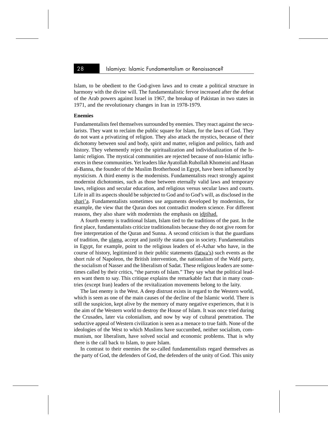Islam, to be obedient to the God-given laws and to create a political structure in harmony with the divine will. The fundamentalistic fervor increased after the defeat of the Arab powers against Israel in 1967, the breakup of Pakistan in two states in 1971, and the revolutionary changes in Iran in 1978-1979.

# **Enemies**

Fundamentalists feel themselves surrounded by enemies. They react against the secularists. They want to reclaim the public square for Islam, for the laws of God. They do not want a privatizing of religion. They also attack the mystics, because of their dichotomy between soul and body, spirit and matter, religion and politics, faith and history. They vehemently reject the spiritualization and individualization of the Islamic religion. The mystical communities are rejected because of non-Islamic influences in these communities. Yet leaders like Ayatollah Ruhollah Khomeini and Hasan al-Banna, the founder of the Muslim Brotherhood in Egypt, have been influenced by mysticism. A third enemy is the modernists. Fundamentalists react strongly against modernist dichotomies, such as those between eternally valid laws and temporary laws, religious and secular education, and religious versus secular laws and courts. Life in all its aspects should be subjected to God and to God's will, as disclosed in the shari'a. Fundamentalists sometimes use arguments developed by modernists, for example, the view that the Quran does not contradict modern science. For different reasons, they also share with modernists the emphasis on idjtihad.

A fourth enemy is traditional Islam, Islam tied to the traditions of the past. In the first place, fundamentalists criticize traditionalists because they do not give room for free interpretation of the Quran and Sunna. A second criticism is that the guardians of tradition, the ulama, accept and justify the status quo in society. Fundamentalists in Egypt, for example, point to the religious leaders of el-Azhar who have, in the course of history, legitimized in their public statements (fatwa's) such events as the short rule of Napoleon, the British intervention, the nationalism of the Wafd party, the socialism of Nasser and the liberalism of Sadat. These religious leaders are sometimes called by their critics, "the parrots of Islam." They say what the political leaders want them to say. This critique explains the remarkable fact that in many countries (except Iran) leaders of the revitalization movements belong to the laity.

The last enemy is the West. A deep distrust exists in regard to the Western world, which is seen as one of the main causes of the decline of the Islamic world. There is still the suspicion, kept alive by the memory of many negative experiences, that it is the aim of the Western world to destroy the House of Islam. It was once tried during the Crusades, later via colonialism, and now by way of cultural penetration. The seductive appeal of Western civilization is seen as a menace to true faith. None of the ideologies of the West to which Muslims have succumbed, neither socialism, communism, nor liberalism, have solved social and economic problems. That is why there is the call back to Islam, to pure Islam.

In contrast to their enemies the so-called fundamentalists regard themselves as the party of God, the defenders of God, the defenders of the unity of God. This unity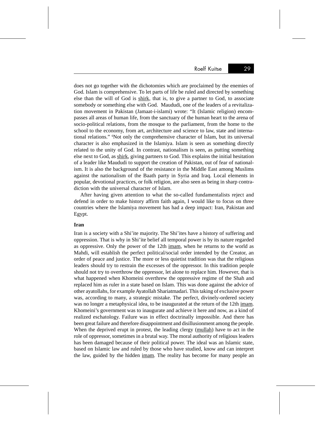does not go together with the dichotomies which are proclaimed by the enemies of God. Islam is comprehensive. To let parts of life be ruled and directed by something else than the will of God is shirk, that is, to give a partner to God, to associate somebody or something else with God. Maududi, one of the leaders of a revitalization movement in Pakistan (Jamaat-i-islami) wrote: "It (Islamic religion) encompasses all areas of human life, from the sanctuary of the human heart to the arena of socio-political relations, from the mosque to the parliament, from the home to the school to the economy, from art, architecture and science to law, state and international relations." 6 Not only the comprehensive character of Islam, but its universal character is also emphasized in the Islamiya. Islam is seen as something directly related to the unity of God. In contrast, nationalism is seen, as putting something else next to God, as shirk, giving partners to God. This explains the initial hesitation of a leader like Maududi to support the creation of Pakistan, out of fear of nationalism. It is also the background of the resistance in the Middle East among Muslims against the nationalism of the Baath party in Syria and Iraq. Local elements in popular, devotional practices, or folk religion, are also seen as being in sharp contradiction with the universal character of Islam.

After having given attention to what the so-called fundamentalists reject and defend in order to make history affirm faith again, I would like to focus on three countries where the Islamiya movement has had a deep impact: Iran, Pakistan and Egypt.

# **Iran**

Iran is a society with a Shi'ite majority. The Shi'ites have a history of suffering and oppression. That is why in Shi'ite belief all temporal power is by its nature regarded as oppressive. Only the power of the 12th imam, when he returns to the world as Mahdi, will establish the perfect political/social order intended by the Creator, an order of peace and justice. The more or less quietist tradition was that the religious leaders should try to restrain the excesses of the oppressor. In this tradition people should not try to overthrow the oppressor, let alone to replace him. However, that is what happened when Khomeini overthrew the oppressive regime of the Shah and replaced him as ruler in a state based on Islam. This was done against the advice of other ayatollahs, for example Ayatollah Shariatmadari. This taking of exclusive power was, according to many, a strategic mistake. The perfect, divinely-ordered society was no longer a metaphysical idea, to be inaugurated at the return of the 12th imam. Khomeini's government was to inaugurate and achieve it here and now, as a kind of realized eschatology. Failure was in effect doctrinally impossible. And there has been great failure and therefore disappointment and disillusionment among the people. When the deprived erupt in protest, the leading clergy (mullah) have to act in the role of oppressor, sometimes in a brutal way. The moral authority of religious leaders has been damaged because of their political power. The ideal was an Islamic state, based on Islamic law and ruled by those who have studied, know and can interpret the law, guided by the hidden imam. The reality has become for many people an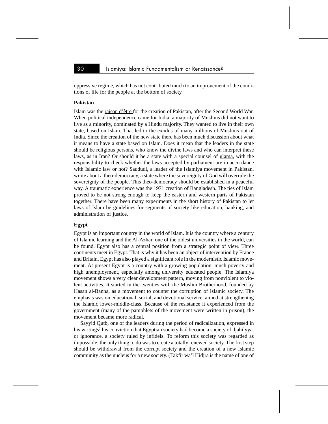oppressive regime, which has not contributed much to an improvement of the conditions of life for the people at the bottom of society.

# **Pakistan**

Islam was the raison d'être for the creation of Pakistan, after the Second World War. When political independence came for India, a majority of Muslims did not want to live as a minority, dominated by a Hindu majority. They wanted to live in their own state, based on Islam. That led to the exodus of many millions of Muslims out of India. Since the creation of the new state there has been much discussion about what it means to have a state based on Islam. Does it mean that the leaders in the state should be religious persons, who know the divine laws and who can interpret these laws, as in Iran? Or should it be a state with a special counsel of ulama, with the responsibility to check whether the laws accepted by parliament are in accordance with Islamic law or not? Saududi, a leader of the Islamiya movement in Pakistan, wrote about a theo-democracy, a state where the sovereignty of God will overrule the sovereignty of the people. This theo-democracy should be established in a peaceful way. A traumatic experience was the 1971 creation of Bangladesh. The ties of Islam proved to be not strong enough to keep the eastern and western parts of Pakistan together. There have been many experiments in the short history of Pakistan to let laws of Islam be guidelines for segments of society like education, banking, and administration of justice.

# **Egypt**

Egypt is an important country in the world of Islam. It is the country where a century of Islamic learning and the Al-Azhar, one of the oldest universities in the world, can be found. Egypt also has a central position from a strategic point of view. Three continents meet in Egypt. That is why it has been an object of intervention by France and Britain. Egypt has also played a significant role in the modernistic Islamic movement. At present Egypt is a country with a growing population, much poverty and high unemployment, especially among university educated people. The Islamiya movement shows a very clear development pattern, moving from nonviolent to violent activities. It started in the twenties with the Muslim Brotherhood, founded by Hasan al-Banna, as a movement to counter the corruption of Islamic society. The emphasis was on educational, social, and devotional service, aimed at strengthening the Islamic lower-middle-class. Because of the resistance it experienced from the government (many of the pamphlets of the movement were written in prison), the movement became more radical.

Sayyid Qutb, one of the leaders during the period of radicalization, expressed in his writings<sup>7</sup> his conviction that Egyptian society had become a society of djahilyya, or ignorance, a society ruled by infidels. To reform this society was regarded as impossible; the only thing to do was to create a totally renewed society. The first step should be withdrawal from the corrupt society and the creation of a new Islamic community as the nucleus for a new society. (Takfir wa'l Hidjra is the name of one of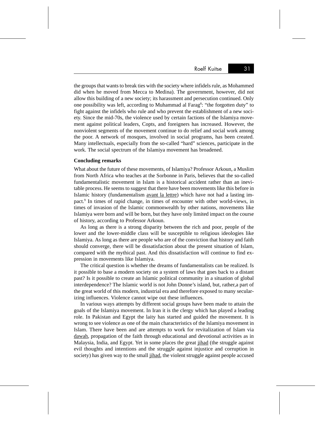Roelf Kuitse **31** 

the groups that wants to break ties with the society where infidels rule, as Mohammed did when he moved from Mecca to Medina). The government, however, did not allow this building of a new society; its harassment and persecution continued. Only one possibility was left, according to Muhammad al Farag<sup>8</sup>: "the forgotten duty" to fight against the infidels who rule and who prevent the establishment of a new society. Since the mid-70s, the violence used by certain factions of the Islamiya movement against political leaders, Copts, and foreigners has increased. However, the nonviolent segments of the movement continue to do relief and social work among the poor. A network of mosques, involved in social programs, has been created. Many intellectuals, especially from the so-called "hard" sciences, participate in the work. The social spectrum of the Islamiya movement has broadened.

## **Concluding remarks**

What about the future of these movements, of Islamiya? Professor Arkoun, a Muslim from North Africa who teaches at the Sorbonne in Paris, believes that the so-called fundamentalistic movement in Islam is a historical accident rather than an inevitable process. He seems to suggest that there have been movements like this before in Islamic history (fundamentalism avant la lettre) which have not had a lasting impact.9 In times of rapid change, in times of encounter with other world-views, in times of invasion of the Islamic commonwealth by other nations, movements like Islamiya were born and will be born, but they have only limited impact on the course of history, according to Professor Arkoun.

As long as there is a strong disparity between the rich and poor, people of the lower and the lower-middle class will be susceptible to religious ideologies like Islamiya. As long as there are people who are of the conviction that history and faith should converge, there will be dissatisfaction about the present situation of Islam, compared with the mythical past. And this dissatisfaction will continue to find expression in movements like Islamiya.

The critical question is whether the dreams of fundamentalists can be realized. Is it possible to base a modern society on a system of laws that goes back to a distant past? Is it possible to create an Islamic political community in a situation of global interdependence? The Islamic world is not John Donne's island, but, rather,a part of the great world of this modern, industrial era and therefore exposed to many secularizing influences. Violence cannot wipe out these influences.

In various ways attempts by different social groups have been made to attain the goals of the Islamiya movement. In Iran it is the clergy which has played a leading role. In Pakistan and Egypt the laity has started and guided the movement. It is wrong to see violence as one of the main characteristics of the Islamiya movement in Islam. There have been and are attempts to work for revitalization of Islam via dawah, propagation of the faith through educational and devotional activities as in Malaysia, India, and Egypt. Yet in some places the great jihad (the struggle against evil thoughts and intentions and the struggle against injustice and corruption in society) has given way to the small jihad, the violent struggle against people accused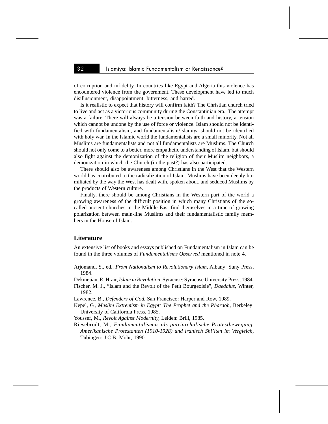of corruption and infidelity. In countries like Egypt and Algeria this violence has encountered violence from the government. These development have led to much disillusionment, disappointment, bitterness, and hatred.

Is it realistic to expect that history will confirm faith? The Christian church tried to live and act as a victorious community during the Constantinian era. The attempt was a failure. There will always be a tension between faith and history, a tension which cannot be undone by the use of force or violence. Islam should not be identified with fundamentalism, and fundamentalism/Islamiya should not be identified with holy war. In the Islamic world the fundamentalists are a small minority. Not all Muslims are fundamentalists and not all fundamentalists are Muslims. The Church should not only come to a better, more empathetic understanding of Islam, but should also fight against the demonization of the religion of their Muslim neighbors, a demonization in which the Church (in the past?) has also participated.

There should also be awareness among Christians in the West that the Western world has contributed to the radicalization of Islam. Muslims have been deeply humiliated by the way the West has dealt with, spoken about, and seduced Muslims by the products of Western culture.

Finally, there should be among Christians in the Western part of the world a growing awareness of the difficult position in which many Christians of the socalled ancient churches in the Middle East find themselves in a time of growing polarization between main-line Muslims and their fundamentalistic family members in the House of Islam.

# **Literature**

An extensive list of books and essays published on Fundamentalism in Islam can be found in the three volumes of *Fundamentalisms Observed* mentioned in note 4.

Arjomand, S., ed., *From Nationalism to Revolutionary Islam*, Albany: Suny Press, 1984.

Dekmejian, R. Hrair, *Islam in Revolution.* Syracuse: Syracuse University Press, 1984. Fischer, M. J., "Islam and the Revolt of the Petit Bourgeoisie", *Daedalus,* Winter, 1982.

- Lawrence, B., *Defenders of God.* San Francisco: Harper and Row, 1989.
- Kepel, G., *Muslim Extremism in Egypt: The Prophet and the Pharaoh,* Berkeley: University of California Press, 1985.

Youssef, M., *Revolt Against Modernity,* Leiden: Brill, 1985.

Riesebrodt, M., *Fundamentalismus als patriarchalische Protestbewegung. Amerikanische Protestanten (1910-1928) und iranisch Shi'iten im Vergleich,* Tübingen: J.C.B. Mohr, 1990.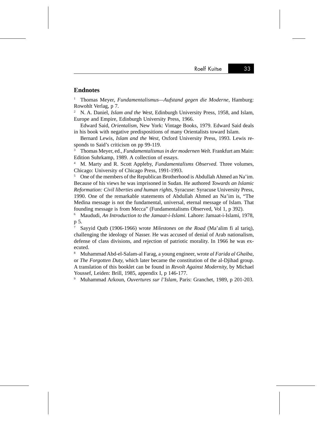# **Endnotes**

<sup>1</sup> Thomas Meyer, *Fundamentalismus—Aufstand gegen die Moderne*, Hamburg: Rowohlt Verlag, p 7.

<sup>2</sup> N. A. Daniel, *Islam and the West,* Edinburgh University Press, 1958, and Islam, Europe and Empire, Edinburgh University Press, 1966.

Edward Said, *Orientalism,* New York: Vintage Books, 1979. Edward Said deals in his book with negative predispositions of many Orientalists toward Islam.

Bernard Lewis, *Islam and the West,* Oxford University Press, 1993. Lewis responds to Said's criticism on pp 99-119.

<sup>3</sup> Thomas Meyer, ed., *Fundamentalismus in der modernen Welt*. Frankfurt am Main: Edition Suhrkamp, 1989. A collection of essays.

<sup>4</sup> M. Marty and R. Scott Appleby, *Fundamentalisms Observed.* Three volumes, Chicago: University of Chicago Press, 1991-1993.

<sup>5</sup> One of the members of the Republican Brotherhood is Abdullah Ahmed an Na'im. Because of his views he was imprisoned in Sudan. He authored *Towards an Islamic Reformation: Civil liberties and human rights,* Syracuse: Syracuse University Press, 1990. One of the remarkable statements of Abdullah Ahmed an Na'im is, "The Medina message is not the fundamental, universal, eternal message of Islam. That founding message is from Mecca" (Fundamentalisms Observed, Vol 1, p 392).

<sup>6</sup> Maududi, *An Introduction to the Jamaat-i-Islami.* Lahore: Jamaat-i-Islami, 1978, p 5.

<sup>7</sup> Sayyid Qutb (1906-1966) wrote *Milestones on the Road* (Ma'alim fi al tariq), challenging the ideology of Nasser. He was accused of denial of Arab nationalism, defense of class divisions, and rejection of patriotic morality. In 1966 he was executed.

<sup>8</sup> Muhammad Abd-el-Salam-al Farag, a young engineer, wrote *al Farida al Ghaiba,* or *The Forgotten Duty,* which later became the constitution of the al-Djihad group. A translation of this booklet can be found in *Revolt Against Modernity,* by Michael Youssef, Leiden: Brill, 1985, appendix I, p 146-177.

<sup>9</sup> Muhammad Arkoun, *Ouvertures sur l'Islam,* Paris: Granchet, 1989, p 201-203.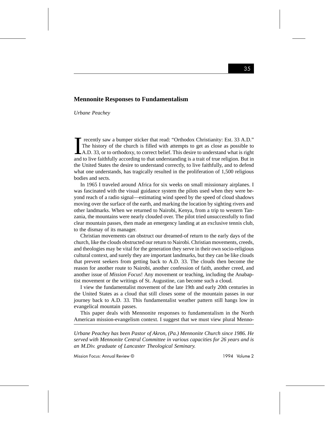# **Mennonite Responses to Fundamentalism**

*Urbane Peachey*

The history of the church is filled with attempts to get as close as possible to A.D. 33, or to orthodoxy, to correct belief. This desire to understand what is right and to live faithfully according to that understanding i recently saw a bumper sticker that read: "Orthodox Christianity: Est. 33 A.D." The history of the church is filled with attempts to get as close as possible to A.D. 33, or to orthodoxy, to correct belief. This desire to understand what is right the United States the desire to understand correctly, to live faithfully, and to defend what one understands, has tragically resulted in the proliferation of 1,500 religious bodies and sects.

In 1965 I traveled around Africa for six weeks on small missionary airplanes. I was fascinated with the visual guidance system the pilots used when they were beyond reach of a radio signal—estimating wind speed by the speed of cloud shadows moving over the surface of the earth, and marking the location by sighting rivers and other landmarks. When we returned to Nairobi, Kenya, from a trip to western Tanzania, the mountains were nearly clouded over. The pilot tried unsuccessfully to find clear mountain passes, then made an emergency landing at an exclusive tennis club, to the dismay of its manager.

Christian movements can obstruct our dreamed-of return to the early days of the church, like the clouds obstructed our return to Nairobi. Christian movements, creeds, and theologies may be vital for the generation they serve in their own socio-religious cultural context, and surely they are important landmarks, but they can be like clouds that prevent seekers from getting back to A.D. 33. The clouds then become the reason for another route to Nairobi, another confession of faith, another creed, and another issue of *Mission Focus*! Any movement or teaching, including the Anabaptist movement or the writings of St. Augustine, can become such a cloud.

I view the fundamentalist movement of the late 19th and early 20th centuries in the United States as a cloud that still closes some of the mountain passes in our journey back to A.D. 33. This fundamentalist weather pattern still hangs low in evangelical mountain passes.

This paper deals with Mennonite responses to fundamentalism in the North American mission-evangelism context. I suggest that we must view plural Menno-

*Urbane Peachey has been Pastor of Akron, (Pa.) Mennonite Church since 1986. He served with Mennonite Central Committee in various capacities for 26 years and is an M.Div. graduate of Lancaster Theological Seminary.*

Mission Focus: Annual Review © 1994 Volume 2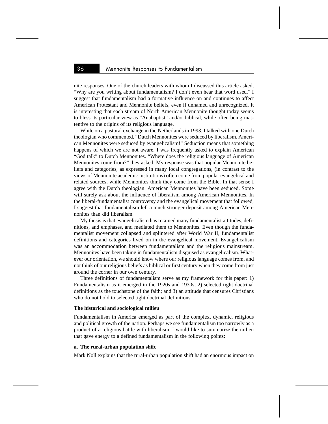nite responses. One of the church leaders with whom I discussed this article asked, "Why are you writing about fundamentalism? I don't even hear that word used." I suggest that fundamentalism had a formative influence on and continues to affect American Protestant and Mennonite beliefs, even if unnamed and unrecognized. It is interesting that each stream of North American Mennonite thought today seems to bless its particular view as "Anabaptist" and/or biblical, while often being inattentive to the origins of its religious language.

While on a pastoral exchange in the Netherlands in 1993, I talked with one Dutch theologian who commented, "Dutch Mennonites were seduced by liberalism. American Mennonites were seduced by evangelicalism!" Seduction means that something happens of which we are not aware. I was frequently asked to explain American "God talk" to Dutch Mennonites. "Where does the religious language of American Mennonites come from?" they asked. My response was that popular Mennonite beliefs and categories, as expressed in many local congregations, (in contrast to the views of Mennonite academic institutions) often come from popular evangelical and related sources, while Mennonites think they come from the Bible. In that sense I agree with the Dutch theologian. American Mennonites have been seduced. Some will surely ask about the influence of liberalism among American Mennonites. In the liberal-fundamentalist controversy and the evangelical movement that followed, I suggest that fundamentalism left a much stronger deposit among American Mennonites than did liberalism.

My thesis is that evangelicalism has retained many fundamentalist attitudes, definitions, and emphases, and mediated them to Mennonites. Even though the fundamentalist movement collapsed and splintered after World War II, fundamentalist definitions and categories lived on in the evangelical movement. Evangelicalism was an accommodation between fundamentalism and the religious mainstream. Mennonites have been taking in fundamentalism disguised as evangelicalism. Whatever our orientation, we should know where our religious language comes from, and not think of our religious beliefs as biblical or first century when they come from just around the corner in our own century.

Three definitions of fundamentalism serve as my framework for this paper: 1) Fundamentalism as it emerged in the 1920s and 1930s; 2) selected tight doctrinal definitions as the touchstone of the faith; and 3) an attitude that censures Christians who do not hold to selected tight doctrinal definitions.

### **The historical and sociological milieu**

Fundamentalism in America emerged as part of the complex, dynamic, religious and political growth of the nation. Perhaps we see fundamentalism too narrowly as a product of a religious battle with liberalism. I would like to summarize the milieu that gave energy to a defined fundamentalism in the following points:

## **a. The rural-urban population shift**

Mark Noll explains that the rural-urban population shift had an enormous impact on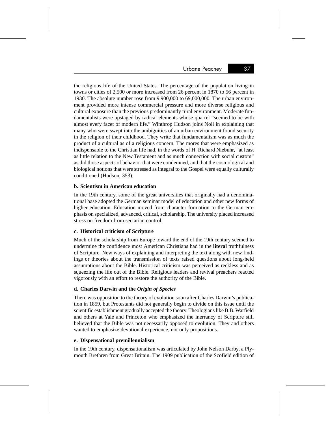Urbane Peachey 37

the religious life of the United States. The percentage of the population living in towns or cities of 2,500 or more increased from 26 percent in 1870 to 56 percent in 1930. The absolute number rose from 9,900,000 to 69,000,000. The urban environment provided more intense commercial pressure and more diverse religious and cultural exposure than the previous predominantly rural environment. Moderate fundamentalists were upstaged by radical elements whose quarrel "seemed to be with almost every facet of modern life." Winthrop Hudson joins Noll in explaining that many who were swept into the ambiguities of an urban environment found security in the religion of their childhood. They write that fundamentalism was as much the product of a cultural as of a religious concern. The mores that were emphasized as indispensable to the Christian life had, in the words of H. Richard Niebuhr, "at least as little relation to the New Testament and as much connection with social custom" as did those aspects of behavior that were condemned, and that the cosmological and biological notions that were stressed as integral to the Gospel were equally culturally conditioned (Hudson, 353).

#### **b. Scientism in American education**

In the 19th century, some of the great universities that originally had a denominational base adopted the German seminar model of education and other new forms of higher education. Education moved from character formation to the German emphasis on specialized, advanced, critical, scholarship. The university placed increased stress on freedom from sectarian control.

## **c. Historical criticism of Scripture**

Much of the scholarship from Europe toward the end of the 19th century seemed to undermine the confidence most American Christians had in the **literal** truthfulness of Scripture. New ways of explaining and interpreting the text along with new findings or theories about the transmission of texts raised questions about long-held assumptions about the Bible. Historical criticism was perceived as reckless and as squeezing the life out of the Bible. Religious leaders and revival preachers reacted vigorously with an effort to restore the authority of the Bible.

# **d. Charles Darwin and the** *Origin of Species*

There was opposition to the theory of evolution soon after Charles Darwin's publication in 1859, but Protestants did not generally begin to divide on this issue until the scientific establishment gradually accepted the theory. Theologians like B.B. Warfield and others at Yale and Princeton who emphasized the inerrancy of Scripture still believed that the Bible was not necessarily opposed to evolution. They and others wanted to emphasize devotional experience, not only propositions.

#### **e. Dispensational premillennialism**

In the 19th century, dispensationalism was articulated by John Nelson Darby, a Plymouth Brethren from Great Britain. The 1909 publication of the Scofield edition of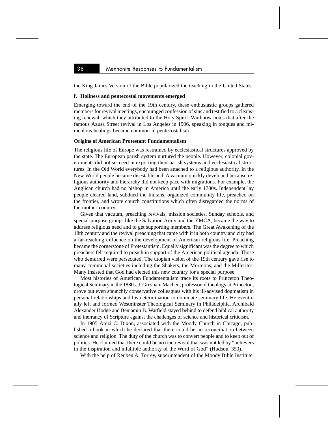the King James Version of the Bible popularized the teaching in the United States.

### **f. Holiness and pentecostal movements emerged**

Emerging toward the end of the 19th century, these enthusiastic groups gathered members for revival meetings, encouraged confession of sins and testified to a cleansing renewal, which they attributed to the Holy Spirit. Wuthnow notes that after the famous Azusa Street revival in Los Angeles in 1906, speaking in tongues and miraculous healings became common in pentecostalism.

# **Origins of American Protestant Fundamentalism**

The religious life of Europe was restrained by ecclesiastical structures approved by the state. The European parish system nurtured the people. However, colonial governments did not succeed in exporting their parish systems and ecclesiastical structures. In the Old World everybody had been attached to a religious authority. In the New World people became disestablished. A vacuum quickly developed because religious authority and hierarchy did not keep pace with migrations. For example, the Anglican church had no bishop in America until the early 1700s. Independent lay people cleared land, subdued the Indians, organized community life, preached on the frontier, and wrote church constitutions which often disregarded the norms of the mother country.

Given that vacuum, preaching revivals, mission societies, Sunday schools, and special-purpose groups like the Salvation Army and the YMCA, became the way to address religious need and to get supporting members. The Great Awakening of the 18th century and the revival preaching that came with it in both country and city had a far-reaching influence on the development of American religious life. Preaching became the cornerstone of Protestantism. Equally significant was the degree to which preachers felt required to preach in support of the American political agenda. Those who demurred were persecuted. The utopian vision of the 19th century gave rise to many communal societies including the Shakers, the Mormons, and the Millerites. Many insisted that God had elected this new country for a special purpose.

Most histories of American Fundamentalism trace its roots to Princeton Theological Seminary in the 1880s. J. Gresham Machen, professor of theology at Princeton, drove out even staunchly conservative colleagues with his ill-advised dogmatism in personal relationships and his determination to dominate seminary life. He eventually left and formed Westminster Theological Seminary in Philadelphia. Archibald Alexander Hodge and Benjamin B. Warfield stayed behind to defend biblical authority and inerrancy of Scripture against the challenges of science and historical criticism.

In 1905 Amzi C. Dixon, associated with the Moody Church in Chicago, published a book in which he declared that there could be no reconciliation between science and religion. The duty of the church was to convert people and to keep out of politics. He claimed that there could be no true revival that was not led by "believers in the inspiration and infallible authority of the Word of God" (Hudson, 350).

With the help of Reuben A. Torrey, superintendent of the Moody Bible Institute,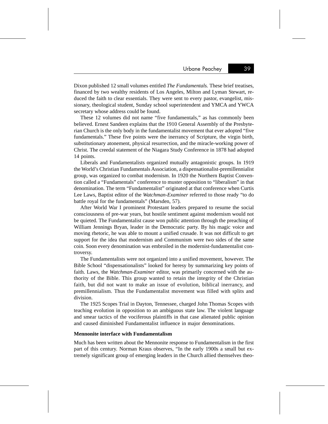Urbane Peachey 39

Dixon published 12 small volumes entitled *The Fundamentals.* These brief treatises, financed by two wealthy residents of Los Angeles, Milton and Lyman Stewart, reduced the faith to clear essentials. They were sent to every pastor, evangelist, missionary, theological student, Sunday school superintendent and YMCA and YWCA secretary whose address could be found.

These 12 volumes did not name "five fundamentals," as has commonly been believed. Ernest Sandeen explains that the 1910 General Assembly of the Presbyterian Church is the only body in the fundamentalist movement that ever adopted "five fundamentals." These five points were the inerrancy of Scripture, the virgin birth, substitutionary atonement, physical resurrection, and the miracle-working power of Christ. The creedal statement of the Niagara Study Conference in 1878 had adopted 14 points.

Liberals and Fundamentalists organized mutually antagonistic groups. In 1919 the World's Christian Fundamentals Association, a dispensationalist-premillennialist group, was organized to combat modernism. In 1920 the Northern Baptist Convention called a "Fundamentals" conference to muster opposition to "liberalism" in that denomination. The term "Fundamentalist" originated at that conference when Curtis Lee Laws, Baptist editor of the *Watchman-Examiner* referred to those ready "to do battle royal for the fundamentals" (Marsden, 57).

After World War I prominent Protestant leaders prepared to resume the social consciousness of pre-war years, but hostile sentiment against modernism would not be quieted. The Fundamentalist cause won public attention through the preaching of William Jennings Bryan, leader in the Democratic party. By his magic voice and moving rhetoric, he was able to mount a unified crusade. It was not difficult to get support for the idea that modernism and Communism were two sides of the same coin. Soon every denomination was embroiled in the modernist-fundamentalist controversy.

The Fundamentalists were not organized into a unified movement, however. The Bible School "dispensationalists" looked for heresy by summarizing key points of faith. Laws, the *Watchman-Examiner* editor, was primarily concerned with the authority of the Bible. This group wanted to retain the integrity of the Christian faith, but did not want to make an issue of evolution, biblical inerrancy, and premillennialism. Thus the Fundamentalist movement was filled with splits and division.

The 1925 Scopes Trial in Dayton, Tennessee, charged John Thomas Scopes with teaching evolution in opposition to an ambiguous state law. The violent language and smear tactics of the vociferous plaintiffs in that case alienated public opinion and caused diminished Fundamentalist influence in major denominations.

# **Mennonite interface with Fundamentalism**

Much has been written about the Mennonite response to Fundamentalism in the first part of this century. Norman Kraus observes, "In the early 1900s a small but extremely significant group of emerging leaders in the Church allied themselves theo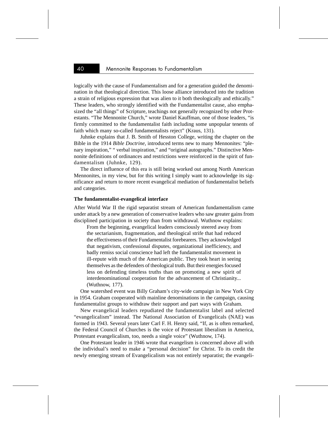logically with the cause of Fundamentalism and for a generation guided the denomination in that theological direction. This loose alliance introduced into the tradition a strain of religious expression that was alien to it both theologically and ethically." These leaders, who strongly identified with the Fundamentalist cause, also emphasized the "all things" of Scripture, teachings not generally recognized by other Protestants. "The Mennonite Church," wrote Daniel Kauffman, one of those leaders, "is firmly committed to the fundamentalist faith including some unpopular tenents of faith which many so-called fundamentalists reject" (Kraus, 131).

Juhnke explains that J. B. Smith of Hesston College, writing the chapter on the Bible in the 1914 *Bible Doctrine,* introduced terms new to many Mennonites: "plenary inspiration," " verbal inspiration," and "original autographs." Distinctive Mennonite definitions of ordinances and restrictions were reinforced in the spirit of fundamentalism (Juhnke, 129).

The direct influence of this era is still being worked out among North American Mennonites, in my view, but for this writing I simply want to acknowledge its significance and return to more recent evangelical mediation of fundamentalist beliefs and categories.

#### **The fundamentalist-evangelical interface**

After World War II the rigid separatist stream of American fundamentalism came under attack by a new generation of conservative leaders who saw greater gains from disciplined participation in society than from withdrawal. Wuthnow explains:

From the beginning, evangelical leaders consciously steered away from the sectarianism, fragmentation, and theological strife that had reduced the effectiveness of their Fundamentalist forebearers. They acknowledged that negativism, confessional disputes, organizational inefficiency, and badly remiss social conscience had left the fundamentalist movement in ill-repute with much of the American public. They took heart in seeing themselves as the defenders of theological truth. But their energies focused less on defending timeless truths than on promoting a new spirit of interdenominational cooperation for the advancement of Christianity... (Wuthnow, 177).

One watershed event was Billy Graham's city-wide campaign in New York City in 1954. Graham cooperated with mainline denominations in the campaign, causing fundamentalist groups to withdraw their support and part ways with Graham.

New evangelical leaders repudiated the fundamentalist label and selected "evangelicalism" instead. The National Association of Evangelicals (NAE) was formed in 1943. Several years later Carl F. H. Henry said, "If, as is often remarked, the Federal Council of Churches is the voice of Protestant liberalism in America, Protestant evangelicalism, too, needs a single voice" (Wuthnow, 174).

One Protestant leader in 1946 wrote that evangelism is concerned above all with the individual's need to make a "personal decision" for Christ. To its credit the newly emerging stream of Evangelicalism was not entirely separatist; the evangeli-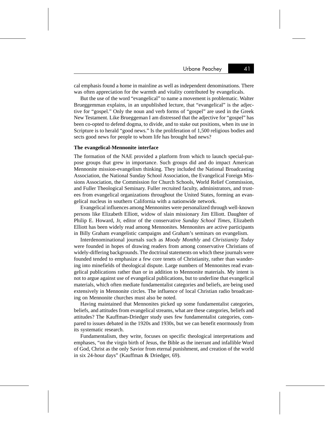Urbane Peachey 21

cal emphasis found a home in mainline as well as independent denominations. There was often appreciation for the warmth and vitality contributed by evangelicals.

But the use of the word "evangelical" to name a movement is problematic. Walter Brueggemman explains, in an unpublished lecture, that "evangelical" is the adjective for "gospel." Only the noun and verb forms of "gospel" are used in the Greek New Testament. Like Brueggeman I am distressed that the adjective for "gospel" has been co-opted to defend dogma, to divide, and to stake out positions, when its use in Scripture is to herald "good news." Is the proliferation of 1,500 religious bodies and sects good news for people to whom life has brought bad news?

#### **The evangelical-Mennonite interface**

The formation of the NAE provided a platform from which to launch special-purpose groups that grew in importance. Such groups did and do impact American Mennonite mission-evangelism thinking. They included the National Broadcasting Association, the National Sunday School Association, the Evangelical Foreign Missions Association, the Commission for Church Schools, World Relief Commission, and Fuller Theological Seminary. Fuller recruited faculty, administrators, and trustees from evangelical organizations throughout the United States, forming an evangelical nucleus in southern California with a nationwide network.

Evangelical influences among Mennonites were personalized through well-known persons like Elizabeth Elliott, widow of slain missionary Jim Elliott. Daughter of Philip E. Howard, Jr, editor of the conservative *Sunday School Times,* Elizabeth Elliott has been widely read among Mennonites. Mennonites are active participants in Billy Graham evangelistic campaigns and Graham's seminars on evangelism.

Interdenominational journals such as *Moody Monthly* and *Christianity Today* were founded in hopes of drawing readers from among conservative Christians of widely-differing backgrounds. The doctrinal statements on which these journals were founded tended to emphasize a few core tenets of Christianity, rather than wandering into minefields of theological dispute. Large numbers of Mennonites read evangelical publications rather than or in addition to Mennonite materials. My intent is not to argue against use of evangelical publications, but to underline that evangelical materials, which often mediate fundamentalist categories and beliefs, are being used extensively in Mennonite circles. The influence of local Christian radio broadcasting on Mennonite churches must also be noted.

Having maintained that Mennonites picked up some fundamentalist categories, beliefs, and attitudes from evangelical streams, what are these categories, beliefs and attitudes? The Kauffman-Driedger study uses few fundamentalist categories, compared to issues debated in the 1920s and 1930s, but we can benefit enormously from its systematic research.

Fundamentalism, they write, focuses on specific theological interpretations and emphases, "on the virgin birth of Jesus, the Bible as the inerrant and infallible Word of God, Christ as the only Savior from eternal punishment, and creation of the world in six 24-hour days" (Kauffman & Driedger, 69).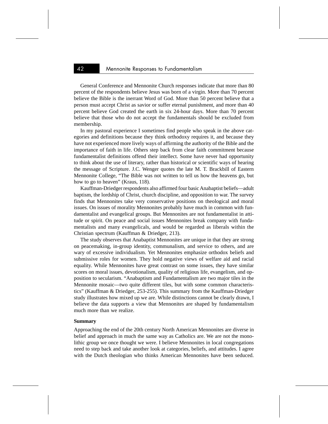General Conference and Mennonite Church responses indicate that more than 80 percent of the respondents believe Jesus was born of a virgin. More than 70 percent believe the Bible is the inerrant Word of God. More than 50 percent believe that a person must accept Christ as savior or suffer eternal punishment, and more than 40 percent believe God created the earth in six 24-hour days. More than 70 percent believe that those who do not accept the fundamentals should be excluded from membership.

In my pastoral experience I sometimes find people who speak in the above categories and definitions because they think orthodoxy requires it, and because they have not experienced more lively ways of affirming the authority of the Bible and the importance of faith in life. Others step back from clear faith commitment because fundamentalist definitions offend their intellect. Some have never had opportunity to think about the use of literary, rather than historical or scientific ways of hearing the message of Scripture. J.C. Wenger quotes the late M. T. Brackbill of Eastern Mennonite College, "The Bible was not written to tell us how the heavens go, but how to go to heaven" (Kraus, 118).

Kauffman-Driedger respondents also affirmed four basic Anabaptist beliefs—adult baptism, the lordship of Christ, church discipline, and opposition to war. The survey finds that Mennonites take very conservative positions on theological and moral issues. On issues of morality Mennonites probably have much in common with fundamentalist and evangelical groups. But Mennonites are not fundamentalist in attitude or spirit. On peace and social issues Mennonites break company with fundamentalists and many evangelicals, and would be regarded as liberals within the Christian spectrum (Kauffman & Driedger, 213).

The study observes that Anabaptist Mennonites are unique in that they are strong on peacemaking, in-group identity, communalism, and service to others, and are wary of excessive individualism. Yet Mennonites emphasize orthodox beliefs and submissive roles for women. They hold negative views of welfare aid and racial equality. While Mennonites have great contrast on some issues, they have similar scores on moral issues, devotionalism, quality of religious life, evangelism, and opposition to secularism. "Anabaptism and Fundamentalism are two major tiles in the Mennonite mosaic—two quite different tiles, but with some common characteristics" (Kauffman & Driedger, 253-255). This summary from the Kauffman-Driedger study illustrates how mixed up we are. While distinctions cannot be clearly drawn, I believe the data supports a view that Mennonites are shaped by fundamentalism much more than we realize.

#### **Summary**

Approaching the end of the 20th century North American Mennonites are diverse in belief and approach in much the same way as Catholics are. We are not the monolithic group we once thought we were. I believe Mennonites in local congregations need to step back and take another look at categories, beliefs, and attitudes. I agree with the Dutch theologian who thinks American Mennonites have been seduced.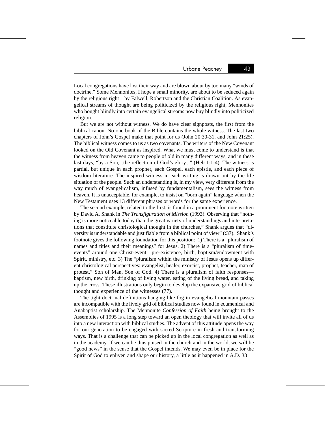Urbane Peachey 43

Local congregations have lost their way and are blown about by too many "winds of doctrine." Some Mennonites, I hope a small minority, are about to be seduced again by the religious right—by Falwell, Robertson and the Christian Coalition. As evangelical streams of thought are being politicized by the religious right, Mennonites who bought blindly into certain evangelical streams now buy blindly into politicized religion.

But we are not without witness. We do have clear signposts, the first from the biblical canon. No one book of the Bible contains the whole witness. The last two chapters of John's Gospel make that point for us (John 20:30-31, and John 21:25). The biblical witness comes to us as two covenants. The writers of the New Covenant looked on the Old Covenant as inspired. What we must come to understand is that the witness from heaven came to people of old in many different ways, and in these last days, "by a Son,...the reflection of God's glory..." (Heb 1:1-4). The witness is partial, but unique in each prophet, each Gospel, each epistle, and each piece of wisdom literature. The inspired witness in each writing is drawn out by the life situation of the people. Such an understanding is, in my view, very different from the way much of evangelicalism, infused by fundamentalism, sees the witness from heaven. It is unacceptable, for example, to insist on "born again" language when the New Testament uses 13 different phrases or words for the same experience.

The second example, related to the first, is found in a prominent footnote written by David A. Shank in *The Transfiguration of Mission* (1993). Observing that "nothing is more noticeable today than the great variety of understandings and interpretations that constitute christological thought in the churches," Shank argues that "diversity is understandable and justifiable from a biblical point of view" (:37). Shank's footnote gives the following foundation for this position: 1) There is a "pluralism of names and titles and their meanings" for Jesus. 2) There is a "pluralism of timeevents" around one Christ-event—pre-existence, birth, baptism/endowment with Spirit, ministry, etc. 3) The "pluralism within the ministry of Jesus opens up different christological perspectives: evangelist, healer, exorcist, prophet, teacher, man of protest," Son of Man, Son of God. 4) There is a pluralism of faith responses baptism, new birth, drinking of living water, eating of the living bread, and taking up the cross. These illustrations only begin to develop the expansive grid of biblical thought and experience of the witnesses (77).

The tight doctrinal definitions hanging like fog in evangelical mountain passes are incompatible with the lively grid of biblical studies now found in ecumenical and Anabaptist scholarship. The Mennonite *Confession of Faith* being brought to the Assemblies of 1995 is a long step toward an open theology that will invite all of us into a new interaction with biblical studies. The advent of this attitude opens the way for our generation to be engaged with sacred Scripture in fresh and transforming ways. That is a challenge that can be picked up in the local congregation as well as in the academy. If we can be thus poised in the church and in the world, we will be "good news" in the sense that the Gospel intends. We may even be in place for the Spirit of God to enliven and shape our history, a little as it happened in A.D. 33!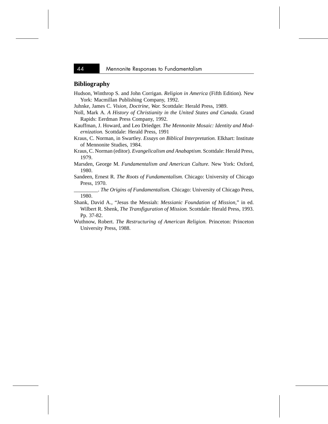# **Bibliography**

Hudson, Winthrop S. and John Corrigan. *Religion in America* (Fifth Edition). New York: Macmillan Publishing Company, 1992.

Juhnke, James C. *Vision, Doctrine, War.* Scottdale: Herald Press, 1989.

- Noll, Mark A. *A History of Christianity in the United States and Canada.* Grand Rapids: Eerdman Press Company, 1992.
- Kauffman, J. Howard, and Leo Driedger. *The Mennonite Mosaic: Identity and Modernization.* Scottdale: Herald Press, 1991
- Kraus, C. Norman, in Swartley. *Essays on Biblical Interpretation.* Elkhart: Institute of Mennonite Studies, 1984.
- Kraus, C. Norman (editor). *Evangelicalism and Anabaptism.* Scottdale: Herald Press, 1979.
- Marsden, George M. *Fundamentalism and American Culture.* New York: Oxford, 1980.
- Sandeen, Ernest R. *The Roots of Fundamentalism.* Chicago: University of Chicago Press, 1970.
- \_\_\_\_\_\_\_\_\_. *The Origins of Fundamentalism.* Chicago: University of Chicago Press, 1980.
- Shank, David A., "Jesus the Messiah: *Messianic Foundation of Mission,*" in ed. Wilbert R. Shenk, *The Transfiguration of Mission.* Scottdale: Herald Press, 1993. Pp. 37-82.
- Wuthnow, Robert. *The Restructuring of American Religion.* Princeton: Princeton University Press, 1988.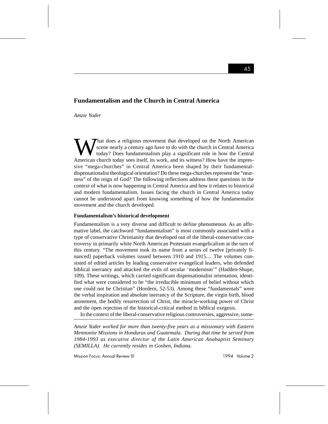# **Fundamentalism and the Church in Central America**

*Amzie Yoder*

What does a religious movement that developed on the North American<br>scene eventy a century ago have to do with the church in Central American<br>diverse fundamentalism play a significant role in how the Central<br>American churc scene nearly a century ago have to do with the church in Central America today? Does fundamentalism play a significant role in how the Central American church today sees itself, its work, and its witness? How have the impressive "mega-churches" in Central America been shaped by their fundamentaldispensationalist theological orientation? Do these mega-churches represent the "nearness" of the reign of God? The following reflections address these questions in the context of what is now happening in Central America and how it relates to historical and modern fundamentalism. Issues facing the church in Central America today cannot be understood apart from knowing something of how the fundamentalist movement and the church developed.

#### **Fundamentalism's historical development**

Fundamentalism is a very diverse and difficult to define phenomenon. As an affirmative label, the catchword "fundamentalism" is most commonly associated with a type of conservative Christianity that developed out of the liberal-conservative controversy in primarily white North American Protestant evangelicalism at the turn of this century. "The movement took its name from a series of twelve [privately financed] paperback volumes issued between 1910 and 1915.... The volumes consisted of edited articles by leading conservative evangelical leaders, who defended biblical inerrancy and attacked the evils of secular 'modernism'" (Hadden-Shupe, 109). These writings, which carried significant dispensationalist orientation, identified what were considered to be "the irreducible minimum of belief without which one could not be Christian" (Hordern, 52-53). Among these "fundamentals" were the verbal inspiration and absolute inerrancy of the Scripture, the virgin birth, blood atonement, the bodily resurrection of Christ, the miracle-working power of Christ and the open rejection of the historical-critical method in biblical exegesis.

In the context of the liberal-conservative religious controversies, aggressive, some-

*Amzie Yoder worked for more than twenty-five years as a missionary with Eastern Mennonite Missions in Honduras and Guatemala. During that time he served from 1984-1993 as executive director of the Latin American Anabaptist Seminary (SEMILLA). He currently resides in Goshen, Indiana.*

Mission Focus: Annual Review © 1994 Volume 2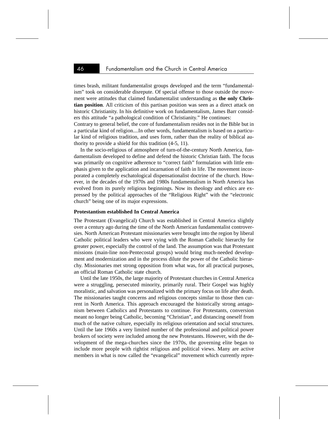times brash, militant fundamentalist groups developed and the term "fundamentalism" took on considerable disrepute. Of special offense to those outside the movement were attitudes that claimed fundamentalist understanding as **the only Christian position**. All criticism of this partisan position was seen as a direct attack on historic Christianity. In his definitive work on fundamentalism, James Barr considers this attitude "a pathological condition of Christianity." He continues:

Contrary to general belief, the core of fundamentalism resides not in the Bible but in a particular kind of religion....In other words, fundamentalism is based on a particular kind of religious tradition, and uses form, rather than the reality of biblical authority to provide a shield for this tradition (4-5, 11).

In the socio-religious of atmosphere of turn-of-the-century North America, fundamentalism developed to define and defend the historic Christian faith. The focus was primarily on cognitive adherence to "correct faith" formulation with little emphasis given to the application and incarnation of faith in life. The movement incorporated a completely eschatological dispensationalist doctrine of the church. However, in the decades of the 1970s and 1980s fundamentalism in North America has evolved from its purely religious beginnings. Now its theology and ethics are expressed by the political approaches of the "Religious Right" with the "electronic church" being one of its major expressions.

## **Protestantism established In Central America**

The Protestant (Evangelical) Church was established in Central America slightly over a century ago during the time of the North American fundamentalist controversies. North American Protestant missionaries were brought into the region by liberal Catholic political leaders who were vying with the Roman Catholic hierarchy for greater power, especially the control of the land. The assumption was that Protestant missions (main-line non-Pentecostal groups) would bring much-needed development and modernization and in the process dilute the power of the Catholic hierarchy. Missionaries met strong opposition from what was, for all practical purposes, an official Roman Catholic state church.

Until the late 1950s, the large majority of Protestant churches in Central America were a struggling, persecuted minority, primarily rural. Their Gospel was highly moralistic, and salvation was personalized with the primary focus on life after death. The missionaries taught concerns and religious concepts similar to those then current in North America. This approach encouraged the historically strong antagonism between Catholics and Protestants to continue. For Protestants, conversion meant no longer being Catholic, becoming "Christian", and distancing oneself from much of the native culture, especially its religious orientation and social structures. Until the late 1960s a very limited number of the professional and political power brokers of society were included among the new Protestants. However, with the development of the mega-churches since the 1970s, the governing elite began to include more people with rightist religious and political views. Many are active members in what is now called the "evangelical" movement which currently repre-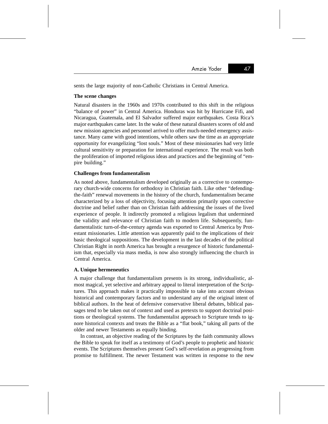sents the large majority of non-Catholic Christians in Central America.

### **The scene changes**

Natural disasters in the 1960s and 1970s contributed to this shift in the religious "balance of power" in Central America. Honduras was hit by Hurricane Fifi, and Nicaragua, Guatemala, and El Salvador suffered major earthquakes. Costa Rica's major earthquakes came later. In the wake of these natural disasters scores of old and new mission agencies and personnel arrived to offer much-needed emergency assistance. Many came with good intentions, while others saw the time as an appropriate opportunity for evangelizing "lost souls." Most of these missionaries had very little cultural sensitivity or preparation for international experience. The result was both the proliferation of imported religious ideas and practices and the beginning of "empire building."

# **Challenges from fundamentalism**

As noted above, fundamentalism developed originally as a corrective to contemporary church-wide concerns for orthodoxy in Christian faith. Like other "defendingthe-faith" renewal movements in the history of the church, fundamentalism became characterized by a loss of objectivity, focusing attention primarily upon corrective doctrine and belief rather than on Christian faith addressing the issues of the lived experience of people. It indirectly promoted a religious legalism that undermined the validity and relevance of Christian faith to modern life. Subsequently, fundamentalistic turn-of-the-century agenda was exported to Central America by Protestant missionaries. Little attention was apparently paid to the implications of their basic theological suppositions. The development in the last decades of the political Christian Right in north America has brought a resurgence of historic fundamentalism that, especially via mass media, is now also strongly influencing the church in Central America.

#### **A. Unique hermeneutics**

A major challenge that fundamentalism presents is its strong, individualistic, almost magical, yet selective and arbitrary appeal to literal interpretation of the Scriptures. This approach makes it practically impossible to take into account obvious historical and contemporary factors and to understand any of the original intent of biblical authors. In the heat of defensive conservative liberal debates, biblical passages tend to be taken out of context and used as pretexts to support doctrinal positions or theological systems. The fundamentalist approach to Scripture tends to ignore historical contexts and treats the Bible as a "flat book," taking all parts of the older and newer Testaments as equally binding.

In contrast, an objective reading of the Scriptures by the faith community allows the Bible to speak for itself as a testimony of God's people to prophetic and historic events. The Scriptures themselves present God's self-revelation as progressing from promise to fulfillment. The newer Testament was written in response to the new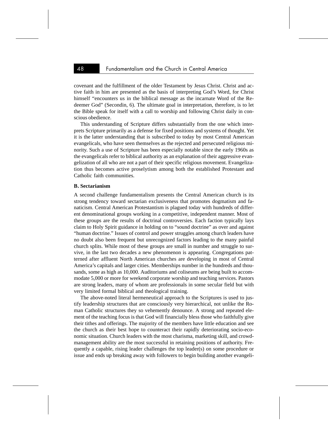covenant and the fulfillment of the older Testament by Jesus Christ. Christ and active faith in him are presented as the basis of interpreting God's Word, for Christ himself "encounters us in the biblical message as the incarnate Word of the Redeemer God" (Secondin, 6). The ultimate goal in interpretation, therefore, is to let the Bible speak for itself with a call to worship and following Christ daily in conscious obedience.

This understanding of Scripture differs substantially from the one which interprets Scripture primarily as a defense for fixed positions and systems of thought. Yet it is the latter understanding that is subscribed to today by most Central American evangelicals, who have seen themselves as the rejected and persecuted religious minority. Such a use of Scripture has been especially notable since the early 1960s as the evangelicals refer to biblical authority as an explanation of their aggressive evangelization of all who are not a part of their specific religious movement. Evangelization thus becomes active proselytism among both the established Protestant and Catholic faith communities.

#### **B. Sectarianism**

A second challenge fundamentalism presents the Central American church is its strong tendency toward sectarian exclusiveness that promotes dogmatism and fanaticism. Central American Protestantism is plagued today with hundreds of different denominational groups working in a competitive, independent manner. Most of these groups are the results of doctrinal controversies. Each faction typically lays claim to Holy Spirit guidance in holding on to "sound doctrine" as over and against "human doctrine." Issues of control and power struggles among church leaders have no doubt also been frequent but unrecognized factors leading to the many painful church splits. While most of these groups are small in number and struggle to survive, in the last two decades a new phenomenon is appearing. Congregations patterned after affluent North American churches are developing in most of Central America's capitals and larger cities. Memberships number in the hundreds and thousands, some as high as 10,000. Auditoriums and coliseums are being built to accommodate 5,000 or more for weekend corporate worship and teaching services. Pastors are strong leaders, many of whom are professionals in some secular field but with very limited formal biblical and theological training.

The above-noted literal hermeneutical approach to the Scriptures is used to justify leadership structures that are consciously very hierarchical, not unlike the Roman Catholic structures they so vehemently denounce. A strong and repeated element of the teaching focus is that God will financially bless those who faithfully give their tithes and offerings. The majority of the members have little education and see the church as their best hope to counteract their rapidly deteriorating socio-economic situation. Church leaders with the most charisma, marketing skill, and crowdmanagement ability are the most successful in retaining positions of authority. Frequently a capable, rising leader challenges the top leader(s) on some procedure or issue and ends up breaking away with followers to begin building another evangeli-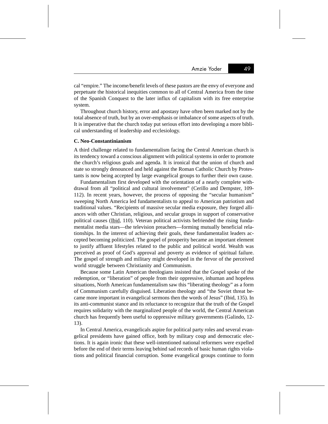cal "empire." The income/benefit levels of these pastors are the envy of everyone and perpetuate the historical inequities common to all of Central America from the time of the Spanish Conquest to the later influx of capitalism with its free enterprise system.

Throughout church history, error and apostasy have often been marked not by the total absence of truth, but by an over-emphasis or imbalance of some aspects of truth. It is imperative that the church today put serious effort into developing a more biblical understanding of leadership and ecclesiology.

# **C. Neo-Constantinianism**

A third challenge related to fundamentalism facing the Central American church is its tendency toward a conscious alignment with political systems in order to promote the church's religious goals and agenda. It is ironical that the union of church and state so strongly denounced and held against the Roman Catholic Church by Protestants is now being accepted by large evangelical groups to further their own cause.

Fundamentalism first developed with the orientation of a nearly complete withdrawal from all "political and cultural involvement" (Cerillo and Dempster, 109- 112). In recent years, however, the process of opposing the "secular humanism" sweeping North America led fundamentalists to appeal to American patriotism and traditional values. "Recipients of massive secular media exposure, they forged alliances with other Christian, religious, and secular groups in support of conservative political causes (*Ibid, 110*). Veteran political activists befriended the rising fundamentalist media stars—the television preachers—forming mutually beneficial relationships. In the interest of achieving their goals, these fundamentalist leaders accepted becoming politicized. The gospel of prosperity became an important element to justify affluent lifestyles related to the public and political world. Wealth was perceived as proof of God's approval and poverty as evidence of spiritual failure. The gospel of strength and military might developed in the fervor of the perceived world struggle between Christianity and Communism.

Because some Latin American theologians insisted that the Gospel spoke of the redemption, or "liberation" of people from their oppressive, inhuman and hopeless situations, North American fundamentalism saw this "liberating theology" as a form of Communism carefully disguised. Liberation theology and "the Soviet threat became more important in evangelical sermons then the words of Jesus" (Ibid, 135). In its anti-communist stance and its reluctance to recognize that the truth of the Gospel requires solidarity with the marginalized people of the world, the Central American church has frequently been useful to oppressive military governments (Galindo, 12- 13).

In Central America, evangelicals aspire for political party roles and several evangelical presidents have gained office, both by military coup and democratic elections. It is again ironic that these well-intentioned national reformers were expelled before the end of their terms leaving behind sad records of basic human rights violations and political financial corruption. Some evangelical groups continue to form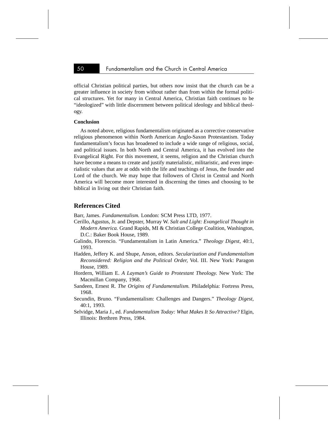official Christian political parties, but others now insist that the church can be a greater influence in society from without rather than from within the formal political structures. Yet for many in Central America, Christian faith continues to be "ideologized" with little discernment between political ideology and biblical theology.

#### **Conclusion**

As noted above, religious fundamentalism originated as a corrective conservative religious phenomenon within North American Anglo-Saxon Protestantism. Today fundamentalism's focus has broadened to include a wide range of religious, social, and political issues. In both North and Central America, it has evolved into the Evangelical Right. For this movement, it seems, religion and the Christian church have become a means to create and justify materialistic, militaristic, and even imperialistic values that are at odds with the life and teachings of Jesus, the founder and Lord of the church. We may hope that followers of Christ in Central and North America will become more interested in discerning the times and choosing to be biblical in living out their Christian faith.

# **References Cited**

Barr, James. *Fundamentalism.* London: SCM Press LTD, 1977.

- Cerillo, Agustus, Jr. and Depster, Murray W. *Salt and Light: Evangelical Thought in Modern America.* Grand Rapids, MI & Christian College Coalition, Washington, D.C.: Baker Book House, 1989.
- Galindo, Florencio. "Fundamentalism in Latin America." *Theology Digest,* 40:1, 1993.
- Hadden, Jeffery K. and Shupe, Anson, editors. *Secularization and Fundamentalism Reconsidered: Religion and the Political Order,* Vol. III. New York: Paragon House, 1989.
- Hordern, William E. *A Layman's Guide to Protestant Theology.* New York: The Macmillan Company, 1968.
- Sandeen, Ernest R. *The Origins of Fundamentalism.* Philadelphia: Fortress Press, 1968.
- Secundin, Bruno. "Fundamentalism: Challenges and Dangers." *Theology Digest,* 40:1, 1993.
- Selvidge, Maria J., ed. *Fundamentalism Today: What Makes It So Attractive?* Elgin, Illinois: Brethren Press, 1984.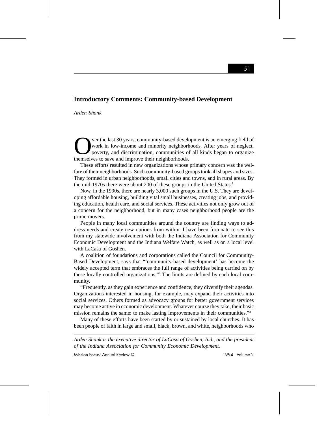# **Introductory Comments: Community-based Development**

*Arden Shank*

Over the last 30 years, community-based development is an emerging field of work in low-income and minority neighborhoods. After years of neglect, poverty, and discrimination, communities of all kinds began to organize the work in low-income and minority neighborhoods. After years of neglect, poverty, and discrimination, communities of all kinds began to organize themselves to save and improve their neighborhoods.

These efforts resulted in new organizations whose primary concern was the welfare of their neighborhoods. Such community-based groups took all shapes and sizes. They formed in urban neighborhoods, small cities and towns, and in rural areas. By the mid-1970s there were about 200 of these groups in the United States.<sup>1</sup>

Now, in the 1990s, there are nearly 3,000 such groups in the U.S. They are developing affordable housing, building vital small businesses, creating jobs, and providing education, health care, and social services. These activities not only grow out of a concern for the neighborhood, but in many cases neighborhood people are the prime movers.

People in many local communities around the country are finding ways to address needs and create new options from within. I have been fortunate to see this from my statewide involvement with both the Indiana Association for Community Economic Development and the Indiana Welfare Watch, as well as on a local level with LaCasa of Goshen.

A coalition of foundations and corporations called the Council for Community-Based Development, says that "'community-based development' has become the widely accepted term that embraces the full range of activities being carried on by these locally controlled organizations."2 The limits are defined by each local community.

"Frequently, as they gain experience and confidence, they diversify their agendas. Organizations interested in housing, for example, may expand their activities into social services. Others formed as advocacy groups for better government services may become active in economic development. Whatever course they take, their basic mission remains the same: to make lasting improvements in their communities."3

Many of these efforts have been started by or sustained by local churches. It has been people of faith in large and small, black, brown, and white, neighborhoods who

*Arden Shank is the executive director of LaCasa of Goshen, Ind., and the president of the Indiana Association for Community Economic Development.*

Mission Focus: Annual Review © 1994 Volume 2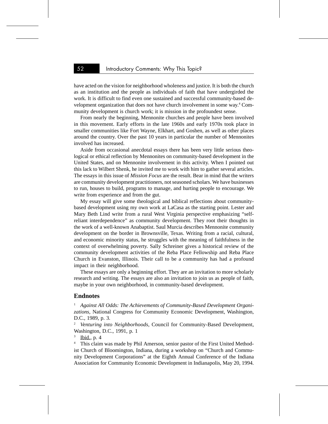have acted on the vision for neighborhood wholeness and justice. It is both the church as an institution and the people as individuals of faith that have undergirded the work. It is difficult to find even one sustained and successful community-based development organization that does not have church involvement in some way.<sup>4</sup> Community development is church work; it is mission in the profoundest sense.

From nearly the beginning, Mennonite churches and people have been involved in this movement. Early efforts in the late 1960s and early 1970s took place in smaller communities like Fort Wayne, Elkhart, and Goshen, as well as other places around the country. Over the past 10 years in particular the number of Mennonites involved has increased.

Aside from occasional anecdotal essays there has been very little serious theological or ethical reflection by Mennonites on community-based development in the United States, and on Mennonite involvement in this activity. When I pointed out this lack to Wilbert Shenk, he invited me to work with him to gather several articles. The essays in this issue of *Mission Focus* are the result. Bear in mind that the writers are community development practitioners, not seasoned scholars. We have businesses to run, houses to build, programs to manage, and hurting people to encourage. We write from experience and from the gut.

My essay will give some theological and biblical reflections about communitybased development using my own work at LaCasa as the starting point. Lester and Mary Beth Lind write from a rural West Virginia perspective emphasizing "selfreliant interdependence" as community development. They root their thoughts in the work of a well-known Anabaptist. Saul Murcia describes Mennonite community development on the border in Brownsville, Texas. Writing from a racial, cultural, and economic minority status, he struggles with the meaning of faithfulness in the context of overwhelming poverty. Sally Schreiner gives a historical review of the community development activities of the Reba Place Fellowship and Reba Place Church in Evanston, Illinois. Their call to be a community has had a profound impact in their neighborhood.

These essays are only a beginning effort. They are an invitation to more scholarly research and writing. The essays are also an invitation to join us as people of faith, maybe in your own neighborhood, in community-based development.

# **Endnotes**

<sup>1</sup> *Against All Odds: The Achievements of Community-Based Development Organizations,* National Congress for Community Economic Development, Washington, D.C., 1989, p. 3.

<sup>2</sup> *Venturing into Neighborhoods,* Council for Community-Based Development, Washington, D.C., 1991, p. 1

<sup>4</sup> This claim was made by Phil Amerson, senior pastor of the First United Methodist Church of Bloomington, Indiana, during a workshop on "Church and Community Development Corporations" at the Eighth Annual Conference of the Indiana Association for Community Economic Development in Indianapolis, May 20, 1994.

**Ibid.**, p. 4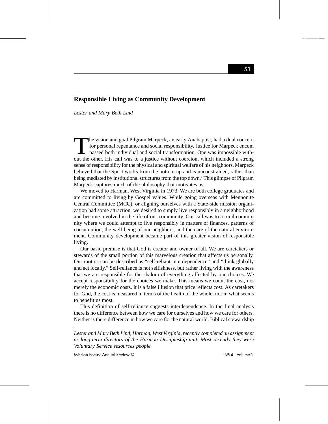# **Responsible Living as Community Development**

*Lester and Mary Beth Lind*

The vision and goal Pilgram Marpeck, an early Anabaptist, had a dual concern<br>for personal repentance and social responsibility. Justice for Marpeck encom<br>passed both individual and social transformation. One was impossible for personal repentance and social responsibility. Justice for Marpeck encom passed both individual and social transformation. One was impossible without the other. His call was to a justice without coercion, which included a strong sense of responsibility for the physical and spiritual welfare of his neighbors. Marpeck believed that the Spirit works from the bottom up and is unconstrained, rather than being mediated by institutional structures from the top down.<sup>1</sup> This glimpse of Pilgram Marpeck captures much of the philosophy that motivates us.

We moved to Harman, West Virginia in 1973. We are both college graduates and are committed to living by Gospel values. While going overseas with Mennonite Central Committee (MCC), or aligning ourselves with a State-side mission organization had some attraction, we desired to simply live responsibly in a neighborhood and become involved in the life of our community. Our call was to a rural community where we could attempt to live responsibly in matters of finances, patterns of consumption, the well-being of our neighbors, and the care of the natural environment. Community development became part of this greater vision of responsible living.

Our basic premise is that God is creator and owner of all. We are caretakers or stewards of the small portion of this marvelous creation that affects us personally. Our mottos can be described as "self-reliant interdependence" and "think globally and act locally." Self-reliance is not selfishness, but rather living with the awareness that we are responsible for the shalom of everything affected by our choices. We accept responsibility for the choices we make. This means we count the cost, not merely the economic costs. It is a false illusion that price reflects cost. As caretakers for God, the cost is measured in terms of the health of the whole, not in what seems to benefit us most.

This definition of self-reliance suggests interdependence. In the final analysis there is no difference between how we care for ourselves and how we care for others. Neither is there difference in how we care for the natural world. Biblical stewardship

*Lester and Mary Beth Lind, Harmon, West Virginia, recently completed an assignment as long-term directors of the Harmon Discipleship unit. Most recently they were Voluntary Service resources people.*

Mission Focus: Annual Review © 1994 Volume 2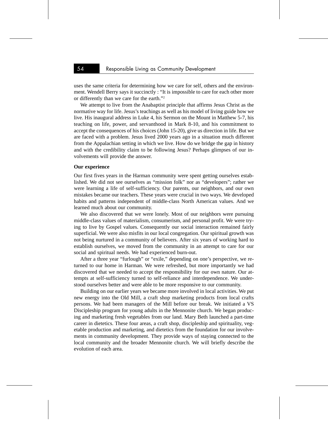uses the same criteria for determining how we care for self, others and the environment. Wendell Berry says it succinctly : "It is impossible to care for each other more or differently than we care for the earth."2

We attempt to live from the Anabaptist principle that affirms Jesus Christ as the normative way for life. Jesus's teachings as well as his model of living guide how we live. His inaugural address in Luke 4, his Sermon on the Mount in Matthew 5-7, his teaching on life, power, and servanthood in Mark 8-10, and his commitment to accept the consequences of his choices (John 15-20), give us direction in life. But we are faced with a problem. Jesus lived 2000 years ago in a situation much different from the Appalachian setting in which we live. How do we bridge the gap in history and with the credibility claim to be following Jesus? Perhaps glimpses of our involvements will provide the answer.

# **Our experience**

Our first fives years in the Harman community were spent getting ourselves established. We did not see ourselves as "mission folk" nor as "developers"; rather we were learning a life of self-sufficiency. Our parents, our neighbors, and our own mistakes became our teachers. These years were crucial in two ways. We developed habits and patterns independent of middle-class North American values. And we learned much about our community.

We also discovered that we were lonely. Most of our neighbors were pursuing middle-class values of materialism, consumerism, and personal profit. We were trying to live by Gospel values. Consequently our social interaction remained fairly superficial. We were also misfits in our local congregation. Our spiritual growth was not being nurtured in a community of believers. After six years of working hard to establish ourselves, we moved from the community in an attempt to care for our social and spiritual needs. We had experienced burn-out.

After a three year "furlough" or "exile," depending on one's perspective, we returned to our home in Harman. We were refreshed, but more importantly we had discovered that we needed to accept the responsibility for our own nature. Our attempts at self-sufficiency turned to self-reliance and interdependence. We understood ourselves better and were able to be more responsive to our community.

Building on our earlier years we became more involved in local activities. We put new energy into the Old Mill, a craft shop marketing products from local crafts persons. We had been managers of the Mill before our break. We initiated a VS Discipleship program for young adults in the Mennonite church. We began producing and marketing fresh vegetables from our land. Mary Beth launched a part-time career in dietetics. These four areas, a craft shop, discipleship and spirituality, vegetable production and marketing, and dietetics from the foundation for our involvements in community development. They provide ways of staying connected to the local community and the broader Mennonite church. We will briefly describe the evolution of each area.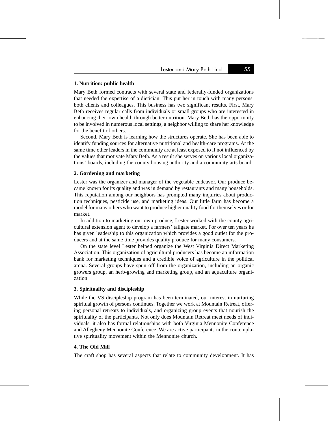# **1. Nutrition: public health**

Mary Beth formed contracts with several state and federally-funded organizations that needed the expertise of a dietician. This put her in touch with many persons, both clients and colleagues. This business has two significant results. First, Mary Beth receives regular calls from individuals or small groups who are interested in enhancing their own health through better nutrition. Mary Beth has the opportunity to be involved in numerous local settings, a neighbor willing to share her knowledge for the benefit of others.

Second, Mary Beth is learning how the structures operate. She has been able to identify funding sources for alternative nutritional and health-care programs. At the same time other leaders in the community are at least exposed to if not influenced by the values that motivate Mary Beth. As a result she serves on various local organizations' boards, including the county housing authority and a community arts board.

## **2. Gardening and marketing**

Lester was the organizer and manager of the vegetable endeavor. Our produce became known for its quality and was in demand by restaurants and many households. This reputation among our neighbors has prompted many inquiries about production techniques, pesticide use, and marketing ideas. Our little farm has become a model for many others who want to produce higher quality food for themselves or for market.

In addition to marketing our own produce, Lester worked with the county agricultural extension agent to develop a farmers' tailgate market. For over ten years he has given leadership to this organization which provides a good outlet for the producers and at the same time provides quality produce for many consumers.

On the state level Lester helped organize the West Virginia Direct Marketing Association. This organization of agricultural producers has become an information bank for marketing techniques and a credible voice of agriculture in the political arena. Several groups have spun off from the organization, including an organic growers group, an herb-growing and marketing group, and an aquaculture organization.

# **3. Spirituality and discipleship**

While the VS discipleship program has been terminated, our interest in nurturing spiritual growth of persons continues. Together we work at Mountain Retreat, offering personal retreats to individuals, and organizing group events that nourish the spirituality of the participants. Not only does Mountain Retreat meet needs of individuals, it also has formal relationships with both Virginia Mennonite Conference and Allegheny Mennonite Conference. We are active participants in the contemplative spirituality movement within the Mennonite church.

## **4. The Old Mill**

The craft shop has several aspects that relate to community development. It has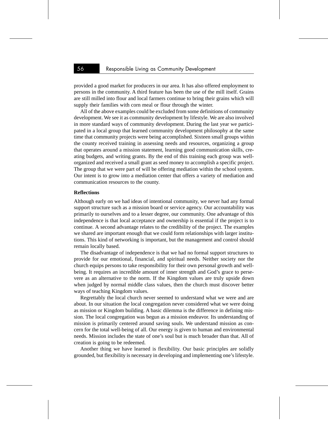provided a good market for producers in our area. It has also offered employment to persons in the community. A third feature has been the use of the mill itself. Grains are still milled into flour and local farmers continue to bring their grains which will supply their families with corn meal or flour through the winter.

All of the above examples could be excluded from some definitions of community development. We see it as community development by lifestyle. We are also involved in more standard ways of community development. During the last year we participated in a local group that learned community development philosophy at the same time that community projects were being accomplished. Sixteen small groups within the county received training in assessing needs and resources, organizing a group that operates around a mission statement, learning good communication skills, creating budgets, and writing grants. By the end of this training each group was wellorganized and received a small grant as seed money to accomplish a specific project. The group that we were part of will be offering mediation within the school system. Our intent is to grow into a mediation center that offers a variety of mediation and communication resources to the county.

# **Reflections**

Although early on we had ideas of intentional community, we never had any formal support structure such as a mission board or service agency. Our accountability was primarily to ourselves and to a lesser degree, our community. One advantage of this independence is that local acceptance and ownership is essential if the project is to continue. A second advantage relates to the credibility of the project. The examples we shared are important enough that we could form relationships with larger institutions. This kind of networking is important, but the management and control should remain locally based.

The disadvantage of independence is that we had no formal support structures to provide for our emotional, financial, and spiritual needs. Neither society nor the church equips persons to take responsibility for their own personal growth and wellbeing. It requires an incredible amount of inner strength and God's grace to persevere as an alternative to the norm. If the Kingdom values are truly upside down when judged by normal middle class values, then the church must discover better ways of teaching Kingdom values.

Regrettably the local church never seemed to understand what we were and are about. In our situation the local congregation never considered what we were doing as mission or Kingdom building. A basic dilemma is the difference in defining mission. The local congregation was begun as a mission endeavor. Its understanding of mission is primarily centered around saving souls. We understand mission as concern for the total well-being of all. Our energy is given to human and environmental needs. Mission includes the state of one's soul but is much broader than that. All of creation is going to be redeemed.

Another thing we have learned is flexibility. Our basic principles are solidly grounded, but flexibility is necessary in developing and implementing one's lifestyle.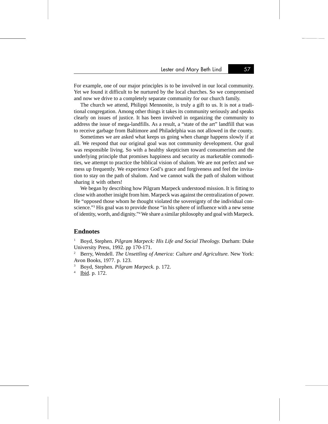For example, one of our major principles is to be involved in our local community. Yet we found it difficult to be nurtured by the local churches. So we compromised and now we drive to a completely separate community for our church family.

The church we attend, Philippi Mennonite, is truly a gift to us. It is not a traditional congregation. Among other things it takes its community seriously and speaks clearly on issues of justice. It has been involved in organizing the community to address the issue of mega-landfills. As a result, a "state of the art" landfill that was to receive garbage from Baltimore and Philadelphia was not allowed in the county.

Sometimes we are asked what keeps us going when change happens slowly if at all. We respond that our original goal was not community development. Our goal was responsible living. So with a healthy skepticism toward consumerism and the underlying principle that promises happiness and security as marketable commodities, we attempt to practice the biblical vision of shalom. We are not perfect and we mess up frequently. We experience God's grace and forgiveness and feel the invitation to stay on the path of shalom. And we cannot walk the path of shalom without sharing it with others!

We began by describing how Pilgram Marpeck understood mission. It is fitting to close with another insight from him. Marpeck was against the centralization of power. He "opposed those whom he thought violated the sovereignty of the individual conscience."<sup>3</sup> His goal was to provide those "in his sphere of influence with a new sense of identity, worth, and dignity."4 We share a similar philosophy and goal with Marpeck.

# **Endnotes**

<sup>1</sup> Boyd, Stephen. *Pilgram Marpeck: His Life and Social Theology*. Durham: Duke University Press, 1992. pp 170-171.

<sup>2</sup> Berry, Wendell. *The Unsettling of America: Culture and Agriculture.* New York: Avon Books, 1977. p. 123.

<sup>3</sup> Boyd, Stephen. *Pilgram Marpeck.* p. 172.

Ibid. p. 172.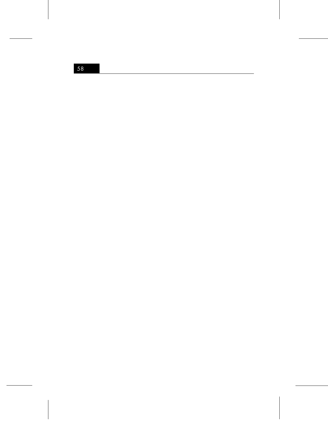Responsible Living as  $C_8$  Responsible  $D$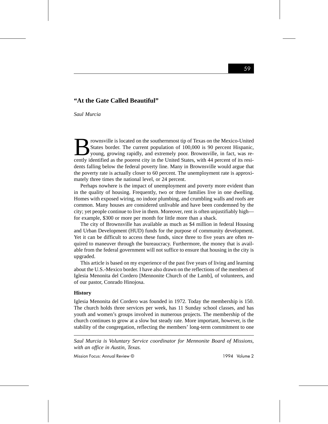# **"At the Gate Called Beautiful"**

*Saul Murcia*

**Brownsville is located on the southernmost tip of Texas on the Mexico-United**<br>States border. The current population of 100,000 is 90 percent Hispanic,<br>young, growing rapidly, and extremely poor. Brownsville, in fact, was States border. The current population of 100,000 is 90 percent Hispanic, young, growing rapidly, and extremely poor. Brownsville, in fact, was recently identified as the poorest city in the United States, with 44 percent of its residents falling below the federal poverty line. Many in Brownsville would argue that the poverty rate is actually closer to 60 percent. The unemployment rate is approximately three times the national level, or 24 percent.

Perhaps nowhere is the impact of unemployment and poverty more evident than in the quality of housing. Frequently, two or three families live in one dwelling. Homes with exposed wiring, no indoor plumbing, and crumbling walls and roofs are common. Many houses are considered unlivable and have been condemned by the city; yet people continue to live in them. Moreover, rent is often unjustifiably high for example, \$300 or more per month for little more than a shack.

The city of Brownsville has available as much as \$4 million in federal Housing and Urban Development (HUD) funds for the purpose of community development. Yet it can be difficult to access these funds, since three to five years are often required to maneuver through the bureaucracy. Furthermore, the money that is available from the federal government will not suffice to ensure that housing in the city is upgraded.

This article is based on my experience of the past five years of living and learning about the U.S.-Mexico border. I have also drawn on the reflections of the members of Iglesia Menonita del Cordero [Mennonite Church of the Lamb], of volunteers, and of our pastor, Conrado Hinojosa.

#### **History**

Iglesia Menonita del Cordero was founded in 1972. Today the membership is 150. The church holds three services per week, has 11 Sunday school classes, and has youth and women's groups involved in numerous projects. The membership of the church continues to grow at a slow but steady rate. More important, however, is the stability of the congregation, reflecting the members' long-term commitment to one

*Saul Murcia is Voluntary Service coordinator for Mennonite Board of Missions, with an office in Austin, Texas.*

Mission Focus: Annual Review © 1994 Volume 2

# Saul Murcia 59 ann an S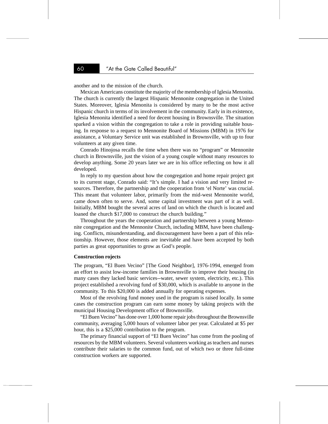another and to the mission of the church.

Mexican Americans constitute the majority of the membership of Iglesia Menonita. The church is currently the largest Hispanic Mennonite congregation in the United States. Moreover, Iglesia Menonita is considered by many to be the most active Hispanic church in terms of its involvement in the community. Early in its existence, Iglesia Menonita identified a need for decent housing in Brownsville. The situation sparked a vision within the congregation to take a role in providing suitable housing. In response to a request to Mennonite Board of Missions (MBM) in 1976 for assistance, a Voluntary Service unit was established in Brownsville, with up to four volunteers at any given time.

Conrado Hinojosa recalls the time when there was no "program" or Mennonite church in Brownsville, just the vision of a young couple without many resources to develop anything. Some 20 years later we are in his office reflecting on how it all developed.

In reply to my question about how the congregation and home repair project got to its current stage, Conrado said: "It's simple. I had a vision and very limited resources. Therefore, the partnership and the cooperation from 'el Norte' was crucial. This meant that volunteer labor, primarily from the mid-west Mennonite world, came down often to serve. And, some capital investment was part of it as well. Initially, MBM bought the several acres of land on which the church is located and loaned the church \$17,000 to construct the church building."

Throughout the years the cooperation and partnership between a young Mennonite congregation and the Mennonite Church, including MBM, have been challenging. Conflicts, misunderstanding, and discouragement have been a part of this relationship. However, those elements are inevitable and have been accepted by both parties as great opportunities to grow as God's people.

#### **Construction rojects**

The program, "El Buen Vecino" [The Good Neighbor], 1976-1994, emerged from an effort to assist low-income families in Brownsville to improve their housing (in many cases they lacked basic services--water, sewer system, electricity, etc.). This project established a revolving fund of \$30,000, which is available to anyone in the community. To this \$20,000 is added annually for operating expenses.

Most of the revolving fund money used in the program is raised locally. In some cases the construction program can earn some money by taking projects with the municipal Housing Development office of Brownsville.

"El Buen Vecino" has done over 1,000 home repair jobs throughout the Brownsville community, averaging 5,000 hours of volunteer labor per year. Calculated at \$5 per hour, this is a \$25,000 contribution to the program.

The primary financial support of "El Buen Vecino" has come from the pooling of resources by the MBM volunteers. Several volunteers working as teachers and nurses contribute their salaries to the common fund, out of which two or three full-time construction workers are supported.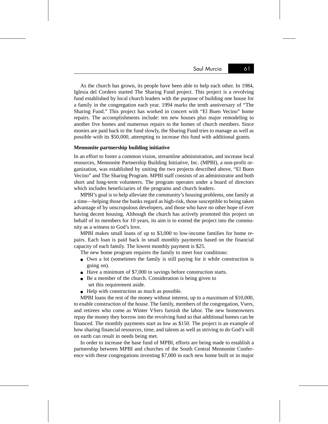Saul Murcia **61** 

As the church has grown, its people have been able to help each other. In 1984, Iglesia del Cordero started The Sharing Fund project. This project is a revolving fund established by local church leaders with the purpose of building one house for a family in the congregation each year. 1994 marks the tenth anniversary of "The Sharing Fund." This project has worked in concert with "El Buen Vecino" home repairs. The accomplishments include: ten new houses plus major remodeling to another five homes and numerous repairs to the homes of church members. Since monies are paid back to the fund slowly, the Sharing Fund tries to manage as well as possible with its \$50,000, attempting to increase this fund with additional grants.

#### **Mennonite partnership building initiative**

In an effort to foster a common vision, streamline administration, and increase local resources, Mennonite Partnership Building Initiative, Inc. (MPBI), a non-profit organization, was established by uniting the two projects described above, "El Buen Vecino" and The Sharing Program. MPBI staff consists of an administrator and both short and long-term volunteers. The program operates under a board of directors which includes beneficiaries of the programs and church leaders.

MPBI's goal is to help alleviate the community's housing problems, one family at a time—helping those the banks regard as high-risk, those susceptible to being taken advantage of by unscrupulous developers, and those who have no other hope of ever having decent housing. Although the church has actively promoted this project on behalf of its members for 10 years, its aim is to extend the project into the community as a witness to God's love.

MPBI makes small loans of up to \$3,000 to low-income families for home repairs. Each loan is paid back in small monthly payments based on the financial capacity of each family. The lowest monthly payment is \$25.

The new home program requires the family to meet four conditions:

- Own a lot (sometimes the family is still paying for it while construction is going on).
- Have a minimum of \$7,000 in savings before construction starts.
- Be a member of the church. Consideration is being given to
	- set this requirement aside.
- Help with construction as much as possible.

MPBI loans the rest of the money without interest, up to a maximum of \$10,000, to enable construction of the house. The family, members of the congregation, Vsers, and retirees who come as Winter VSers furnish the labor. The new homeowners repay the money they borrow into the revolving fund so that additional homes can be financed. The monthly payments start as low as \$150. The project is an example of how sharing financial resources, time, and talents as well as striving to do God's will on earth can result in needs being met.

In order to increase the base fund of MPBI, efforts are being made to establish a partnership between MPBI and churches of the South Central Mennonite Conference with these congregations investing \$7,000 in each new home built or in major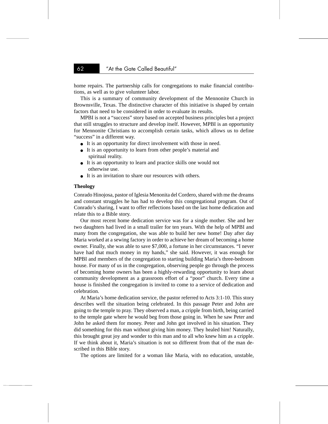home repairs. The partnership calls for congregations to make financial contributions, as well as to give volunteer labor.

This is a summary of community development of the Mennonite Church in Brownsville, Texas. The distinctive character of this initiative is shaped by certain factors that need to be considered in order to evaluate its results.

MPBI is not a "success" story based on accepted business principles but a project that still struggles to structure and develop itself. However, MPBI is an opportunity for Mennonite Christians to accomplish certain tasks, which allows us to define "success" in a different way.

- It is an opportunity for direct involvement with those in need.
- It is an opportunity to learn from other people's material and spiritual reality.
- It is an opportunity to learn and practice skills one would not otherwise use.
- It is an invitation to share our resources with others.

# **Theology**

Conrado Hinojosa, pastor of Iglesia Menonita del Cordero, shared with me the dreams and constant struggles he has had to develop this congregational program. Out of Conrado's sharing, I want to offer reflections based on the last home dedication and relate this to a Bible story.

Our most recent home dedication service was for a single mother. She and her two daughters had lived in a small trailer for ten years. With the help of MPBI and many from the congregation, she was able to build her new home! Day after day Maria worked at a sewing factory in order to achieve her dream of becoming a home owner. Finally, she was able to save \$7,000, a fortune in her circumstances. "I never have had that much money in my hands," she said. However, it was enough for MPBI and members of the congregation to starting building Maria's three-bedroom house. For many of us in the congregation, observing people go through the process of becoming home owners has been a highly-rewarding opportunity to learn about community development as a grassroots effort of a "poor" church. Every time a house is finished the congregation is invited to come to a service of dedication and celebration.

At Maria's home dedication service, the pastor referred to Acts 3:1-10. This story describes well the situation being celebrated. In this passage Peter and John are going to the temple to pray. They observed a man, a cripple from birth, being carried to the temple gate where he would beg from those going in. When he saw Peter and John he asked them for money. Peter and John got involved in his situation. They did something for this man without giving him money. They healed him! Naturally, this brought great joy and wonder to this man and to all who knew him as a cripple. If we think about it, Maria's situation is not so different from that of the man described in this Bible story.

The options are limited for a woman like Maria, with no education, unstable,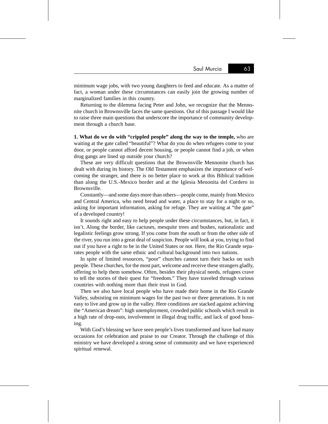minimum wage jobs, with two young daughters to feed and educate. As a matter of fact, a woman under these circumstances can easily join the growing number of marginalized families in this country.

Returning to the dilemma facing Peter and John, we recognize that the Mennonite church in Brownsville faces the same questions. Out of this passage I would like to raise three main questions that underscore the importance of community development through a church base.

**1. What do we do with "crippled people" along the way to the temple,** who are waiting at the gate called "beautiful"? What do you do when refugees come to your door, or people cannot afford decent housing, or people cannot find a job, or when drug gangs are lined up outside your church?

These are very difficult questions that the Brownsville Mennonite church has dealt with during its history. The Old Testament emphasizes the importance of welcoming the stranger, and there is no better place to work at this Biblical tradition than along the U.S.-Mexico border and at the Iglesia Menonita del Cordero in Brownsville.

Constantly—and some days more than others—people come, mainly from Mexico and Central America, who need bread and water, a place to stay for a night or so, asking for important information, asking for refuge. They are waiting at "the gate" of a developed country!

It sounds right and easy to help people under these circumstances, but, in fact, it isn't. Along the border, like cactuses, mesquite trees and bushes, nationalistic and legalistic feelings grow strong. If you come from the south or from the other side of the river, you run into a great deal of suspicion. People will look at you, trying to find out if you have a right to be in the United States or not. Here, the Rio Grande separates people with the same ethnic and cultural background into two nations.

In spite of limited resources, "poor" churches cannot turn their backs on such people. These churches, for the most part, welcome and receive these strangers gladly, offering to help them somehow. Often, besides their physical needs, refugees crave to tell the stories of their quest for "freedom." They have traveled through various countries with nothing more than their trust in God.

Then we also have local people who have made their home in the Rio Grande Valley, subsisting on minimum wages for the past two or three generations. It is not easy to live and grow up in the valley. Here conditions are stacked against achieving the "American dream": high unemployment, crowded public schools which result in a high rate of drop-outs, involvement in illegal drug traffic, and lack of good housing.

With God's blessing we have seen people's lives transformed and have had many occasions for celebration and praise to our Creator. Through the challenge of this ministry we have developed a strong sense of community and we have experienced spiritual renewal.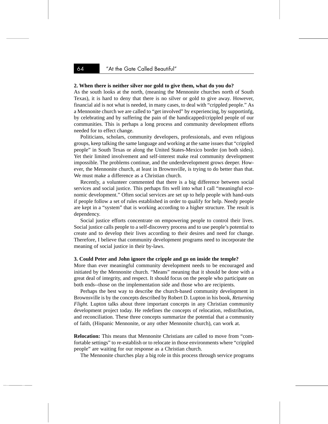#### **2. When there is neither silver nor gold to give them, what do you do?**

As the south looks at the north, (meaning the Mennonite churches north of South Texas), it is hard to deny that there is no silver or gold to give away. However, financial aid is not what is needed, in many cases, to deal with "crippled people." As a Mennonite church we are called to "get involved" by experiencing, by supportinfg, by celebrating and by suffering the pain of the handicapped/crippled people of our communities. This is perhaps a long process and community development efforts needed for to effect change.

Politicians, scholars, community developers, professionals, and even religious groups, keep talking the same language and working at the same issues that "crippled people" in South Texas or along the United States-Mexico border (on both sides). Yet their limited involvement and self-interest make real community development impossible. The problems continue, and the underdevelopment grows deeper. However, the Mennonite church, at least in Brownsville, is trying to do better than that. We must make a difference as a Christian church.

Recently, a volunteer commented that there is a big difference between social services and social justice. This perhaps fits well into what I call "meaningful economic development." Often social services are set up to help people with hand-outs if people follow a set of rules established in order to qualify for help. Needy people are kept in a "system" that is working according to a higher structure. The result is dependency.

Social justice efforts concentrate on empowering people to control their lives. Social justice calls people to a self-discovery process and to use people's potential to create and to develop their lives according to their desires and need for change. Therefore, I believe that community development programs need to incorporate the meaning of social justice in their by-laws.

#### **3. Could Peter and John ignore the cripple and go on inside the temple?**

More than ever meaningful community development needs to be encouraged and initiated by the Mennonite church. "Means" meaning that it should be done with a great deal of integrity, and respect. It should focus on the people who participate on both ends--those on the implementation side and those who are recipients.

Perhaps the best way to describe the church-based community development in Brownsville is by the concepts described by Robert D. Lupton in his book, *Returning Flight.* Lupton talks about three important concepts in any Christian community development project today. He redefines the concepts of relocation, redistribution, and reconciliation. These three concepts summarize the potential that a community of faith, (Hispanic Mennonite, or any other Mennonite church), can work at.

**Relocation:** This means that Mennonite Christians are called to move from "comfortable settings" to re-establish or to relocate in those environments where "crippled people" are waiting for our response as a Christian church.

The Mennonite churches play a big role in this process through service programs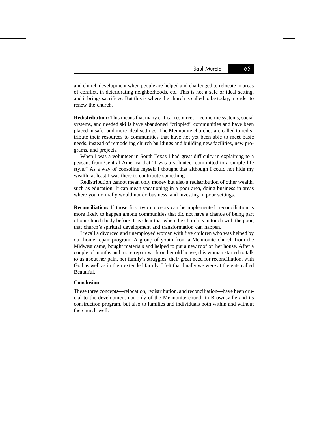and church development when people are helped and challenged to relocate in areas of conflict, in deteriorating neighborhoods, etc. This is not a safe or ideal setting, and it brings sacrifices. But this is where the church is called to be today, in order to renew the church.

**Redistribution:** This means that many critical resources—economic systems, social systems, and needed skills have abandoned "crippled" communities and have been placed in safer and more ideal settings. The Mennonite churches are called to redistribute their resources to communities that have not yet been able to meet basic needs, instead of remodeling church buildings and building new facilities, new programs, and projects.

When I was a volunteer in South Texas I had great difficulty in explaining to a peasant from Central America that "I was a volunteer committed to a simple life style." As a way of consoling myself I thought that although I could not hide my wealth, at least I was there to contribute something.

Redistribution cannot mean only money but also a redistribution of other wealth, such as education. It can mean vacationing in a poor area, doing business in areas where you normally would not do business, and investing in poor settings.

**Reconciliation:** If those first two concepts can be implemented, reconciliation is more likely to happen among communities that did not have a chance of being part of our church body before. It is clear that when the church is in touch with the poor, that church's spiritual development and transformation can happen.

I recall a divorced and unemployed woman with five children who was helped by our home repair program. A group of youth from a Mennonite church from the Midwest came, bought materials and helped to put a new roof on her house. After a couple of months and more repair work on her old house, this woman started to talk to us about her pain, her family's struggles, their great need for reconciliation, with God as well as in their extended family. I felt that finally we were at the gate called Beautiful.

# **Conclusion**

These three concepts—relocation, redistribution, and reconciliation—have been crucial to the development not only of the Mennonite church in Brownsville and its construction program, but also to families and individuals both within and without the church well.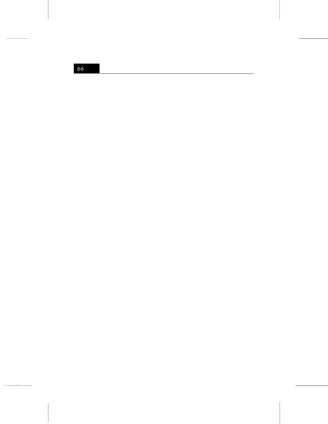$A$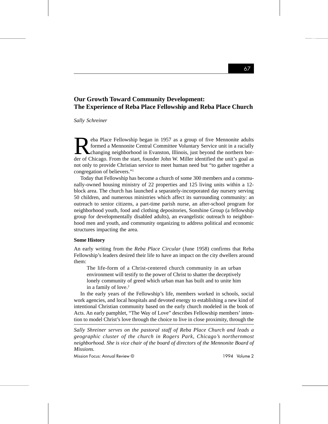# **Our Growth Toward Community Development: The Experience of Reba Place Fellowship and Reba Place Church**

*Sally Schreiner*

eba Place Fellowship began in 1957 as a group of five Mennonite adults formed a Mennonite Central Committee Voluntary Service unit in a racially changing neighborhood in Evanston, Illinois, just beyond the northern border of Chicago. From the start, founder John W. Miller identified the unit's goal as not only to provide Christian service to meet human need but "to gather together a congregation of believers."1

Today that Fellowship has become a church of some 300 members and a communally-owned housing ministry of 22 properties and 125 living units within a 12 block area. The church has launched a separately-incorporated day nursery serving 50 children, and numerous ministries which affect its surrounding community: an outreach to senior citizens, a part-time parish nurse, an after-school program for neighborhood youth, food and clothing depositories, Sonshine Group (a fellowship group for developmentally disabled adults), an evangelistic outreach to neighborhood men and youth, and community organizing to address political and economic structures impacting the area.

# **Some History**

An early writing from the *Reba Place Circular* (June 1958) confirms that Reba Fellowship's leaders desired their life to have an impact on the city dwellers around them:

The life-form of a Christ-centered church community in an urban environment will testify to the power of Christ to shatter the deceptively lonely community of greed which urban man has built and to unite him in a family of love.<sup>2</sup>

In the early years of the Fellowship's life, members worked in schools, social work agencies, and local hospitals and devoted energy to establishing a new kind of intentional Christian community based on the early church modeled in the book of Acts. An early pamphlet, "The Way of Love" describes Fellowship members' intention to model Christ's love through the choice to live in close proximity, through the

*Sally Shreiner serves on the pastoral staff of Reba Place Church and leads a geographic cluster of the church in Rogers Park, Chicago's northernmost neighborhood. She is vice chair of the board of directors of the Mennonite Board of Missions.*

Mission Focus: Annual Review © 1994 Volume 2

# Sally Schreiner 67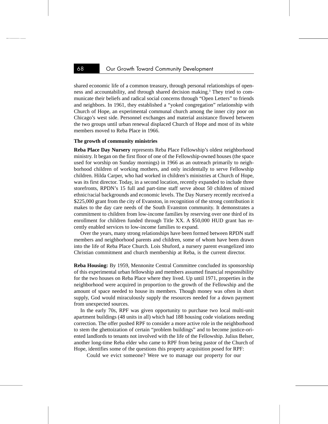shared economic life of a common treasury, through personal relationships of openness and accountability, and through shared decision making.<sup>3</sup> They tried to communicate their beliefs and radical social concerns through "Open Letters" to friends and neighbors. In 1961, they established a "yoked congregation" relationship with Church of Hope, an experimental communal church among the inner city poor on Chicago's west side. Personnel exchanges and material assistance flowed between the two groups until urban renewal displaced Church of Hope and most of its white members moved to Reba Place in 1966.

# **The growth of community ministries**

**Reba Place Day Nursery** represents Reba Place Fellowship's oldest neighborhood ministry. It began on the first floor of one of the Fellowship-owned houses (the space used for worship on Sunday mornings) in 1966 as an outreach primarily to neighborhood children of working mothers, and only incidentally to serve Fellowship children. Hilda Carper, who had worked in children's ministries at Church of Hope, was its first director. Today, in a second location, recently expanded to include three storefronts, RPDN's 15 full and part-time staff serve about 50 children of mixed ethnic/racial backgrounds and economic levels. The Day Nursery recently received a \$225,000 grant from the city of Evanston, in recognition of the strong contribution it makes to the day care needs of the South Evanston community. It demonstrates a commitment to children from low-income families by reserving over one third of its enrollment for children funded through Title XX. A \$50,000 HUD grant has recently enabled services to low-income families to expand.

Over the years, many strong relationships have been formed between RPDN staff members and neighborhood parents and children, some of whom have been drawn into the life of Reba Place Church. Lois Shuford, a nursery parent evangelized into Christian commitment and church membership at Reba, is the current director.

**Reba Housing:** By 1959, Mennonite Central Committee concluded its sponsorship of this experimental urban fellowship and members assumed financial responsibility for the two houses on Reba Place where they lived. Up until 1971, properties in the neighborhood were acquired in proportion to the growth of the Fellowship and the amount of space needed to house its members. Though money was often in short supply, God would miraculously supply the resources needed for a down payment from unexpected sources.

In the early 70s, RPF was given opportunity to purchase two local multi-unit apartment buildings (48 units in all) which had 188 housing code violations needing correction. The offer pushed RPF to consider a more active role in the neighborhood to stem the ghettoization of certain "problem buildings" and to become justice-oriented landlords to tenants not involved with the life of the Fellowship. Julius Belser, another long-time Reba elder who came to RPF from being pastor of the Church of Hope, identifies some of the questions this property acquisition posed for RPF:

Could we evict someone? Were we to manage our property for our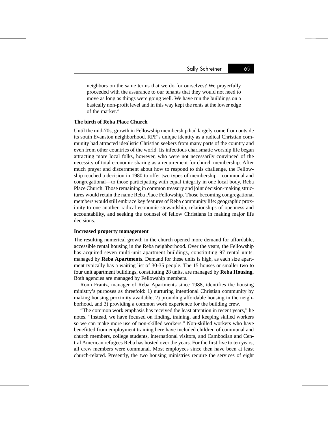Sally Schreiner 69

neighbors on the same terms that we do for ourselves? We prayerfully proceeded with the assurance to our tenants that they would not need to move as long as things were going well. We have run the buildings on a basically non-profit level and in this way kept the rents at the lower edge of the market.<sup>4</sup>

# **The birth of Reba Place Church**

Until the mid-70s, growth in Fellowship membership had largely come from outside its south Evanston neighborhood. RPF's unique identity as a radical Christian community had attracted idealistic Christian seekers from many parts of the country and even from other countries of the world. Its infectious charismatic worship life began attracting more local folks, however, who were not necessarily convinced of the necessity of total economic sharing as a requirement for church membership. After much prayer and discernment about how to respond to this challenge, the Fellowship reached a decision in 1980 to offer two types of membership—communal and congregational—to those participating with equal integrity in one local body, Reba Place Church. Those remaining in common treasury and joint decision-making structures would retain the name Reba Place Fellowship. Those becoming congregational members would still embrace key features of Reba community life: geographic proximity to one another, radical economic stewardship, relationships of openness and accountability, and seeking the counsel of fellow Christians in making major life decisions.

#### **Increased property management**

The resulting numerical growth in the church opened more demand for affordable, accessible rental housing in the Reba neighborhood. Over the years, the Fellowship has acquired seven multi-unit apartment buildings, constituting 97 rental units, managed by **Reba Apartments.** Demand for these units is high, as each size apartment typically has a waiting list of 30-35 people. The 15 houses or smaller two to four unit apartment buildings, constituting 28 units, are managed by **Reba Housing.** Both agencies are managed by Fellowship members.

Ronn Frantz, manager of Reba Apartments since 1988, identifies the housing ministry's purposes as threefold: 1) nurturing intentional Christian community by making housing proximity available, 2) providing affordable housing in the neighborhood, and 3) providing a common work experience for the building crew.

"The common work emphasis has received the least attention in recent years," he notes. "Instead, we have focused on finding, training, and keeping skilled workers so we can make more use of non-skilled workers." Non-skilled workers who have benefitted from employment training here have included children of communal and church members, college students, international visitors, and Cambodian and Central American refugees Reba has hosted over the years. For the first five to ten years, all crew members were communal. Most employees since then have been at least church-related. Presently, the two housing ministries require the services of eight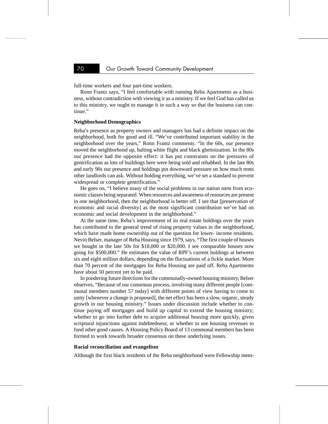full-time workers and four part-time workers.

Ronn Frantz says, "I feel comfortable with running Reba Apartments as a business, without contradiction with viewing it as a ministry. If we feel God has called us to this ministry, we ought to manage it in such a way so that the business can continue."

#### **Neighborhood Demographics**

Reba's presence as property owners and managers has had a definite impact on the neighborhood, both for good and ill. "We've contributed important stability in the neighborhood over the years," Ronn Frantz comments. "In the 60s, our presence moved the neighborhood up, halting white flight and black ghettoization. In the 80s our presence had the opposite effect: it has put constraints on the pressures of gentrification as lots of buildings here were being sold and rehabbed. In the late 80s and early 90s our presence and holdings put downward pressure on how much rents other landlords can ask. Without holding everything, we've set a standard to prevent widespread or complete gentrification."

He goes on, "I believe many of the social problems in our nation stem from economic classes being separated. When resources and awareness of resources are present in one neighborhood, then the neighborhood is better off. I see that [preservation of economic and racial diversity] as the most significant contribution we've had on economic and social development in the neighborhood."

At the same time, Reba's improvement of its real estate holdings over the years has contributed to the general trend of rising property values in the neighborhood, which have made home ownership out of the question for lower- income residents. Nevin Belser, manager of Reba Housing since 1979, says, "The first couple of houses we bought in the late 50s for \$18,000 or \$20,000. I see comparable houses now going for \$500,000." He estimates the value of RPF's current holdings at between six and eight million dollars, depending on the fluctuations of a fickle market. More than 70 percent of the mortgages for Reba Housing are paid off. Reba Apartments have about 50 percent yet to be paid.

In pondering future directions for the communally-owned housing ministry, Belser observes, "Because of our consensus process, involving many different people [communal members number 57 today] with different points of view having to come to unity [whenever a change is proposed], the net effect has been a slow, organic, steady growth in our housing ministry." Issues under discussion include whether to continue paying off mortgages and build up capital to extend the housing ministry; whether to go into further debt to acquire additional housing more quickly, given scriptural injunctions against indebtedness; or whether to use housing revenues to fund other good causes. A Housing Policy Board of 13 communal members has been formed to work towards broader consensus on these underlying issues.

### **Racial reconciliation and evangelism**

Although the first black residents of the Reba neighborhood were Fellowship mem-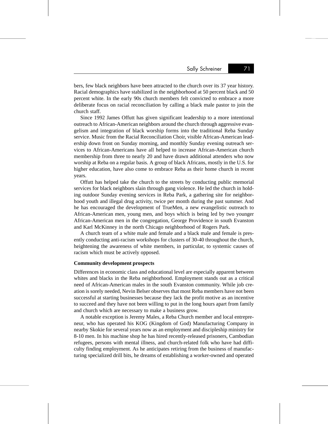bers, few black neighbors have been attracted to the church over its 37 year history. Racial demographics have stabilized in the neighborhood at 50 percent black and 50 percent white. In the early 90s church members felt convicted to embrace a more deliberate focus on racial reconciliation by calling a black male pastor to join the church staff.

Since 1992 James Offutt has given significant leadership to a more intentional outreach to African-American neighbors around the church through aggressive evangelism and integration of black worship forms into the traditional Reba Sunday service. Music from the Racial Reconciliation Choir, visible African-American leadership down front on Sunday morning, and monthly Sunday evening outreach services to African-Americans have all helped to increase African-American church membership from three to nearly 20 and have drawn additional attenders who now worship at Reba on a regular basis. A group of black Africans, mostly in the U.S. for higher education, have also come to embrace Reba as their home church in recent years.

Offutt has helped take the church to the streets by conducting public memorial services for black neighbors slain through gang violence. He led the church in holding outdoor Sunday evening services in Reba Park, a gathering site for neighborhood youth and illegal drug activity, twice per month during the past summer. And he has encouraged the development of TrueMen, a new evangelistic outreach to African-American men, young men, and boys which is being led by two younger African-American men in the congregation, George Providence in south Evanston and Karl McKinney in the north Chicago neighborhood of Rogers Park.

A church team of a white male and female and a black male and female is presently conducting anti-racism workshops for clusters of 30-40 throughout the church, heightening the awareness of white members, in particular, to systemic causes of racism which must be actively opposed.

#### **Community development prospects**

Differences in economic class and educational level are especially apparent between whites and blacks in the Reba neighborhood. Employment stands out as a critical need of African-American males in the south Evanston community. While job creation is sorely needed, Nevin Belser observes that most Reba members have not been successful at starting businesses because they lack the profit motive as an incentive to succeed and they have not been willing to put in the long hours apart from family and church which are necessary to make a business grow.

A notable exception is Jeremy Males, a Reba Church member and local entrepreneur, who has operated his KOG (Kingdom of God) Manufacturing Company in nearby Skokie for several years now as an employment and discipleship ministry for 8-10 men. In his machine shop he has hired recently-released prisoners, Cambodian refugees, persons with mental illness, and church-related folk who have had difficulty finding employment. As he anticipates retiring from the business of manufacturing specialized drill bits, he dreams of establishing a worker-owned and operated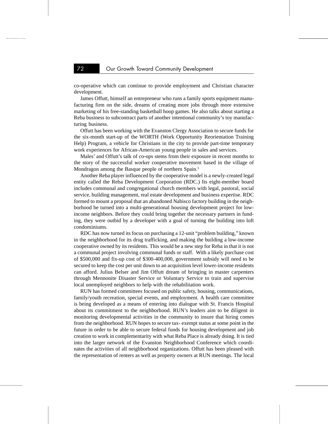co-operative which can continue to provide employment and Christian character development.

James Offutt, himself an entrepreneur who runs a family sports equipment manufacturing firm on the side, dreams of creating more jobs through more extensive marketing of his free-standing basketball hoop games. He also talks about starting a Reba business to subcontract parts of another intentional community's toy manufacturing business.

Offutt has been working with the Evanston Clergy Association to secure funds for the six-month start-up of the WORTH (Work Opportunity Reorientation Training Help) Program, a vehicle for Christians in the city to provide part-time temporary work experiences for African-American young people in sales and services.

Males' and Offutt's talk of co-ops stems from their exposure in recent months to the story of the successful worker cooperative movement based in the village of Mondragon among the Basque people of northern Spain.<sup>5</sup>

Another Reba player influenced by the cooperative model is a newly-created legal entity called the Reba Development Corporation (RDC.) Its eight-member board includes communal and congregational church members with legal, pastoral, social service, building management, real estate development and business expertise. RDC formed to mount a proposal that an abandoned Nabisco factory building in the neighborhood be turned into a multi-generational housing development project for lowincome neighbors. Before they could bring together the necessary partners in funding, they were outbid by a developer with a goal of turning the building into loft condominiums.

RDC has now turned its focus on purchasing a 12-unit "problem building," known in the neighborhood for its drug trafficking, and making the building a low-income cooperative owned by its residents. This would be a new step for Reba in that it is not a communal project involving communal funds or staff. With a likely purchase cost of \$500,000 and fix-up cost of \$300-400,000, government subsidy will need to be secured to keep the cost per unit down to an acquisition level lower-income residents can afford. Julius Belser and Jim Offutt dream of bringing in master carpenters through Mennonite Disaster Service or Voluntary Service to train and supervise local unemployed neighbors to help with the rehabilitation work.

RUN has formed committees focused on public safety, housing, communications, family/youth recreation, special events, and employment. A health care committee is being developed as a means of entering into dialogue with St. Francis Hospital about its commitment to the neighborhood. RUN's leaders aim to be diligent in monitoring developmental activities in the community to insure that hiring comes from the neighborhood. RUN hopes to secure tax- exempt status at some point in the future in order to be able to secure federal funds for housing development and job creation to work in complementarity with what Reba Place is already doing. It is tied into the larger network of the Evanston Neighborhood Conference which coordinates the activities of all neighborhood organizations. Offutt has been pleased with the representation of renters as well as property owners at RUN meetings. The local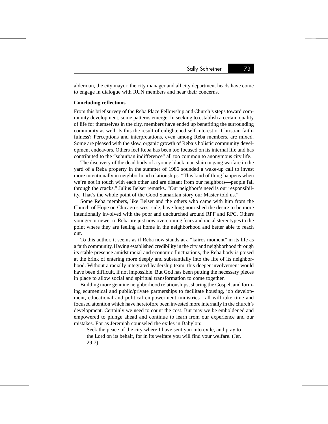alderman, the city mayor, the city manager and all city department heads have come to engage in dialogue with RUN members and hear their concerns.

# **Concluding reflections**

From this brief survey of the Reba Place Fellowship and Church's steps toward community development, some patterns emerge. In seeking to establish a certain quality of life for themselves in the city, members have ended up benefiting the surrounding community as well. Is this the result of enlightened self-interest or Christian faithfulness? Perceptions and interpretations, even among Reba members, are mixed. Some are pleased with the slow, organic growth of Reba's holistic community development endeavors. Others feel Reba has been too focused on its internal life and has contributed to the "suburban indifference" all too common to anonymous city life.

The discovery of the dead body of a young black man slain in gang warfare in the yard of a Reba property in the summer of 1986 sounded a wake-up call to invest more intentionally in neighborhood relationships. "This kind of thing happens when we're not in touch with each other and are distant from our neighbors—people fall through the cracks," Julius Belser remarks. "Our neighbor's need is our responsibility. That's the whole point of the Good Samaritan story our Master told us."

Some Reba members, like Belser and the others who came with him from the Church of Hope on Chicago's west side, have long nourished the desire to be more intentionally involved with the poor and unchurched around RPF and RPC. Others younger or newer to Reba are just now overcoming fears and racial stereotypes to the point where they are feeling at home in the neighborhood and better able to reach out.

To this author, it seems as if Reba now stands at a "kairos moment" in its life as a faith community. Having established credibility in the city and neighborhood through its stable presence amidst racial and economic fluctuations, the Reba body is poised at the brink of entering more deeply and substantially into the life of its neighborhood. Without a racially integrated leadership team, this deeper involvement would have been difficult, if not impossible. But God has been putting the necessary pieces in place to allow social and spiritual transformation to come together.

Building more genuine neighborhood relationships, sharing the Gospel, and forming ecumenical and public/private partnerships to facilitate housing, job development, educational and political empowerment ministries—all will take time and focused attention which have heretofore been invested more internally in the church's development. Certainly we need to count the cost. But may we be emboldened and empowered to plunge ahead and continue to learn from our experience and our mistakes. For as Jeremiah counseled the exiles in Babylon:

Seek the peace of the city where I have sent you into exile, and pray to the Lord on its behalf, for in its welfare you will find your welfare. (Jer. 29:7)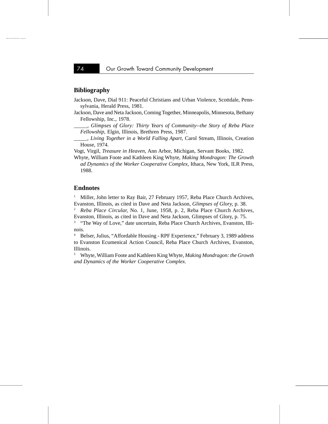# **Bibliography**

- Jackson, Dave, Dial 911: Peaceful Christians and Urban Violence, Scottdale, Pennsylvania, Herald Press, 1981.
- Jackson, Dave and Neta Jackson, Coming Together, Minneapolis, Minnesota, Bethany Fellowship, Inc., 1978.
- \_\_\_\_\_, *Glimpses of Glory: Thirty Years of Community--the Story of Reba Place Fellowship,* Elgin, Illinois, Brethren Press, 1987.
- \_\_\_\_\_, *Living Together in a World Falling Apart,* Carol Stream, Illinois, Creation House, 1974.

Vogt, Virgil, *Treasure in Heaven,* Ann Arbor, Michigan, Servant Books, 1982.

Whyte, William Foote and Kathleen King Whyte, *Making Mondragon: The Growth ad Dynamics of the Worker Cooperative Complex,* Ithaca, New York, ILR Press, 1988.

# **Endnotes**

<sup>1</sup> Miller, John letter to Ray Bair, 27 February 1957, Reba Place Church Archives, Evanston, Illinois, as cited in Dave and Neta Jackson, *Glimpses of Glory,* p. 38.

<sup>2</sup> *Reba Place Circular,* No. 1, June, 1958, p. 2, Reba Place Church Archives, Evanston, Illinois, as cited in Dave and Neta Jackson, Glimpses of Glory, p. 75.

<sup>3</sup> "The Way of Love," date uncertain, Reba Place Church Archives, Evanston, Illinois.

<sup>4</sup> Belser, Julius, "Affordable Housing - RPF Experience," February 3, 1989 address to Evanston Ecumenical Action Council, Reba Place Church Archives, Evanston, Illinois.

<sup>5</sup> Whyte, William Foote and Kathleen King Whyte, *Making Mondragon: the Growth and Dynamics of the Worker Cooperative Complex.*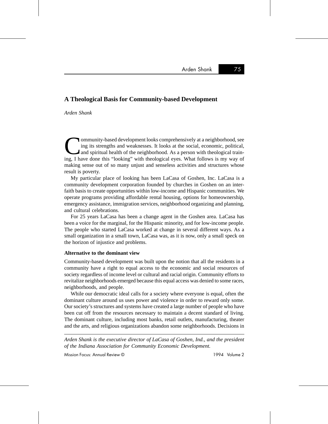# **A Theological Basis for Community-based Development**

*Arden Shank*

**Community-based development looks comprehensively at a neighborhood, see** ing its strengths and weaknesses. It looks at the social, economic, political, and spiritual health of the neighborhood. As a person with theologic ing its strengths and weaknesses. It looks at the social, economic, political, and spiritual health of the neighborhood. As a person with theological training, I have done this "looking" with theological eyes. What follows is my way of making sense out of so many unjust and senseless activities and structures whose result is poverty.

My particular place of looking has been LaCasa of Goshen, Inc. LaCasa is a community development corporation founded by churches in Goshen on an interfaith basis to create opportunities within low-income and Hispanic communities. We operate programs providing affordable rental housing, options for homeownership, emergency assistance, immigration services, neighborhood organizing and planning, and cultural celebrations.

For 25 years LaCasa has been a change agent in the Goshen area. LaCasa has been a voice for the marginal, for the Hispanic minority, and for low-income people. The people who started LaCasa worked at change in several different ways. As a small organization in a small town, LaCasa was, as it is now, only a small speck on the horizon of injustice and problems.

#### **Alternative to the dominant view**

Community-based development was built upon the notion that all the residents in a community have a right to equal access to the economic and social resources of society regardless of income level or cultural and racial origin. Community efforts to revitalize neighborhoods emerged because this equal access was denied to some races, neighborhoods, and people.

While our democratic ideal calls for a society where everyone is equal, often the dominant culture around us uses power and violence in order to reward only some. Our society's structures and systems have created a large number of people who have been cut off from the resources necessary to maintain a decent standard of living. The dominant culture, including most banks, retail outlets, manufacturing, theater and the arts, and religious organizations abandon some neighborhoods. Decisions in

*Arden Shank is the executive director of LaCasa of Goshen, Ind., and the president of the Indiana Association for Community Economic Development.*

Mission Focus: Annual Review © 1994 Volume 2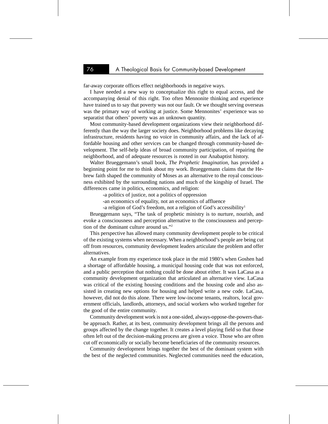far-away corporate offices effect neighborhoods in negative ways.

I have needed a new way to conceptualize this right to equal access, and the accompanying denial of this right. Too often Mennonite thinking and experience have trained us to say that poverty was not our fault. Or we thought serving overseas was the primary way of working at justice. Some Mennonites' experience was so separatist that others' poverty was an unknown quantity.

Most community-based development organizations view their neighborhood differently than the way the larger society does. Neighborhood problems like decaying infrastructure, residents having no voice in community affairs, and the lack of affordable housing and other services can be changed through community-based development. The self-help ideas of broad community participation, of repairing the neighborhood, and of adequate resources is rooted in our Anabaptist history.

Walter Brueggemann's small book, *The Prophetic Imagination,* has provided a beginning point for me to think about my work. Brueggemann claims that the Hebrew faith shaped the community of Moses as an alternative to the royal consciousness exhibited by the surrounding nations and much of the kingship of Israel. The differences came in politics, economics, and religion:

-a politics of justice, not a politics of oppression

-an economics of equality, not an economics of affluence

-a religion of God's freedom, not a religion of God's accessibility<sup>1</sup>

Brueggemann says, "The task of prophetic ministry is to nurture, nourish, and evoke a consciousness and perception alternative to the consciousness and perception of the dominant culture around us."2

This perspective has allowed many community development people to be critical of the existing systems when necessary. When a neighborhood's people are being cut off from resources, community development leaders articulate the problem and offer alternatives.

An example from my experience took place in the mid 1980's when Goshen had a shortage of affordable housing, a municipal housing code that was not enforced, and a public perception that nothing could be done about either. It was LaCasa as a community development organization that articulated an alternative view. LaCasa was critical of the existing housing conditions and the housing code and also assisted in creating new options for housing and helped write a new code. LaCasa, however, did not do this alone. There were low-income tenants, realtors, local government officials, landlords, attorneys, and social workers who worked together for the good of the entire community.

Community development work is not a one-sided, always-oppose-the-powers-thatbe approach. Rather, at its best, community development brings all the persons and groups affected by the change together. It creates a level playing field so that those often left out of the decision-making process are given a voice. Those who are often cut off economically or socially become beneficiaries of the community resources.

Community development brings together the best of the dominant system with the best of the neglected communities. Neglected communities need the education,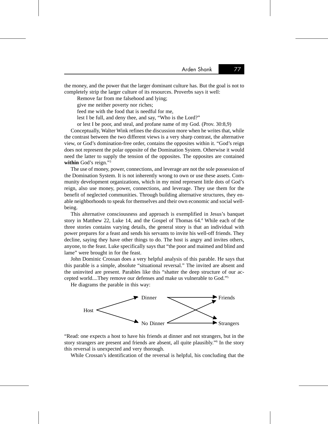the money, and the power that the larger dominant culture has. But the goal is not to completely strip the larger culture of its resources. Proverbs says it well:

Remove far from me falsehood and lying;

give me neither poverty nor riches;

feed me with the food that is needful for me,

lest I be full, and deny thee, and say, "Who is the Lord?"

or lest I be poor, and steal, and profane name of my God. (Prov. 30:8,9)

Conceptually, Walter Wink refines the discussion more when he writes that, while the contrast between the two different views is a very sharp contrast, the alternative view, or God's domination-free order, contains the opposites within it. "God's reign does not represent the polar opposite of the Domination System. Otherwise it would need the latter to supply the tension of the opposites. The opposites are contained **within** God's reign."3

The use of money, power, connections, and leverage are not the sole possession of the Domination System. It is not inherently wrong to own or use these assets. Community development organizations, which in my mind represent little dots of God's reign, also use money, power, connections, and leverage. They use them for the benefit of neglected communities. Through building alternative structures, they enable neighborhoods to speak for themselves and their own economic and social wellbeing.

This alternative consciousness and approach is exemplified in Jesus's banquet story in Matthew 22, Luke 14, and the Gospel of Thomas 64.4 While each of the three stories contains varying details, the general story is that an individual with power prepares for a feast and sends his servants to invite his well-off friends. They decline, saying they have other things to do. The host is angry and invites others, anyone, to the feast. Luke specifically says that "the poor and maimed and blind and lame" were brought in for the feast.

John Dominic Crossan does a very helpful analysis of this parable. He says that this parable is a simple, absolute "situational reversal." The invited are absent and the uninvited are present. Parables like this "shatter the deep structure of our accepted world....They remove our defenses and make us vulnerable to God."5

He diagrams the parable in this way:



"Read: one expects a host to have his friends at dinner and not strangers, but in the story strangers are present and friends are absent, all quite plausibly."6 In the story this reversal is unexpected and very thorough.

While Crossan's identification of the reversal is helpful, his concluding that the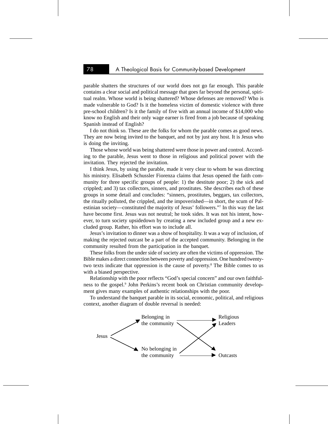parable shatters the structures of our world does not go far enough. This parable contains a clear social and political message that goes far beyond the personal, spiritual realm. Whose world is being shattered? Whose defenses are removed? Who is made vulnerable to God? Is it the homeless victim of domestic violence with three pre-school children? Is it the family of five with an annual income of \$14,000 who know no English and their only wage earner is fired from a job because of speaking Spanish instead of English?

I do not think so. These are the folks for whom the parable comes as good news. They are now being invited to the banquet, and not by just any host. It is Jesus who is doing the inviting.

Those whose world was being shattered were those in power and control. According to the parable, Jesus went to those in religious and political power with the invitation. They rejected the invitation.

I think Jesus, by using the parable, made it very clear to whom he was directing his ministry. Elisabeth Schussler Fiorenza claims that Jesus opened the faith community for three specific groups of people: 1) the destitute poor; 2) the sick and crippled; and 3) tax collectors, sinners, and prostitutes. She describes each of these groups in some detail and concludes: "sinners, prostitutes, beggars, tax collectors, the ritually polluted, the crippled, and the impoverished—in short, the scum of Palestinian society—constituted the majority of Jesus' followers."7 In this way the last have become first. Jesus was not neutral; he took sides. It was not his intent, however, to turn society upsidedown by creating a new included group and a new excluded group. Rather, his effort was to include all.

Jesus's invitation to dinner was a show of hospitality. It was a way of inclusion, of making the rejected outcast be a part of the accepted community. Belonging in the community resulted from the participation in the banquet.

These folks from the under side of society are often the victims of oppression. The Bible makes a direct connection between poverty and oppression. One hundred twentytwo texts indicate that oppression is the cause of poverty.<sup>8</sup> The Bible comes to us with a biased perspective.

Relationship with the poor reflects "God's special concern" and our own faithfulness to the gospel.<sup>9</sup> John Perkins's recent book on Christian community development gives many examples of authentic relationships with the poor.

To understand the banquet parable in its social, economic, political, and religious context, another diagram of double reversal is needed:

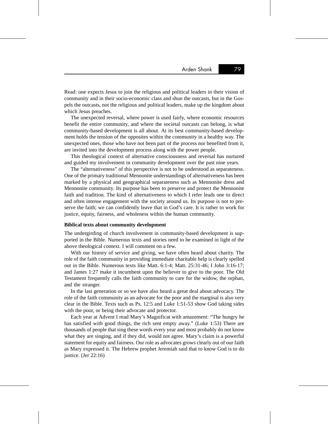Arden Shank 79

Read: one expects Jesus to join the religious and political leaders in their vision of community and in their socio-economic class and shun the outcasts, but in the Gospels the outcasts, not the religious and political leaders, make up the kingdom about which Jesus preaches.

The unexpected reversal, where power is used fairly, where economic resources benefit the entire community, and where the societal outcasts can belong, is what community-based development is all about. At its best community-based development holds the tension of the opposites within the community in a healthy way. The unexpected ones, those who have not been part of the process nor benefited from it, are invited into the development process along with the power people.

This theological context of alternative consciousness and reversal has nurtured and guided my involvement in community development over the past nine years.

The "alternativeness" of this perspective is not to be understood as separateness. One of the primary traditional Mennonite understandings of alternativeness has been marked by a physical and geographical separateness such as Mennonite dress and Mennonite community. Its purpose has been to preserve and protect the Mennonite faith and tradition. The kind of alternativeness to which I refer leads one to direct and often intense engagement with the society around us. Its purpose is not to preserve the faith; we can confidently leave that in God's care. It is rather to work for justice, equity, fairness, and wholeness within the human community.

#### **Biblical texts about community development**

The undergirding of church involvement in community-based development is supported in the Bible. Numerous texts and stories need to be examined in light of the above theological context. I will comment on a few.

With our history of service and giving, we have often heard about charity. The role of the faith community in providing immediate charitable help is clearly spelled out in the Bible. Numerous texts like Matt. 6:1-4; Matt. 25:31-46; I John 3:16-17; and James 1:27 make it incumbent upon the believer to give to the poor. The Old Testament frequently calls the faith community to care for the widow, the orphan, and the stranger.

In the last generation or so we have also heard a great deal about advocacy. The role of the faith community as an advocate for the poor and the marginal is also very clear in the Bible. Texts such as Ps. 12:5 and Luke 1:51-53 show God taking sides with the poor, or being their advocate and protector.

Each year at Advent I read Mary's Magnificat with amazement: "The hungry he has satisfied with good things, the rich sent empty away." (Luke 1:53) There are thousands of people that sing these words every year and most probably do not know what they are singing, and if they did, would not agree. Mary's claim is a powerful statement for equity and fairness. Our role as advocates grows clearly out of our faith as Mary expressed it. The Hebrew prophet Jeremiah said that to know God is to do justice. (Jer 22:16)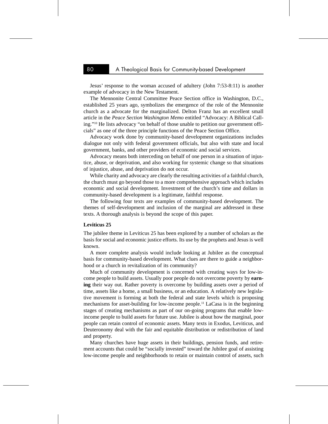Jesus' response to the woman accused of adultery (John 7:53-8:11) is another example of advocacy in the New Testament.

The Mennonite Central Committee Peace Section office in Washington, D.C., established 25 years ago, symbolizes the emergence of the role of the Mennonite church as a advocate for the marginalized. Delton Franz has an excellent small article in the *Peace Section Washington Memo* entitled "Advocacy: A Biblical Calling."10 He lists advocacy "on behalf of those unable to petition our government officials" as one of the three principle functions of the Peace Section Office.

Advocacy work done by community-based development organizations includes dialogue not only with federal government officials, but also with state and local government, banks, and other providers of economic and social services.

Advocacy means both interceding on behalf of one person in a situation of injustice, abuse, or deprivation, and also working for systemic change so that situations of injustice, abuse, and deprivation do not occur.

While charity and advocacy are clearly the resulting activities of a faithful church, the church must go beyond those to a more comprehensive approach which includes economic and social development. Investment of the church's time and dollars in community-based development is a legitimate, faithful response.

The following four texts are examples of community-based development. The themes of self-development and inclusion of the marginal are addressed in these texts. A thorough analysis is beyond the scope of this paper.

#### **Leviticus 25**

The jubilee theme in Leviticus 25 has been explored by a number of scholars as the basis for social and economic justice efforts. Its use by the prophets and Jesus is well known.

A more complete analysis would include looking at Jubilee as the conceptual basis for community-based development. What clues are there to guide a neighborhood or a church in revitalization of its community?

Much of community development is concerned with creating ways for low-income people to build assets. Usually poor people do not overcome poverty by **earning** their way out. Rather poverty is overcome by building assets over a period of time, assets like a home, a small business, or an education. A relatively new legislative movement is forming at both the federal and state levels which is proposing mechanisms for asset-building for low-income people.<sup>11</sup> LaCasa is in the beginning stages of creating mechanisms as part of our on-going programs that enable lowincome people to build assets for future use. Jubilee is about how the marginal, poor people can retain control of economic assets. Many texts in Exodus, Leviticus, and Deuteronomy deal with the fair and equitable distribution or redistribution of land and property.

Many churches have huge assets in their buildings, pension funds, and retirement accounts that could be "socially invested" toward the Jubilee goal of assisting low-income people and neighborhoods to retain or maintain control of assets, such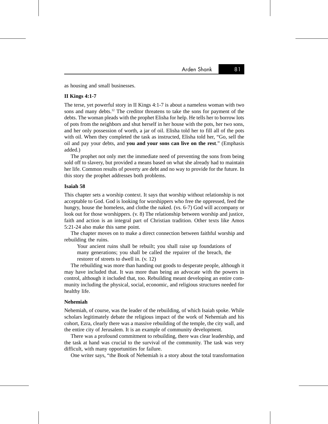as housing and small businesses.

# **II Kings 4:1-7**

The terse, yet powerful story in II Kings 4:1-7 is about a nameless woman with two sons and many debts.<sup>12</sup> The creditor threatens to take the sons for payment of the debts. The woman pleads with the prophet Elisha for help. He tells her to borrow lots of pots from the neighbors and shut herself in her house with the pots, her two sons, and her only possession of worth, a jar of oil. Elisha told her to fill all of the pots with oil. When they completed the task as instructed, Elisha told her, "Go, sell the oil and pay your debts, and **you and your sons can live on the rest**." (Emphasis added.)

The prophet not only met the immediate need of preventing the sons from being sold off to slavery, but provided a means based on what she already had to maintain her life. Common results of poverty are debt and no way to provide for the future. In this story the prophet addresses both problems.

# **Isaiah 58**

This chapter sets a worship context. It says that worship without relationship is not acceptable to God. God is looking for worshippers who free the oppressed, feed the hungry, house the homeless, and clothe the naked. (vs. 6-7) God will accompany or look out for those worshippers. (v. 8) The relationship between worship and justice, faith and action is an integral part of Christian tradition. Other texts like Amos 5:21-24 also make this same point.

The chapter moves on to make a direct connection between faithful worship and rebuilding the ruins.

Your ancient ruins shall be rebuilt; you shall raise up foundations of many generations; you shall be called the repairer of the breach, the restorer of streets to dwell in. (v. 12)

The rebuilding was more than handing out goods to desperate people, although it may have included that. It was more than being an advocate with the powers in control, although it included that, too. Rebuilding meant developing an entire community including the physical, social, economic, and religious structures needed for healthy life.

#### **Nehemiah**

Nehemiah, of course, was the leader of the rebuilding, of which Isaiah spoke. While scholars legitimately debate the religious impact of the work of Nehemiah and his cohort, Ezra, clearly there was a massive rebuilding of the temple, the city wall, and the entire city of Jerusalem. It is an example of community development.

There was a profound commitment to rebuilding, there was clear leadership, and the task at hand was crucial to the survival of the community. The task was very difficult, with many opportunities for failure.

One writer says, "the Book of Nehemiah is a story about the total transformation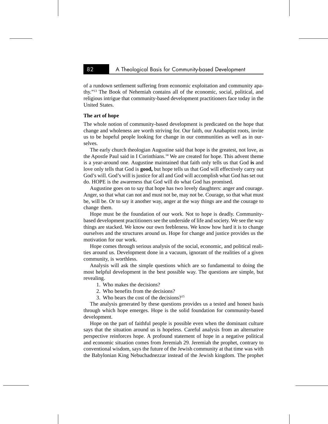of a rundown settlement suffering from economic exploitation and community apathy."13 The Book of Nehemiah contains all of the economic, social, political, and religious intrigue that community-based development practitioners face today in the United States.

#### **The art of hope**

The whole notion of community-based development is predicated on the hope that change and wholeness are worth striving for. Our faith, our Anabaptist roots, invite us to be hopeful people looking for change in our communities as well as in ourselves.

The early church theologian Augustine said that hope is the greatest, not love, as the Apostle Paul said in I Corinthians.14 We are created for hope. This advent theme is a year-around one. Augustine maintained that faith only tells us that God **is** and love only tells that God is **good,** but hope tells us that God will effectively carry out God's will. God's will is justice for all and God will accomplish what God has set out do. HOPE is the awareness that God will do what God has promised.

Augustine goes on to say that hope has two lovely daughters: anger and courage. Anger, so that what can not and must not be, may not be. Courage, so that what must be, will be. Or to say it another way, anger at the way things are and the courage to change them.

Hope must be the foundation of our work. Not to hope is deadly. Communitybased development practitioners see the underside of life and society. We see the way things are stacked. We know our own feebleness. We know how hard it is to change ourselves and the structures around us. Hope for change and justice provides us the motivation for our work.

Hope comes through serious analysis of the social, economic, and political realities around us. Development done in a vacuum, ignorant of the realities of a given community, is worthless.

Analysis will ask the simple questions which are so fundamental to doing the most helpful development in the best possible way. The questions are simple, but revealing.

- 1. Who makes the decisions?
- 2. Who benefits from the decisions?
- 3. Who bears the cost of the decisions?15

The analysis generated by these questions provides us a tested and honest basis through which hope emerges. Hope is the solid foundation for community-based development.

Hope on the part of faithful people is possible even when the dominant culture says that the situation around us is hopeless. Careful analysis from an alternative perspective reinforces hope. A profound statement of hope in a negative political and economic situation comes from Jeremiah 29. Jeremiah the prophet, contrary to conventional wisdom, says the future of the Jewish community at that time was with the Babylonian King Nebuchadnezzar instead of the Jewish kingdom. The prophet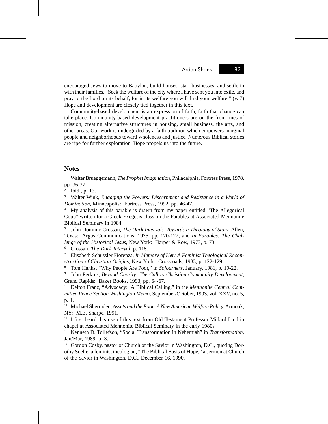Arden Shank 83

encouraged Jews to move to Babylon, build houses, start businesses, and settle in with their families. "Seek the welfare of the city where I have sent you into exile, and pray to the Lord on its behalf, for in its welfare you will find your welfare." (v. 7) Hope and development are closely tied together in this text.

Community-based development is an expression of faith, faith that change can take place. Community-based development practitioners are on the front-lines of mission, creating alternative structures in housing, small business, the arts, and other areas. Our work is undergirded by a faith tradition which empowers marginal people and neighborhoods toward wholeness and justice. Numerous Biblical stories are ripe for further exploration. Hope propels us into the future.

# **Notes**

<sup>1</sup> Walter Brueggemann, *The Prophet Imagination*, Philadelphia, Fortress Press, 1978, pp. 36-37.

<sup>2</sup> Ibid., p. 13.

<sup>3</sup> Walter Wink, *Engaging the Powers: Discernment and Resistance in a World of Domination*, Minneapolis: Fortress Press, 1992, pp. 46-47.

<sup>4</sup> My analysis of this parable is drawn from my paper entitled "The Allegorical Coup" written for a Greek Exegesis class on the Parables at Associated Mennonite Biblical Seminary in 1984.

<sup>5</sup> John Dominic Crossan, *The Dark Interval: Towards a Theology of Story,* Allen, Texas: Argus Communications, 1975, pp. 120-122, and *In Parables: The Challenge of the Historical Jesus*, New York: Harper & Row, 1973, p. 73.

<sup>6</sup> Crossan, *The Dark Interval*, p. 118.

<sup>7</sup> Elisabeth Schussler Fiorenza, *In Memory of Her: A Feminist Theological Reconstruction of Christian Origins*, New York: Crossroads, 1983, p. 122-129.

<sup>8</sup> Tom Hanks, "Why People Are Poor," in *Sojourners*, January, 1981, p. 19-22.

<sup>9</sup> John Perkins, *Beyond Charity: The Call to Christian Community Development*, Grand Rapids: Baker Books, 1993, pp. 64-67.

<sup>10</sup> Delton Franz, "Advocacy: A Biblical Calling," in the *Mennonite Central Committee Peace Section Washington Memo,* September/October, 1993, vol. XXV, no. 5, p. 1.

<sup>11</sup> Michael Sherraden, *Assets and the Poor: A New American Welfare Policy*, Armonk, NY: M.E. Sharpe, 1991.

 $12$  I first heard this use of this text from Old Testament Professor Millard Lind in chapel at Associated Mennonite Biblical Seminary in the early 1980s.

<sup>13</sup> Kenneth D. Tollefson, "Social Transformation in Nehemiah" in *Transformation*, Jan/Mar, 1989, p. 3.

<sup>14</sup> Gordon Cosby, pastor of Church of the Savior in Washington, D.C., quoting Dorothy Soelle, a feminist theologian, "The Biblical Basis of Hope," a sermon at Church of the Savior in Washington, D.C., December 16, 1990.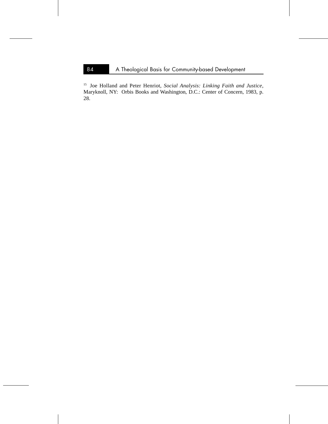<sup>15</sup> Joe Holland and Peter Henriot, *Social Analysis: Linking Faith and Justice*, Maryknoll, NY: Orbis Books and Washington, D.C.: Center of Concern, 1983, p. 28.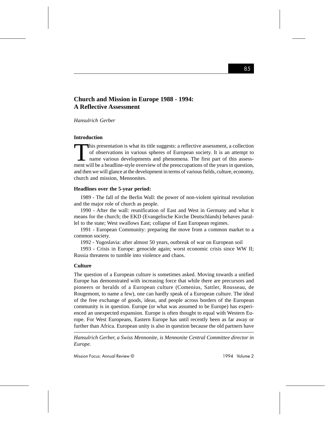# **Church and Mission in Europe 1988 - 1994: A Reflective Assessment**

*Hansulrich Gerber*

#### **Introduction**

This presentation is what its title suggests: a reflective assessment, a collection of observations in various spheres of European society. It is an attempt to name various developments and phenomena. The first part of this assessment will be a headline-style overview of the preoccupations of the years in question, and then we will glance at the development in terms of various fields, culture, economy, church and mission, Mennonites.

## **Headlines over the 5-year period:**

1989 - The fall of the Berlin Wall: the power of non-violent spiritual revolution and the major role of church as people.

1990 - After the wall: reunification of East and West in Germany and what it means for the church; the EKD (Evangelische Kirche Deutschlands) behaves parallel to the state; West swallows East; collapse of East European regimes.

1991 - European Community: preparing the move from a common market to a common society.

1992 - Yugoslavia: after almost 50 years, outbreak of war on European soil

1993 - Crisis in Europe: genocide again; worst economic crisis since WW II; Russia threatens to tumble into violence and chaos.

## **Culture**

The question of a European culture is sometimes asked. Moving towards a unified Europe has demonstrated with increasing force that while there are precursors and pioneers or heralds of a European culture (Comenius, Sattler, Rousseau, de Rougemont, to name a few), one can hardly speak of a European culture. The ideal of the free exchange of goods, ideas, and people across borders of the European community is in question. Europe (or what was assumed to be Europe) has experienced an unexpected expansion. Europe is often thought to equal with Western Europe. For West Europeans, Eastern Europe has until recently been as far away or further than Africa. European unity is also in question because the old partners have

*Hansulrich Gerber, a Swiss Mennonite, is Mennonite Central Committee director in Europe.*

Mission Focus: Annual Review © 1994 Volume 2

Hansulrich Gerber 85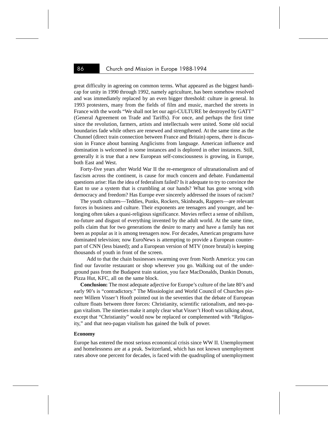great difficulty in agreeing on common terms. What appeared as the biggest handicap for unity in 1990 through 1992, namely agriculture, has been somehow resolved and was immediately replaced by an even bigger threshold: culture in general. In 1993 protesters, many from the fields of film and music, marched the streets in France with the words "We shall not let our agri-CULTURE be destroyed by GATT" (General Agreement on Trade and Tariffs). For once, and perhaps the first time since the revolution, farmers, artists and intellectuals were united. Some old social boundaries fade while others are renewed and strengthened. At the same time as the Chunnel (direct train connection between France and Britain) opens, there is discussion in France about banning Anglicisms from language. American influence and domination is welcomed in some instances and is deplored in other instances. Still, generally it is true that a new European self-consciousness is growing, in Europe, both East and West.

Forty-five years after World War II the re-emergence of ultranationalism and of fascism across the continent, is cause for much concern and debate. Fundamental questions arise: Has the idea of federalism failed? Is it adequate to try to convince the East to use a system that is crumbling at our hands? What has gone wrong with democracy and freedom? Has Europe ever sincerely addressed the issues of racism?

The youth cultures—Teddies, Punks, Rockers, Skinheads, Rappers—are relevant forces in business and culture. Their exponents are teenagers and younger, and belonging often takes a quasi-religious significance. Movies reflect a sense of nihilism, no-future and disgust of everything invented by the adult world. At the same time, polls claim that for two generations the desire to marry and have a family has not been as popular as it is among teenagers now. For decades, American programs have dominated television; now EuroNews is attempting to provide a European counterpart of CNN (less biased); and a European version of MTV (more brutal) is keeping thousands of youth in front of the screen.

Add to that the chain businesses swarming over from North America: you can find our favorite restaurant or shop wherever you go. Walking out of the underground pass from the Budapest train station, you face MacDonalds, Dunkin Donuts, Pizza Hut, KFC, all on the same block.

**Conclusion:** The most adequate adjective for Europe's culture of the late 80's and early 90's is "contradictory." The Missiologist and World Council of Churches pioneer Willem Visser't Hooft pointed out in the seventies that the debate of European culture floats between three forces: Christianity, scientific rationalism, and neo-pagan vitalism. The nineties make it amply clear what Visser't Hooft was talking about, except that "Christianity" would now be replaced or complemented with "Religiosity," and that neo-pagan vitalism has gained the bulk of power.

#### **Economy**

Europe has entered the most serious economical crisis since WW II. Unemployment and homelessness are at a peak. Switzerland, which has not known unemployment rates above one percent for decades, is faced with the quadrupling of unemployment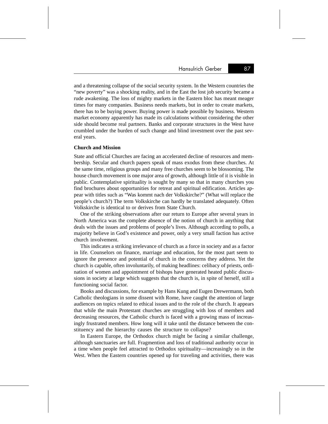Hansulrich Gerber 87

and a threatening collapse of the social security system. In the Western countries the "new poverty" was a shocking reality, and in the East the lost job security became a rude awakening. The loss of mighty markets in the Eastern bloc has meant meager times for many companies. Business needs markets, but in order to create markets, there has to be buying power. Buying power is made possible by business. Western market economy apparently has made its calculations without considering the other side should become real partners. Banks and corporate structures in the West have crumbled under the burden of such change and blind investment over the past several years.

#### **Church and Mission**

State and official Churches are facing an accelerated decline of resources and membership. Secular and church papers speak of mass exodus from these churches. At the same time, religious groups and many free churches seem to be blossoming. The house church movement is one major area of growth, although little of it is visible in public. Contemplative spirituality is sought by many so that in many churches you find brochures about opportunities for retreat and spiritual edification. Articles appear with titles such as "Was kommt nach der Volkskirche?" (What will replace the people's church?) The term Volkskirche can hardly be translated adequately. Often Volkskirche is identical to or derives from State Church.

One of the striking observations after our return to Europe after several years in North America was the complete absence of the notion of church in anything that deals with the issues and problems of people's lives. Although according to polls, a majority believe in God's existence and power, only a very small faction has active church involvement.

This indicates a striking irrelevance of church as a force in society and as a factor in life. Counselors on finance, marriage and education, for the most part seem to ignore the presence and potential of church in the concerns they address. Yet the church is capable, often involuntarily, of making headlines: celibacy of priests, ordination of women and appointment of bishops have generated heated public discussions in society at large which suggests that the church is, in spite of herself, still a functioning social factor.

Books and discussions, for example by Hans Kung and Eugen Drewermann, both Catholic theologians in some dissent with Rome, have caught the attention of large audiences on topics related to ethical issues and to the role of the church. It appears that while the main Protestant churches are struggling with loss of members and decreasing resources, the Catholic church is faced with a growing mass of increasingly frustrated members. How long will it take until the distance between the constituency and the hierarchy causes the structure to collapse?

In Eastern Europe, the Orthodox church might be facing a similar challenge, although sanctuaries are full. Fragmention and loss of traditional authority occur in a time when people feel attracted to Orthodox spirituality—increasingly so in the West. When the Eastern countries opened up for traveling and activities, there was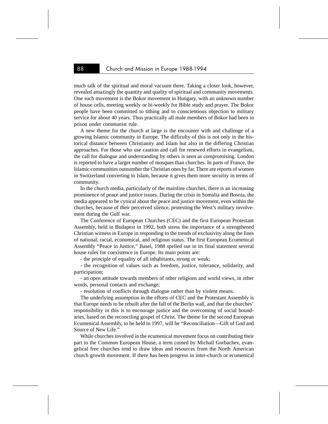much talk of the spiritual and moral vacuum there. Taking a closer look, however, revealed amazingly the quantity and quality of spiritual and community movements. One such movement is the Bokor movement in Hungary, with an unknown number of house cells, meeting weekly or bi-weekly for Bible study and prayer. The Bokor people have been committed to tithing and to conscientious objection to military service for about 40 years. Thus practically all male members of Bokor had been in prison under communist rule.

A new theme for the church at large is the encounter with and challenge of a growing Islamic community in Europe. The difficulty of this is not only in the historical distance between Christianity and Islam but also in the differing Christian approaches. For those who use caution and call for renewed efforts in evangelism, the call for dialogue and understanding by others is seen as compromising. London is reported to have a larger number of mosques than churches. In parts of France, the Islamic communities outnumber the Christian ones by far. There are reports of women in Switzerland converting to Islam, because it gives them more security in terms of community.

In the church media, particularly of the mainline churches, there is an increasing prominence of peace and justice issues. During the crisis in Somalia and Bosnia, the media appeared to be cynical about the peace and justice movement, even within the churches, because of their perceived silence, protesting the West's military involvement during the Gulf war.

The Conference of European Churches (CEC) and the first European Protestant Assembly, held in Budapest in 1992, both stress the importance of a strengthened Christian witness in Europe in responding to the trends of exclusivity along the lines of national, racial, economical, and religious status. The first European Ecumenical Assembly "Peace in Justice," Basel, 1988 spelled out in its final statement several house rules for coexistence in Europe. Its main points are:

- the principle of equality of all inhabitants, strong or weak;

- the recognition of values such as freedom, justice, tolerance, solidarity, and participation;

- an open attitude towards members of other religions and world views, in other words, personal contacts and exchange;

- resolution of conflicts through dialogue rather than by violent means.

The underlying assumption in the efforts of CEC and the Protestant Assembly is that Europe needs to be rebuilt after the fall of the Berlin wall, and that the churches' responsibility in this is to encourage justice and the overcoming of social boundaries, based on the reconciling gospel of Christ. The theme for the second European Ecumenical Assembly, to be held in 1997, will be "Reconciliation—Gift of God and Source of New Life."

While churches involved in the ecumenical movement focus on contributing their part to the Common European House, a term coined by Michail Gorbachev, evangelical free churches tend to draw ideas and resources from the North American church growth movement. If there has been progress in inter-church or ecumenical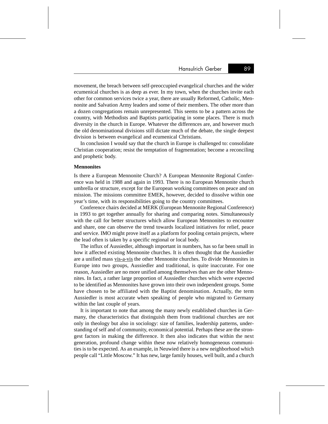Hansulrich Gerber 89

movement, the breach between self-preoccupied evangelical churches and the wider ecumenical churches is as deep as ever. In my town, when the churches invite each other for common services twice a year, there are usually Reformed, Catholic, Mennonite and Salvation Army leaders and some of their members. The other more than a dozen congregations remain unrepresented. This seems to be a pattern across the country, with Methodists and Baptists participating in some places. There is much diversity in the church in Europe. Whatever the differences are, and however much the old denominational divisions still dictate much of the debate, the single deepest division is between evangelical and ecumenical Christians.

In conclusion I would say that the church in Europe is challenged to: consolidate Christian cooperation; resist the temptation of fragmentation; become a reconciling and prophetic body.

### **Mennonites**

Is there a European Mennonite Church? A European Mennonite Regional Conference was held in 1988 and again in 1993. There is no European Mennonite church umbrella or structure, except for the European working committees on peace and on mission. The missions committee EMEK, however, decided to dissolve within one year's time, with its responsibilities going to the country committees.

Conference chairs decided at MERK (European Mennonite Regional Conference) in 1993 to get together annually for sharing and comparing notes. Simultaneously with the call for better structures which allow European Mennonites to encounter and share, one can observe the trend towards localized initiatives for relief, peace and service. IMO might prove itself as a platform for pooling certain projects, where the lead often is taken by a specific regional or local body.

The influx of Aussiedler, although important in numbers, has so far been small in how it affected existing Mennonite churches. It is often thought that the Aussiedler are a unified mass vis-a-vis the other Mennonite churches. To divide Mennonites in Europe into two groups, Aussiedler and traditional, is quite inaccurate. For one reason, Aussiedler are no more unified among themselves than are the other Mennonites. In fact, a rather large proportion of Aussiedler churches which were expected to be identified as Mennonites have grown into their own independent groups. Some have chosen to be affiliated with the Baptist denomination. Actually, the term Aussiedler is most accurate when speaking of people who migrated to Germany within the last couple of years.

It is important to note that among the many newly established churches in Germany, the characteristics that distinguish them from traditional churches are not only in theology but also in sociology: size of families, leadership patterns, understanding of self and of community, economical potential. Perhaps these are the strongest factors in making the difference. It then also indicates that within the next generation, profound change within these now relatively homogeneous communities is to be expected. As an example, in Neuwied there is a new neighborhood which people call "Little Moscow." It has new, large family houses, well built, and a church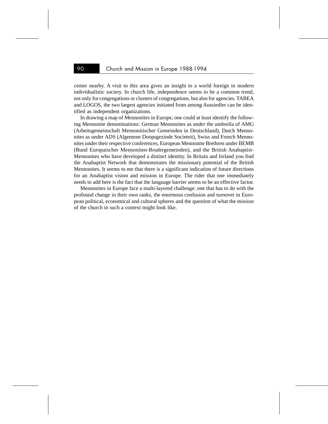center nearby. A visit to this area gives an insight to a world foreign in modern individualistic society. In church life, independence seems to be a common trend, not only for congregations or clusters of congregations, but also for agencies. TABEA and LOGOS, the two largest agencies initiated from among Aussiedler can be identified as independent organizations.

In drawing a map of Mennonites in Europe, one could at least identify the following Mennonite denominations: German Mennonites as under the umbrella of AMG (Arbeitsgemeinschaft Mennonitischer Gemeinden in Deutschland), Dutch Mennonites as under ADS (Algemene Doopsgezinde Societeit), Swiss and French Mennonites under their respective conferences, European Mennonite Brethren under BEMB (Bund Europaischer Mennoniten-Brudergemeinden), and the British Anabaptist-Mennonites who have developed a distinct identity. In Britain and Ireland you find the Anabaptist Network that demonstrates the missionary potential of the British Mennonites. It seems to me that there is a significant indication of future directions for an Anabaptist vision and mission in Europe. The rider that one immediately needs to add here is the fact that the language barrier seems to be an effective factor.

Mennonites in Europe face a multi-layered challenge: one that has to do with the profound change in their own ranks, the enormous confusion and turnover in European political, economical and cultural spheres and the question of what the mission of the church in such a context might look like.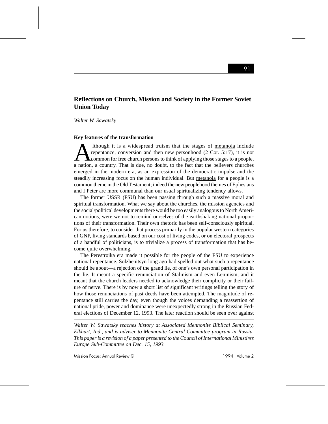# **Reflections on Church, Mission and Society in the Former Soviet Union Today**

*Walter W. Sawatsky*

#### **Key features of the transformation**

Ithough it is a widespread truism that the stages of <u>metanoia</u> include<br>repentance, conversion and then new personhood (2 Cor. 5:17), it is not<br>common for free church persons to think of applying those stages to a people,<br> repentance, conversion and then new personhood (2 Cor. 5:17), it is not common for free church persons to think of applying those stages to a people, a nation, a country. That is due, no doubt, to the fact that the believers churches emerged in the modern era, as an expression of the democratic impulse and the steadily increasing focus on the human individual. But metanoia for a people is a common theme in the Old Testament; indeed the new peoplehood themes of Ephesians and I Peter are more communal than our usual spiritualizing tendency allows.

The former USSR (FSU) has been passing through such a massive moral and spiritual transformation. What we say about the churches, the mission agencies and the social/political developments there would be too easily analogous to North American notions, were we not to remind ourselves of the earthshaking national proportions of their transformation. Their own rhetoric has been self-consciously spiritual. For us therefore, to consider that process primarily in the popular western categories of GNP, living standards based on our cost of living codes, or on electoral prospects of a handful of politicians, is to trivialize a process of transformation that has become quite overwhelming.

The Perestroika era made it possible for the people of the FSU to experience national repentance. Solzhenitsyn long ago had spelled out what such a repentance should be about—a rejection of the grand lie, of one's own personal participation in the lie. It meant a specific renunciation of Stalinism and even Leninism, and it meant that the church leaders needed to acknowledge their complicity or their failure of nerve. There is by now a short list of significant writings telling the story of how those renunciations of past deeds have been attempted. The magnitude of repentance still carries the day, even though the voices demanding a reassertion of national pride, power and dominance were unexpectedly strong in the Russian Federal elections of December 12, 1993. The later reaction should be seen over against

*Walter W. Sawatsky teaches history at Associated Mennonite Biblical Seminary, Elkhart, Ind., and is adviser to Mennonite Central Committee program in Russia. This paper is a revision of a paper presented to the Council of International Ministires Europe Sub-Committee on Dec. 15, 1993.*

Mission Focus: Annual Review © 1994 Volume 2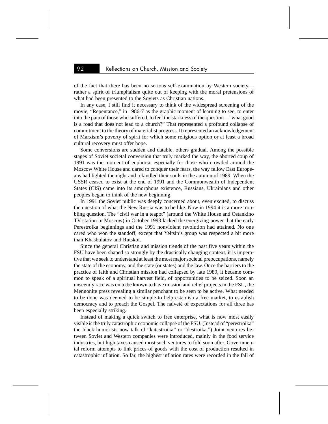of the fact that there has been no serious self-examination by Western society rather a spirit of triumphalism quite out of keeping with the moral pretensions of what had been presented to the Soviets as Christian nations.

In any case, I still find it necessary to think of the widespread screening of the movie, "Repentance," in 1986-7 as the graphic moment of learning to see, to enter into the pain of those who suffered, to feel the starkness of the question—"what good is a road that does not lead to a church?" That represented a profound collapse of commitment to the theory of materialist progress. It represented an acknowledgement of Marxism's poverty of spirit for which some religious option or at least a broad cultural recovery must offer hope.

Some conversions are sudden and datable, others gradual. Among the possible stages of Soviet societal conversion that truly marked the way, the aborted coup of 1991 was the moment of euphoria, especially for those who crowded around the Moscow White House and dared to conquer their fears, the way fellow East Europeans had lighted the night and rekindled their souls in the autumn of 1989. When the USSR ceased to exist at the end of 1991 and the Commonwealth of Independent States (CIS) came into its amorphous existence, Russians, Ukrainians and other peoples began to think of the new beginning.

In 1991 the Soviet public was deeply concerned about, even excited, to discuss the question of what the New Russia was to be like. Now in 1994 it is a more troubling question. The "civil war in a teapot" (around the White House and Ostankino TV station in Moscow) in October 1993 lacked the energizing power that the early Perestroika beginnings and the 1991 nonviolent revolution had attained. No one cared who won the standoff, except that Yeltsin's group was respected a bit more than Khasbulatov and Rutskoi.

Since the general Christian and mission trends of the past five years within the FSU have been shaped so strongly by the drastically changing context, it is imperative that we seek to understand at least the most major societal preoccupations, namely the state of the economy, and the state (or states) and the law. Once the barriers to the practice of faith and Christian mission had collapsed by late 1989, it became common to speak of a spiritual harvest field, of opportunities to be seized. Soon an unseemly race was on to be known to have mission and relief projects in the FSU, the Mennonite press revealing a similar penchant to be seen to be active. What needed to be done was deemed to be simple-to help establish a free market, to establish democracy and to preach the Gospel. The naiveté of expectations for all three has been especially striking.

Instead of making a quick switch to free enterprise, what is now most easily visible is the truly catastrophic economic collapse of the FSU. (Instead of "perestroika" the black humorists now talk of "katastroika" or "destroika.") Joint ventures between Soviet and Western companies were introduced, mainly in the food service industries, but high taxes caused most such ventures to fold soon after. Governmental reform attempts to link prices of goods with the cost of production resulted in catastrophic inflation. So far, the highest inflation rates were recorded in the fall of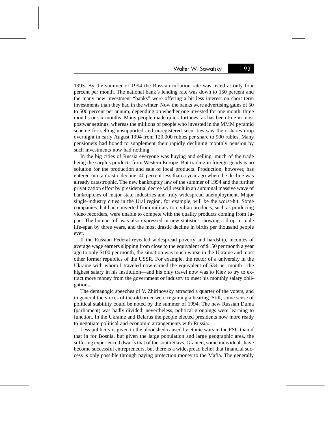Walter W. Sawatsky 193

1993. By the summer of 1994 the Russian inflation rate was listed at only four percent per month. The national bank's lending rate was down to 150 percent and the many new investment "banks" were offering a bit less interest on short term investments than they had in the winter. Now the banks were advertising gains of 50 to 500 percent per annum, depending on whether one invested for one month, three months or six months. Many people made quick fortunes, as has been true in most postwar settings, whereas the millions of people who invested in the MMM pyramid scheme for selling unsupported and unregistered securities saw their shares drop overnight in early August 1994 from 120,000 rubles per share to 900 rubles. Many pensioners had hoped to supplement their rapidly declining monthly pension by such investments now had nothing.

In the big cities of Russia everyone was buying and selling, much of the trade being the surplus products from Western Europe. But trading in foreign goods is no solution for the production and sale of local products. Production, however, has entered into a drastic decline, 40 percent less than a year ago when the decline was already catastrophic. The new bankruptcy law of the summer of 1994 and the further privatization effort by presidential decree will result in an autumnal massive wave of bankruptcies of major state industries and truly widespread unemployment. Major single-industry cities in the Ural region, for example, will be the worst-hit. Some companies that had converted from military to civilian products, such as producing video recorders, were unable to compete with the quality products coming from Japan. The human toll was also expressed in new statistics showing a drop in male life-span by three years, and the most drastic decline in births per thousand people ever.

If the Russian Federal revealed widespread poverty and hardship, incomes of average wage earners slipping from close to the equivalent of \$150 per month a year ago to only \$100 per month, the situation was much worse in the Ukraine and most other former republics of the USSR. For example, the rector of a university in the Ukraine with whom I traveled now earned the equivalent of \$34 per month—the highest salary in his institution—and his only travel now was to Kiev to try to extract more money from the government or industry to meet his monthly salary obligations.

The demagogic speeches of V. Zhirinovsky attracted a quarter of the voters, and in general the voices of the old order were regaining a hearing. Still, some sense of political stabiliity could be noted by the summer of 1994. The new Russian Duma (parliament) was badly divided; nevertheless, political groupings were learning to function. In the Ukraine and Belarus the people elected presidents now more ready to negotiate political and economic arrangements with Russia.

Less publicity is given to the bloodshed caused by ethnic wars in the FSU than if that in for Bosnia, but given the large population and large geographic area, the suffering experienced dwarfs that of the south Slavs. Granted, some individuals have become successful entrepreneurs, but there is a widespread belief that financial success is only possible through paying protection money to the Mafia. The generally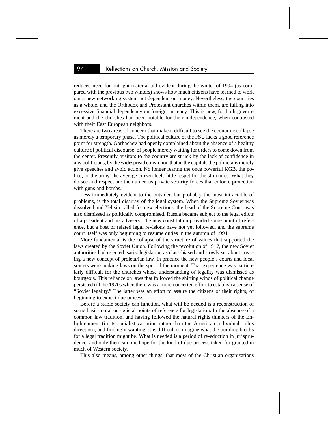reduced need for outright material aid evident during the winter of 1994 (as compared with the previous two winters) shows how much citizens have learned to work out a new networking system not dependent on money. Nevertheless, the countries as a whole, and the Orthodox and Protestant churches within them, are falling into excessive financial dependency on foreign currency. This is new, for both government and the churches had been notable for their independence, when contrasted with their East European neighbors.

There are two areas of concern that make it difficult to see the economic collapse as merely a temporary phase. The political culture of the FSU lacks a good reference point for strength. Gorbachev had openly complained about the absence of a healthy culture of political discourse, of people merely waiting for orders to come down from the center. Presently, visitors to the country are struck by the lack of confidence in any politicians, by the widespread conviction that in the capitals the politicians merely give speeches and avoid action. No longer fearing the once powerful KGB, the police, or the army, the average citizen feels little respct for the structures. What they do see and respect are the numerous private security forces that enforce protection with guns and bombs.

Less immediately evident to the outsider, but probably the most intractable of problems, is the total disarray of the legal system. When the Supreme Soviet was dissolved and Yeltsin called for new elections, the head of the Supreme Court was also dismissed as politically compromised. Russia became subject to the legal edicts of a president and his advisers. The new constitution provided some point of reference, but a host of related legal revisions have not yet followed, and the supreme court itself was only beginning to resume duties in the autumn of 1994.

More fundamental is the collapse of the structure of values that supported the laws created by the Soviet Union. Following the revolution of 1917, the new Soviet authorities had rejected tsarist legislation as class-biased and slowly set about creating a new concept of proletarian law. In practice the new people's courts and local soviets were making laws on the spur of the moment. That experience was particularly difficult for the churches whose understanding of legality was dismissed as bourgeois. This reliance on laws that followed the shifting winds of political change persisted till the 1970s when there was a more concerted effort to establish a sense of "Soviet legality." The latter was an effort to assure the citizens of their rights, of beginning to expect due process.

Before a stable society can function, what will be needed is a reconstruction of some basic moral or societal points of reference for legislation. In the absence of a common law tradition, and having followed the natural rights thinkers of the Enlightenment (in its socialist variation rather than the American individual rights direction), and finding it wanting, it is difficult to imagine what the building blocks for a legal tradition might be. What is needed is a period of re-eduction in jurisprudence, and only then can one hope for the kind of due process taken for granted in much of Western society.

This also means, among other things, that most of the Christian organizations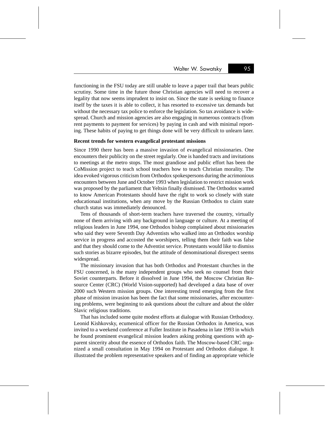Walter W. Sawatsky 195

functioning in the FSU today are still unable to leave a paper trail that bears public scrutiny. Some time in the future those Christian agencies will need to recover a legality that now seems imprudent to insist on. Since the state is seeking to finance itself by the taxes it is able to collect, it has resorted to excessive tax demands but without the necessary tax police to enforce the legislation. So tax avoidance is widespread. Church and mission agencies are also engaging in numerous contracts (from rent payments to payment for services) by paying in cash and with minimal reporting. These habits of paying to get things done will be very difficult to unlearn later.

## **Recent trends for western evangelical protestant missions**

Since 1990 there has been a massive invasion of evangelical missionaries. One encounters their publicity on the street regularly. One is handed tracts and invitations to meetings at the metro stops. The most grandiose and public effort has been the CoMission project to teach school teachers how to teach Christian morality. The idea evoked vigorous criticism from Orthodox spokespersons during the acrimonious encounters between June and October 1993 when legislation to restrict mission work was proposed by the parliament that Yeltsin finally dismissed. The Orthodox wanted to know American Protestants should have the right to work so closely with state educationaal institutions, when any move by the Russian Orthodox to claim state church status was immediately denounced.

Tens of thousands of short-term teachers have traversed the country, virtually none of them arriving with any background in language or culture. At a meeting of religious leaders in June 1994, one Orthodox bishop complained about missionaries who said they were Seventh Day Adventists who walked into an Orthodox worship service in progress and accosted the worshipers, telling them their faith was false and that they should come to the Adventist service. Protestants would like to dismiss such stories as bizarre episodes, but the attitude of denominational disrespect seems widespread.

The missionary invasion that has both Orthodox and Protestant churches in the FSU concerned, is the many independent groups who seek no counsel from their Soviet counterparts. Before it dissolved in June 1994, the Moscow Christian Resource Center (CRC) (World Vision-supported) had developed a data base of over 2000 such Western mission groups. One interesting trend emerging from the first phase of mission invasion has been the fact that some missionaries, after encountering problems, were beginning to ask questions about the culture and about the older Slavic religious traditions.

That has included some quite modest efforts at dialogue with Russian Orthodoxy. Leonid Kishkovsky, ecumenical officer for the Russian Orthodox in America, was invited to a weekend conference at Fuller Institute in Pasadena in late 1993 in which he found prominent evangelical mission leaders asking probing questions with apparent sincerity about the essence of Orthodox faith. The Moscow-based CRC organized a small consultation in May 1994 on Protestant and Orthodox dialogue. It illustrated the problem representative speakers and of finding an appropriate vehicle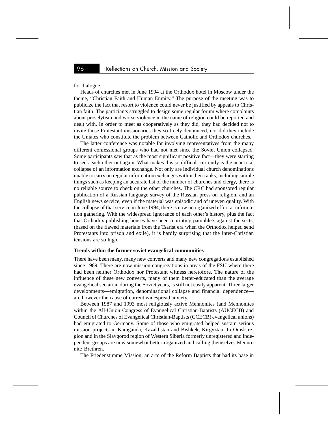for dialogue.

Heads of churches met in June 1994 at the Orthodox hotel in Moscow under the theme, "Christian Faith and Human Enmity." The purpose of the meeting was to publicize the fact that resort to violence could never be justified by appeals to Christian faith. The particiants struggled to design some regular forum where complaints about proselytism and worse violence in the name of religion could be reported and dealt with. In order to meet as cooperatively as they did, they had decided not to invite those Protestant missionaries they so freely denounced, nor did they include the Uniates who constitute the problem between Catholic and Orthodox churches.

The latter conference was notable for involving representatives from the many different confessional groups who had not met since the Soviet Union collapsed. Some participants saw that as the most significant positive fact—they were starting to seek each other out again. What makes this so difficult currently is the near total collapse of an information exchange. Not only are individual church denominations unable to carry on regular information exchanges within their ranks, including simple things such as keeping an accurate list of the number of churches and clergy, there is no reliable source to check on the other churches. The CRC had sponsored regular publication of a Russian language survey of the Russian press on religion, and an English news service, even if the material was episodic and of uneven quality. With the collapse of that service in June 1994, there is now no organized effort at information gathering. With the widespread ignorance of each other's history, plus the fact that Orthodox publishing houses have been reprinting pamphlets against the sects, (based on the flawed materials from the Tsarist era when the Orthodox helped send Protestants into prison and exile), it is hardly surprising that the inter-Christian tensions are so high.

#### **Trends within the former soviet evangelical communities**

There have been many, many new converts and many new congregations established since 1989. There are now mission congregations in areas of the FSU where there had been neither Orthodox nor Protestant witness heretofore. The nature of the influence of these new converts, many of them better-educated than the average evangelical sectarian during the Soviet years, is still not easily apparent. Three larger developments—emigration, denominational collapse and financial dependence are however the cause of current widespread anxiety.

Between 1987 and 1993 most religiously active Mennonites (and Mennonites within the All-Union Congress of Evangelical Christian-Baptists (AUCECB) and Council of Churches of Evangelical Christian-Baptists (CCECB) evangelical unions) had emigrated to Germany. Some of those who emigrated helped sustain serious mission projects in Karaganda, Kazakhstan and Bishkek, Kirgyztan. In Omsk region and in the Slavgorod region of Western Siberia formerly unregistered and independent groups are now somewhat better-organized and calling themselves Mennonite Brethren.

The Friedenstimme Mission, an arm of the Reform Baptists that had its base in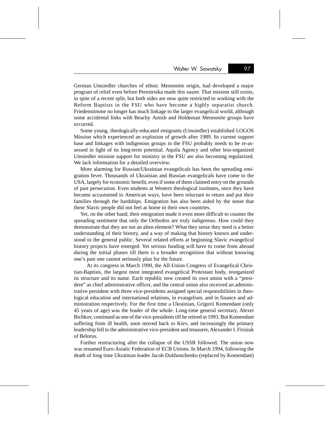Walter W. Sawatsky 197

German Umsiedler churches of ethnic Mennonite origin, had developed a major program of relief even before Perestroika made this easier. That mission still exists, in spite of a recent split, but both sides are now quite restricted to working with the Reform Baptists in the FSU who have become a highly separatist church. Friedenstimme no longer has much linkage to the larger evangelical world, although some accidental links with Beachy Amish and Holdeman Mennonite groups have occurred.

Some young, theologically-educated emigrants (Umsiedler) established LOGOS Mission which experienced an explosion of growth after 1989. Its current support base and linkages with indigenous groups in the FSU probably needs to be re-assessed in light of its long-term potential. Aquila Agency and other less-organized Umsiedler mission support for ministry in the FSU are also becoming regularized. We lack information for a detailed overview.

More alarming for Russian/Ukrainian evangelicals has been the spreading emigration fever. Thousands of Ukrainian and Russian evangelicals have come to the USA, largely for economic benefit, even if some of them claimed entry on the grounds of past persecution. Even students at Western theological institutes, once they have become accustomed to American ways, have been reluctant to return and put their families through the hardships. Emigration has also been aided by the sense that these Slavic people did not feel at home in their own countries.

Yet, on the other hand, their emigration made it even more difficult to counter the spreading sentiment that only the Orthodox are truly indigenous. How could they demonstrate that they are not an alien element? What they sense they need is a better understanding of their history, and a way of making that history known and understood to the general public. Several related efforts at beginning Slavic evangelical history projects have emerged. Yet serious funding will have to come from abroad during the initial phases till there is a broader recognition that without knowing one's past one cannot seriously plan for the future.

At its congress in March 1990, the All-Union Congress of Evangelical Christian-Baptists, the largest most integrated evangelical Protestant body, reorganized its structure and its name. Each republic now created its own union with a "president" as chief administrative officer, and the central union also received an administrative president with three vice-presidents assigned special responsibilities in theological education and international relations, in evangelism, and in finance and administration respectively. For the first time a Ukrainian, Grigorii Komendant (only 45 years of age) was the leader of the whole. Long-time general secretary, Alexei Bichkov, continued as one of the vice-presidents till he retired in 1993. But Komendant suffering from ill health, soon moved back to Kiev, and increasingly the primary leadership fell to the administrative vice-president and treasurer, Alexander I. Firisiuk of Belorus.

Further restructuring after the collapse of the USSR followed. The union now was renamed Euro-Asiatic Federation of ECB Unions. In March 1994, following the death of long time Ukrainian leader Jacob Dukhonchenko (replaced by Komendant)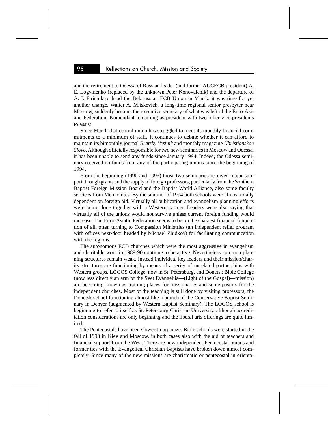and the retirement to Odessa of Russian leader (and former AUCECB president) A. E. Logvinenko (replaced by the unknown Peter Konovalchik) and the departure of A. I. Firisiuk to head the Belarussian ECB Union in Minsk, it was time for yet another change. Walter A. Mitskevich, a long-time regional senior presbyter near Moscow, suddenly became the executive secretary of what was left of the Euro-Asiatic Federation, Komendant remaining as president with two other vice-presidents to assist.

Since March that central union has struggled to meet its monthly financial commitments to a minimum of staff. It continues to debate whether it can afford to maintain its bimonthly journal *Bratsky Vestnik* and monthly magazine *Khristianskoe Slovo*. Although officially responsible for two new seminaries in Moscow and Odessa, it has been unable to send any funds since January 1994. Indeed, the Odessa seminary received no funds from any of the participating unions since the beginning of 1994.

From the beginning (1990 and 1993) those two seminaries received major support through grants and the supply of foreign professors, particularly from the Southern Baptist Foreign Mission Board and the Baptist World Alliance, also some faculty services from Mennonites. By the summer of 1994 both schools were almost totally dependent on foreign aid. Virtually all publication and evangelism planning efforts were being done together with a Western partner. Leaders were also saying that virtually all of the unions would not survive unless current foreign funding would increase. The Euro-Asiatic Federation seems to be on the shakiest financial foundation of all, often turning to Compassion Ministries (an independent relief program with offices next-door headed by Michael Zhidkov) for facilitating communcation with the regions.

The autonomous ECB churches which were the most aggressive in evangelism and charitable work in 1989-90 continue to be active. Nevertheless common planning structures remain weak. Instead individual key leaders and their mission/charity structures are functioning by means of a series of unrelated partnerships with Western groups. LOGOS College, now in St. Petersburg, and Donetsk Bible College (now less directly an arm of the Svet Evangeliia—(Light of the Gospel)—mission) are becoming known as training places for missionaries and some pastors for the independent churches. Most of the teaching is still done by visiting professors, the Donetsk school functioning almost like a branch of the Conservative Baptist Seminary in Denver (augmented by Western Baptist Seminary). The LOGOS school is beginning to refer to itself as St. Petersburg Christian University, although accreditation considerations are only beginning and the liberal arts offerings are quite limited.

The Pentecostals have been slower to organize. Bible schools were started in the fall of 1993 in Kiev and Moscow, in both cases also with the aid of teachers and financial support from the West. There are now independent Pentecostal unions and former ties with the Evangelical Christian Baptists have broken down almost completely. Since many of the new missions are charismatic or pentecostal in orienta-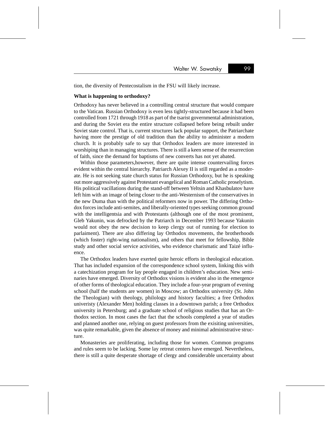tion, the diversity of Pentecostalism in the FSU will likely increase.

#### **What is happening to orthodoxy?**

Orthodoxy has never believed in a controlling central structure that would compare to the Vatican. Russian Orthodoxy is even less tightly-structured because it had been controlled from 1721 through 1918 as part of the tsarist governmental administration, and during the Soviet era the entire structure collapsed before being rebuilt under Soviet state control. That is, current structures lack popular support, the Patriarchate having more the prestige of old tradition than the ability to administer a modern church. It is probably safe to say that Orthodox leaders are more interested in worshiping than in managing structures. There is still a keen sense of the resurrection of faith, since the demand for baptisms of new converts has not yet abated.

Within those parameters,however, there are quite intense countervailing forces evident within the central hierarchy. Patriarch Alexey II is still regarded as a moderate. He is not seeking state church status for Russian Orthodoxy, but he is speaking out more aggressively against Protestant evangelical and Roman Catholic proselytism. His political vacillations during the stand-off between Yeltsin and Khasbulatov have left him with an image of being closer to the anti-Westernism of the conservatives in the new Duma than with the political reformers now in power. The differing Orthodox forces include anti-semites, and liberally-oriented types seeking common ground with the intelligentsia and with Protestants (although one of the most prominent, Gleb Yakunin, was defrocked by the Patriarch in December 1993 because Yakunin would not obey the new decision to keep clergy out of running for election to parlaiment). There are also differing lay Orthodox movements, the brotherhoods (which foster) right-wing nationalism), and others that meet for fellowship, Bible study and other social service activities, who evidence charismatic and Taizé influence.

The Orthodox leaders have exerted quite heroic efforts in theological education. That has included expansion of the correspondence school system, linking this with a catechization program for lay people engaged in children's education. New seminaries have emerged. Diversity of Orthodox visions is evident also in the emergence of other forms of theological education. They include a four-year program of evening school (half the students are women) in Moscow; an Orthodox university (St. John the Theologian) with theology, philology and history faculties; a free Orthodox univeristy (Alexander Men) holding classes in a downtown parish; a free Orthodox university in Petersburg; and a graduate school of religious studies that has an Orthodox section. In most cases the fact that the schools completed a year of studies and planned another one, relying on guest professors from the exisiting universities, was quite remarkable, given the absence of money and minimal administrative structure.

Monasteries are proliferating, including those for women. Common programs and rules seem to be lacking. Some lay retreat centers have emerged. Nevertheless, there is still a quite desperate shortage of clergy and considerable uncertainty about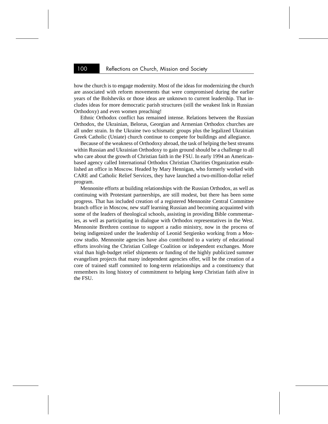how the church is to engage modernity. Most of the ideas for modernizing the church are associated with reform movements that were compromised during the earlier years of the Bolsheviks or those ideas are unknown to current leadership. That includes ideas for more democratic parish structures (still the weakest link in Russian Orthodoxy) and even women preaching!

Ethnic Orthodox conflict has remained intense. Relations between the Russian Orthodox, the Ukrainian, Belorus, Georgian and Armenian Orthodox churches are all under strain. In the Ukraine two schismatic groups plus the legalized Ukrainian Greek Catholic (Uniate) church continue to compete for buildings and allegiance.

Because of the weakness of Orthodoxy abroad, the task of helping the best streams within Russian and Ukrainian Orthodoxy to gain ground should be a challenge to all who care about the growth of Christian faith in the FSU. In early 1994 an Americanbased agency called International Orthodox Christian Charities Organization established an office in Moscow. Headed by Mary Hennigan, who formerly worked with CARE and Catholic Relief Services, they have launched a two-million-dollar relief program.

Mennonite efforts at building relationships with the Russian Orthodox, as well as continuing with Protestant partnerships, are still modest, but there has been some progress. That has included creation of a registered Mennonite Central Committee branch office in Moscow, new staff learning Russian and becoming acquainted with some of the leaders of theological schools, assisting in providing Bible commentaries, as well as participating in dialogue with Orthodox representatives in the West. Mennonite Brethren continue to support a radio ministry, now in the process of being indigenized under the leadership of Leonid Sergienko working from a Moscow studio. Mennonite agencies have also contributed to a variety of educational efforts involving the Christian College Coalition or independent exchanges. More vital than high-budget relief shipments or funding of the highly publicized summer evangelism projects that many independent agencies offer, will be the creation of a core of trained staff commited to long-term relationships and a constituency that remembers its long history of commitment to helping keep Christian faith alive in the FSU.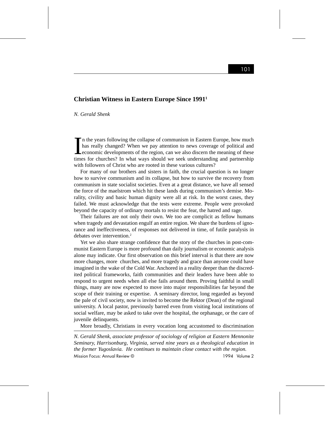# **Christian Witness in Eastern Europe Since 19911**

*N. Gerald Shenk*

In the years following the collapse of communism in Eastern Europe, how much has really changed? When we pay attention to news coverage of political and economic developments of the region, can we also discern the meaning n the years following the collapse of communism in Eastern Europe, how much has really changed? When we pay attention to news coverage of political and economic developments of the region, can we also discern the meaning of these with followers of Christ who are rooted in these various cultures?

For many of our brothers and sisters in faith, the crucial question is no longer how to survive communism and its collapse, but how to survive the recovery from communism in state socialist societies. Even at a great distance, we have all sensed the force of the maelstrom which hit these lands during communism's demise. Morality, civility and basic human dignity were all at risk. In the worst cases, they failed. We must acknowledge that the tests were extreme. People were provoked beyond the capacity of ordinary mortals to resist the fear, the hatred and rage.

Their failures are not only their own. We too are complicit as fellow humans when tragedy and devastation engulf an entire region. We share the burdens of ignorance and ineffectiveness, of responses not delivered in time, of futile paralysis in debates over intervention.<sup>2</sup>

Yet we also share strange confidence that the story of the churches in post-communist Eastern Europe is more profound than daily journalism or economic analysis alone may indicate. Our first observation on this brief interval is that there are now more changes, more churches, and more tragedy and grace than anyone could have imagined in the wake of the Cold War. Anchored in a reality deeper than the discredited political frameworks, faith communities and their leaders have been able to respond to urgent needs when all else fails around them. Proving faithful in small things, many are now expected to move into major responsibilities far beyond the scope of their training or expertise. A seminary director, long regarded as beyond the pale of civil society, now is invited to become the Rektor (Dean) of the regional university. A local pastor, previously barred even from visiting local institutions of social welfare, may be asked to take over the hospital, the orphanage, or the care of juvenile delinquents.

More broadly, Christians in every vocation long accustomed to discrimination

*N. Gerald Shenk, associate professor of sociology of religion at Eastern Mennonite Seminary, Harrisonburg, Virginia, served nine years as a theological education in the former Yugoslavia. He continues to maintain close contact with the region.* Mission Focus: Annual Review © 1994 Volume 2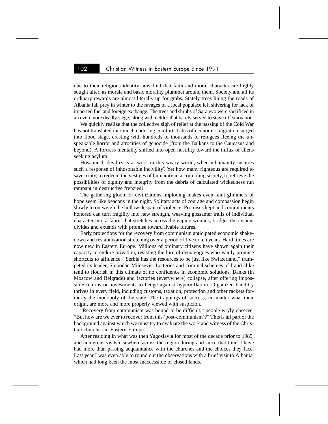due to their religious identity now find that faith and moral character are highly sought after, as morale and basic morality plummet around them. Society and all its ordinary rewards are almost literally up for grabs. Stately trees lining the roads of Albania fall prey in winter to the ravages of a local populace left shivering for lack of imported fuel and foreign exchange. The trees and shrubs of Sarajevo were sacrificed in an even more deadly siege, along with nettles that barely served to stave off starvation.

We quickly realize that the collective sigh of relief at the passing of the Cold War has not translated into much enduring comfort. Tides of economic migration surged into flood stage, cresting with hundreds of thousands of refugees fleeing the unspeakable horror and atrocities of genocide (from the Balkans to the Caucasus and beyond). A fortress mentality shifted into open hostility toward the influx of aliens seeking asylum.

How much deviltry is at work in this weary world, when inhumanity inspires such a response of inhospitable incivility? Yet how many righteous are required to save a city, to redeem the vestiges of humanity in a crumbling society, to retrieve the possibilities of dignity and integrity from the debris of calculated wickedness run rampant in destructive frenzies?

The gathering gloom of civilizations imploding makes even faint glimmers of hope seem like beacons in the night. Solitary acts of courage and compassion begin slowly to outweigh the hollow despair of violence. Promises kept and commitments honored can turn fragility into new strength, weaving gossamer trails of individual character into a fabric that stretches across the gaping wounds, bridges the ancient divides and extends with promise toward livable futures.

Early projections for the recovery from communism anticipated economic shakedown and restabilization stretching over a period of five to ten years. Hard times are now new in Eastern Europe. Millions of ordinary citizens have shown again their capacity to endure privation, resisting the lure of demagogues who vainly promise shortcuts to affluence. "Serbia has the resources to be just like Switzerland," trumpeted its leader, Slobodan Milosevic. Lotteries and criminal schemes of fraud alike tend to flourish in this climate of no confidence in economic solutions. Banks (in Moscow and Belgrade) and factories (everywhere) collapse, after offering impossible returns on investments to hedge against hyperinflation. Organized banditry thrives in every field, including customs, taxation, protection and other rackets formerly the monopoly of the state. The trappings of success, no matter what their origin, are more and more properly viewed with suspicion.

"Recovery from communism was bound to be difficult," people wryly observe. "But how are we ever to recover from this 'post-communism'?" This is all part of the background against which we must try to evaluate the work and witness of the Christian churches in Eastern Europe.

After residing in what was then Yugoslavia for most of the decade prior to 1989, and numerous visits elsewhere across the region during and since that time, I have had more than passing acquaintance with the churches and the choices they face. Last year I was even able to round out the observations with a brief visit to Albania, which had long been the most inaccessible of closed lands.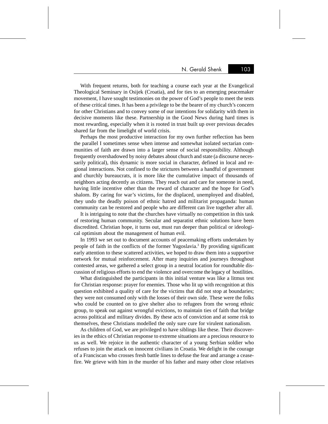N. Gerald Shenk 103

With frequent returns, both for teaching a course each year at the Evangelical Theological Seminary in Osijek (Croatia), and for ties to an emerging peacemaker movement, I have sought testimonies on the power of God's people to meet the tests of these critical times. It has been a privilege to be the bearer of my church's concern for other Christians and to convey some of our intentions for solidarity with them in decisive moments like these. Partnership in the Good News during hard times is most rewarding, especially when it is rooted in trust built up over previous decades shared far from the limelight of world crisis.

Perhaps the most productive interaction for my own further reflection has been the parallel I sometimes sense when intense and somewhat isolated sectarian communities of faith are drawn into a larger sense of social responsibility. Although frequently overshadowed by noisy debates about church and state (a discourse necessarily political), this dynamic is more social in character, defined in local and regional interactions. Not confined to the strictures between a handful of government and churchly bureaucrats, it is more like the cumulative impact of thousands of neighbors acting decently as citizens. They reach out and care for someone in need, having little incentive other than the reward of character and the hope for God's shalom. By caring for war's victims, for the displaced, unemployed and disabled, they undo the deadly poison of ethnic hatred and militarist propaganda: human community can be restored and people who are different can live together after all.

It is intriguing to note that the churches have virtually no competition in this task of restoring human community. Secular and separatist ethnic solutions have been discredited. Christian hope, it turns out, must run deeper than political or ideological optimism about the management of human evil.

In 1993 we set out to document accounts of peacemaking efforts undertaken by people of faith in the conflicts of the former Yugoslavia.<sup>3</sup> By providing significant early attention to these scattered activities, we hoped to draw them into a supportive network for mutual reinforcement. After many inquiries and journeys throughout contested areas, we gathered a select group in a neutral location for roundtable discussion of religious efforts to end the violence and overcome the legacy of hostilities.

What distinguished the participants in this initial venture was like a litmus test for Christian response: prayer for enemies. Those who lit up with recognition at this question exhibited a quality of care for the victims that did not stop at boundaries; they were not consumed only with the losses of their own side. These were the folks who could be counted on to give shelter also to refugees from the wrong ethnic group, to speak out against wrongful evictions, to maintain ties of faith that bridge across political and military divides. By these acts of conviction and at some risk to themselves, these Christians modelled the only sure cure for virulent nationalism.

As children of God, we are privileged to have siblings like these. Their discoveries in the ethics of Christian response to extreme situations are a precious resource to us as well. We rejoice in the authentic character of a young Serbian soldier who refuses to join the attack on innocent civilians in Croatia. We delight in the courage of a Franciscan who crosses fresh battle lines to defuse the fear and arrange a ceasefire. We grieve with him in the murder of his father and many other close relatives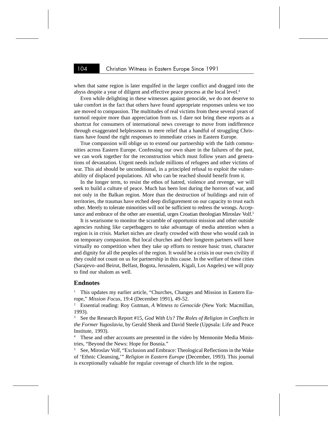when that same region is later engulfed in the larger conflict and dragged into the abyss despite a year of diligent and effective peace process at the local level.<sup>4</sup>

Even while delighting in these witnesses against genocide, we do not deserve to take comfort in the fact that others have found appropriate responses unless we too are moved to compassion. The multitudes of real victims from these several years of turmoil require more than appreciation from us. I dare not bring these reports as a shortcut for consumers of international news coverage to move from indifference through exaggerated helplessness to mere relief that a handful of struggling Christians have found the right responses to immediate crises in Eastern Europe.

True compassion will oblige us to extend our partnership with the faith communities across Eastern Europe. Confessing our own share in the failures of the past, we can work together for the reconstruction which must follow years and generations of devastation. Urgent needs include millions of refugees and other victims of war. This aid should be unconditional, in a principled refusal to exploit the vulnerability of displaced populations. All who can be reached should benefit from it.

In the longer term, to resist the ethos of hatred, violence and revenge, we will seek to build a culture of peace. Much has been lost during the horrors of war, and not only in the Balkan region. More than the destruction of buildings and ruin of territories, the traumas have etched deep disfigurement on our capacity to trust each other. Merely to tolerate minorities will not be sufficient to redress the wrongs. Acceptance and embrace of the other are essential, urges Croatian theologian Miroslav Volf.5

It is wearisome to monitor the scramble of opportunist mission and other outside agencies rushing like carpetbaggers to take advantage of media attention when a region is in crisis. Market niches are clearly crowded with those who would cash in on temporary compassion. But local churches and their longterm partners will have virtually no competition when they take up efforts to restore basic trust, character and dignity for all the peoples of the region. It would be a crisis in our own civility if they could not count on us for partnership in this cause. In the welfare of these cities (Sarajevo–and Beirut, Belfast, Bogota, Jerusalem, Kigali, Los Angeles) we will pray to find our shalom as well.

### **Endnotes**

<sup>1</sup> This updates my earlier article, "Churches, Changes and Mission in Eastern Europe," *Mission Focus,* 19:4 (December 1991), 49-52.

<sup>2</sup> Essential reading: Roy Gutman, *A Witness to Genocide* (New York: Macmillan, 1993).

<sup>3</sup> See the Research Report #15, *God With Us? The Roles of Religion in Conflicts in the Former Yugoslavia,* by Gerald Shenk and David Steele (Uppsala: Life and Peace Institute, 1993).

<sup>4</sup> These and other accounts are presented in the video by Mennonite Media Ministries, "Beyond the News: Hope for Bosnia."

<sup>5</sup> See, Miroslav Volf, "Exclusion and Embrace: Theological Reflections in the Wake of 'Ethnic Cleansing,'" *Religion in Eastern Europe* (December, 1993). This journal is exceptionally valuable for regular coverage of church life in the region.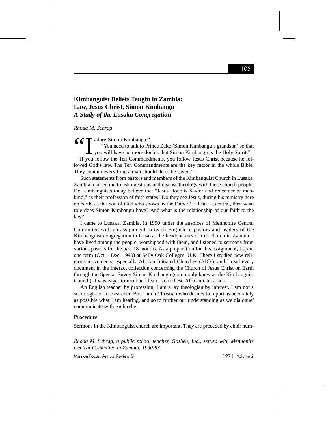# **Kimbanguist Beliefs Taught in Zambia: Law, Jesus Christ, Simon Kimbangu** *A Study of the Lusaka Congregation*

*Rhoda M. Schrag*

**T** adore Simon Kimbangu." "You need to talk to Prince Zako (Simon Kimbangu's grandson) so that you will have no more doubts that Simon Kimbangu is the Holy Spirit." G G T adore Simon Kimbangu."<br>
"You need to talk to Prince Zako (Simon Kimbangu's grandson) so that<br>
"If you will have no more doubts that Simon Kimbangu is the Holy Spirit."<br>
"If you follow the Ten Commandments, you follow

lowed God's law. The Ten Commandments are the key factor in the whole Bible. They contain everything a man should do to be saved."

Such statements from pastors and members of the Kimbanguist Church in Lusaka, Zambia, caused me to ask questions and discuss theology with these church people. Do Kimbanguists today believe that "Jesus alone is Savior and redeemer of mankind," as their profession of faith states? Do they see Jesus, during his ministry here on earth, as the Son of God who shows us the Father? If Jesus is central, then what role does Simon Kimbangu have? And what is the relationship of our faith to the law?

I came to Lusaka, Zambia, in 1990 under the auspices of Mennonite Central Committee with an assignment to teach English to pastors and leaders of the Kimbanguist congregation in Lusaka, the headquarters of this church in Zambia. I have lived among the people, worshipped with them, and listened to sermons from various pastors for the past 18 months. As a preparation for this assignment, I spent one term (Oct. - Dec. 1990) at Selly Oak Colleges, U.K. There I studied new religious movements, especially African Initiated Churches (AICs), and I read every document in the Interact collection concerning the Church of Jesus Christ on Earth through the Special Envoy Simon Kimbangu (commonly know as the Kimbanguist Church). I was eager to meet and learn from these African Christians.

An English teacher by profession, I am a lay theologian by interest. I am not a sociologist or a researcher. But I am a Christian who desires to report as accurately as possible what I am hearing, and so to further our understanding as we dialogue/ communicate with each other.

#### **Procedure**

Sermons in the Kimbanguist church are important. They are preceded by choir num-

*Rhoda M. Schrag, a public school teacher, Goshen, Ind., served with Mennonite Central Committee in Zambia, 1990-93.*

Mission Focus: Annual Review © 1994 Volume 2

#### 105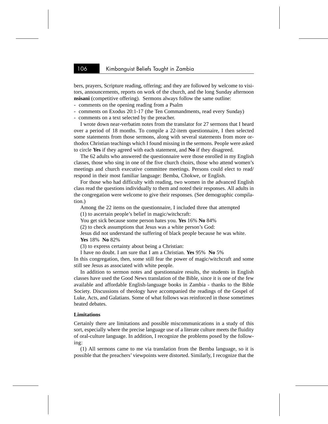bers, prayers, Scripture reading, offering; and they are followed by welcome to visitors, announcements, reports on work of the church, and the long Sunday afternoon **nsisani** (competitive offering). Sermons always follow the same outline:

- comments on the opening reading from a Psalm
- comments on Exodus 20:1-17 (the Ten Commandments, read every Sunday)
- comments on a text selected by the preacher.

I wrote down near-verbatim notes from the translator for 27 sermons that I heard over a period of 18 months. To compile a 22-item questionnaire, I then selected some statements from those sermons, along with several statements from more orthodox Christian teachings which I found missing in the sermons. People were asked to circle **Yes** if they agreed with each statement, and **No** if they disagreed.

The 62 adults who answered the questionnaire were those enrolled in my English classes, those who sing in one of the five church choirs, those who attend women's meetings and church executive committee meetings. Persons could elect to read/ respond in their most familiar language: Bemba, Chokwe, or English.

For those who had difficulty with reading, two women in the advanced English class read the questions individually to them and noted their responses. All adults in the congregation were welcome to give their responses. (See demographic compilation.)

Among the 22 items on the questionnaire, I included three that attempted

(1) to ascertain people's belief in magic/witchcraft:

You get sick because some person hates you. **Yes** 16% **No** 84%

(2) to check assumptions that Jesus was a white person's God:

Jesus did not understand the suffering of black people because he was white. **Yes** 18% **No** 82%

(3) to express certainty about being a Christian:

I have no doubt. I am sure that I am a Christian. **Yes** 95% **No** 5%

In this congregation, then, some still fear the power of magic/witchcraft and some still see Jesus as associated with white people.

In addition to sermon notes and questionnaire results, the students in English classes have used the Good News translation of the Bible, since it is one of the few available and affordable English-language books in Zambia - thanks to the Bible Society. Discussions of theology have accompanied the readings of the Gospel of Luke, Acts, and Galatians. Some of what follows was reinforced in those sometimes heated debates.

# **Limitations**

Certainly there are limitations and possible miscommunications in a study of this sort, especially where the precise language use of a literate culture meets the fluidity of oral-culture language. In addition, I recognize the problems posed by the following:

(1) All sermons came to me via translation from the Bemba language, so it is possible that the preachers' viewpoints were distorted. Similarly, I recognize that the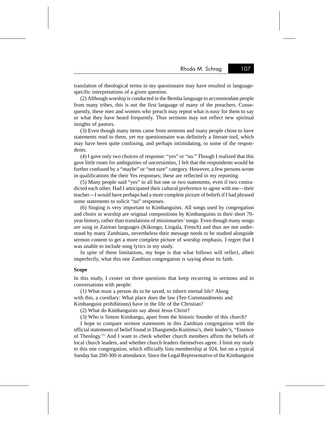Rhoda M. Schrag 107

translation of theological terms in my questionaire may have resulted in languagespecific interpretations of a given question.

(2) Although worship is conducted in the Bemba language to accommodate people from many tribes, this is not the first language of many of the preachers. Consequently, these men and women who preach may repeat what is easy for them to say or what they have heard frequently. Thus sermons may not reflect new spiritual insights of pastors.

(3) Even though many items came from sermons and many people chose to have statements read to them, yet my questionnaire was definitely a literate tool, which may have been quite confusing, and perhaps intimidating, to some of the respondents.

(4) I gave only two choices of response: "yes" or "no." Though I realized that this gave little room for ambiguities of uncertainties, I felt that the respondents would be further confused by a "maybe" or "not sure" category. However, a few persons wrote in qualifications the their Yes responses; these are reflected in my reporting.

(5) Many people said "yes" to all but one or two statements, even if two contradicted each other. Had I anticipated their cultural preference to agree with me—their teacher—I would have perhaps had a more complete picture of beliefs if I had phrased some statements to solicit "no" responses.

(6) Singing is very important to Kimbanguists. All songs used by congregation and choirs in worship are original compositions by Kimbanguists in their short 70 year history, rather than translations of missionaries' songs. Even though many songs are sung in Zairean languages (Kikongo, Lingala, French) and thus are not understood by many Zambians, nevertheless their message needs to be studied alongside sermon content to get a more complete picture of worship emphasis. I regret that I was unable to include song lyrics in my study.

In spite of these limitations, my hope is that what follows will reflect, albeit imperfectly, what this one Zambian congregation is saying about its faith.

#### **Scope**

In this study, I center on three questions that keep recurring in sermons and in conversations with people:

(1) What must a person do to be saved, to inherit eternal life? Along with this, a corollary: What place does the law (Ten Commandments and Kimbanguist prohibitions) have in the life of the Christian?

(2) What do Kimbanguists say about Jesus Christ?

(3) Who is Simon Kimbangu, apart from the historic founder of this church?

I hope to compare sermon statements in this Zambian congregation with the official statements of belief found in Diangienda-Kuntima's, their leader's, "Essence of Theology."1 And I want to check whether church members affirm the beliefs of local church leaders, and whether church leaders themselves agree. I limit my study to this one congregation, which officially lists membership at 924, but on a typical Sunday has 200-300 in attendance. Since the Legal Representative of the Kimbanguist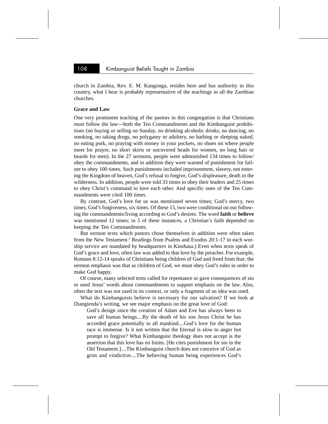church in Zambia, Rev. E. M. Kangonga, resides here and has authority in this country, what I hear is probably representative of the teachings in all the Zambian churches.

## **Grace and Law**

One very prominent teaching of the pastors in this congregation is that Christians must follow the law—both the Ten Commandments and the Kimbanguist prohibitions (no buying or selling on Sunday, no drinking alcoholic drinks, no dancing, no smoking, no taking drugs, no polygamy or adultery, no bathing or sleeping naked, no eating pork, no praying with money in your pockets, no shoes on where people meet for prayer, no short skirts or uncovered heads for women, no long hair or beards for men). In the 27 sermons, people were admonished 134 times to follow/ obey the commandments, and in addition they were warned of punishment for failure to obey 100 times. Such punishments included imprisonment, slavery, not entering the Kingdom of heaven, God's refusal to forgive, God's displeasure, death in the wilderness. In addition, people were told 33 times to obey their leaders and 25 times to obey Christ's command to love each other. And specific ones of the Ten Commandments were cited 100 times.

By contrast, God's love for us was mentioned seven times; God's mercy, two times; God's forgiveness, six times. Of these 15, two were conditional on our following the commandments/living according to God's desires. The word **faith** or **believe** was mentioned 12 times; in 5 of these instances, a Christian's faith depended on keeping the Ten Commandments.

But sermon texts which pastors chose themselves in addition were often taken from the New Testament.<sup>2</sup> Readings from Psalms and Exodus 20:1-17 in each worship service are mandated by headquarters in Kinshasa.) Even when texts speak of God's grace and love, often law was added to that love by the preacher. For example, Romans 8:12-14 speaks of Christians being children of God and freed from fear; the sermon emphasis was that as children of God, we must obey God's rules in order to make God happy.

Of course, many selected texts called for repentance or gave consequences of sin or used Jesus' words about commandments to support emphasis on the law. Also, often the text was not used in its context, or only a fragment of an idea was used.

What do Kimbanguists believe is necessary for our salvation? If we look at Diangienda's writing, we see major emphasis on the great love of God:

God's design since the creation of Adam and Eve has always been to save all human beings....By the death of his son Jesus Christ he has accorded grace potentially to all mankind....God's love for the human race is immense. Is it not written that the Eternal is slow to anger but prompt to forgive? What Kimbanguist theology does not accept is the assertion that this love has no limits. [He cites punishment for sin in the Old Testament.]....The Kimbanguist church does not conceive of God as grim and vindictive....The believing human being experiences God's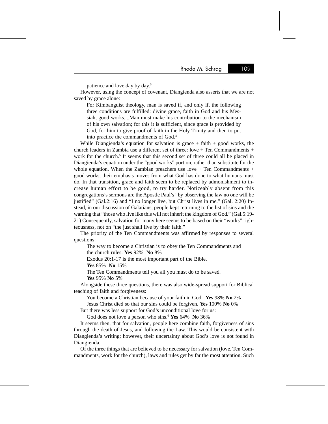patience and love day by day.3

However, using the concept of covenant, Diangienda also asserts that we are not saved by grace alone:

For Kimbanguist theology, man is saved if, and only if, the following three conditions are fulfilled: divine grace, faith in God and his Messiah, good works....Man must make his contribution to the mechanism of his own salvation; for this it is sufficient, since grace is provided by God, for him to give proof of faith in the Holy Trinity and then to put into practice the commandments of God.4

While Diangienda's equation for salvation is grace  $+$  faith  $+$  good works, the church leaders in Zambia use a different set of three: love + Ten Commandments + work for the church.<sup>5</sup> It seems that this second set of three could all be placed in Diangienda's equation under the "good works" portion, rather than substitute for the whole equation. When the Zambian preachers use love  $+$  Ten Commandments  $+$ good works, their emphasis moves from what God has done to what humans must do. In that transition, grace and faith seem to be replaced by admonishment to increase human effort to be good, to try harder. Noticeably absent from this congregations's sermons are the Apostle Paul's "by observing the law no one will be justified" (Gal.2:16) and "I no longer live, but Christ lives in me." (Gal. 2:20) Instead, in our discussion of Galatians, people kept returning to the list of sins and the warning that "those who live like this will not inherit the kingdom of God." (Gal.5:19- 21) Consequently, salvation for many here seems to be based on their "works" righteousness, not on "the just shall live by their faith."

The priority of the Ten Commandments was affirmed by responses to several questions:

The way to become a Christian is to obey the Ten Commandments and

the church rules. **Yes** 92% **No** 8%

Exodus 20:1-17 is the most important part of the Bible.

**Yes** 85% **No** 15%

The Ten Commandments tell you all you must do to be saved.

**Yes** 95% **No** 5%

Alongside these three questions, there was also wide-spread support for Biblical teaching of faith and forgiveness:

You become a Christian because of your faith in God. **Yes** 98% **No** 2% Jesus Christ died so that our sins could be forgiven. **Yes** 100% **No** 0%

But there was less support for God's unconditional love for us:

God does not love a person who sins.6 **Yes** 64% **No** 36%

It seems then, that for salvation, people here combine faith, forgiveness of sins through the death of Jesus, and following the Law. This would be consistent with Diangienda's writing; however, their uncertainty about God's love is not found in Diangienda.

Of the three things that are believed to be necessary for salvation (love, Ten Commandments, work for the church), laws and rules get by far the most attention. Such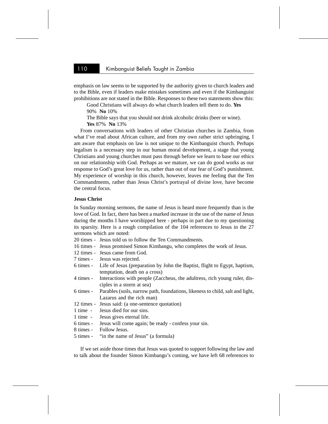emphasis on law seems to be supported by the authority given to church leaders and to the Bible, even if leaders make mistakes sometimes and even if the Kimbanguist prohibitions are not stated in the Bible. Responses to these two statements show this:

Good Christians will always do what church leaders tell them to do. **Yes** 90% **No** 10%

The Bible says that you should not drink alcoholic drinks (beer or wine). **Yes** 87% **No** 13%

From conversations with leaders of other Christian churches in Zambia, from what I've read about African culture, and from my own rather strict upbringing, I am aware that emphasis on law is not unique to the Kimbanguist church. Perhaps legalism is a necessary step in our human moral development, a stage that young Christians and young churches must pass through before we learn to base our ethics on our relationship with God. Perhaps as we mature, we can do good works as our response to God's great love for us, rather than out of our fear of God's punishment. My experience of worship in this church, however, leaves me feeling that the Ten Commandments, rather than Jesus Christ's portrayal of divine love, have become the central focus.

## **Jesus Christ**

In Sunday morning sermons, the name of Jesus is heard more frequently than is the love of God. In fact, there has been a marked increase in the use of the name of Jesus during the months I have worshipped here - perhaps in part due to my questioning its sparsity. Here is a rough compilation of the 104 references to Jesus in the 27 sermons which are noted:

20 times - Jesus told us to follow the Ten Commandments.

- 16 times Jesus promised Simon Kimbangu, who completes the work of Jesus.
- 12 times Jesus came from God.
- 7 times Jesus was rejected.
- 6 times Life of Jesus (preparation by John the Baptist, flight to Egypt, baptism, temptation, death on a cross)
- 4 times Interactions with people (Zaccheus, the adultress, rich young ruler, disciples in a storm at sea)
- 6 times Parables (soils, narrow path, foundations, likeness to child, salt and light, Lazarus and the rich man)
- 12 times Jesus said: (a one-sentence quotation)
- 1 time Jesus died for our sins.
- 1 time Jesus gives eternal life.
- 6 times Jesus will come again; be ready confess your sin.
- 8 times Follow Jesus.
- 5 times "in the name of Jesus" (a formula)

If we set aside those times that Jesus was quoted to support following the law and to talk about the founder Simon Kimbangu's coming, we have left 68 references to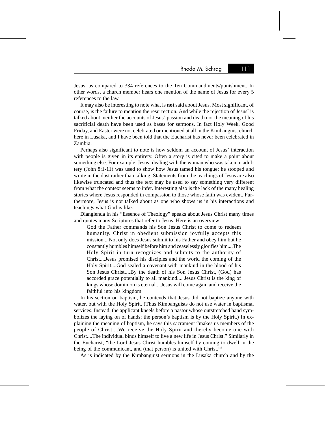Rhoda M. Schrag 111

Jesus, as compared to 334 references to the Ten Commandments/punishment. In other words, a church member hears one mention of the name of Jesus for every 5 references to the law.

It may also be interesting to note what is **not** said about Jesus. Most significant, of course, is the failure to mention the resurrection. And while the rejection of Jesus<sup>7</sup> is talked about, neither the accounts of Jesus' passion and death nor the meaning of his sacrificial death have been used as bases for sermons. In fact Holy Week, Good Friday, and Easter were not celebrated or mentioned at all in the Kimbanguist church here in Lusaka, and I have been told that the Eucharist has never been celebrated in Zambia.

Perhaps also significant to note is how seldom an account of Jesus' interaction with people is given in its entirety. Often a story is cited to make a point about something else. For example, Jesus' dealing with the woman who was taken in adultery (John 8:1-11) was used to show how Jesus tamed his tongue: he stooped and wrote in the dust rather than talking. Statements from the teachings of Jesus are also likewise truncated and thus the text may be used to say something very different from what the context seems to infer. Interesting also is the lack of the many healing stories where Jesus responded in compassion to those whose faith was evident. Furthermore, Jesus is not talked about as one who shows us in his interactions and teachings what God is like.

Diangienda in his "Essence of Theology" speaks about Jesus Christ many times and quotes many Scriptures that refer to Jesus. Here is an overview:

God the Father commands his Son Jesus Christ to come to redeem humanity. Christ in obedient submission joyfully accepts this mission....Not only does Jesus submit to his Father and obey him but he constantly humbles himself before him and ceaselessly glorifies him....The Holy Spirit in turn recognizes and submits to the authority of Christ....Jesus promised his disciples and the world the coming of the Holy Spirit....God sealed a covenant with mankind in the blood of his Son Jesus Christ....By the death of his Son Jesus Christ, (God) has accorded grace potentially to all mankind.... Jesus Christ is the king of kings whose dominion is eternal....Jesus will come again and receive the faithful into his kingdom.

In his section on baptism, he contends that Jesus did not baptize anyone with water, but with the Holy Spirit. (Thus Kimbanguists do not use water in baptismal services. Instead, the applicant kneels before a pastor whose outstretched hand symbolizes the laying on of hands; the person's baptism is by the Holy Spirit.) In explaining the meaning of baptism, he says this sacrament "makes us members of the people of Christ....We receive the Holy Spirit and thereby become one with Christ....The individual binds himself to live a new life in Jesus Christ." Similarly in the Eucharist, "the Lord Jesus Christ humbles himself by coming to dwell in the being of the communicant, and (that person) is united with Christ."<sup>8</sup>

As is indicated by the Kimbanguist sermons in the Lusaka church and by the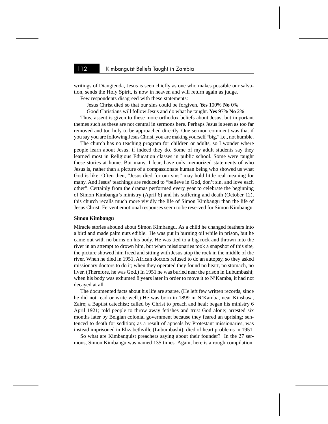writings of Diangienda, Jesus is seen chiefly as one who makes possible our salvation, sends the Holy Spirit, is now in heaven and will return again as judge.

Few respondents disagreed with these statements:

Jesus Christ died so that our sins could be forgiven. **Yes** 100% **No** 0%

Good Christians will follow Jesus and do what he taught. **Yes** 97% **No** 2%

Thus, assent is given to these more orthodox beliefs about Jesus, but important themes such as these are not central in sermons here. Perhaps Jesus is seen as too far removed and too holy to be approached directly. One sermon comment was that if you say you are following Jesus Christ, you are making yourself "big," i.e., not humble.

The church has no teaching program for children or adults, so I wonder where people learn about Jesus, if indeed they do. Some of my adult students say they learned most in Religious Education classes in public school. Some were taught these stories at home. But many, I fear, have only memorized statements of who Jesus is, rather than a picture of a compassionate human being who showed us what God is like. Often then, "Jesus died for our sins" may hold little real meaning for many. And Jesus' teachings are reduced to "believe in God, don't sin, and love each other". Certainly from the dramas performed every year to celebrate the beginning of Simon Kimbangu's ministry (April 6) and his suffering and death (October 12), this church recalls much more vividly the life of Simon Kimbangu than the life of Jesus Christ. Fervent emotional responses seem to be reserved for Simon Kimbangu.

## **Simon Kimbangu**

Miracle stories abound about Simon Kimbangu. As a child he changed feathers into a bird and made palm nuts edible. He was put in burning oil while in prison, but he came out with no burns on his body. He was tied to a big rock and thrown into the river in an attempt to drown him, but when missionaries took a snapshot of this site, the picture showed him freed and sitting with Jesus atop the rock in the middle of the river. When he died in 1951, African doctors refused to do an autopsy, so they asked missionary doctors to do it; when they operated they found no heart, no stomach, no liver. (Therefore, he was God.) In 1951 he was buried near the prison in Lubumbashi; when his body was exhumed 8 years later in order to move it to N'Kamba, it had not decayed at all.

The documented facts about his life are sparse. (He left few written records, since he did not read or write well.) He was born in 1899 in N'Kamba, near Kinshasa, Zaire; a Baptist catechist; called by Christ to preach and heal; began his ministry 6 April 1921; told people to throw away fetishes and trust God alone; arrested six months later by Belgian colonial government because they feared an uprising; sentenced to death for sedition; as a result of appeals by Protestant missionaries, was instead imprisoned in Elizabethville (Lubumbashi); died of heart problems in 1951.

So what are Kimbanguist preachers saying about their founder? In the 27 sermons, Simon Kimbangu was named 135 times. Again, here is a rough compilation: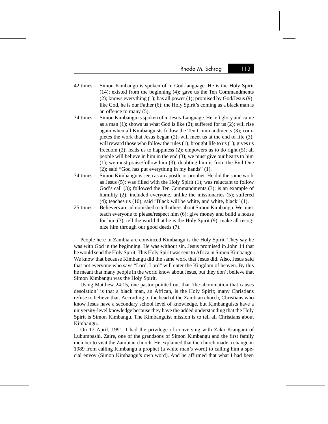Rhoda M. Schrag 113

- 42 times Simon Kimbangu is spoken of in God-language. He is the Holy Spirit (14); existed from the beginning (4); gave us the Ten Commandments (2); knows everything (1); has all power (1); promised by God/Jesus (9); like God, he is our Father (6); the Holy Spirit's coming as a black man is an offence to many (5).
- 34 times Simon Kimbangu is spoken of in Jesus-Language. He left glory and came as a man (1); shows us what God is like (2); suffered for us (2); will rise again when all Kimbanguists follow the Ten Commandments (3); completes the work that Jesus began (2); will meet us at the end of life (3); will reward those who follow the rules (1); brought life to us (1); gives us freedom (2); leads us to happiness (2); empowers us to do right (5); all people will believe in him in the end (3); we must give our hearts to him (1); we must praise/follow him (3); doubting him is from the Evil One (2); said "God has put everything in my hands" (1).
- 34 times Simon Kimbangu is seen as an apostle or prophet. He did the same work as Jesus (5); was filled with the Holy Spirit (1); was reluctant to follow God's call (3); followed the Ten Commandments (3); is an example of humility (2); included everyone, unlike the missionaries (5); suffered (4); teaches us (10); said "Black will be white, and white, black" (1).
- 25 times Believers are admonished to tell others about Simon Kimbangu. We must teach everyone to please/respect him (6); give money and build a house for him (3); tell the world that he is the Holy Spirit (9); make all recognize him through our good deeds (7).

People here in Zambia are convinced Kimbangu is the Holy Spirit. They say he was with God in the beginning. He was without sin. Jesus promised in John 14 that he would send the Holy Spirit. This Holy Spirit was sent to Africa in Simon Kimbangu. We know that because Kimbangu did the same work that Jesus did. Also, Jesus said that not everyone who says "Lord, Lord" will enter the Kingdom of heaven. By this he meant that many people in the world know about Jesus, but they don't believe that Simon Kimbangu was the Holy Spirit.

Using Matthew 24:15, one pastor pointed out that 'the abomination that causes desolation' is that a black man, an African, is the Holy Spirit; many Christians refuse to believe that. According to the head of the Zambian church, Christians who know Jesus have a secondary school level of knowledge, but Kimbanguists have a university-level knowledge because they have the added understanding that the Holy Spirit is Simon Kimbangu. The Kimbanguist mission is to tell all Christians about Kimbangu.

On 17 April, 1991, I had the privilege of conversing with Zako Kiangani of Lubumbashi, Zaire, one of the grandsons of Simon Kimbangu and the first family member to visit the Zambian church. He explained that the church made a change in 1989 from calling Kimbangu a prophet (a white man's word) to calling him a special envoy (Simon Kimbangu's own word). And he affirmed that what I had been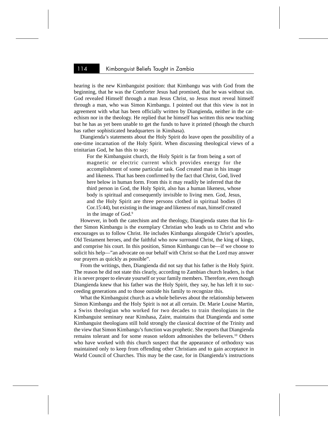hearing is the new Kimbanguist position: that Kimbangu was with God from the beginning, that he was the Comforter Jesus had promised, that he was without sin. God revealed Himself through a man Jesus Christ, so Jesus must reveal himself through a man, who was Simon Kimbangu. I pointed out that this view is not in agreement with what has been officially written by Diangienda, neither in the catechism nor in the theology. He replied that he himself has written this new teaching but he has as yet been unable to get the funds to have it printed (though the church has rather sophisticated headquarters in Kinshasa).

Diangienda's statements about the Holy Spirit do leave open the possibility of a one-time incarnation of the Holy Spirit. When discussing theological views of a trinitarian God, he has this to say:

For the Kimbanguist church, the Holy Spirit is far from being a sort of magnetic or electric current which provides energy for the accomplishment of some particular task. God created man in his image and likeness. That has been confirmed by the fact that Christ, God, lived here below in human form. From this it may readily be inferred that the third person in God, the Holy Spirit, also has a human likeness, whose body is spiritual and consequently invisible to living men. God, Jesus, and the Holy Spirit are three persons clothed in spiritual bodies (I Cor.15:44), but existing in the image and likeness of man, himself created in the image of God.9

However, in both the catechism and the theology, Diangienda states that his father Simon Kimbangu is the exemplary Christian who leads us to Christ and who encourages us to follow Christ. He includes Kimbangu alongside Christ's apostles, Old Testament heroes, and the faithful who now surround Christ, the king of kings, and comprise his court. In this position, Simon Kimbangu can be—if we choose to solicit his help—"an advocate on our behalf with Christ so that the Lord may answer our prayers as quickly as possible".

From the writings, then, Diangienda did not say that his father is the Holy Spirit. The reason he did not state this clearly, according to Zambian church leaders, is that it is never proper to elevate yourself or your family members. Therefore, even though Diangienda knew that his father was the Holy Spirit, they say, he has left it to succeeding generations and to those outside his family to recognize this.

What the Kimbanguist church as a whole believes about the relationship between Simon Kimbangu and the Holy Spirit is not at all certain. Dr. Marie Louise Martin, a Swiss theologian who worked for two decades to train theologians in the Kimbanguist seminary near Kinshasa, Zaire, maintains that Diangienda and some Kimbanguist theologians still hold strongly the classical doctrine of the Trinity and the view that Simon Kimbangu's function was prophetic. She reports that Diangienda remains tolerant and for some reason seldom admonishes the believers.10 Others who have worked with this church suspect that the appearance of orthodoxy was maintained only to keep from offending other Christians and to gain acceptance in World Council of Churches. This may be the case, for in Diangienda's instructions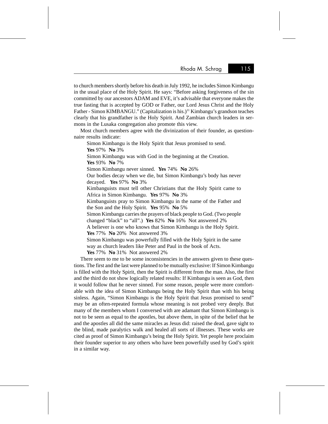Rhoda M. Schrag 115

to church members shortly before his death in July 1992, he includes Simon Kimbangu in the usual place of the Holy Spirit. He says: "Before asking forgiveness of the sin committed by our ancestors ADAM and EVE, it's advisable that everyone makes the true fasting that is accepted by GOD or Father, our Lord Jesus Christ and the Holy Father - Simon KIMBANGU." (Capitalization is his.)<sup>11</sup> Kimbangu's grandson teaches clearly that his grandfather is the Holy Spirit. And Zambian church leaders in sermons in the Lusaka congregation also promote this view.

Most church members agree with the divinization of their founder, as questionnaire results indicate:

Simon Kimbangu is the Holy Spirit that Jesus promised to send.

**Yes** 97% **No** 3%

Simon Kimbangu was with God in the beginning at the Creation. **Yes** 93% **No** 7%

Simon Kimbangu never sinned. **Yes** 74% **No** 26%

Our bodies decay when we die, but Simon Kimbangu's body has never decayed. **Yes** 97% **No** 3%

Kimbanguists must tell other Christians that the Holy Spirit came to Africa in Simon Kimbangu. **Yes** 97% **No** 3%

Kimbanguists pray to Simon Kimbangu in the name of the Father and the Son and the Holy Spirit. **Yes** 95% **No** 5%

Simon Kimbangu carries the prayers of black people to God. (Two people changed "black" to "all".) **Yes** 82% **No** 16% Not answered 2%

A believer is one who knows that Simon Kimbangu is the Holy Spirit.

**Yes** 77% **No** 20% Not answered 3%

Simon Kimbangu was powerfully filled with the Holy Spirit in the same way as church leaders like Peter and Paul in the book of Acts.

**Yes** 77% **No** 31% Not answered 2%

There seem to me to be some inconsistencies in the answers given to these questions. The first and the last were planned to be mutually exclusive: If Simon Kimbangu is filled with the Holy Spirit, then the Spirit is different from the man. Also, the first and the third do not show logically related results: If Kimbangu is seen as God, then it would follow that he never sinned. For some reason, people were more comfortable with the idea of Simon Kimbangu being the Holy Spirit than with his being sinless. Again, "Simon Kimbangu is the Holy Spirit that Jesus promised to send" may be an often-repeated formula whose meaning is not probed very deeply. But many of the members whom I conversed with are adamant that Simon Kimbangu is not to be seen as equal to the apostles, but above them, in spite of the belief that he and the apostles all did the same miracles as Jesus did: raised the dead, gave sight to the blind, made paralytics walk and healed all sorts of illnesses. These works are cited as proof of Simon Kimbangu's being the Holy Spirit. Yet people here proclaim their founder superior to any others who have been powerfully used by God's spirit in a similar way.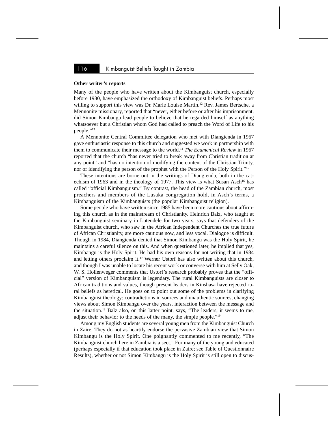## **Other writer's reports**

Many of the people who have written about the Kimbanguist church, especially before 1980, have emphasized the orthodoxy of Kimbanguist beliefs. Perhaps most willing to support this view was Dr. Marie Louise Martin.<sup>12</sup> Rev. James Bertsche, a Mennonite missionary, reported that "never, either before or after his imprisonment, did Simon Kimbangu lead people to believe that he regarded himself as anything whatsoever but a Christian whom God had called to preach the Word of Life to his people."<sup>13</sup>

A Mennonite Central Committee delegation who met with Diangienda in 1967 gave enthusiastic response to this church and suggested we work in partnership with them to communicate their message to the world.14 *The Ecumenical Review* in 1967 reported that the church "has never tried to break away from Christian tradition at any point" and "has no intention of modifying the content of the Christian Trinity, nor of identifying the person of the prophet with the Person of the Holy Spirit."<sup>15</sup>

These intentions are borne out in the writings of Diangienda, both in the catechism of 1963 and in the theology of 1977. This view is what Susan Asch<sup>16</sup> has called "official Kimbanguism." By contrast, the head of the Zambian church, most preachers and members of the Lusaka congregation hold, in Asch's terms, a Kimbanguism of the Kimbanguists (the popular Kimbanguist religion).

Some people who have written since 1985 have been more cautious about affirming this church as in the mainstream of Christianity. Heinrich Balz, who taught at the Kimbanguist seminary in Lutendele for two years, says that defenders of the Kimbanguist church, who saw in the African Independent Churches the true future of African Christianity, are more cautious now, and less vocal. Dialogue is difficult. Though in 1984, Diangienda denied that Simon Kimbangu was the Holy Spirit, he maintains a careful silence on this. And when questioned later, he implied that yes, Kimbangu is the Holy Spirit. He had his own reasons for not writing that in 1984 and letting others proclaim it.<sup>17</sup> Werner Ustorf has also written about this church, and though I was unable to locate his recent work or converse with him at Selly Oak, W. S. Hollenweger comments that Ustorf's research probably proves that the "official" version of Kimbanguism is legendary. The rural Kimbanguists are closer to African traditions and values, though present leaders in Kinshasa have rejected rural beliefs as heretical. He goes on to point out some of the problems in clarifying Kimbanguist theology: contradictions in sources and unauthentic sources, changing views about Simon Kimbangu over the years, interaction between the message and the situation.18 Balz also, on this latter point, says, "The leaders, it seems to me, adjust their behavior to the needs of the many, the simple people."19

Among my English students are several young men from the Kimbanguist Church in Zaire. They do not as heartily endorse the pervasive Zambian view that Simon Kimbangu is the Holy Spirit. One poignantly commented to me recently, "The Kimbanguist church here in Zambia is a sect." For many of the young and educated (perhaps especially if that education took place in Zaire; see Table of Questionnaire Results), whether or not Simon Kimbangu is the Holy Spirit is still open to discus-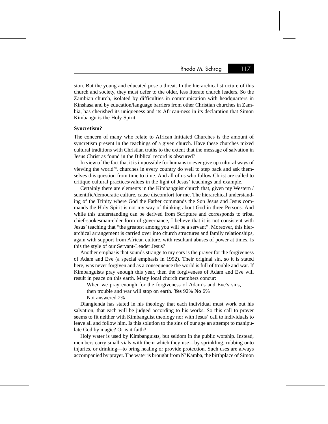Rhoda M. Schrag 117

sion. But the young and educated pose a threat. In the hierarchical structure of this church and society, they must defer to the older, less literate church leaders. So the Zambian church, isolated by difficulties in communication with headquarters in Kinshasa and by education/language barriers from other Christian churches in Zambia, has cherished its uniqueness and its African-ness in its declaration that Simon Kimbangu is the Holy Spirit.

#### **Syncretism?**

The concern of many who relate to African Initiated Churches is the amount of syncretism present in the teachings of a given church. Have these churches mixed cultural traditions with Christian truths to the extent that the message of salvation in Jesus Christ as found in the Biblical record is obscured?

In view of the fact that it is impossible for humans to ever give up cultural ways of viewing the world<sup>20</sup>, churches in every country do well to step back and ask themselves this question from time to time. And all of us who follow Christ are called to critique cultural practices/values in the light of Jesus' teachings and example.

Certainly there are elements in the Kimbanguist church that, given my Western / scientific/democratic culture, cause discomfort for me. The hierarchical understanding of the Trinity where God the Father commands the Son Jesus and Jesus commands the Holy Spirit is not my way of thinking about God in three Persons. And while this understanding can be derived from Scripture and corresponds to tribal chief-spokesman-elder form of governance, I believe that it is not consistent with Jesus' teaching that "the greatest among you will be a servant". Moreover, this hierarchical arrangement is carried over into church structures and family relationships, again with support from African culture, with resultant abuses of power at times. Is this the style of our Servant-Leader Jesus?

Another emphasis that sounds strange to my ears is the prayer for the forgiveness of Adam and Eve (a special emphasis in 1992). Their original sin, so it is stated here, was never forgiven and as a consequence the world is full of trouble and war. If Kimbanguists pray enough this year, then the forgiveness of Adam and Eve will result in peace on this earth. Many local church members concur:

When we pray enough for the forgiveness of Adam's and Eve's sins,

then trouble and war will stop on earth. **Yes** 92% **No** 6%

Not answered 2%

Diangienda has stated in his theology that each individual must work out his salvation, that each will be judged according to his works. So this call to prayer seems to fit neither with Kimbanguist theology nor with Jesus' call to individuals to leave all and follow him. Is this solution to the sins of our age an attempt to manipulate God by magic? Or is it faith?

Holy water is used by Kimbanguists, but seldom in the public worship. Instead, members carry small vials with them which they use—by sprinkling, rubbing onto injuries, or drinking—to bring healing or provide protection. Such uses are always accompanied by prayer. The water is brought from N'Kamba, the birthplace of Simon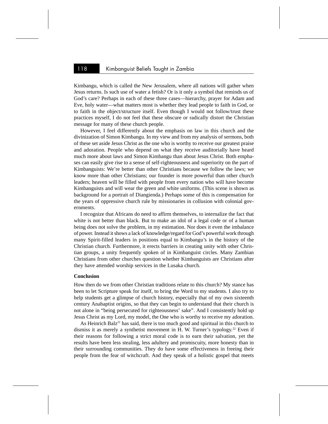# 118 Kimbanguist Beliefs Taught in Zambia

Kimbangu, which is called the New Jerusalem, where all nations will gather when Jesus returns. Is such use of water a fetish? Or is it only a symbol that reminds us of God's care? Perhaps in each of these three cases—hierarchy, prayer for Adam and Eve, holy water—what matters most is whether they lead people to faith in God, or to faith in the object/structure itself. Even though I would not follow/trust these practices myself, I do not feel that these obscure or radically distort the Christian message for many of these church people.

However, I feel differently about the emphasis on law in this church and the divinization of Simon Kimbangu. In my view and from my analysis of sermons, both of these set aside Jesus Christ as the one who is worthy to receive our greatest praise and adoration. People who depend on what they receive auditorially have heard much more about laws and Simon Kimbangu than about Jesus Christ. Both emphases can easily give rise to a sense of self-righteousness and superiority on the part of Kimbanguists: We're better than other Christians because we follow the laws; we know more than other Christians; our founder is more powerful than other church leaders; heaven will be filled with people from every nation who will have become Kimbanguists and will wear the green and white uniforms. (This scene is shown as background for a portrait of Diangienda.) Perhaps some of this is compensation for the years of oppressive church rule by missionaries in collusion with colonial governments.

I recognize that Africans do need to affirm themselves, to internalize the fact that white is not better than black. But to make an idol of a legal code or of a human being does not solve the problem, in my estimation. Nor does it even the imbalance of power. Instead it shows a lack of knowledge/regard for God's powerful work through many Spirit-filled leaders in positions equal to Kimbangu's in the history of the Christian church. Furthermore, it erects barriers in creating unity with other Christian groups, a unity frequently spoken of in Kimbanguist circles. Many Zambian Christians from other churches question whether Kimbanguists are Christians after they have attended worship services in the Lusaka church.

## **Conclusion**

How then do we from other Christian traditions relate to this church? My stance has been to let Scripture speak for itself, to bring the Word to my students. I also try to help students get a glimpse of church history, especially that of my own sixteenth century Anabaptist origins, so that they can begin to understand that their church is not alone in "being persecuted for righteousness' sake". And I consistently hold up Jesus Christ as my Lord, my model, the One who is worthy to receive my adoration.

As Heinrich Balz<sup>21</sup> has said, there is too much good and spiritual in this church to dismiss it as merely a synthetist movement in H. W. Turner's typology.<sup>22</sup> Even if their reasons for following a strict moral code is to earn their salvation, yet the results have been less stealing, less adultery and promiscuity, more honesty than in their surrounding communities. They do have some effectiveness in freeing their people from the fear of witchcraft. And they speak of a holistic gospel that meets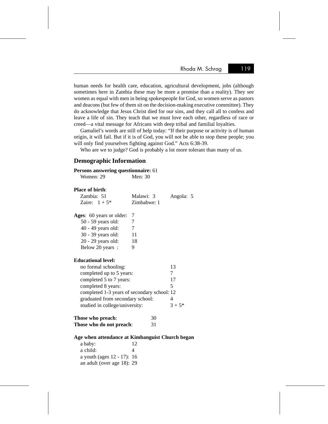Rhoda M. Schrag 119

human needs for health care, education, agricultural development, jobs (although sometimes here in Zambia these may be more a promise than a reality). They see women as equal with men in being spokespeople for God, so women serve as pastors and deacons (but few of them sit on the decision-making executive committee). They do acknowledge that Jesus Christ died for our sins, and they call all to confess and leave a life of sin. They teach that we must love each other, regardless of race or creed—a vital message for Africans with deep tribal and familial loyalties.

Gamaliel's words are still of help today: "If their purpose or activity is of human origin, it will fail. But if it is of God, you will not be able to stop these people; you will only find yourselves fighting against God." Acts 6:38-39.

Who are we to judge? God is probably a lot more tolerant than many of us.

# **Demographic Information**

| Persons answering questionnaire: 61             |             |           |  |
|-------------------------------------------------|-------------|-----------|--|
| Women: 29                                       | Men: 30     |           |  |
| <b>Place of birth:</b>                          |             |           |  |
| Zambia: 51                                      | Malawi: 3   | Angola: 5 |  |
| Zaire: $1+5^*$                                  | Zimbabwe: 1 |           |  |
| <b>Ages:</b> 60 years or older:                 | 7           |           |  |
| 50 - 59 years old:                              | 7           |           |  |
| 40 - 49 years old:                              | 7           |           |  |
| 30 - 39 years old:                              | 11          |           |  |
| 20 - 29 years old:                              | 18          |           |  |
| Below 20 years :                                | 9           |           |  |
| <b>Educational level:</b>                       |             |           |  |
| no formal schooling:                            |             | 13        |  |
| completed up to 5 years:                        | $\tau$      |           |  |
| completed 5 to 7 years:                         | 17          |           |  |
| completed 8 years:                              | 5           |           |  |
| completed 1-3 years of secondary school: 12     |             |           |  |
| graduated from secondary school:                | 4           |           |  |
| studied in college/university:                  |             | $3 + 5*$  |  |
| Those who preach:                               | 30          |           |  |
| Those who do not preach:                        | 31          |           |  |
| Age when attendance at Kimbanguist Church began |             |           |  |
| a baby:                                         | 12          |           |  |
| a child:                                        | 4           |           |  |
| a youth (ages 12 - 17): 16                      |             |           |  |

an adult (over age 18): 29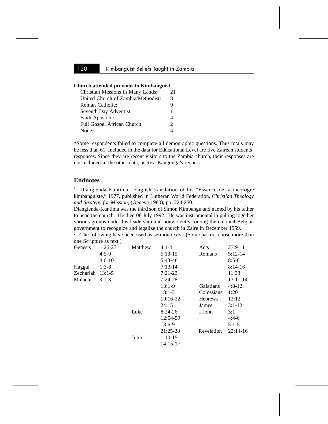## **Church attended previous to Kimbanguist**

| Christian Missions in Many Lands:  | 21                          |
|------------------------------------|-----------------------------|
| United Church of Zambia/Methodist: | 8                           |
| Roman Catholic:                    | 9                           |
| Seventh Day Adventist:             | 1                           |
| Faith Apostolic:                   |                             |
| Full Gospel African Church:        | $\mathcal{D}_{\mathcal{L}}$ |
| None:                              |                             |

\*Some respondents failed to complete all demographic questions. Thus totals may be less than 61. Included in the data for Educational Level are five Zairean students' responses. Since they are recent visitors to the Zambia church, their responses are not included in the other data, at Rev. Kangonga's request.

# **Endnotes**

<sup>1</sup> Diangienda-Kuntima, English translation of his "Essence de la theologie kimbanguiste," 1977, published in Lutheran World Federation, *Christian Theology and Strategy for Mission*, (Geneva 1980), pp. 224-250.

Diangienda-Kuntima was the third son of Simon Kimbangu and named by his father to head the church. He died 08 July 1992. He was instrumental in pulling together various groups under his leadership and nonviolently forcing the colonial Belgian government to recognize and legalize the church in Zaire in December 1959.<br><sup>2</sup> The following have been used as serman taxts. (Same national taxts)

The following have been used as sermon texts. (Some pastors chose more than one Scripture as text.)

| Genesis   | $1:26-27$ | Matthew | $4:1 - 4$  | Acts           | $27:9-11$    |
|-----------|-----------|---------|------------|----------------|--------------|
|           | $4:5-9$   |         | $5:13-15$  | Romans         | $5:12-14$    |
|           | $8:6-10$  |         | $5:43-48$  |                | $8:5-8$      |
| Haggai    | $1:3-8$   |         | $7:13-14$  |                | $8:14-16$    |
| Zechariah | $13:1-5$  |         | $7:21-23$  |                | 11:33        |
| Malachi   | $3:1-3$   |         | $7:24-28$  |                | $13:11 - 14$ |
|           |           |         | $13:1-9$   | Galatians      | $4:8-12$     |
|           |           |         | $18:1-3$   | Colossians     | 1:20         |
|           |           |         | 19:16-22   | <b>Hebrews</b> | 12:12        |
|           |           |         | 24:15      | James          | $3:1-12$     |
|           |           | Luke    | $8:24-26$  | I John         | 3:1          |
|           |           |         | 12:54-59   |                | $4:4-6$      |
|           |           |         | $13:6-9$   |                | $5:1-5$      |
|           |           |         | $21:25-28$ | Revelation     | $22:14-16$   |
|           |           | John    | $1:10-15$  |                |              |
|           |           |         | $14:15-17$ |                |              |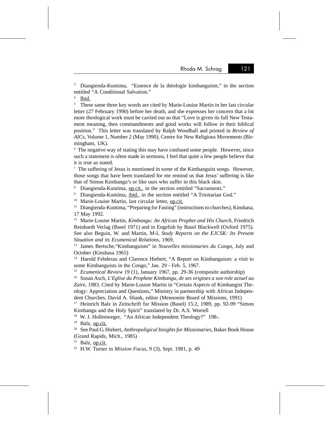Rhoda M. Schrag 121

<sup>3</sup> Diangienda-Kuntima, "Essence de la théologie kimbanguiste," in the section entitled "A Conditional Salvation."

<sup>5</sup> These same three key words are cited by Marie-Louise Martin in her last circular letter (27 February 1990) before her death, and she expresses her concern that a lot more theological work must be carried out so that "Love is given its full New Testament meaning, then commandments and good works will follow in their biblical position." This letter was translated by Ralph Woodhall and printed in *Review of AICs*, Volume 1, Number 2 (May 1990), Centre for New Religious Movements (Birmingham, UK).

<sup>6</sup> The negative way of stating this may have confused some people. However, since such a statement is often made in sermons, I feel that quite a few people believe that it is true as stated.

<sup>7</sup> The suffering of Jesus is mentioned in some of the Kimbanguist songs. However, those songs that have been translated for me remind us that Jesus' suffering is like that of Simon Kimbangu's or like ours who suffer in this black skin.

<sup>8</sup> Diangienda-Kuntima, op.cit., in the section entitled "Sacraments."<br><sup>9</sup> Diangienda-Kuntima, ibid, in the section entitled "A Trinitarian C

Diangienda-Kuntima, ibid., in the section entitled "A Trinitarian God."

<sup>10</sup> Marie-Louise Martin, last circular letter, op.cit.

<sup>11</sup> Diangienda-Kuntima, "Preparing for Fasting" (instructions to churches), Kinshasa, 17 May 1992.

<sup>12</sup> Marie-Louise Martin, *Kimbangu: An African Prophet and His Church*, Friedrich Reinhardt Verlag (Basel 1971) and in Engelish by Basel Blackwell (Oxford 1975). See also Beguin, W. and Martin, M-L *Study Reports on the EJCSK: Its Present Situation and its Ecumenical Relations,* 1969.

<sup>13</sup> James Bertsche,"Kimbanguism" in *Nouvelles missionaries du Congo,* July and October (Kinshasa 1965)

<sup>14</sup> Harold Fehderau and Clarence Hiebert, "A Report on Kimbanguism: a visit to some Kimbanguists in the Congo," Jan. 29 - Feb. 5, 1967.

<sup>15</sup> *Ecumenical Review* 19 (1), January 1967, pp. 29-36 (composite authorship)

<sup>16</sup> Susan Asch, *L'Eglise du Prophete Kimbangu, de ses origines a son role actuel au Zaire,* 1983. Cited by Marie-Louise Martin in "Certain Aspects of Kimbangist Theology: Appreciation and Questions," Ministry in partnership with African Independent Churches, David A. Shank, editor (Mennonite Board of Missions, 1991)

<sup>17</sup> Heinrich Balz in Zeitschrift fur Mission (Basel) 15:2, 1989, pp. 92-99 "Simon Kimbangu and the Holy Spirit" translated by Dr. A.S. Worrell

<sup>18</sup> W. J. Hollenweger, "An African Independent Theology?" 198-.

<sup>19</sup> Balz, op.cit.

<sup>20</sup> See Paul G. Hiebert, *Anthropoligical Insights for Missionaries*, Baker Book House (Grand Rapids, Mich., 1985)

<sup>21</sup> Balz, op.cit.

<sup>22</sup> H.W. Turner in *Mission Focus*, 9 (3), Sept. 1981, p. 49

Ibid.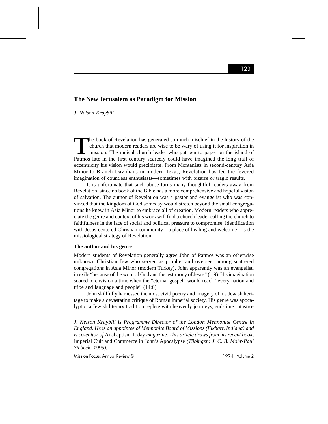# **The New Jerusalem as Paradigm for Mission**

*J. Nelson Kraybill*

The book of Revelation has generated so much mischief in the history of the church that modern readers are wise to be wary of using it for inspiration in mission. The radical church leader who put pen to paper on the islan church that modern readers are wise to be wary of using it for inspiration in mission. The radical church leader who put pen to paper on the island of Patmos late in the first century scarcely could have imagined the long trail of eccentricity his vision would precipitate. From Montanists in second-century Asia Minor to Branch Davidians in modern Texas, Revelation has fed the fevered imagination of countless enthusiasts—sometimes with bizarre or tragic results.

It is unfortunate that such abuse turns many thoughtful readers away from Revelation, since no book of the Bible has a more comprehensive and hopeful vision of salvation. The author of Revelation was a pastor and evangelist who was convinced that the kingdom of God someday would stretch beyond the small congregations he knew in Asia Minor to embrace all of creation. Modern readers who appreciate the genre and context of his work will find a church leader calling the church to faithfulness in the face of social and political pressure to compromise. Identification with Jesus-centered Christian community—a place of healing and welcome—is the missiological strategy of Revelation.

## **The author and his genre**

Modern students of Revelation generally agree John of Patmos was an otherwise unknown Christian Jew who served as prophet and overseer among scattered congregations in Asia Minor (modern Turkey). John apparently was an evangelist, in exile "because of the word of God and the testimony of Jesus" (1:9). His imagination soared to envision a time when the "eternal gospel" would reach "every nation and tribe and language and people" (14:6).

John skillfully harnessed the most vivid poetry and imagery of his Jewish heritage to make a devastating critique of Roman imperial society. His genre was apocalyptic, a Jewish literary tradition replete with heavenly journeys, end-time catastro-

*J. Nelson Kraybill is Programme Director of the London Mennonite Centre in England. He is an appointee of Mennonite Board of Missions (Elkhart, Indiana) and is co-editor of* Anabaptism Today *magazine. This article draws from his recent book,* Imperial Cult and Commerce in John's Apocalypse *(Tübingen: J. C. B. Mohr-Paul Siebeck, 1995).*

Mission Focus: Annual Review © 1994 Volume 2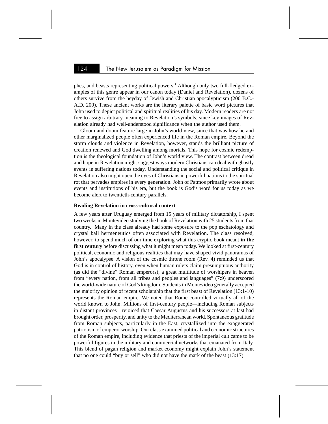phes, and beasts representing political powers.<sup>1</sup> Although only two full-fledged examples of this genre appear in our canon today (Daniel and Revelation), dozens of others survive from the heyday of Jewish and Christian apocalypticism (200 B.C.- A.D. 200). These ancient works are the literary palette of basic word pictures that John used to depict political and spiritual realities of his day. Modern readers are not free to assign arbitrary meaning to Revelation's symbols, since key images of Revelation already had well-understood significance when the author used them.

Gloom and doom feature large in John's world view, since that was how he and other marginalized people often experienced life in the Roman empire. Beyond the storm clouds and violence in Revelation, however, stands the brilliant picture of creation renewed and God dwelling among mortals. This hope for cosmic redemption is the theological foundation of John's world view. The contrast between dread and hope in Revelation might suggest ways modern Christians can deal with ghastly events in suffering nations today. Understanding the social and political critique in Revelation also might open the eyes of Christians in powerful nations to the spiritual rot that pervades empires in every generation. John of Patmos primarily wrote about events and institutions of his era, but the book is God's word for us today as we become alert to twentieth-century parallels.

## **Reading Revelation in cross-cultural context**

A few years after Uruguay emerged from 15 years of military dictatorship, I spent two weeks in Montevideo studying the book of Revelation with 25 students from that country. Many in the class already had some exposure to the pop eschatology and crystal ball hermeneutics often associated with Revelation. The class resolved, however, to spend much of our time exploring what this cryptic book meant **in the first century** before discussing what it might mean today. We looked at first-century political, economic and religious realities that may have shaped vivid panoramas of John's apocalypse. A vision of the cosmic throne room (Rev. 4) reminded us that God is in control of history, even when human rulers claim presumptuous authority (as did the "divine" Roman emperors); a great multitude of worshipers in heaven from "every nation, from all tribes and peoples and languages" (7:9) underscored the world-wide nature of God's kingdom. Students in Montevideo generally accepted the majority opinion of recent scholarship that the first beast of Revelation (13:1-10) represents the Roman empire. We noted that Rome controlled virtually all of the world known to John. Millions of first-century people—including Roman subjects in distant provinces—rejoiced that Caesar Augustus and his successors at last had brought order, prosperity, and unity to the Mediterranean world. Spontaneous gratitude from Roman subjects, particularly in the East, crystallized into the exaggerated patriotism of emperor worship. Our class examined political and economic structures of the Roman empire, including evidence that priests of the imperial cult came to be powerful figures in the military and commercial networks that emanated from Italy. This blend of pagan religion and market economy might explain John's statement that no one could "buy or sell" who did not have the mark of the beast (13:17).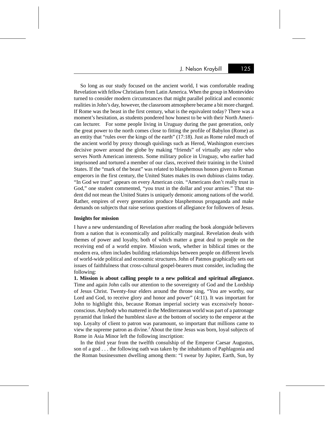J. Nelson Kraybill 125

So long as our study focused on the ancient world, I was comfortable reading Revelation with fellow Christians from Latin America. When the group in Montevideo turned to consider modern circumstances that might parallel political and economic realities in John's day, however, the classroom atmosphere became a bit more charged. If Rome was the beast in the first century, what is the equivalent today? There was a moment's hesitation, as students pondered how honest to be with their North American lecturer. For some people living in Uruguay during the past generation, only the great power to the north comes close to fitting the profile of Babylon (Rome) as an entity that "rules over the kings of the earth" (17:18). Just as Rome ruled much of the ancient world by proxy through quislings such as Herod, Washington exercises decisive power around the globe by making "friends" of virtually any ruler who serves North American interests. Some military police in Uruguay, who earlier had imprisoned and tortured a member of our class, received their training in the United States. If the "mark of the beast" was related to blasphemous honors given to Roman emperors in the first century, the United States makes its own dubious claims today. "In God we trust" appears on every American coin. "Americans don't really trust in God," one student commented, "you trust in the dollar and your armies." That student did not mean the United States is uniquely demonic among nations of the world. Rather, empires of every generation produce blasphemous propaganda and make demands on subjects that raise serious questions of allegiance for followers of Jesus.

## **Insights for mission**

I have a new understanding of Revelation after reading the book alongside believers from a nation that is economically and politically marginal. Revelation deals with themes of power and loyalty, both of which matter a great deal to people on the receiving end of a world empire. Mission work, whether in biblical times or the modern era, often includes building relationships between people on different levels of world-wide political and economic structures. John of Patmos graphically sets out issues of faithfulness that cross-cultural gospel-bearers must consider, including the following:

**1. Mission is about calling people to a new political and spiritual allegiance.** Time and again John calls our attention to the sovereignty of God and the Lordship of Jesus Christ. Twenty-four elders around the throne sing, "You are worthy, our Lord and God, to receive glory and honor and power" (4:11). It was important for John to highlight this, because Roman imperial society was excessively honorconscious. Anybody who mattered in the Mediterranean world was part of a patronage pyramid that linked the humblest slave at the bottom of society to the emperor at the top. Loyalty of client to patron was paramount, so important that millions came to view the supreme patron as divine.2 About the time Jesus was born, loyal subjects of Rome in Asia Minor left the following inscription:

In the third year from the twelfth consulship of the Emperor Caesar Augustus, son of a god . . . the following oath was taken by the inhabitants of Paphlagonia and the Roman businessmen dwelling among them: "I swear by Jupiter, Earth, Sun, by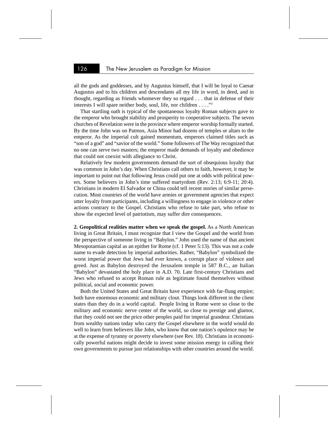all the gods and goddesses, and by Augustus himself, that I will be loyal to Caesar Augustus and to his children and descendants all my life in word, in deed, and in thought, regarding as friends whomever they so regard . . . that in defense of their interests I will spare neither body, soul, life, nor children . . . ."3

That startling oath is typical of the spontaneous loyalty Roman subjects gave to the emperor who brought stability and prosperity to cooperative subjects. The seven churches of Revelation were in the province where emperor worship formally started. By the time John was on Patmos, Asia Minor had dozens of temples or altars to the emperor. As the imperial cult gained momentum, emperors claimed titles such as "son of a god" and "savior of the world." Some followers of The Way recognized that no one can serve two masters; the emperor made demands of loyalty and obedience that could not coexist with allegiance to Christ.

Relatively few modern governments demand the sort of obsequious loyalty that was common in John's day. When Christians call others to faith, however, it may be important to point out that following Jesus could put one at odds with political powers. Some believers in John's time suffered martyrdom (Rev. 2:13; 6:9-11; 20:4). Christians in modern El Salvador or China could tell recent stories of similar persecution. Most countries of the world have armies or government agencies that expect utter loyalty from participants, including a willingness to engage in violence or other actions contrary to the Gospel. Christians who refuse to take part, who refuse to show the expected level of patriotism, may suffer dire consequences.

**2. Geopolitical realities matter when we speak the gospel.** As a North American living in Great Britain, I must recognize that I view the Gospel and the world from the perspective of someone living in "Babylon." John used the name of that ancient Mesopotamian capital as an epithet for Rome (cf. 1 Peter 5:13). This was not a code name to evade detection by imperial authorities. Rather, "Babylon" symbolized the worst imperial power that Jews had ever known, a corrupt place of violence and greed. Just as Babylon destroyed the Jerusalem temple in 587 B.C., an Italian "Babylon" devastated the holy place in A.D. 70. Late first-century Christians and Jews who refused to accept Roman rule as legitimate found themselves without political, social and economic power.

Both the United States and Great Britain have experience with far-flung empire; both have enormous economic and military clout. Things look different in the client states than they do in a world capital. People living in Rome were so close to the military and economic nerve center of the world, so close to prestige and glamor, that they could not see the price other peoples paid for imperial grandeur. Christians from wealthy nations today who carry the Gospel elsewhere in the world would do well to learn from believers like John, who know that one nation's opulence may be at the expense of tyranny or poverty elsewhere (see Rev. 18). Christians in economically powerful nations might decide to invest some mission energy in calling their own governments to pursue just relationships with other countries around the world.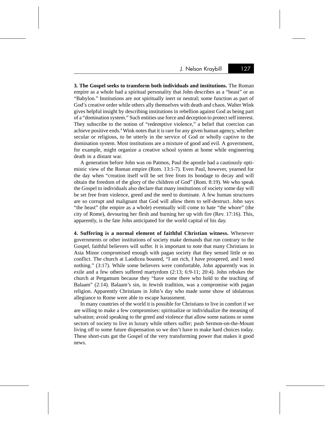J. Nelson Kraybill 127

**3. The Gospel seeks to transform both individuals and institutions.** The Roman empire as a whole had a spiritual personality that John describes as a "beast" or as "Babylon." Institutions are not spiritually inert or neutral; some function as part of God's creative order while others ally themselves with death and chaos. Walter Wink gives helpful insight by describing institutions in rebellion against God as being part of a "domination system." Such entities use force and deception to protect self interest. They subscribe to the notion of "redemptive violence," a belief that coercion can achieve positive ends.<sup>4</sup> Wink notes that it is rare for any given human agency, whether secular or religious, to be utterly in the service of God or wholly captive to the domination system. Most institutions are a mixture of good and evil. A government, for example, might organize a creative school system at home while engineering death in a distant war.

A generation before John was on Patmos, Paul the apostle had a cautiously optimistic view of the Roman empire (Rom. 13:1-7). Even Paul, however, yearned for the day when "creation itself will be set free from its bondage to decay and will obtain the freedom of the glory of the children of God" (Rom. 8:19). We who speak the Gospel to individuals also declare that many institutions of society some day will be set free from violence, greed and the need to dominate. A few human structures are so corrupt and malignant that God will allow them to self-destruct. John says "the beast" (the empire as a whole) eventually will come to hate "the whore" (the city of Rome), devouring her flesh and burning her up with fire (Rev. 17:16). This, apparently, is the fate John anticipated for the world capital of his day.

**4. Suffering is a normal element of faithful Christian witness.** Whenever governments or other institutions of society make demands that run contrary to the Gospel, faithful believers will suffer. It is important to note that many Christians in Asia Minor compromised enough with pagan society that they sensed little or no conflict. The church at Laodicea boasted, "I am rich, I have prospered, and I need nothing." (3:17). While some believers were comfortable, John apparently was in exile and a few others suffered martyrdom (2:13; 6:9-11; 20:4). John rebukes the church at Pergamum because they "have some there who hold to the teaching of Balaam" (2:14). Balaam's sin, in Jewish tradition, was a compromise with pagan religion. Apparently Christians in John's day who made some show of idolatrous allegiance to Rome were able to escape harassment.

In many countries of the world it is possible for Christians to live in comfort if we are willing to make a few compromises: spiritualize or individualize the meaning of salvation; avoid speaking to the greed and violence that allow some nations or some sectors of society to live in luxury while others suffer; push Sermon-on-the-Mount living off to some future dispensation so we don't have to make hard choices today. These short-cuts gut the Gospel of the very transforming power that makes it good news.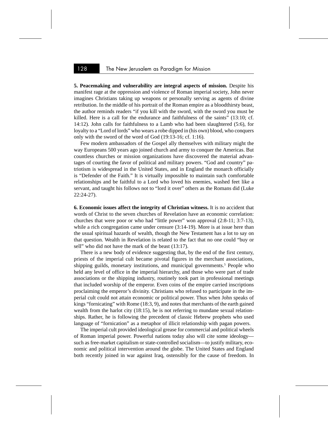**5. Peacemaking and vulnerability are integral aspects of mission.** Despite his manifest rage at the oppression and violence of Roman imperial society, John never imagines Christians taking up weapons or personally serving as agents of divine retribution. In the middle of his portrait of the Roman empire as a bloodthirsty beast, the author reminds readers "if you kill with the sword, with the sword you must be killed. Here is a call for the endurance and faithfulness of the saints" (13:10; cf. 14:12). John calls for faithfulness to a Lamb who had been slaughtered (5:6), for loyalty to a "Lord of lords" who wears a robe dipped in (his own) blood, who conquers only with the sword of the word of God (19:13-16; cf. 1:16).

Few modern ambassadors of the Gospel ally themselves with military might the way Europeans 500 years ago joined church and army to conquer the Americas. But countless churches or mission organizations have discovered the material advantages of courting the favor of political and military powers. "God and country" patriotism is widespread in the United States, and in England the monarch officially is "Defender of the Faith." It is virtually impossible to maintain such comfortable relationships and be faithful to a Lord who loved his enemies, washed feet like a servant, and taught his follows not to "lord it over" others as the Romans did (Luke 22:24-27).

**6. Economic issues affect the integrity of Christian witness.** It is no accident that words of Christ to the seven churches of Revelation have an economic correlation: churches that were poor or who had "little power" won approval (2:8-11; 3:7-13), while a rich congregation came under censure  $(3:14-19)$ . More is at issue here than the usual spiritual hazards of wealth, though the New Testament has a lot to say on that question. Wealth in Revelation is related to the fact that no one could "buy or sell" who did not have the mark of the beast (13:17).

There is a new body of evidence suggesting that, by the end of the first century, priests of the imperial cult became pivotal figures in the merchant associations, shipping guilds, monetary institutions, and municipal governments.<sup>5</sup> People who held any level of office in the imperial hierarchy, and those who were part of trade associations or the shipping industry, routinely took part in professional meetings that included worship of the emperor. Even coins of the empire carried inscriptions proclaiming the emperor's divinity. Christians who refused to participate in the imperial cult could not attain economic or political power. Thus when John speaks of kings "fornicating" with Rome (18:3, 9), and notes that merchants of the earth gained wealth from the harlot city (18:15), he is not referring to mundane sexual relationships. Rather, he is following the precedent of classic Hebrew prophets who used language of "fornication" as a metaphor of illicit relationship with pagan powers.

The imperial cult provided ideological grease for commercial and political wheels of Roman imperial power. Powerful nations today also will cite some ideology such as free-market capitalism or state-controlled socialism—to justify military, economic and political intervention around the globe. The United States and England both recently joined in war against Iraq, ostensibly for the cause of freedom. In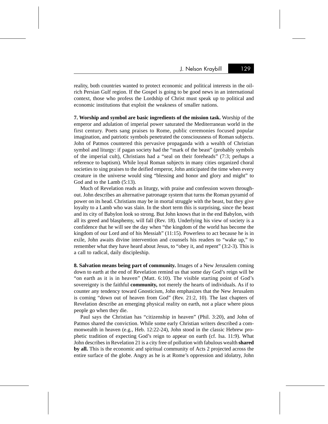J. Nelson Kraybill 129

reality, both countries wanted to protect economic and political interests in the oilrich Persian Gulf region. If the Gospel is going to be good news in an international context, those who profess the Lordship of Christ must speak up to political and economic institutions that exploit the weakness of smaller nations.

**7. Worship and symbol are basic ingredients of the mission task.** Worship of the emperor and adulation of imperial power saturated the Mediterranean world in the first century. Poets sang praises to Rome, public ceremonies focused popular imagination, and patriotic symbols penetrated the consciousness of Roman subjects. John of Patmos countered this pervasive propaganda with a wealth of Christian symbol and liturgy: if pagan society had the "mark of the beast" (probably symbols of the imperial cult), Christians had a "seal on their foreheads" (7:3; perhaps a reference to baptism). While loyal Roman subjects in many cities organized choral societies to sing praises to the deified emperor, John anticipated the time when every creature in the universe would sing "blessing and honor and glory and might" to God and to the Lamb (5:13).

Much of Revelation reads as liturgy, with praise and confession woven throughout. John describes an alternative patronage system that turns the Roman pyramid of power on its head. Christians may be in mortal struggle with the beast, but they give loyalty to a Lamb who was slain. In the short term this is surprising, since the beast and its city of Babylon look so strong. But John knows that in the end Babylon, with all its greed and blasphemy, will fall (Rev. 18). Underlying his view of society is a confidence that he will see the day when "the kingdom of the world has become the kingdom of our Lord and of his Messiah" (11:15). Powerless to act because he is in exile, John awaits divine intervention and counsels his readers to "wake up," to remember what they have heard about Jesus, to "obey it, and repent" (3:2-3). This is a call to radical, daily discipleship.

**8. Salvation means being part of community.** Images of a New Jerusalem coming down to earth at the end of Revelation remind us that some day God's reign will be "on earth as it is in heaven" (Matt. 6:10). The visible starting point of God's sovereignty is the faithful **community,** not merely the hearts of individuals. As if to counter any tendency toward Gnosticism, John emphasizes that the New Jerusalem is coming "down out of heaven from God" (Rev. 21:2, 10). The last chapters of Revelation describe an emerging physical reality on earth, not a place where pious people go when they die.

Paul says the Christian has "citizenship in heaven" (Phil. 3:20), and John of Patmos shared the conviction. While some early Christian writers described a commonwealth in heaven (e.g., Heb. 12:22-24), John stood in the classic Hebrew prophetic tradition of expecting God's reign to appear on earth (cf. Isa. 11:9). What John describes in Revelation 21 is a city free of pollution with fabulous wealth **shared by all.** This is the economic and spiritual community of Acts 2 projected across the entire surface of the globe. Angry as he is at Rome's oppression and idolatry, John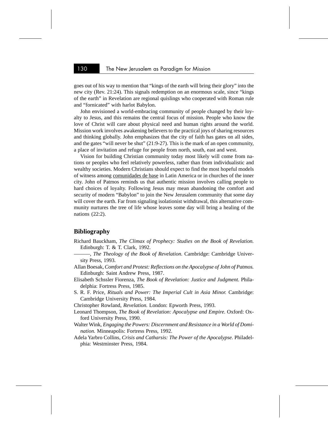goes out of his way to mention that "kings of the earth will bring their glory" into the new city (Rev. 21:24). This signals redemption on an enormous scale, since "kings of the earth" in Revelation are regional quislings who cooperated with Roman rule and "fornicated" with harlot Babylon.

John envisioned a world-embracing community of people changed by their loyalty to Jesus, and this remains the central focus of mission. People who know the love of Christ will care about physical need and human rights around the world. Mission work involves awakening believers to the practical joys of sharing resources and thinking globally. John emphasizes that the city of faith has gates on all sides, and the gates "will never be shut" (21:9-27). This is the mark of an open community, a place of invitation and refuge for people from north, south, east and west.

Vision for building Christian community today most likely will come from nations or peoples who feel relatively powerless, rather than from individualistic and wealthy societies. Modern Christians should expect to find the most hopeful models of witness among comunidades de base in Latin America or in churches of the inner city. John of Patmos reminds us that authentic mission involves calling people to hard choices of loyalty. Following Jesus may mean abandoning the comfort and security of modern "Babylon" to join the New Jerusalem community that some day will cover the earth. Far from signaling isolationist withdrawal, this alternative community nurtures the tree of life whose leaves some day will bring a healing of the nations (22:2).

## **Bibliography**

- Richard Bauckham, *The Climax of Prophecy: Studies on the Book of Revelation.* Edinburgh: T. & T. Clark, 1992.
- ———, *The Theology of the Book of Revelation.* Cambridge: Cambridge University Press, 1993.
- Allan Boesak, *Comfort and Protest: Reflections on the Apocalypse of John of Patmos.* Edinburgh: Saint Andrew Press, 1987.
- Elisabeth Schssler Fiorenza, *The Book of Revelation: Justice and Judgment.* Philadelphia: Fortress Press, 1985.
- S. R. F. Price, *Rituals and Power: The Imperial Cult in Asia Minor.* Cambridge: Cambridge University Press, 1984.

Christopher Rowland, *Revelation.* London: Epworth Press, 1993.

- Leonard Thompson, *The Book of Revelation: Apocalypse and Empire.* Oxford: Oxford University Press, 1990.
- Walter Wink, *Engaging the Powers: Discernment and Resistance in a World of Domination.* Minneapolis: Fortress Press, 1992.
- Adela Yarbro Collins, *Crisis and Catharsis: The Power of the Apocalypse.* Philadelphia: Westminster Press, 1984.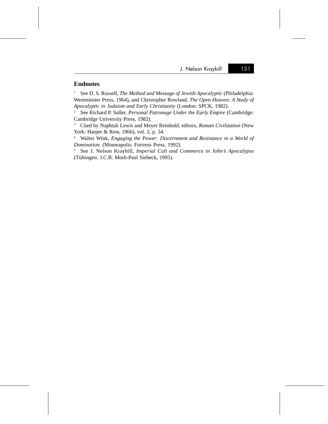J. Nelson Kraybill 131

# **Endnotes**

<sup>1</sup> See D. S. Russell, *The Method and Message of Jewish Apocalyptic* (Philadelphia: Westminster Press, 1964), and Christopher Rowland, *The Open Heaven: A Study of Apocalyptic in Judaism and Early Christianity* (London: SPCK, 1982).

<sup>4</sup> Walter Wink, *Engaging the Power: Discernment and Resistance in a World of Domination.* (Minneapolis: Fortress Press, 1992).

<sup>5</sup> See J. Nelson Kraybill, *Imperial Cult and Commerce in John's Apocalypse* (Tübingen: J.C.B. Morh-Paul Siebeck, 1995).

<sup>&</sup>lt;sup>2</sup> See Richard P. Saller, *Personal Patronage Under the Early Empire* (Cambridge: Cambridge University Press, 1982).

<sup>3</sup> Cited by Naphtali Lewis and Meyer Reinhold, editors, *Roman Civilization* (New York: Harper & Row, 1966), vol. 2, p. 34.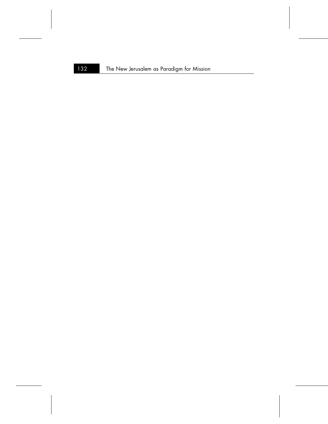$\overline{\phantom{0}}$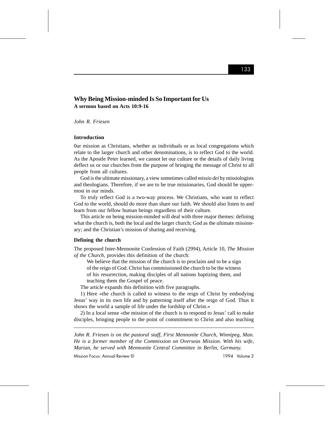# **Why Being Mission-minded Is So Important for Us A sermon based on Acts 10:9-16**

*John R. Friesen*

## **Introduction**

0ur mission as Christians, whether as individuals or as local congregations which relate to the larger church and other denominations, is to reflect God to the world. As the Apostle Peter learned, we cannot let our culture or the details of daily living deflect us or our churches from the purpose of bringing the message of Christ to all people from all cultures.

God is the ultimate missionary, a view sometimes called *missio dei* by missiologists and theologians. Therefore, if we are to be true missionaries, God should be uppermost in our minds.

To truly reflect God is a two-way process. We Christians, who want to reflect God to the world, should do more than share our faith. We should also listen to and learn from our fellow human beings regardless of their culture.

This article on being mission-minded will deal with three major themes: defining what the church is, both the local and the larger church; God as the ultimate missionary; and the Christian's mission of sharing and receiving.

## **Defining the church**

The proposed Inter-Mennonite Confession of Faith (2994), Article 10, *The Mission of the Church,* provides this definition of the church:

We believe that the mission of the church is to proclaim and to be a sign of the reign of God. Christ has commissioned the church to be the witness of his resurrection, making disciples of all nations baptizing them, and teaching them the Gospel of peace.

The article expands this definition with five paragraphs.

1) Here «the church is called to witness to the reign of Christ by embodying Jesus' way in its own life and by patterning itself after the reign of God. Thus it shows the world a sample of life under the lordship of Christ.»

2) In a local sense «the mission of the church is to respond to Jesus' call to make disciples, bringing people to the point of commitment to Christ and also teaching

*John R. Friesen is on the pastoral staff, First Mennonite Church, Winnipeg, Man. He is a former member of the Commission on Overseas Mission. With his wife, Marian, he served with Mennonite Central Committee in Berlin, Germany.*

Mission Focus: Annual Review © 1994 Volume 2

## 133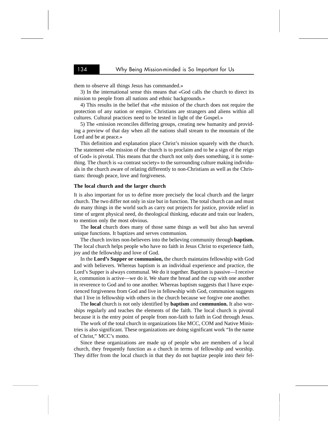them to observe all things Jesus has commanded.»

3) In the international sense this means that «God calls the church to direct its mission to people from all nations and ethnic backgrounds.»

4) This results in the belief that «the mission of the church does not require the protection of any nation or empire. Christians are strangers and aliens within all cultures. Cultural practices need to be tested in light of the Gospel.»

5) The «mission reconciles differing groups, creating new humanity and providing a preview of that day when all the nations shall stream to the mountain of the Lord and be at peace.»

This definition and explanation place Christ's mission squarely with the church. The statement «the mission of the church is to proclaim and to be a sign of the reign of God» is pivotal. This means that the church not only does something, it is something. The church is «a contrast society» to the surrounding culture making individuals in the church aware of relating differently to non-Christians as well as the Christians: through peace, love and forgiveness.

## **The local church and the larger church**

It is also important for us to define more precisely the local church and the larger church. The two differ not only in size but in function. The total church can and must do many things in the world such as carry out projects for justice, provide relief in time of urgent physical need, do theological thinking, educate and train our leaders, to mention only the most obvious.

The **local** church does many of those same things as well but also has several unique functions. It baptizes and serves communion.

The church invites non-believers into the believing community through **baptism.** The local church helps people who have no faith in Jesus Christ to experience faith, joy and the fellowship and love of God.

In the **Lord's Supper or communion,** the church maintains fellowship with God and with believers. Whereas baptism is an individual experience and practice, the Lord's Supper is always communal. We do it together. Baptism is passive—I receive it, communion is active—we do it. We share the bread and the cup with one another in reverence to God and to one another. Whereas baptism suggests that I have experienced forgiveness from God and live in fellowship with God, communion suggests that I live in fellowship with others in the church because we forgive one another.

The **local** church is not only identified by **baptism** and **communion.** It also worships regularly and teaches the elements of the faith. The local church is pivotal because it is the entry point of people from non-faith to faith in God through Jesus.

The work of the total church in organizations like MCC, COM and Native Ministries is also significant. These organizations are doing significant work "In the name of Christ," MCC's motto.

Since these organizations are made up of people who are members of a local church, they frequently function as a church in terms of fellowship and worship. They differ from the local church in that they do not baptize people into their fel-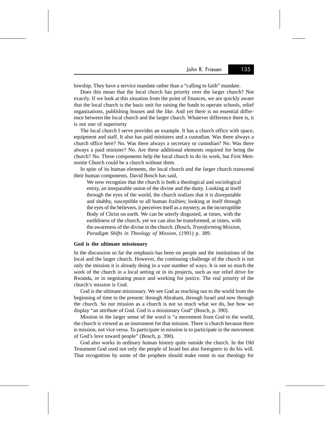John R. Friesen 135

lowship. They have a service mandate rather than a "calling to faith" mandate.

Does this mean that the local church has priority over the larger church? Not exactly. If we look at this situation from the point of finances, we are quickly aware that the local church is the basic unit for raising the funds to operate schools, relief organizations, publishing houses and the like. And yet there is no essential difference between the local church and the larger church. Whatever difference there is, it is not one of superiority

The local church I serve provides an example. It has a church office with space, equipment and staff. It also has paid ministers and a custodian. Was there always a church office here? No. Was there always a secretary or custodian? No. Was there always a paid minister? No. Are these additional elements required for being the church? No. These components help the local church to do its work, but First Mennonite Church could be a church without them.

In spite of its human elements, the local church and the larger church transcend their human components. David Bosch has said,

We now recognize that the church is both a theological and sociological entity, an inseparable union of the divine and the dusty. Looking at itself through the eyes of the world, the church realizes that it is disreputable and shabby, susceptible to all human frailties; looking at itself through the eyes of the believers, it perceives itself as a mystery, as the incorruptible Body of Christ on earth. We can be utterly disgusted, at times, with the earthliness of the church, yet we can also be transformed, at times, with the awareness of the divine in the church. (Bosch, *Transforming Mission, Paradigm Shifts in Theology of Mission*, (1991) p. 389.

## **God is the ultimate missionary**

In the discussion so far the emphasis has been on people and the institutions of the local and the larger church. However, the continuing challenge of the church is not only the mission it is already doing in a vast number of ways. It is not so much the work of the church in a local setting or in its projects, such as our relief drive for Rwanda, or in negotiating peace and working for justice. The real priority of the church's mission is God.

God is the ultimate missionary. We see God as reaching out to the world from the beginning of time to the present: through Abraham, through Israel and now through the church. So our mission as a church is not so much what we do, but how we display "an attribute of God. God is a missionary God" (Bosch, p. 390).

Mission in the larger sense of the word is "a movement from God to the world, the church is viewed as an instrument for that mission. There is church because there is mission, not vice versa. To participate in mission is to participate in the movement of God's love toward people" (Bosch, p. 390).

God also works in ordinary human history quite outside the church. In the Old Testament God used not only the people of Israel but also foreigners to do his will. That recognition by some of the prophets should make room in our theology for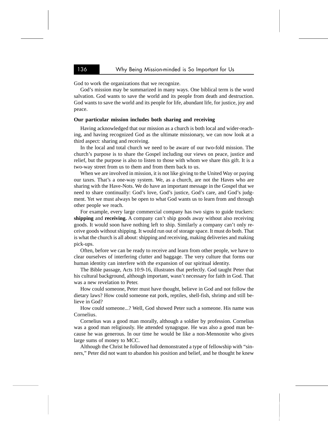God to work the organizations that we recognize.

God's mission may be summarized in many ways. One biblical term is the word salvation. God wants to save the world and its people from death and destruction. God wants to save the world and its people for life, abundant life, for justice, joy and peace.

### **Our particular mission includes both sharing and receiving**

Having acknowledged that our mission as a church is both local and wider-reaching, and having recognized God as the ultimate missionary, we can now look at a third aspect: sharing and receiving.

In the local and total church we need to be aware of our two-fold mission. The church's purpose is to share the Gospel including our views on peace, justice and relief, but the purpose is also to listen to those with whom we share this gift. It is a two-way street from us to them and from them back to us.

When we are involved in mission, it is not like giving to the United Way or paying our taxes. That's a one-way system. We, as a church, are not the Haves who are sharing with the Have-Nots. We do have an important message in the Gospel that we need to share continually: God's love, God's justice, God's care, and God's judgment. Yet we must always be open to what God wants us to learn from and through other people we reach.

For example, every large commercial company has two signs to guide truckers: **shipping** and **receiving.** A company can't ship goods away without also receiving goods. It would soon have nothing left to ship. Similarly a company can't only receive goods without shipping. It would run out of storage space. It must do both. That is what the church is all about: shipping and receiving, making deliveries and making pick-ups.

Often, before we can be ready to receive and learn from other people, we have to clear ourselves of interfering clutter and baggage. The very culture that forms our human identity can interfere with the expansion of our spiritual identity.

The Bible passage, Acts 10:9-16, illustrates that perfectly. God taught Peter that his cultural background, although important, wasn't necessary for faith in God. That was a new revelation to Peter.

How could someone, Peter must have thought, believe in God and not follow the dietary laws? How could someone eat pork, reptiles, shell-fish, shrimp and still believe in God?

How could someone...? Well, God showed Peter such a someone. His name was Cornelius.

Cornelius was a good man morally, although a soldier by profession. Cornelius was a good man religiously. He attended synagogue. He was also a good man because he was generous. In our time he would be like a non-Mennonite who gives large sums of money to MCC.

Although the Christ he followed had demonstrated a type of fellowship with "sinners," Peter did not want to abandon his position and belief, and he thought he knew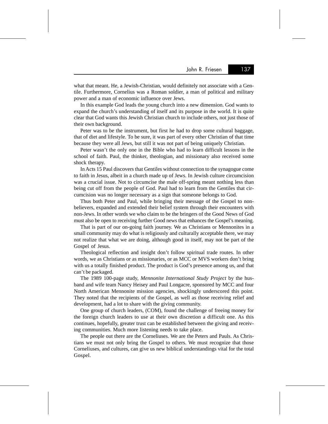John R. Friesen 137

what that meant. He, a Jewish-Christian, would definitely not associate with a Gentile. Furthermore, Cornelius was a Roman soldier, a man of political and military power and a man of economic influence over Jews.

In this example God leads the young church into a new dimension. God wants to expand the church's understanding of itself and its purpose in the world. It is quite clear that God wants this Jewish Christian church to include others, not just those of their own background.

Peter was to be the instrument, but first he had to drop some cultural baggage, that of diet and lifestyle. To be sure, it was part of every other Christian of that time because they were all Jews, but still it was not part of being uniquely Christian.

Peter wasn't the only one in the Bible who had to learn difficult lessons in the school of faith. Paul, the thinker, theologian, and missionary also received some shock therapy.

In Acts 15 Paul discovers that Gentiles without connection to the synagogue come to faith in Jesus, albeit in a church made up of Jews. In Jewish culture circumcision was a crucial issue. Not to circumcise the male off-spring meant nothing less than being cut off from the people of God. Paul had to learn from the Gentiles that circumcision was no longer necessary as a sign that someone belongs to God.

Thus both Peter and Paul, while bringing their message of the Gospel to nonbelievers, expanded and extended their belief system through their encounters with non-Jews. In other words we who claim to be the bringers of the Good News of God must also be open to receiving further Good news that enhances the Gospel's meaning.

That is part of our on-going faith journey. We as Christians or Mennonites in a small community may do what is religiously and culturally acceptable there, we may not realize that what we are doing, although good in itself, may not be part of the Gospel of Jesus.

Theological reflection and insight don't follow spiritual trade routes. In other words, we as Christians or as missionaries, or as MCC or MVS workers don't bring with us a totally finished product. The product is God's presence among us, and that can't be packaged.

The 1989 100-page study, *Mennonite International Study Project* by the husband and wife team Nancy Heisey and Paul Longacre, sponsored by MCC and four North American Mennonite mission agencies, shockingly underscored this point. They noted that the recipients of the Gospel, as well as those receiving relief and development, had a lot to share with the giving community.

One group of church leaders, (COM), found the challenge of freeing money for the foreign church leaders to use at their own discretion a difficult one. As this continues, hopefully, greater trust can be established between the giving and receiving communities. Much more listening needs to take place.

The people out there are the Corneliuses. We are the Peters and Pauls. As Christians we must not only bring the Gospel to others. We must recognize that those Corneliuses, and cultures, can give us new biblical understandings vital for the total Gospel.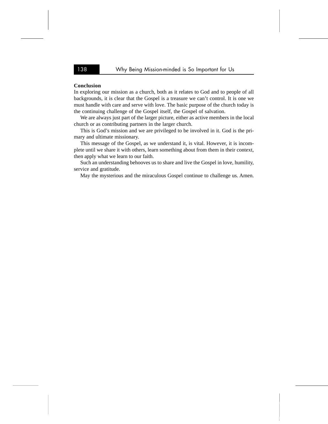## **Conclusion**

In exploring our mission as a church, both as it relates to God and to people of all backgrounds, it is clear that the Gospel is a treasure we can't control. It is one we must handle with care and serve with love. The basic purpose of the church today is the continuing challenge of the Gospel itself, the Gospel of salvation.

We are always just part of the larger picture, either as active members in the local church or as contributing partners in the larger church.

This is God's mission and we are privileged to be involved in it. God is the primary and ultimate missionary.

This message of the Gospel, as we understand it, is vital. However, it is incomplete until we share it with others, learn something about from them in their context, then apply what we learn to our faith.

Such an understanding behooves us to share and live the Gospel in love, humility, service and gratitude.

May the mysterious and the miraculous Gospel continue to challenge us. Amen.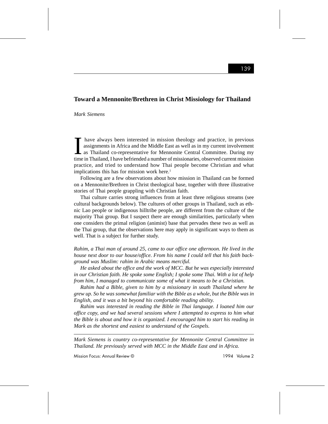# **Toward a Mennonite/Brethren in Christ Missiology for Thailand**

*Mark Siemens*

I have always been interested in mission theology and practice, in previous assignments in Africa and the Middle East as well as in my current involvement as Thailand co-representative for Mennonite Central Committee. Duri have always been interested in mission theology and practice, in previous assignments in Africa and the Middle East as well as in my current involvement as Thailand co-representative for Mennonite Central Committee. During my practice, and tried to understand how Thai people become Christian and what implications this has for mission work here.<sup>1</sup>

Following are a few observations about how mission in Thailand can be formed on a Mennonite/Brethren in Christ theological base, together with three illustrative stories of Thai people grappling with Christian faith.

Thai culture carries strong influences from at least three religious streams (see cultural backgrounds below). The cultures of other groups in Thailand, such as ethnic Lao people or indigenous hilltribe people, are different from the culture of the majority Thai group. But I suspect there are enough similarities, particularly when one considers the primal religion (animist) base that pervades these two as well as the Thai group, that the observations here may apply in significant ways to them as well. That is a subject for further study.

*Rahim, a Thai man of around 25, came to our office one afternoon. He lived in the house next door to our house/office. From his name I could tell that his faith background was Muslim: rahim in Arabic means merciful.*

*He asked about the office and the work of MCC. But he was especially interested in our Christian faith. He spoke some English; I spoke some Thai. With a lot of help from him, I managed to communicate some of what it means to be a Christian.*

*Rahim had a Bible, given to him by a missionary in south Thailand where he grew up. So he was somewhat familiar with the Bible as a whole, but the Bible was in English, and it was a bit beyond his comfortable reading ability.*

*Rahim was interested in reading the Bible in Thai language. I loaned him our office copy, and we had several sessions where I attempted to express to him what the Bible is about and how it is organized. I encouraged him to start his reading in Mark as the shortest and easiest to understand of the Gospels.*

*Mark Siemens is country co-representative for Mennonite Central Committee in Thailand. He previously served with MCC in the Middle East and in Africa.*

Mission Focus: Annual Review © 1994 Volume 2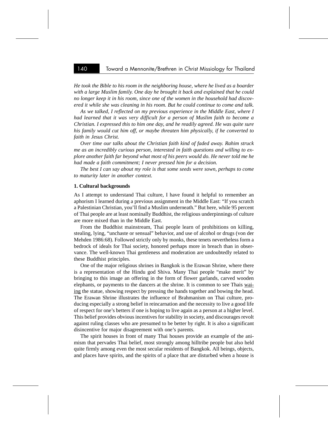*He took the Bible to his room in the neighboring house, where he lived as a boarder with a large Muslim family. One day he brought it back and explained that he could no longer keep it in his room, since one of the women in the household had discovered it while she was cleaning in his room. But he could continue to come and talk.*

*As we talked, I reflected on my previous experience in the Middle East, where I had learned that it was very difficult for a person of Muslim faith to become a Christian. I expressed this to him one day, and he readily agreed. He was quite sure his family would cut him off, or maybe threaten him physically, if he converted to faith in Jesus Christ.*

*Over time our talks about the Christian faith kind of faded away. Rahim struck me as an incredibly curious person, interested in faith questions and willing to explore another faith far beyond what most of his peers would do. He never told me he had made a faith commitment; I never pressed him for a decision.*

*The best I can say about my role is that some seeds were sown, perhaps to come to maturity later in another context.*

#### **1. Cultural backgrounds**

As I attempt to understand Thai culture, I have found it helpful to remember an aphorism I learned during a previous assignment in the Middle East: "If you scratch a Palestinian Christian, you'll find a Muslim underneath." But here, while 95 percent of Thai people are at least nominally Buddhist, the religious underpinnings of culture are more mixed than in the Middle East.

From the Buddhist mainstream, Thai people learn of prohibitions on killing, stealing, lying, "unchaste or sensual" behavior, and use of alcohol or drugs (von der Mehden 1986:68). Followed strictly only by monks, these tenets nevertheless form a bedrock of ideals for Thai society, honored perhaps more in breach than in observance. The well-known Thai gentleness and moderation are undoubtedly related to these Buddhist principles.

One of the major religious shrines in Bangkok is the Erawan Shrine, where there is a representation of the Hindu god Shiva. Many Thai people "make merit" by bringing to this image an offering in the form of flower garlands, carved wooden elephants, or payments to the dancers at the shrine. It is common to see Thais waiing the statue, showing respect by pressing the hands together and bowing the head. The Erawan Shrine illustrates the influence of Brahmanism on Thai culture, producing especially a strong belief in reincarnation and the necessity to live a good life of respect for one's betters if one is hoping to live again as a person at a higher level. This belief provides obvious incentives for stability in society, and discourages revolt against ruling classes who are presumed to be better by right. It is also a significant disincentive for major disagreement with one's parents.

The spirit houses in front of many Thai houses provide an example of the animism that pervades Thai belief, most strongly among hilltribe people but also held quite firmly among even the most secular residents of Bangkok. All beings, objects, and places have spirits, and the spirits of a place that are disturbed when a house is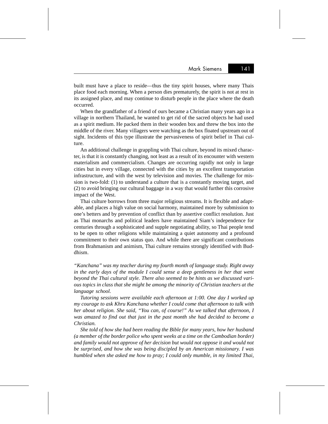Mark Siemens 141

built must have a place to reside—thus the tiny spirit houses, where many Thais place food each morning. When a person dies prematurely, the spirit is not at rest in its assigned place, and may continue to disturb people in the place where the death occurred.

When the grandfather of a friend of ours became a Christian many years ago in a village in northern Thailand, he wanted to get rid of the sacred objects he had used as a spirit medium. He packed them in their wooden box and threw the box into the middle of the river. Many villagers were watching as the box floated upstream out of sight. Incidents of this type illustrate the pervasiveness of spirit belief in Thai culture.

An additional challenge in grappling with Thai culture, beyond its mixed character, is that it is constantly changing, not least as a result of its encounter with western materialism and commercialism. Changes are occurring rapidly not only in large cities but in every village, connected with the cities by an excellent transportation infrastructure, and with the west by television and movies. The challenge for mission is two-fold: (1) to understand a culture that is a constantly moving target, and (2) to avoid bringing our cultural baggage in a way that would further this corrosive impact of the West.

Thai culture borrows from three major religious streams. It is flexible and adaptable, and places a high value on social harmony, maintained more by submission to one's betters and by prevention of conflict than by assertive conflict resolution. Just as Thai monarchs and political leaders have maintained Siam's independence for centuries through a sophisticated and supple negotiating ability, so Thai people tend to be open to other religions while maintaining a quiet autonomy and a profound commitment to their own status quo. And while there are significant contributions from Brahmanism and animism, Thai culture remains strongly identified with Buddhism.

*"Kanchana" was my teacher during my fourth month of language study. Right away in the early days of the module I could sense a deep gentleness in her that went beyond the Thai cultural style. There also seemed to be hints as we discussed various topics in class that she might be among the minority of Christian teachers at the language school.*

*Tutoring sessions were available each afternoon at 1:00. One day I worked up my courage to ask Khru Kanchana whether I could come that afternoon to talk with her about religion. She said, "You can, of course!" As we talked that afternoon, I was amazed to find out that just in the past month she had decided to become a Christian.*

*She told of how she had been reading the Bible for many years, how her husband (a member of the border police who spent weeks at a time on the Cambodian border) and family would not approve of her decision but would not oppose it and would not be surprised, and how she was being discipled by an American missionary. I was humbled when she asked me how to pray; I could only mumble, in my limited Thai,*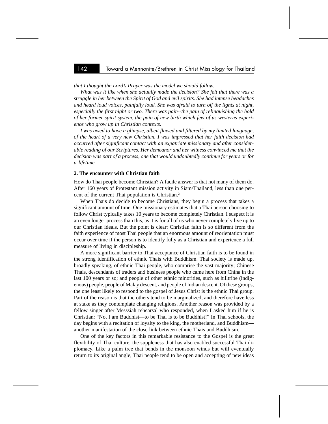*that I thought the Lord's Prayer was the model we should follow.*

*What was it like when she actually made the decision? She felt that there was a struggle in her between the Spirit of God and evil spirits. She had intense headaches and heard loud voices, painfully loud. She was afraid to turn off the lights at night, especially the first night or two. There was pain--the pain of relinquishing the hold of her former spirit system, the pain of new birth which few of us westerns experience who grow up in Christian contexts.*

*I was awed to have a glimpse, albeit flawed and filtered by my limited language, of the heart of a very new Christian. I was impressed that her faith decision had occurred after significant contact with an expatriate missionary and after considerable reading of our Scriptures. Her demeanor and her witness convinced me that the decision was part of a process, one that would undoubtedly continue for years or for a lifetime.*

## **2. The encounter with Christian faith**

How do Thai people become Christian? A facile answer is that not many of them do. After 160 years of Protestant mission activity in Siam/Thailand, less than one percent of the current Thai population is Christian.2

When Thais do decide to become Christians, they begin a process that takes a significant amount of time. One missionary estimates that a Thai person choosing to follow Christ typically takes 10 years to become completely Christian. I suspect it is an even longer process than this, as it is for all of us who never completely live up to our Christian ideals. But the point is clear: Christian faith is so different from the faith experience of most Thai people that an enormous amount of reorientation must occur over time if the person is to identify fully as a Christian and experience a full measure of living in discipleship.

A more significant barrier to Thai acceptance of Christian faith is to be found in the strong identification of ethnic Thais with Buddhism. Thai society is made up, broadly speaking, of ethnic Thai people, who comprise the vast majority; Chinese Thais, descendants of traders and business people who came here from China in the last 100 years or so; and people of other ethnic minorities, such as hilltribe (indigenous) people, people of Malay descent, and people of Indian descent. Of these groups, the one least likely to respond to the gospel of Jesus Christ is the ethnic Thai group. Part of the reason is that the others tend to be marginalized, and therefore have less at stake as they contemplate changing religions. Another reason was provided by a fellow singer after Messsiah rehearsal who responded, when I asked him if he is Christian: "No, I am Buddhist—to be Thai is to be Buddhist!" In Thai schools, the day begins with a recitation of loyalty to the king, the motherland, and Buddhism another manifestation of the close link between ethnic Thais and Buddhism.

One of the key factors in this remarkable resistance to the Gospel is the great flexibility of Thai culture, the suppleness that has also enabled successful Thai diplomacy. Like a palm tree that bends in the monsoon winds but will eventually return to its original angle, Thai people tend to be open and accepting of new ideas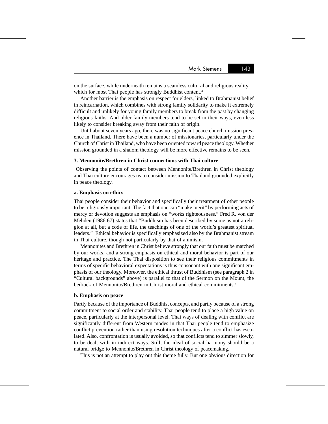Mark Siemens 143

on the surface, while underneath remains a seamless cultural and religious reality which for most Thai people has strongly Buddhist content.<sup>3</sup>

Another barrier is the emphasis on respect for elders, linked to Brahmanist belief in reincarnation, which combines with strong family solidarity to make it extremely difficult and unlikely for young family members to break from the past by changing religious faiths. And older family members tend to be set in their ways, even less likely to consider breaking away from their faith of origin.

Until about seven years ago, there was no significant peace church mission presence in Thailand. There have been a number of missionaries, particularly under the Church of Christ in Thailand, who have been oriented toward peace theology. Whether mission grounded in a shalom theology will be more effective remains to be seen.

#### **3. Mennonite/Brethren in Christ connections with Thai culture**

 Observing the points of contact between Mennonite/Brethren in Christ theology and Thai culture encourages us to consider mission to Thailand grounded explicitly in peace theology.

### **a. Emphasis on ethics**

Thai people consider their behavior and specifically their treatment of other people to be religiously important. The fact that one can "make merit" by performing acts of mercy or devotion suggests an emphasis on "works righteousness." Fred R. von der Mehden (1986:67) states that "Buddhism has been described by some as not a religion at all, but a code of life, the teachings of one of the world's greatest spiritual leaders." Ethical behavior is specifically emphasized also by the Brahmanist stream in Thai culture, though not particularly by that of animism.

Mennonites and Brethren in Christ believe strongly that our faith must be matched by our works, and a strong emphasis on ethical and moral behavior is part of our heritage and practice. The Thai disposition to see their religious commitments in terms of specific behavioral expectations is thus consonant with one significant emphasis of our theology. Moreover, the ethical thrust of Buddhism (see paragraph 2 in "Cultural backgrounds" above) is parallel to that of the Sermon on the Mount, the bedrock of Mennonite/Brethren in Christ moral and ethical commitments.4

### **b. Emphasis on peace**

Partly because of the importance of Buddhist concepts, and partly because of a strong commitment to social order and stability, Thai people tend to place a high value on peace, particularly at the interpersonal level. Thai ways of dealing with conflict are significantly different from Western modes in that Thai people tend to emphasize conflict prevention rather than using resolution techniques after a conflict has escalated. Also, confrontation is usually avoided, so that conflicts tend to simmer slowly, to be dealt with in indirect ways. Still, the ideal of social harmony should be a natural bridge to Mennonite/Brethren in Christ theology of peacemaking.

This is not an attempt to play out this theme fully. But one obvious direction for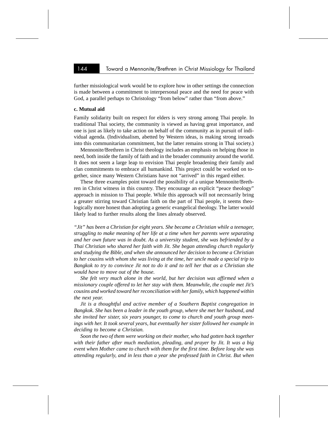further missiological work would be to explore how in other settings the connection is made between a commitment to interpersonal peace and the need for peace with God, a parallel perhaps to Christology "from below" rather than "from above."

# **c. Mutual aid**

Family solidarity built on respect for elders is very strong among Thai people. In traditional Thai society, the community is viewed as having great importance, and one is just as likely to take action on behalf of the community as in pursuit of individual agenda. (Individualism, abetted by Western ideas, is making strong inroads into this communitarian commitment, but the latter remains strong in Thai society.)

Mennonite/Brethren in Christ theology includes an emphasis on helping those in need, both inside the family of faith and in the broader community around the world. It does not seem a large leap to envision Thai people broadening their family and clan commitments to embrace all humankind. This project could be worked on together, since many Western Christians have not "arrived" in this regard either.

These three examples point toward the possibility of a unique Mennonite/Brethren in Christ witness in this country. They encourage an explicit "peace theology" approach in mission to Thai people. While this approach will not necessarily bring a greater stirring toward Christian faith on the part of Thai people, it seems theologically more honest than adopting a generic evangelical theology. The latter would likely lead to further results along the lines already observed.

*"Jit" has been a Christian for eight years. She became a Christian while a teenager, struggling to make meaning of her life at a time when her parents were separating and her own future was in doubt. As a university student, she was befriended by a Thai Christian who shared her faith with Jit. She began attending church regularly and studying the Bible, and when she announced her decision to become a Christian to her cousins with whom she was living at the time, her uncle made a special trip to Bangkok to try to convince Jit not to do it and to tell her that as a Christian she would have to move out of the house.*

*She felt very much alone in the world, but her decision was affirmed when a missionary couple offered to let her stay with them. Meanwhile, the couple met Jit's cousins and worked toward her reconciliation with her family, which happened within the next year.*

*Jit is a thoughtful and active member of a Southern Baptist congregation in Bangkok. She has been a leader in the youth group, where she met her husband, and she invited her sister, six years younger, to come to church and youth group meetings with her. It took several years, but eventually her sister followed her example in deciding to become a Christian.*

*Soon the two of them were working on their mother, who had gotten back together with their father after much mediation, pleading, and prayer by Jit. It was a big event when Mother came to church with them for the first time. Before long she was attending regularly, and in less than a year she professed faith in Christ. But when*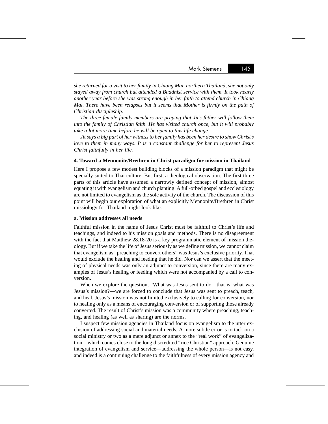Mark Siemens 145

*she returned for a visit to her family in Chiang Mai, northern Thailand, she not only stayed away from church but attended a Buddhist service with them. It took nearly another year before she was strong enough in her faith to attend church in Chiang Mai. There have been relapses but it seems that Mother is firmly on the path of Christian discipleship.*

*The three female family members are praying that Jit's father will follow them into the family of Christian faith. He has visited church once, but it will probably take a lot more time before he will be open to this life change.*

*Jit says a big part of her witness to her family has been her desire to show Christ's love to them in many ways. It is a constant challenge for her to represent Jesus Christ faithfully in her life.*

## **4. Toward a Mennonite/Brethren in Christ paradigm for mission in Thailand**

Here I propose a few modest building blocks of a mission paradigm that might be specially suited to Thai culture. But first, a theological observation. The first three parts of this article have assumed a narrowly defined concept of mission, almost equating it with evangelism and church planting. A full-orbed gospel and ecclesiology are not limited to evangelism as the sole activity of the church. The discussion of this point will begin our exploration of what an explicitly Mennonite/Brethren in Christ missiology for Thailand might look like.

## **a. Mission addresses all needs**

Faithful mission in the name of Jesus Christ must be faithful to Christ's life and teachings, and indeed to his mission goals and methods. There is no disagreement with the fact that Matthew 28.18-20 is a key programmatic element of mission theology. But if we take the life of Jesus seriously as we define mission, we cannot claim that evangelism as "preaching to convert others" was Jesus's exclusive priority. That would exclude the healing and feeding that he did. Nor can we assert that the meeting of physical needs was only an adjunct to conversion, since there are many examples of Jesus's healing or feeding which were not accompanied by a call to conversion.

When we explore the question, "What was Jesus sent to do—that is, what was Jesus's mission?—we are forced to conclude that Jesus was sent to preach, teach, and heal. Jesus's mission was not limited exclusively to calling for conversion, nor to healing only as a means of encouraging conversion or of supporting those already converted. The result of Christ's mission was a community where preaching, teaching, and healing (as well as sharing) are the norms.

I suspect few mission agencies in Thailand focus on evangelism to the utter exclusion of addressing social and material needs. A more subtle error is to tack on a social ministry or two as a mere adjunct or annex to the "real work" of evangelization—which comes close to the long discredited "rice Christian" approach. Genuine integration of evangelism and service—addressing the whole person—is not easy, and indeed is a continuing challenge to the faithfulness of every mission agency and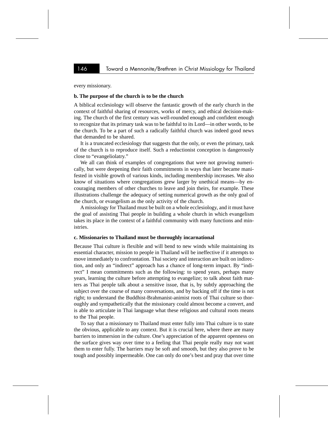every missionary.

## **b. The purpose of the church is to be the church**

A biblical ecclesiology will observe the fantastic growth of the early church in the context of faithful sharing of resources, works of mercy, and ethical decision-making. The church of the first century was well-rounded enough and confident enough to recognize that its primary task was to be faithful to its Lord—in other words, to be the church. To be a part of such a radically faithful church was indeed good news that demanded to be shared.

It is a truncated ecclesiology that suggests that the only, or even the primary, task of the church is to reproduce itself. Such a reductionist conception is dangerously close to "evangeliolatry."

We all can think of examples of congregations that were not growing numerically, but were deepening their faith commitments in ways that later became manifested in visible growth of various kinds, including membership increases. We also know of situations where congregations grew larger by unethical means—by encouraging members of other churches to leave and join theirs, for example. These illustrations challenge the adequacy of setting numerical growth as the only goal of the church, or evangelism as the only activity of the church.

A missiology for Thailand must be built on a whole ecclesiology, and it must have the goal of assisting Thai people in building a whole church in which evangelism takes its place in the context of a faithful community with many functions and ministries.

## **c. Missionaries to Thailand must be thoroughly incarnational**

Because Thai culture is flexible and will bend to new winds while maintaining its essential character, mission to people in Thailand will be ineffective if it attempts to move immediately to confrontation. Thai society and interaction are built on indirection, and only an "indirect" approach has a chance of long-term impact. By "indirect" I mean commitments such as the following: to spend years, perhaps many years, learning the culture before attempting to evangelize; to talk about faith matters as Thai people talk about a sensitive issue, that is, by subtly approaching the subject over the course of many conversations, and by backing off if the time is not right; to understand the Buddhist-Brahmanist-animist roots of Thai culture so thoroughly and sympathetically that the missionary could almost become a convert, and is able to articulate in Thai language what these religious and cultural roots means to the Thai people.

To say that a missionary to Thailand must enter fully into Thai culture is to state the obvious, applicable to any context. But it is crucial here, where there are many barriers to immersion in the culture. One's appreciation of the apparent openness on the surface gives way over time to a feeling that Thai people really may not want them to enter fully. The barriers may be soft and smooth, but they also prove to be tough and possibly impermeable. One can only do one's best and pray that over time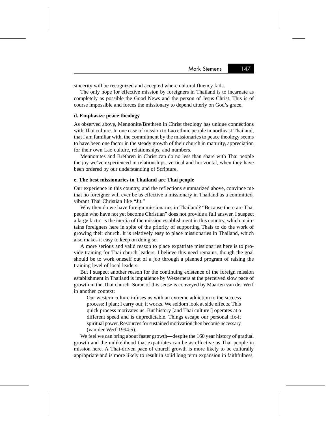sincerity will be recognized and accepted where cultural fluency fails.

The only hope for effective mission by foreigners in Thailand is to incarnate as completely as possible the Good News and the person of Jesus Christ. This is of course impossible and forces the missionary to depend utterly on God's grace.

## **d. Emphasize peace theology**

As observed above, Mennonite/Brethren in Christ theology has unique connections with Thai culture. In one case of mission to Lao ethnic people in northeast Thailand, that I am familiar with, the commitment by the missionaries to peace theology seems to have been one factor in the steady growth of their church in maturity, appreciation for their own Lao culture, relationships, and numbers.

Mennonites and Brethren in Christ can do no less than share with Thai people the joy we've experienced in relationships, vertical and horizontal, when they have been ordered by our understanding of Scripture.

# **e. The best missionaries in Thailand are Thai people**

Our experience in this country, and the reflections summarized above, convince me that no foreigner will ever be as effective a missionary in Thailand as a committed, vibrant Thai Christian like "Jit."

Why then do we have foreign missionaries in Thailand? "Because there are Thai people who have not yet become Christian" does not provide a full answer. I suspect a large factor is the inertia of the mission establishment in this country, which maintains foreigners here in spite of the priority of supporting Thais to do the work of growing their church. It is relatively easy to place missionaries in Thailand, which also makes it easy to keep on doing so.

A more serious and valid reason to place expatriate missionaries here is to provide training for Thai church leaders. I believe this need remains, though the goal should be to work oneself out of a job through a planned program of raising the training level of local leaders.

But I suspect another reason for the continuing existence of the foreign mission establishment in Thailand is impatience by Westerners at the perceived slow pace of growth in the Thai church. Some of this sense is conveyed by Maarten van der Werf in another context:

Our western culture infuses us with an extreme addiction to the success process: I plan; I carry out; it works. We seldom look at side effects. This quick process motivates us. But history [and Thai culture!] operates at a different speed and is unpredictable. Things escape our personal fix-it spiritual power. Resources for sustained motivation then become necessary (van der Werf 1994:5).

We feel we can bring about faster growth—despite the 160 year history of gradual growth and the unlikelihood that expatriates can be as effective as Thai people in mission here. A Thai-driven pace of church growth is more likely to be culturally appropriate and is more likely to result in solid long term expansion in faithfulness,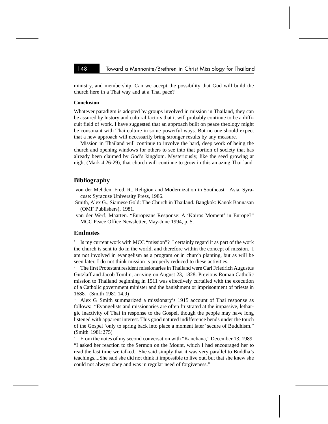ministry, and membership. Can we accept the possibility that God will build the church here in a Thai way and at a Thai pace?

## **Conclusion**

Whatever paradigm is adopted by groups involved in mission in Thailand, they can be assured by history and cultural factors that it will probably continue to be a difficult field of work. I have suggested that an approach built on peace theology might be consonant with Thai culture in some powerful ways. But no one should expect that a new approach will necessarily bring stronger results by any measure.

Mission in Thailand will continue to involve the hard, deep work of being the church and opening windows for others to see into that portion of society that has already been claimed by God's kingdom. Mysteriously, like the seed growing at night (Mark 4.26-29), that church will continue to grow in this amazing Thai land.

# **Bibliography**

 von der Mehden, Fred. R., Religion and Modernization in Southeast Asia. Syracuse: Syracuse University Press, 1986.

- Smith, Alex G., Siamese Gold: The Church in Thailand. Bangkok: Kanok Bannasan (OMF Publishers), 1981.
- van der Werf, Maarten. "Europeans Response: A 'Kairos Moment' in Europe?" MCC Peace Office Newsletter, May-June 1994, p. 5.

## **Endnotes**

<sup>1</sup> Is my current work with MCC "mission"? I certainly regard it as part of the work the church is sent to do in the world, and therefore within the concept of mission. I am not involved in evangelism as a program or in church planting, but as will be seen later, I do not think mission is properly reduced to these activities.

<sup>2</sup> The first Protestant resident missionaries in Thailand were Carl Friedrich Augustus Gutzlaff and Jacob Tomlin, arriving on August 23, 1828. Previous Roman Catholic mission to Thailand beginning in 1511 was effectively curtailed with the execution of a Catholic government minister and the banishment or imprisonment of priests in 1688. (Smith 1981:14,9)

<sup>3</sup> Alex G. Smith summarized a missionary's 1915 account of Thai response as follows: "Evangelists and missionaries are often frustrated at the impassive, lethargic inactivity of Thai in response to the Gospel, though the people may have long listened with apparent interest. This good natured indifference bends under the touch of the Gospel 'only to spring back into place a moment later' secure of Buddhism." (Smith 1981:275)

<sup>4</sup> From the notes of my second conversation with "Kanchana," December 13, 1989: "I asked her reaction to the Sermon on the Mount, which I had encouraged her to read the last time we talked. She said simply that it was very parallel to Buddha's teachings....She said she did not think it impossible to live out, but that she knew she could not always obey and was in regular need of forgiveness."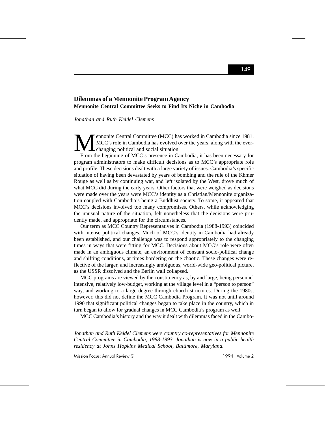# **Dilemmas of a Mennonite Program Agency Mennonite Central Committee Seeks to Find Its Niche in Cambodia**

*Jonathan and Ruth Keidel Clemens*

**MENTER COMPUTER COMPUTER COMMITTEE (MCC)** has worked in Cambodia since 1981.<br>MCC's role in Cambodia has evolved over the years, along with the ever-<br>From the beginning of MCC's presence in Cambodia, it has been pecessary MCC's role in Cambodia has evolved over the years, along with the everchanging political and social situation.

From the beginning of MCC's presence in Cambodia, it has been necessary for program administrators to make difficult decisions as to MCC's appropriate role and profile. These decisions dealt with a large variety of issues. Cambodia's specific situation of having been devastated by years of bombing and the rule of the Khmer Rouge as well as by continuing war, and left isolated by the West, drove much of what MCC did during the early years. Other factors that were weighed as decisions were made over the years were MCC's identity as a Christian/Mennonite organization coupled with Cambodia's being a Buddhist society. To some, it appeared that MCC's decisions involved too many compromises. Others, while acknowledging the unusual nature of the situation, felt nonetheless that the decisions were prudently made, and appropriate for the circumstances.

Our term as MCC Country Representatives in Cambodia (1988-1993) coincided with intense political changes. Much of MCC's identity in Cambodia had already been established, and our challenge was to respond appropriately to the changing times in ways that were fitting for MCC. Decisions about MCC's role were often made in an ambiguous climate, an environment of constant socio-political change and shifting conditions, at times bordering on the chaotic. These changes were reflective of the larger, and increasingly ambiguous, world-wide geo-political picture, as the USSR dissolved and the Berlin wall collapsed.

MCC programs are viewed by the constituency as, by and large, being personnel intensive, relatively low-budget, working at the village level in a "person to person" way, and working to a large degree through church structures. During the 1980s, however, this did not define the MCC Cambodia Program. It was not until around 1990 that significant political changes began to take place in the country, which in turn began to allow for gradual changes in MCC Cambodia's program as well.

MCC Cambodia's history and the way it dealt with dilemmas faced in the Cambo-

*Jonathan and Ruth Keidel Clemens were country co-representatives for Mennonite Central Committee in Cambodia, 1988-1993. Jonathan is now in a public health residency at Johns Hopkins Medical School, Baltimore, Maryland.*

Mission Focus: Annual Review © 1994 Volume 2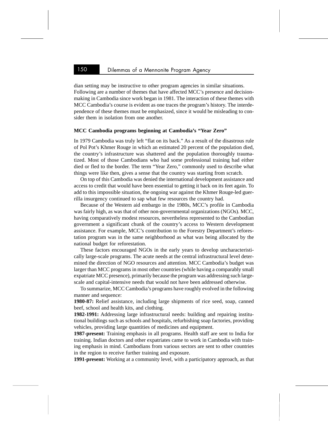dian setting may be instructive to other program agencies in similar situations. Following are a number of themes that have affected MCC's presence and decisionmaking in Cambodia since work began in 1981. The interaction of these themes with MCC Cambodia's course is evident as one traces the program's history. The interdependence of these themes must be emphasized, since it would be misleading to consider them in isolation from one another.

## **MCC Cambodia programs beginning at Cambodia's "Year Zero"**

In 1979 Cambodia was truly left "flat on its back." As a result of the disastrous rule of Pol Pot's Khmer Rouge in which an estimated 20 percent of the population died, the country's infrastructure was shattered and the population thoroughly traumatized. Most of those Cambodians who had some professional training had either died or fled to the border. The term "Year Zero," commonly used to describe what things were like then, gives a sense that the country was starting from scratch.

On top of this Cambodia was denied the international development assistance and access to credit that would have been essential to getting it back on its feet again. To add to this impossible situation, the ongoing war against the Khmer Rouge-led guerrilla insurgency continued to sap what few resources the country had.

Because of the Western aid embargo in the 1980s, MCC's profile in Cambodia was fairly high, as was that of other non-governmental organizations (NGOs). MCC, having comparatively modest resources, nevertheless represented to the Cambodian government a significant chunk of the country's access to Western development assistance. For example, MCC's contribution to the Forestry Department's reforestation program was in the same neighborhood as what was being allocated by the national budget for reforestation.

These factors encouraged NGOs in the early years to develop uncharacteristically large-scale programs. The acute needs at the central infrastructural level determined the direction of NGO resources and attention. MCC Cambodia's budget was larger than MCC programs in most other countries (while having a comparably small expatriate MCC presence), primarily because the program was addressing such largescale and capital-intensive needs that would not have been addressed otherwise.

To summarize, MCC Cambodia's programs have roughly evolved in the following manner and sequence:

**1980-87:** Relief assistance, including large shipments of rice seed, soap, canned beef, school and health kits, and clothing.

**1982-1991:** Addressing large infrastructural needs: building and repairing institutional buildings such as schools and hospitals, refurbishing soap factories, providing vehicles, providing large quantities of medicines and equipment.

**1987-present:** Training emphasis in all programs. Health staff are sent to India for training. Indian doctors and other expatriates came to work in Cambodia with training emphasis in mind. Cambodians from various sectors are sent to other countries in the region to receive further training and exposure.

**1991-present:** Working at a community level, with a participatory approach, as that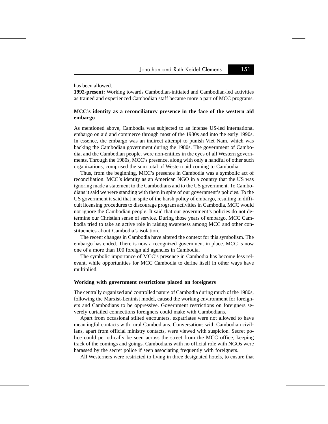## has been allowed.

**1992-present:** Working towards Cambodian-initiated and Cambodian-led activities as trained and experienced Cambodian staff became more a part of MCC programs.

# **MCC's identity as a reconciliatory presence in the face of the western aid embargo**

As mentioned above, Cambodia was subjected to an intense US-led international embargo on aid and commerce through most of the 1980s and into the early 1990s. In essence, the embargo was an indirect attempt to punish Viet Nam, which was backing the Cambodian government during the 1980s. The government of Cambodia, and the Cambodian people, were non-entities in the eyes of all Western governments. Through the 1980s, MCC's presence, along with only a handful of other such organizations, comprised the sum total of Western aid coming to Cambodia.

Thus, from the beginning, MCC's presence in Cambodia was a symbolic act of reconciliation. MCC's identity as an American NGO in a country that the US was ignoring made a statement to the Cambodians and to the US government. To Cambodians it said we were standing with them in spite of our government's policies. To the US government it said that in spite of the harsh policy of embargo, resulting in difficult licensing procedures to discourage program activities in Cambodia, MCC would not ignore the Cambodian people. It said that our government's policies do not determine our Christian sense of service. During those years of embargo, MCC Cambodia tried to take an active role in raising awareness among MCC and other constituencies about Cambodia's isolation.

The recent changes in Cambodia have altered the context for this symbolism. The embargo has ended. There is now a recognized government in place. MCC is now one of a more than 100 foreign aid agencies in Cambodia.

The symbolic importance of MCC's presence in Cambodia has become less relevant, while opportunities for MCC Cambodia to define itself in other ways have multiplied.

## **Working with government restrictions placed on foreigners**

The centrally organized and controlled nature of Cambodia during much of the 1980s, following the Marxist-Leninist model, caused the working environment for foreigners and Cambodians to be oppressive. Government restrictions on foreigners severely curtailed connections foreigners could make with Cambodians.

Apart from occasional stilted encounters, expatriates were not allowed to have mean ingful contacts with rural Cambodians. Conversations with Cambodian civilians, apart from official ministry contacts, were viewed with suspicion. Secret police could periodically be seen across the street from the MCC office, keeping track of the comings and goings. Cambodians with no official role with NGOs were harassed by the secret police if seen associating frequently with foreigners.

All Westerners were restricted to living in three designated hotels, to ensure that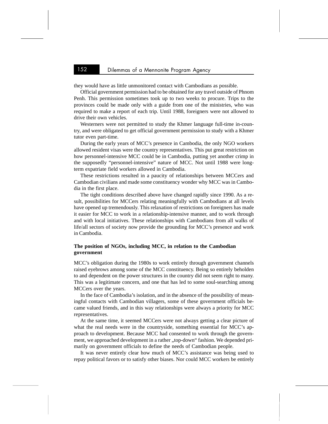they would have as little unmonitored contact with Cambodians as possible.

Official government permission had to be obtained for any travel outside of Phnom Penh. This permission sometimes took up to two weeks to procure. Trips to the provinces could be made only with a guide from one of the ministries, who was required to make a report of each trip. Until 1988, foreigners were not allowed to drive their own vehicles.

Westerners were not permitted to study the Khmer language full-time in-country, and were obligated to get official government permission to study with a Khmer tutor even part-time.

During the early years of MCC's presence in Cambodia, the only NGO workers allowed resident visas were the country representatives. This put great restriction on how personnel-intensive MCC could be in Cambodia, putting yet another crimp in the supposedly "personnel-intensive" nature of MCC. Not until 1988 were longterm expatriate field workers allowed in Cambodia.

These restrictions resulted in a paucity of relationships between MCCers and Cambodian civilians and made some constituency wonder why MCC was in Cambodia in the first place.

The tight conditions described above have changed rapidly since 1990. As a result, possibilities for MCCers relating meaningfully with Cambodians at all levels have opened up tremendously. This relaxation of restrictions on foreigners has made it easier for MCC to work in a relationship-intensive manner, and to work through and with local initiatives. These relationships with Cambodians from all walks of life/all sectors of society now provide the grounding for MCC's presence and work in Cambodia.

# **The position of NGOs, including MCC, in relation to the Cambodian government**

MCC's obligation during the 1980s to work entirely through government channels raised eyebrows among some of the MCC constituency. Being so entirely beholden to and dependent on the power structures in the country did not seem right to many. This was a legitimate concern, and one that has led to some soul-searching among MCCers over the years.

In the face of Cambodia's isolation, and in the absence of the possibility of meaningful contacts with Cambodian villagers, some of these government officials became valued friends, and in this way relationships were always a priority for MCC representatives.

At the same time, it seemed MCCers were not always getting a clear picture of what the real needs were in the countryside, something essential for MCC's approach to development. Because MCC had consented to work through the government, we approached development in a rather "top-down" fashion. We depended primarily on government officials to define the needs of Cambodian people.

It was never entirely clear how much of MCC's assistance was being used to repay political favors or to satisfy other biases. Nor could MCC workers be entirely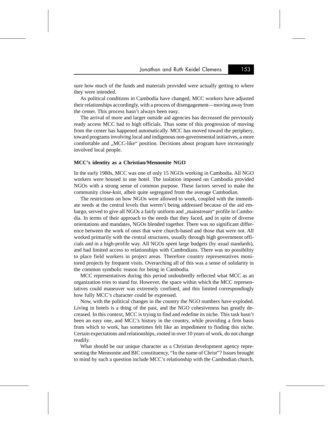sure how much of the funds and materials provided were actually getting to where they were intended.

As political conditions in Cambodia have changed, MCC workers have adjusted their relationships accordingly, with a process of disengagement—moving away from the center. This process hasn't always been easy.

The arrival of more and larger outside aid agencies has decreased the previously ready access MCC had to high officials. Thus some of this progression of moving from the center has happened automatically. MCC has moved toward the periphery, toward programs involving local and indigenous non-governmental initiatives, a more comfortable and "MCC-like" position. Decisions about program have increasingly involved local people.

## **MCC's identity as a Christian/Mennonite NGO**

In the early 1980s, MCC was one of only 15 NGOs working in Cambodia. All NGO workers were housed in one hotel. The isolation imposed on Cambodia provided NGOs with a strong sense of common purpose. These factors served to make the community close-knit, albeit quite segregated from the average Cambodian.

The restrictions on how NGOs were allowed to work, coupled with the immediate needs at the central levels that weren't being addressed because of the aid embargo, served to give all NGOs a fairly uniform and "mainstream" profile in Cambodia. In terms of their approach to the needs that they faced, and in spite of diverse orientations and mandates, NGOs blended together. There was no significant difference between the work of ones that were church-based and those that were not. All worked primarily with the central structures, usually through high government officials and in a high-profile way. All NGOs spent large budgets (by usual standards), and had limited access to relationships with Cambodians. There was no possibility to place field workers in project areas. Therefore country representatives monitored projects by frequent visits. Overarching all of this was a sense of solidarity in the common symbolic reason for being in Cambodia.

MCC representatives during this period undoubtedly reflected what MCC as an organization tries to stand for. However, the space within which the MCC representatives could maneuver was extremely confined, and this limited correspondingly how fully MCC's character could be expressed.

Now, with the political changes in the country the NGO numbers have exploded. Living in hotels is a thing of the past, and the NGO cohesiveness has greatly decreased. In this context, MCC is trying to find and redefine its niche. This task hasn't been an easy one, and MCC's history in the country, while providing a firm basis from which to work, has sometimes felt like an impediment to finding this niche. Certain expectations and relationships, rooted in over 10 years of work, do not change readily.

What should be our unique character as a Christian development agency representing the Mennonite and BIC constituency, "In the name of Christ"? Issues brought to mind by such a question include MCC's relationship with the Cambodian church,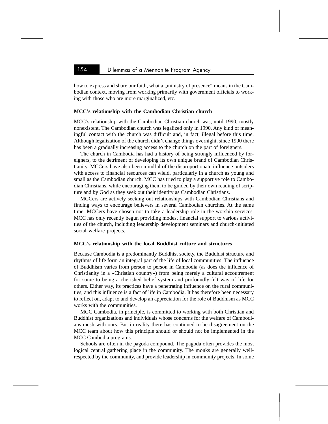how to express and share our faith, what a "ministry of presence" means in the Cambodian context, moving from working primarily with government officials to working with those who are more marginalized, etc.

## **MCC's relationship with the Cambodian Christian church**

MCC's relationship with the Cambodian Christian church was, until 1990, mostly nonexistent. The Cambodian church was legalized only in 1990. Any kind of meaningful contact with the church was difficult and, in fact, illegal before this time. Although legalization of the church didn't change things overnight, since 1990 there has been a gradually increasing access to the church on the part of foreigners.

The church in Cambodia has had a history of being strongly influenced by foreigners, to the detriment of developing its own unique brand of Cambodian Christianity. MCCers have also been mindful of the disproportionate influence outsiders with access to financial resources can wield, particularly in a church as young and small as the Cambodian church. MCC has tried to play a supportive role to Cambodian Christians, while encouraging them to be guided by their own reading of scripture and by God as they seek out their identity as Cambodian Christians.

MCCers are actively seeking out relationships with Cambodian Christians and finding ways to encourage believers in several Cambodian churches. At the same time, MCCers have chosen not to take a leadership role in the worship services. MCC has only recently begun providing modest financial support to various activities of the church, including leadership development seminars and church-initiated social welfare projects.

## **MCC's relationship with the local Buddhist culture and structures**

Because Cambodia is a predominantly Buddhist society, the Buddhist structure and rhythms of life form an integral part of the life of local communities. The influence of Buddhism varies from person to person in Cambodia (as does the influence of Christianity in a «Christian country») from being merely a cultural accoutrement for some to being a cherished belief system and profoundly-felt way of life for others. Either way, its practices have a penetrating influence on the rural communities, and this influence is a fact of life in Cambodia. It has therefore been necessary to reflect on, adapt to and develop an appreciation for the role of Buddhism as MCC works with the communities.

MCC Cambodia, in principle, is committed to working with both Christian and Buddhist organizations and individuals whose concerns for the welfare of Cambodians mesh with ours. But in reality there has continued to be disagreement on the MCC team about how this principle should or should not be implemented in the MCC Cambodia programs.

Schools are often in the pagoda compound. The pagoda often provides the most logical central gathering place in the community. The monks are generally wellrespected by the community, and provide leadership in community projects. In some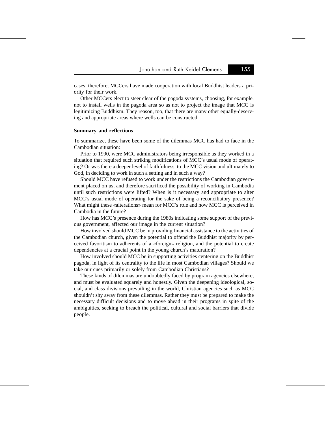cases, therefore, MCCers have made cooperation with local Buddhist leaders a priority for their work.

Other MCCers elect to steer clear of the pagoda systems, choosing, for example, not to install wells in the pagoda area so as not to project the image that MCC is legitimizing Buddhism. They reason, too, that there are many other equally-deserving and appropriate areas where wells can be constructed.

## **Summary and reflections**

To summarize, these have been some of the dilemmas MCC has had to face in the Cambodian situation:

Prior to 1990, were MCC administrators being irresponsible as they worked in a situation that required such striking modifications of MCC's usual mode of operating? Or was there a deeper level of faithfulness, to the MCC vision and ultimately to God, in deciding to work in such a setting and in such a way?

Should MCC have refused to work under the restrictions the Cambodian government placed on us, and therefore sacrificed the possibility of working in Cambodia until such restrictions were lifted? When is it necessary and appropriate to alter MCC's usual mode of operating for the sake of being a reconciliatory presence? What might these «alterations» mean for MCC's role and how MCC is perceived in Cambodia in the future?

How has MCC's presence during the 1980s indicating some support of the previous government, affected our image in the current situation?

How involved should MCC be in providing financial assistance to the activities of the Cambodian church, given the potential to offend the Buddhist majority by perceived favoritism to adherents of a «foreign» religion, and the potential to create dependencies at a crucial point in the young church's maturation?

How involved should MCC be in supporting activities centering on the Buddhist pagoda, in light of its centrality to the life in most Cambodian villages? Should we take our cues primarily or solely from Cambodian Christians?

These kinds of dilemmas are undoubtedly faced by program agencies elsewhere, and must be evaluated squarely and honestly. Given the deepening ideological, social, and class divisions prevailing in the world, Christian agencies such as MCC shouldn't shy away from these dilemmas. Rather they must be prepared to make the necessary difficult decisions and to move ahead in their programs in spite of the ambiguities, seeking to breach the political, cultural and social barriers that divide people.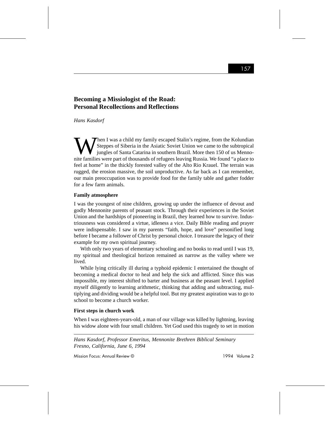# **Becoming a Missiologist of the Road: Personal Recollections and Reflections**

*Hans Kasdorf*

When I was a child my family escaped Stalin's regime, from the Kolundian<br>Steppes of Siberia in the Asiatic Soviet Union we came to the subtropical<br>pungles of Santa Catarina in southern Brazil. More then 150 of us Menno-<br>pu Steppes of Siberia in the Asiatic Soviet Union we came to the subtropical jungles of Santa Catarina in southern Brazil. More then 150 of us Mennonite families were part of thousands of refugees leaving Russia. We found "a place to feel at home" in the thickly forested valley of the Alto Rio Krauel. The terrain was rugged, the erosion massive, the soil unproductive. As far back as I can remember, our main preoccupation was to provide food for the family table and gather fodder for a few farm animals.

## **Family atmosphere**

I was the youngest of nine children, growing up under the influence of devout and godly Mennonite parents of peasant stock. Through their experiences in the Soviet Union and the hardships of pioneering in Brazil, they learned how to survive. Industriousness was considered a virtue, idleness a vice. Daily Bible reading and prayer were indispensable. I saw in my parents "faith, hope, and love" personified long before I became a follower of Christ by personal choice. I treasure the legacy of their example for my own spiritual journey.

With only two years of elementary schooling and no books to read until I was 19, my spiritual and theological horizon remained as narrow as the valley where we lived.

While lying critically ill during a typhoid epidemic I entertained the thought of becoming a medical doctor to heal and help the sick and afflicted. Since this was impossible, my interest shifted to barter and business at the peasant level. I applied myself diligently to learning arithmetic, thinking that adding and subtracting, multiplying and dividing would be a helpful tool. But my greatest aspiration was to go to school to become a church worker.

## **First steps in church work**

When I was eighteen-years-old, a man of our village was killed by lightning, leaving his widow alone with four small children. Yet God used this tragedy to set in motion

*Hans Kasdorf, Professor Emeritus, Mennonite Brethren Biblical Seminary Fresno, California, June 6, 1994*

Mission Focus: Annual Review © 1994 Volume 2

# $157$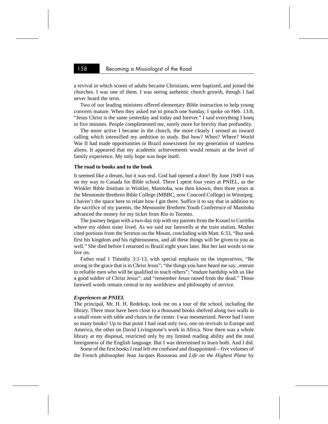a revival in which scores of adults became Christians, were baptized, and joined the churches. I was one of them. I was seeing authentic church growth, though I had never heard the term.

Two of our leading ministers offered elementary Bible instruction to help young converts mature. When they asked me to preach one Sunday, I spoke on Heb. 13:8, "Jesus Christ is the same yesterday and today and forever." I said everything I kneq in five minutes. People complimented me, surely more for brevity than profundity.

The more active I became in the church, the more clearly I sensed an inward calling which intensified my ambition to study. But how? When? Where? World War II had made opportunities in Brazil nonexistent for my generation of stateless aliens. It appeared that my academic achievements would remain at the level of family experience. My only hope was hope itself.

# **The road to books and to the book**

It seemed like a dream, but it was real. God had opened a door! By June 1949 I was on my way to Canada for Bible school. There I spent four years at PNIEL, as the Winkler Bible Institute in Winkler, Manitoba, was then known, then three years at the Mennonite Brethren Bible College (MBBC, now Concord College) in Winnipeg. I haven't the space here to relate how I got there. Suffice it to say that in addition to the sacrifice of my parents, the Mennonite Brethren Youth Conference of Manitoba advanced the money for my ticket from Rio to Toronto.

The journey began with a two-day trip with my parents from the Krauel to Curitiba where my oldest sister lived. As we said our farewells at the train station, Mother cited portions from the Sermon on the Mount, concluding with Matt. 6:33, "But seek first his kingdom and his righteousness, and all these things will be given to you as well." She died before I returned to Brazil eight years later. But her last words to me live on.

Father read 1 Timothy 3:1-13, with special emphasis on the imperatives, "Be strong in the grace that is in Christ Jesus"; "the things you have heard me say...entrust to reliable men who will be qualified to teach others"; "endure hardship with us like a good soldier of Christ Jesus"; and "remember Jesus raised from the dead." Those farewell words remain central to my worldview and philosophy of service.

## *Experiences at PNIEL*

The principal, Mr. H. H. Redekop, took me on a tour of the school, including the library. There must have been close to a thousand books shelved along two walls in a small room with table and chairs in the center. I was mesmerized. Never had I seen so many books! Up to that point I had read only two, one on revivals in Europe and America, the other on David Livingstone's work in Africa. Now there was a whole library at my disposal, restricted only by my limited reading ability and the total foreignness of the English language. But I was determined to learn both. And I did.

Some of the first books I read left me confused and disappointed—five volumes of the French philosopher Jean Jacques Rousseau and *Life on the Highest Plane* by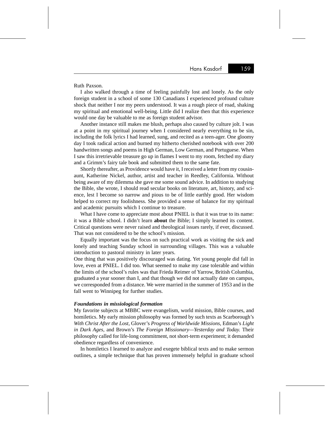Ruth Paxson.

I also walked through a time of feeling painfully lost and lonely. As the only foreign student in a school of some 130 Canadians I experienced profound culture shock that neither I nor my peers understood. It was a rough piece of road, shaking my spiritual and emotional well-being. Little did I realize then that this experience would one day be valuable to me as foreign student advisor.

Another instance still makes me blush, perhaps also caused by culture jolt. I was at a point in my spiritual journey when I considered nearly everything to be sin, including the folk lyrics I had learned, sung, and recited as a teen-ager. One gloomy day I took radical action and burned my hitherto cherished notebook with over 200 handwritten songs and poems in High German, Low German, and Portuguese. When I saw this irretrievable treasure go up in flames I went to my room, fetched my diary and a Grimm's fairy tale book and submitted them to the same fate.

Shortly thereafter, as Providence would have it, I received a letter from my cousinaunt, Katherine Nickel, author, artist and teacher in Reedley, California. Without being aware of my dilemma she gave me some sound advice. In addition to studying the Bible, she wrote, I should read secular books on literature, art, history, and science, lest I become so narrow and pious to be of little earthly good. Her wisdom helped to correct my foolishness. She provided a sense of balance for my spiritual and academic pursuits which I continue to treasure.

What I have come to appreciate most about PNIEL is that it was true to its name: it was a Bible school. I didn't learn **about** the Bible; I simply learned its content. Critical questions were never raised and theological issues rarely, if ever, discussed. That was not considered to be the school's mission.

Equally important was the focus on such practical work as visiting the sick and lonely and teaching Sunday school in surrounding villages. This was a valuable introduction to pastoral ministry in later years.

One thing that was positively discouraged was dating. Yet young people did fall in love, even at PNIEL. I did too. What seemed to make my case tolerable and within the limits of the school's rules was that Frieda Reimer of Yarrow, British Columbia, graduated a year sooner than I, and that though we did not actually date on campus, we corresponded from a distance. We were married in the summer of 1953 and in the fall went to Winnipeg for further studies.

## *Foundations in missiological formation*

My favorite subjects at MBBC were evangelism, world mission, Bible courses, and homiletics. My early mission philosophy was formed by such texts as Scarborough's *With Christ After the Lost*, Glover's *Progress of Worldwide Missions,* Edman's *Light in Dark Ages,* and Brown's *The Foreign Missionary—Yesterday and Today.* Their philosophy called for life-long commitment, not short-term experiment; it demanded obedience regardless of convenience.

In homiletics I learned to analyze and exegete biblical texts and to make sermon outlines, a simple technique that has proven immensely helpful in graduate school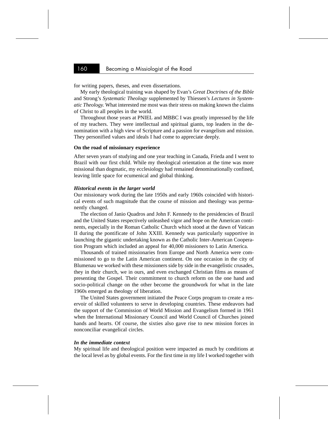for writing papers, theses, and even dissertations.

My early theological training was shaped by Evan's *Great Doctrines of the Bible* and Strong's *Systematic Theology* supplemented by Thiessen's *Lectures in Systematic Theology.* What interested me most was their stress on making known the claims of Christ to all peoples in the world.

Throughout those years at PNIEL and MBBC I was greatly impressed by the life of my teachers. They were intellectual and spiritual giants, top leaders in the denomination with a high view of Scripture and a passion for evangelism and mission. They personified values and ideals I had come to appreciate deeply.

## **On the road of missionary experience**

After seven years of studying and one year teaching in Canada, Frieda and I went to Brazil with our first child. While my theological orientation at the time was more missional than dogmatic, my ecclesiology had remained denominationally confined, leaving little space for ecumenical and global thinking.

## *Historical events in the larger world*

Our missionary work during the late 1950s and early 1960s coincided with historical events of such magnitude that the course of mission and theology was permanently changed.

The election of Janio Quadros and John F. Kennedy to the presidencies of Brazil and the United States respectively unleashed vigor and hope on the American continents, especially in the Roman Catholic Church which stood at the dawn of Vatican II during the pontificate of John XXIII. Kennedy was particularly supportive in launching the gigantic undertaking known as the Catholic Inter-American Cooperation Program which included an appeal for 40,000 missioners to Latin America.

Thousands of trained missionaries from Europe and North America were commissioned to go to the Latin American continent. On one occasion in the city of Blumenau we worked with these missioners side by side in the evangelistic crusades, they in their church, we in ours, and even exchanged Christian films as means of presenting the Gospel. Their commitment to church reform on the one hand and socio-political change on the other become the groundwork for what in the late 1960s emerged as theology of liberation.

The United States government initiated the Peace Corps program to create a reservoir of skilled volunteers to serve in developing countries. These endeavors had the support of the Commission of World Mission and Evangelism formed in 1961 when the International Missionary Council and World Council of Churches joined hands and hearts. Of course, the sixties also gave rise to new mission forces in nonconciliar evangelical circles.

# *In the immediate context*

My spiritual life and theological position were impacted as much by conditions at the local level as by global events. For the first time in my life I worked together with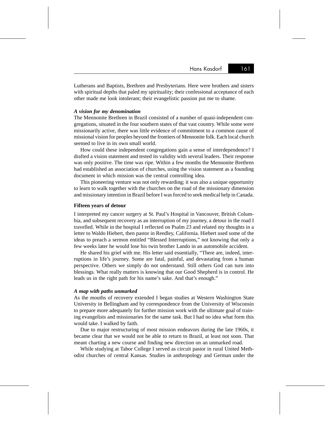Lutherans and Baptists, Brethren and Presbyterians. Here were brothers and sisters with spiritual depths that paled my spirituality; their confessional acceptance of each other made me look intolerant; their evangelistic passion put me to shame.

## *A vision for my denomination*

The Mennonite Brethren in Brazil consisted of a number of quasi-independent congregations, situated in the four southern states of that vast country. While some were missionarily active, there was little evidence of commitment to a common cause of missional vision for peoples beyond the frontiers of Mennonite folk. Each local church seemed to live in its own small world.

How could these independent congregations gain a sense of interdependence? I drafted a vision statement and tested its validity with several leaders. Their response was only positive. The time was ripe. Within a few months the Mennonite Brethren had established an association of churches, using the vision statement as a founding document in which mission was the central controlling idea.

This pioneering venture was not only rewarding; it was also a unique opportunity to learn to walk together with the churches on the road of the missionary dimension and missionary intention in Brazil before I was forced to seek medical help in Canada.

## **Fifteen years of detour**

I interpreted my cancer surgery at St. Paul's Hospital in Vancouver, British Columbia, and subsequent recovery as an interruption of my journey, a detour in the road I travelled. While in the hospital I reflected on Psalm 23 and related my thoughts in a letter to Waldo Hiebert, then pastor in Reedley, California. Hiebert used some of the ideas to preach a sermon entitled "Blessed Interruptions," not knowing that only a few weeks later he would lose his twin brother Lando in an automobile accident.

He shared his grief with me. His letter said essentially, "There are, indeed, interruptions in life's journey. Some are fatal, painful, and devastating from a human perspective. Others we simply do not understand. Still others God can turn into blessings. What really matters is knowing that our Good Shepherd is in control. He leads us in the right path for his name's sake. And that's enough."

## *A map with paths unmarked*

As the mouths of recovery extended I began studies at Western Washington State University in Bellingham and by correspondence from the University of Wisconsin to prepare more adequately for further mission work with the ultimate goal of training evangelists and missionaries for the same task. But I had no idea what form this would take. I walked by faith.

Due to major restructuring of most mission endeavors during the late 1960s, it became clear that we would not be able to return to Brazil, at least not soon. That meant charting a new course and finding new direction on an unmarked road.

While studying at Tabor College I served as circuit pastor in rural United Methodist churches of central Kansas. Studies in anthropology and German under the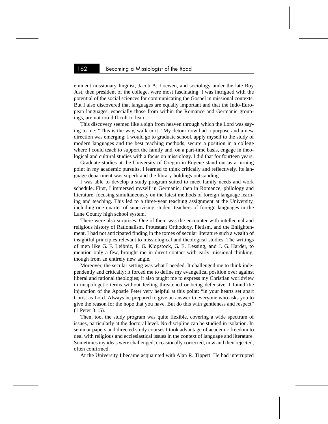eminent missionary linguist, Jacob A. Loewen, and sociology under the late Roy Just, then president of the college, were most fascinating. I was intrigued with the potential of the social sciences for communicating the Gospel in missional contexts. But I also discovered that languages are equally important and that the Indo-European languages, especially those from within the Romance and Germanic groupings, are not too difficult to learn.

This discovery seemed like a sign from heaven through which the Lord was saying to me: "This is the way, walk in it." My detour now had a purpose and a new direction was emerging: I would go to graduate school, apply myself to the study of modern languages and the best teaching methods, secure a position in a college where I could teach to support the family and, on a part-time basis, engage in theological and cultural studies with a focus on missiology. I did that for fourteen years.

Graduate studies at the University of Oregon in Eugene stand out as a turning point in my academic pursuits. I learned to think critically and reflectively. Its language department was superb and the library holdings outstanding.

I was able to develop a study program suited to meet family needs and work schedule. First, I immersed myself in Germanic, then in Romance, philology and literature, focusing simultaneously on the latest methods of foreign language learning and teaching. This led to a three-year teaching assignment at the University, including one quarter of supervising student teachers of foreign languages in the Lane County high school system.

There were also surprises. One of them was the encounter with intellectual and religious history of Rationalism, Protestant Orthodoxy, Pietism, and the Enlightenment. I had not anticipated finding in the tomes of secular literature such a wealth of insightful principles relevant to missiological and theological studies. The writings of men like G. F. Leibniz, F. G. Klopstock, G. E. Lessing, and J. G. Harder, to mention only a few, brought me in direct contact with early missional thinking, though from an entirely new angle.

Moreover, the secular setting was what I needed. It challenged me to think independently and critically; it forced me to define my evangelical position over against liberal and rational theologies; it also taught me to express my Christian worldview in unapologetic terms without feeling threatened or being defensive. I found the injunction of the Apostle Peter very helpful at this point: "in your hearts set apart Christ as Lord. Always be prepared to give an answer to everyone who asks you to give the reason for the hope that you have. But do this with gentleness and respect" (1 Peter 3:15).

Then, too, the study program was quite flexible, covering a wide spectrum of issues, particularly at the doctoral level. No discipline can be studied in isolation. In seminar papers and directed study courses I took advantage of academic freedom to deal with religious and ecclesiastical issues in the context of language and literature. Sometimes my ideas were challenged, occasionally corrected, now and then rejected, often confirmed.

At the University I became acquainted with Alan R. Tippett. He had interrupted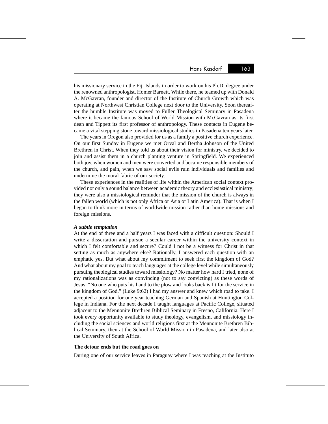Hans Kasdorf 163

his missionary service in the Fiji Islands in order to work on his Ph.D. degree under the renowned anthropologist, Homer Barnett. While there, he teamed up with Donald A. McGavran, founder and director of the Institute of Church Growth which was operating at Northwest Christian College next door to the University. Soon thereafter the humble Institute was moved to Fuller Theological Seminary in Pasadena where it became the famous School of World Mission with McGavran as its first dean and Tippett its first professor of anthropology. These contacts in Eugene became a vital stepping stone toward missiological studies in Pasadena ten years later.

The years in Oregon also provided for us as a family a positive church experience. On our first Sunday in Eugene we met Orval and Bertha Johnson of the United Brethren in Christ. When they told us about their vision for ministry, we decided to join and assist them in a church planting venture in Springfield. We experienced both joy, when women and men were converted and became responsible members of the church, and pain, when we saw social evils ruin individuals and families and undermine the moral fabric of our society.

These experiences in the realities of life within the American social context provided not only a sound balance between academic theory and ecclesiastical ministry; they were also a missiological reminder that the mission of the church is always in the fallen world (which is not only Africa or Asia or Latin America). That is when I began to think more in terms of worldwide mission rather than home missions and foreign missions.

## *A subtle temptation*

At the end of three and a half years I was faced with a difficult question: Should I write a dissertation and pursue a secular career within the university context in which I felt comfortable and secure? Could I not be a witness for Christ in that setting as much as anywhere else? Rationally, I answered each question with an emphatic yes. But what about my commitment to seek first the kingdom of God? And what about my goal to teach languages at the college level while simultaneously pursuing theological studies toward missiology? No matter how hard I tried, none of my rationalizations was as convincing (not to say convicting) as these words of Jesus: "No one who puts his hand to the plow and looks back is fit for the service in the kingdom of God." (Luke 9:62) I had my answer and knew which road to take. I accepted a position for one year teaching German and Spanish at Huntington College in Indiana. For the next decade I taught languages at Pacific College, situated adjacent to the Mennonite Brethren Biblical Seminary in Fresno, California. Here I took every opportunity available to study theology, evangelism, and missiology including the social sciences and world religions first at the Mennonite Brethren Biblical Seminary, then at the School of World Mission in Pasadena, and later also at the University of South Africa.

# **The detour ends but the road goes on**

During one of our service leaves in Paraguay where I was teaching at the Instituto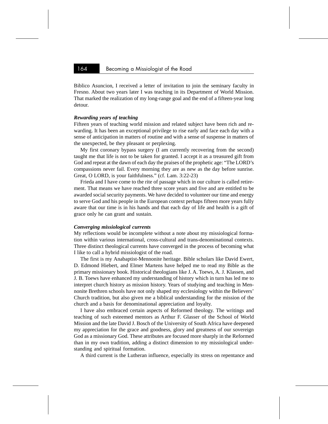Biblico Asuncion, I received a letter of invitation to join the seminary faculty in Fresno. About two years later I was teaching in its Department of World Mission. That marked the realization of my long-range goal and the end of a fifteen-year long detour.

# *Rewarding years of teaching*

Fifteen years of teaching world mission and related subject have been rich and rewarding. It has been an exceptional privilege to rise early and face each day with a sense of anticipation in matters of routine and with a sense of suspense in matters of the unexpected, be they pleasant or perplexing.

My first coronary bypass surgery (I am currently recovering from the second) taught me that life is not to be taken for granted. I accept it as a treasured gift from God and repeat at the dawn of each day the praises of the prophetic age: "The LORD's compassions never fail. Every morning they are as new as the day before sunrise. Great, O LORD, is your faithfulness." (cf. Lam. 3:22-23)

Frieda and I have come to the rite of passage which in our culture is called retirement. That means we have reached three score years and five and are entitled to be awarded social security payments. We have decided to volunteer our time and energy to serve God and his people in the European context perhaps fifteen more years fully aware that our time is in his hands and that each day of life and health is a gift of grace only he can grant and sustain.

#### *Converging missiological currents*

My reflections would be incomplete without a note about my missiological formation within various international, cross-cultural and trans-denominational contexts. Three distinct theological currents have converged in the process of becoming what I like to call a hybrid missiologist of the road.

The first is my Anabaptist-Mennonite heritage. Bible scholars like David Ewert, D. Edmond Hiebert, and Elmer Martens have helped me to read my Bible as the primary missionary book. Historical theologians like J. A. Toews, A. J. Klassen, and J. B. Toews have enhanced my understanding of history which in turn has led me to interpret church history as mission history. Years of studying and teaching in Mennonite Brethren schools have not only shaped my ecclesiology within the Believers' Church tradition, but also given me a biblical understanding for the mission of the church and a basis for denominational appreciation and loyalty.

I have also embraced certain aspects of Reformed theology. The writings and teaching of such esteemed mentors as Arthur F. Glasser of the School of World Mission and the late David J. Bosch of the University of South Africa have deepened my appreciation for the grace and goodness, glory and greatness of our sovereign God as a missionary God. These attributes are focused more sharply in the Reformed than in my own tradition, adding a distinct dimension to my missiological understanding and spiritual formation.

A third current is the Lutheran influence, especially its stress on repentance and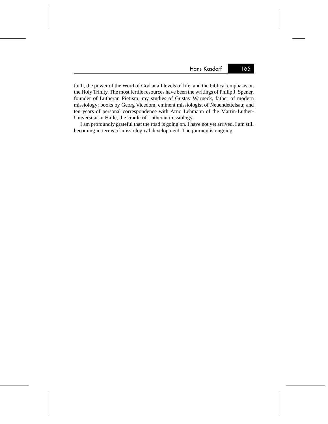Hans Kasdorf 165

faith, the power of the Word of God at all levels of life, and the biblical emphasis on the Holy Trinity. The most fertile resources have been the writings of Philip J. Spener, founder of Lutheran Pietism; my studies of Gustav Warneck, father of modern missiology; books by Georg Vicedom, eminent missiologist of Neuendettelsau; and ten years of personal correspondence with Arno Lehmann of the Martin-Luther-Universitat in Halle, the cradle of Lutheran missiology.

I am profoundly grateful that the road is going on. I have not yet arrived. I am still becoming in terms of missiological development. The journey is ongoing.